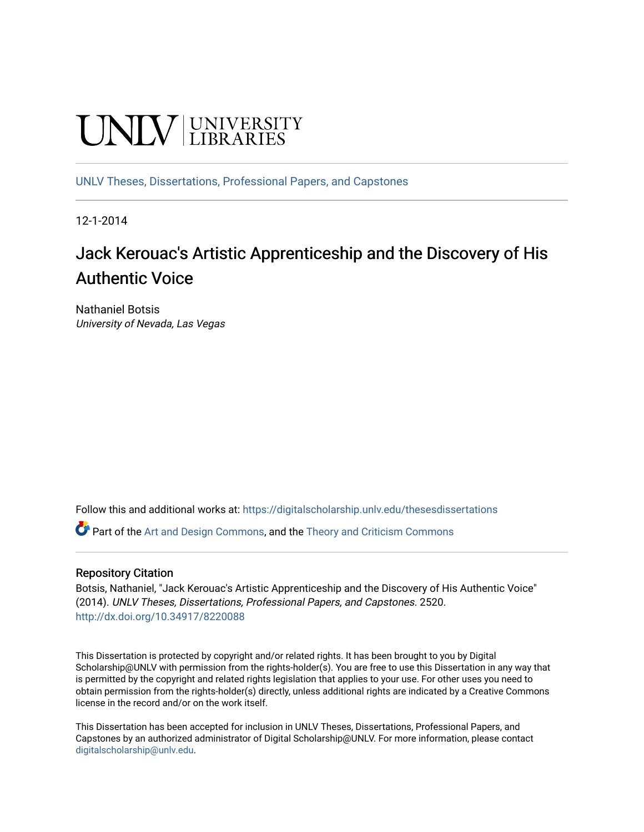# **UNIVERSITY**

[UNLV Theses, Dissertations, Professional Papers, and Capstones](https://digitalscholarship.unlv.edu/thesesdissertations)

12-1-2014

# Jack Kerouac's Artistic Apprenticeship and the Discovery of His Authentic Voice

Nathaniel Botsis University of Nevada, Las Vegas

Follow this and additional works at: [https://digitalscholarship.unlv.edu/thesesdissertations](https://digitalscholarship.unlv.edu/thesesdissertations?utm_source=digitalscholarship.unlv.edu%2Fthesesdissertations%2F2520&utm_medium=PDF&utm_campaign=PDFCoverPages)

Part of the [Art and Design Commons](http://network.bepress.com/hgg/discipline/1049?utm_source=digitalscholarship.unlv.edu%2Fthesesdissertations%2F2520&utm_medium=PDF&utm_campaign=PDFCoverPages), and the [Theory and Criticism Commons](http://network.bepress.com/hgg/discipline/516?utm_source=digitalscholarship.unlv.edu%2Fthesesdissertations%2F2520&utm_medium=PDF&utm_campaign=PDFCoverPages) 

#### Repository Citation

Botsis, Nathaniel, "Jack Kerouac's Artistic Apprenticeship and the Discovery of His Authentic Voice" (2014). UNLV Theses, Dissertations, Professional Papers, and Capstones. 2520. <http://dx.doi.org/10.34917/8220088>

This Dissertation is protected by copyright and/or related rights. It has been brought to you by Digital Scholarship@UNLV with permission from the rights-holder(s). You are free to use this Dissertation in any way that is permitted by the copyright and related rights legislation that applies to your use. For other uses you need to obtain permission from the rights-holder(s) directly, unless additional rights are indicated by a Creative Commons license in the record and/or on the work itself.

This Dissertation has been accepted for inclusion in UNLV Theses, Dissertations, Professional Papers, and Capstones by an authorized administrator of Digital Scholarship@UNLV. For more information, please contact [digitalscholarship@unlv.edu](mailto:digitalscholarship@unlv.edu).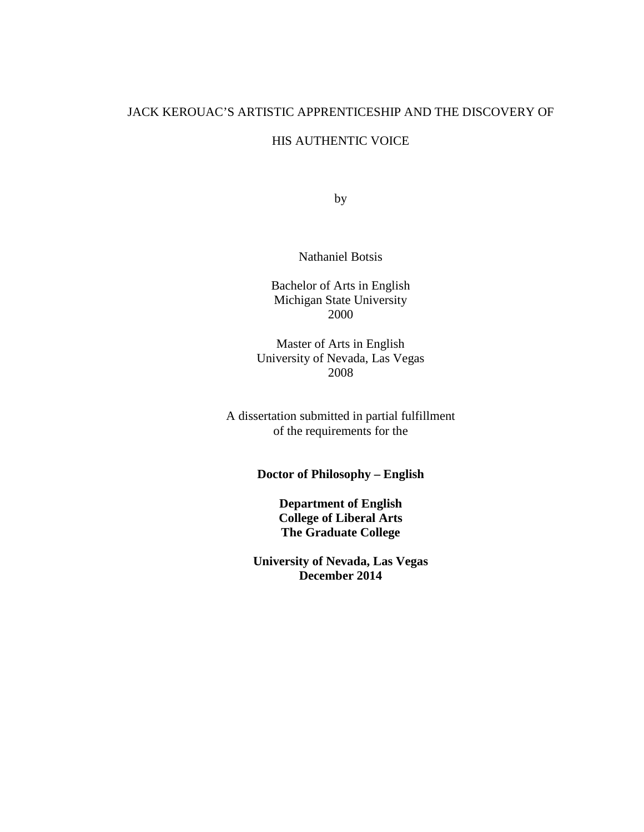# JACK KEROUAC'S ARTISTIC APPRENTICESHIP AND THE DISCOVERY OF

## HIS AUTHENTIC VOICE

by

Nathaniel Botsis

Bachelor of Arts in English Michigan State University 2000

Master of Arts in English University of Nevada, Las Vegas 2008

A dissertation submitted in partial fulfillment of the requirements for the

# **Doctor of Philosophy – English**

**Department of English College of Liberal Arts The Graduate College**

**University of Nevada, Las Vegas December 2014**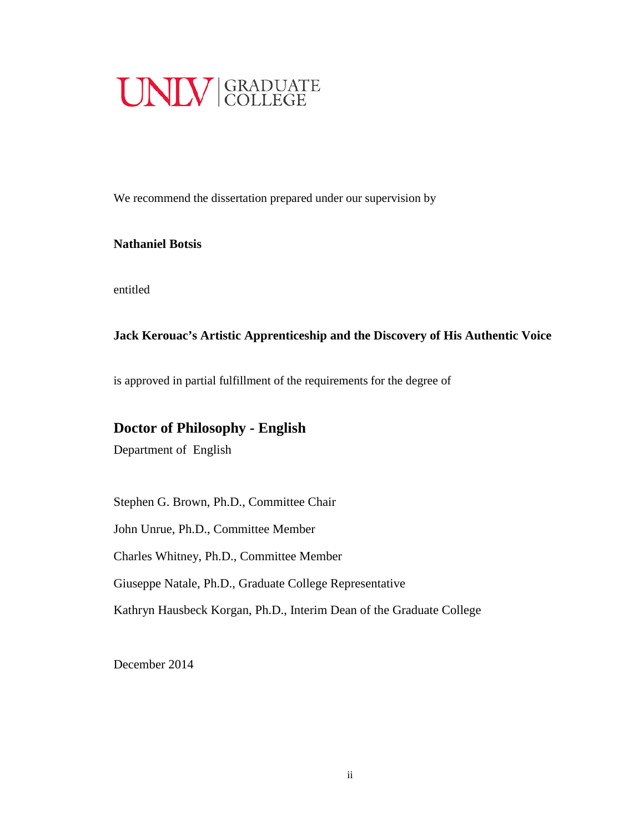

We recommend the dissertation prepared under our supervision by

### **Nathaniel Botsis**

entitled

# **Jack Kerouac's Artistic Apprenticeship and the Discovery of His Authentic Voice**

is approved in partial fulfillment of the requirements for the degree of

# **Doctor of Philosophy - English**

Department of English

Stephen G. Brown, Ph.D., Committee Chair

John Unrue, Ph.D., Committee Member

Charles Whitney, Ph.D., Committee Member

Giuseppe Natale, Ph.D., Graduate College Representative

Kathryn Hausbeck Korgan, Ph.D., Interim Dean of the Graduate College

December 2014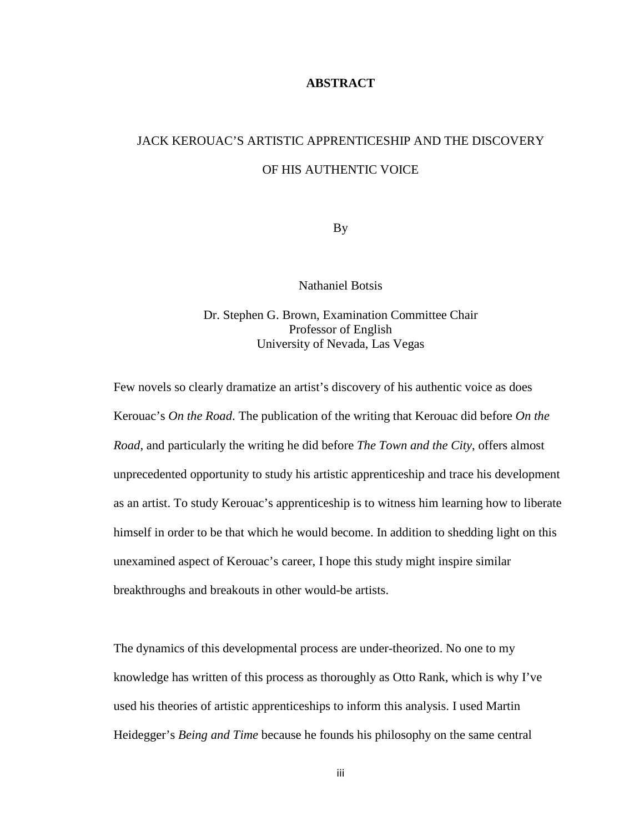#### **ABSTRACT**

# JACK KEROUAC'S ARTISTIC APPRENTICESHIP AND THE DISCOVERY OF HIS AUTHENTIC VOICE

By

Nathaniel Botsis

Dr. Stephen G. Brown, Examination Committee Chair Professor of English University of Nevada, Las Vegas

Few novels so clearly dramatize an artist's discovery of his authentic voice as does Kerouac's *On the Road*. The publication of the writing that Kerouac did before *On the Road*, and particularly the writing he did before *The Town and the City*, offers almost unprecedented opportunity to study his artistic apprenticeship and trace his development as an artist. To study Kerouac's apprenticeship is to witness him learning how to liberate himself in order to be that which he would become. In addition to shedding light on this unexamined aspect of Kerouac's career, I hope this study might inspire similar breakthroughs and breakouts in other would-be artists.

The dynamics of this developmental process are under-theorized. No one to my knowledge has written of this process as thoroughly as Otto Rank, which is why I've used his theories of artistic apprenticeships to inform this analysis. I used Martin Heidegger's *Being and Time* because he founds his philosophy on the same central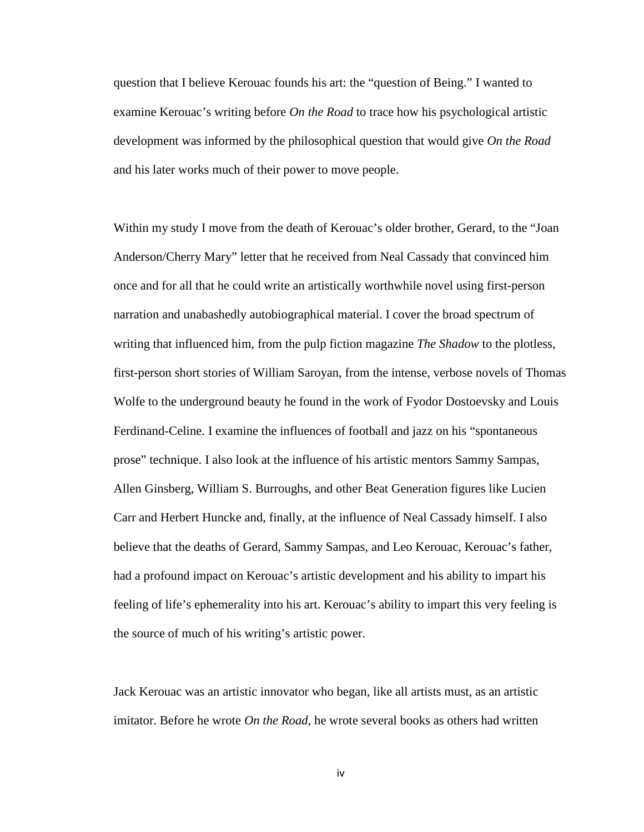question that I believe Kerouac founds his art: the "question of Being." I wanted to examine Kerouac's writing before *On the Road* to trace how his psychological artistic development was informed by the philosophical question that would give *On the Road*  and his later works much of their power to move people.

Within my study I move from the death of Kerouac's older brother, Gerard, to the "Joan Anderson/Cherry Mary" letter that he received from Neal Cassady that convinced him once and for all that he could write an artistically worthwhile novel using first-person narration and unabashedly autobiographical material. I cover the broad spectrum of writing that influenced him, from the pulp fiction magazine *The Shadow* to the plotless, first-person short stories of William Saroyan, from the intense, verbose novels of Thomas Wolfe to the underground beauty he found in the work of Fyodor Dostoevsky and Louis Ferdinand-Celine. I examine the influences of football and jazz on his "spontaneous prose" technique. I also look at the influence of his artistic mentors Sammy Sampas, Allen Ginsberg, William S. Burroughs, and other Beat Generation figures like Lucien Carr and Herbert Huncke and, finally, at the influence of Neal Cassady himself. I also believe that the deaths of Gerard, Sammy Sampas, and Leo Kerouac, Kerouac's father, had a profound impact on Kerouac's artistic development and his ability to impart his feeling of life's ephemerality into his art. Kerouac's ability to impart this very feeling is the source of much of his writing's artistic power.

Jack Kerouac was an artistic innovator who began, like all artists must, as an artistic imitator. Before he wrote *On the Road*, he wrote several books as others had written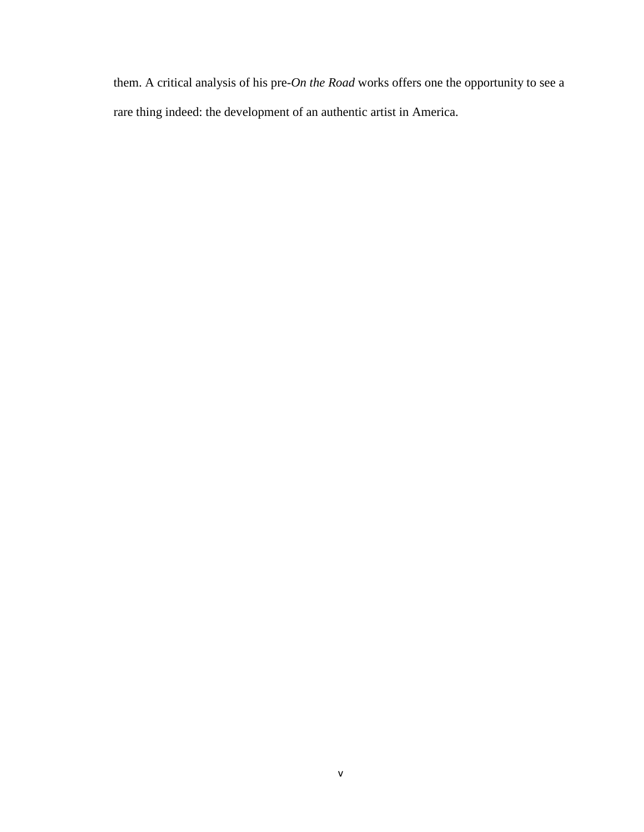them. A critical analysis of his pre-*On the Road* works offers one the opportunity to see a rare thing indeed: the development of an authentic artist in America.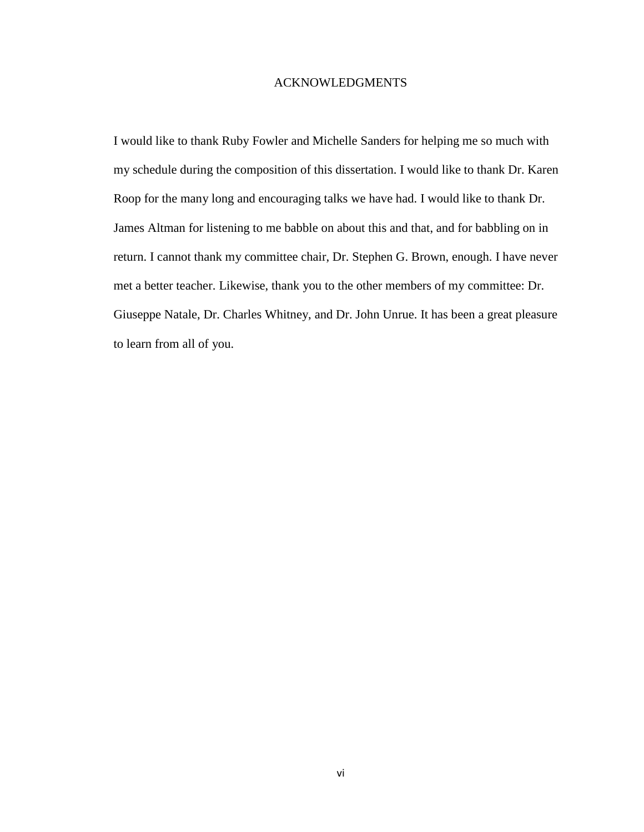#### ACKNOWLEDGMENTS

I would like to thank Ruby Fowler and Michelle Sanders for helping me so much with my schedule during the composition of this dissertation. I would like to thank Dr. Karen Roop for the many long and encouraging talks we have had. I would like to thank Dr. James Altman for listening to me babble on about this and that, and for babbling on in return. I cannot thank my committee chair, Dr. Stephen G. Brown, enough. I have never met a better teacher. Likewise, thank you to the other members of my committee: Dr. Giuseppe Natale, Dr. Charles Whitney, and Dr. John Unrue. It has been a great pleasure to learn from all of you.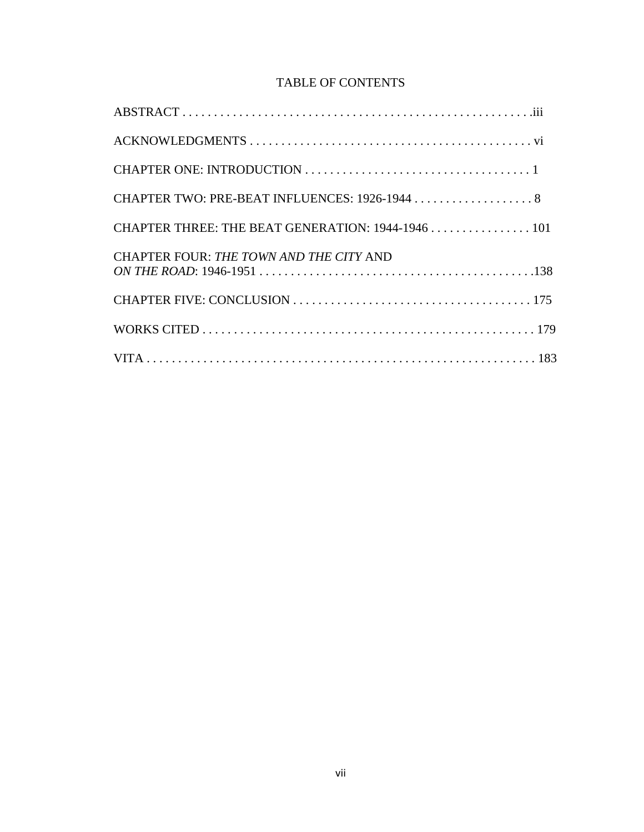# TABLE OF CONTENTS

| CHAPTER THREE: THE BEAT GENERATION: 1944-1946 101 |
|---------------------------------------------------|
| CHAPTER FOUR: THE TOWN AND THE CITY AND           |
|                                                   |
|                                                   |
|                                                   |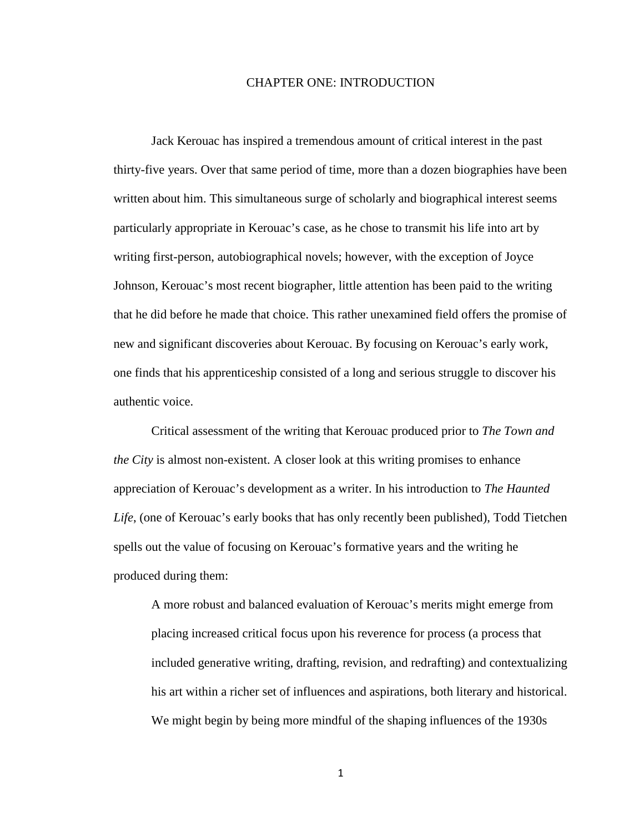#### CHAPTER ONE: INTRODUCTION

Jack Kerouac has inspired a tremendous amount of critical interest in the past thirty-five years. Over that same period of time, more than a dozen biographies have been written about him. This simultaneous surge of scholarly and biographical interest seems particularly appropriate in Kerouac's case, as he chose to transmit his life into art by writing first-person, autobiographical novels; however, with the exception of Joyce Johnson, Kerouac's most recent biographer, little attention has been paid to the writing that he did before he made that choice. This rather unexamined field offers the promise of new and significant discoveries about Kerouac. By focusing on Kerouac's early work, one finds that his apprenticeship consisted of a long and serious struggle to discover his authentic voice.

Critical assessment of the writing that Kerouac produced prior to *The Town and the City* is almost non-existent. A closer look at this writing promises to enhance appreciation of Kerouac's development as a writer. In his introduction to *The Haunted Life*, (one of Kerouac's early books that has only recently been published), Todd Tietchen spells out the value of focusing on Kerouac's formative years and the writing he produced during them:

A more robust and balanced evaluation of Kerouac's merits might emerge from placing increased critical focus upon his reverence for process (a process that included generative writing, drafting, revision, and redrafting) and contextualizing his art within a richer set of influences and aspirations, both literary and historical. We might begin by being more mindful of the shaping influences of the 1930s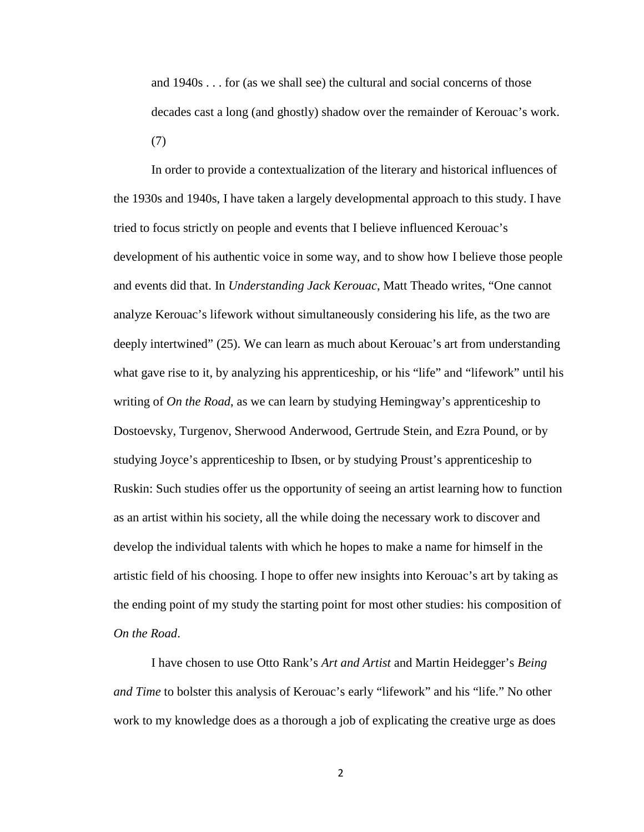and 1940s . . . for (as we shall see) the cultural and social concerns of those decades cast a long (and ghostly) shadow over the remainder of Kerouac's work. (7)

In order to provide a contextualization of the literary and historical influences of the 1930s and 1940s, I have taken a largely developmental approach to this study. I have tried to focus strictly on people and events that I believe influenced Kerouac's development of his authentic voice in some way, and to show how I believe those people and events did that. In *Understanding Jack Kerouac*, Matt Theado writes, "One cannot analyze Kerouac's lifework without simultaneously considering his life, as the two are deeply intertwined" (25). We can learn as much about Kerouac's art from understanding what gave rise to it, by analyzing his apprenticeship, or his "life" and "lifework" until his writing of *On the Road*, as we can learn by studying Hemingway's apprenticeship to Dostoevsky, Turgenov, Sherwood Anderwood, Gertrude Stein, and Ezra Pound, or by studying Joyce's apprenticeship to Ibsen, or by studying Proust's apprenticeship to Ruskin: Such studies offer us the opportunity of seeing an artist learning how to function as an artist within his society, all the while doing the necessary work to discover and develop the individual talents with which he hopes to make a name for himself in the artistic field of his choosing. I hope to offer new insights into Kerouac's art by taking as the ending point of my study the starting point for most other studies: his composition of *On the Road*.

I have chosen to use Otto Rank's *Art and Artist* and Martin Heidegger's *Being and Time* to bolster this analysis of Kerouac's early "lifework" and his "life." No other work to my knowledge does as a thorough a job of explicating the creative urge as does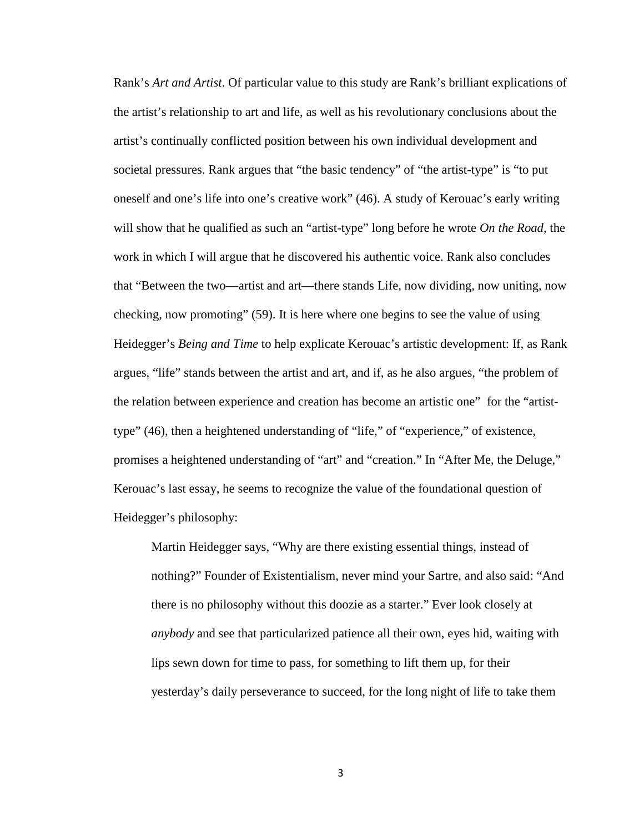Rank's *Art and Artist*. Of particular value to this study are Rank's brilliant explications of the artist's relationship to art and life, as well as his revolutionary conclusions about the artist's continually conflicted position between his own individual development and societal pressures. Rank argues that "the basic tendency" of "the artist-type" is "to put oneself and one's life into one's creative work" (46). A study of Kerouac's early writing will show that he qualified as such an "artist-type" long before he wrote *On the Road*, the work in which I will argue that he discovered his authentic voice. Rank also concludes that "Between the two—artist and art—there stands Life, now dividing, now uniting, now checking, now promoting" (59). It is here where one begins to see the value of using Heidegger's *Being and Time* to help explicate Kerouac's artistic development: If, as Rank argues, "life" stands between the artist and art, and if, as he also argues, "the problem of the relation between experience and creation has become an artistic one" for the "artisttype" (46), then a heightened understanding of "life," of "experience," of existence, promises a heightened understanding of "art" and "creation." In "After Me, the Deluge," Kerouac's last essay, he seems to recognize the value of the foundational question of Heidegger's philosophy:

Martin Heidegger says, "Why are there existing essential things, instead of nothing?" Founder of Existentialism, never mind your Sartre, and also said: "And there is no philosophy without this doozie as a starter." Ever look closely at *anybody* and see that particularized patience all their own, eyes hid, waiting with lips sewn down for time to pass, for something to lift them up, for their yesterday's daily perseverance to succeed, for the long night of life to take them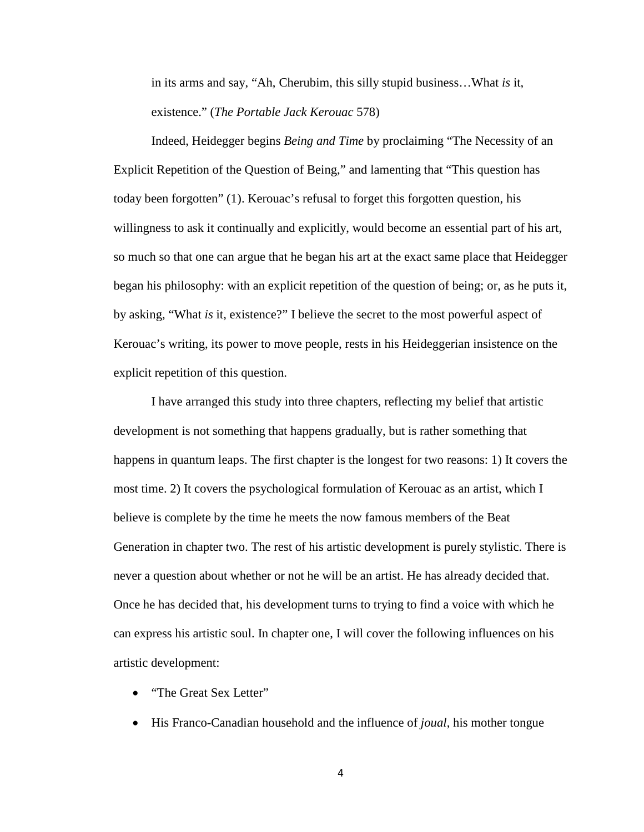in its arms and say, "Ah, Cherubim, this silly stupid business…What *is* it, existence." (*The Portable Jack Kerouac* 578)

Indeed, Heidegger begins *Being and Time* by proclaiming "The Necessity of an Explicit Repetition of the Question of Being," and lamenting that "This question has today been forgotten" (1). Kerouac's refusal to forget this forgotten question, his willingness to ask it continually and explicitly, would become an essential part of his art, so much so that one can argue that he began his art at the exact same place that Heidegger began his philosophy: with an explicit repetition of the question of being; or, as he puts it, by asking, "What *is* it, existence?" I believe the secret to the most powerful aspect of Kerouac's writing, its power to move people, rests in his Heideggerian insistence on the explicit repetition of this question.

I have arranged this study into three chapters, reflecting my belief that artistic development is not something that happens gradually, but is rather something that happens in quantum leaps. The first chapter is the longest for two reasons: 1) It covers the most time. 2) It covers the psychological formulation of Kerouac as an artist, which I believe is complete by the time he meets the now famous members of the Beat Generation in chapter two. The rest of his artistic development is purely stylistic. There is never a question about whether or not he will be an artist. He has already decided that. Once he has decided that, his development turns to trying to find a voice with which he can express his artistic soul. In chapter one, I will cover the following influences on his artistic development:

- "The Great Sex Letter"
- His Franco-Canadian household and the influence of *joual*, his mother tongue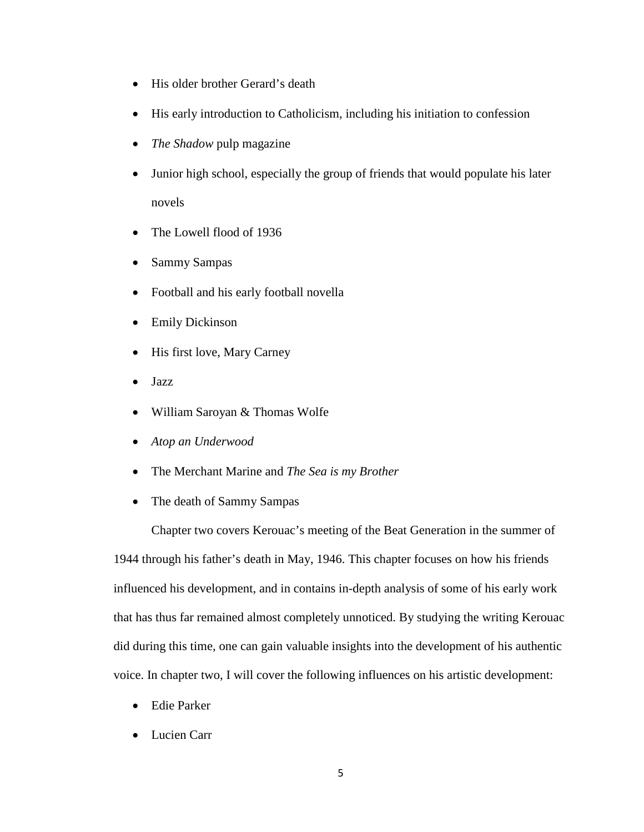- His older brother Gerard's death
- His early introduction to Catholicism, including his initiation to confession
- *The Shadow* pulp magazine
- Junior high school, especially the group of friends that would populate his later novels
- The Lowell flood of 1936
- Sammy Sampas
- Football and his early football novella
- Emily Dickinson
- His first love, Mary Carney
- Jazz
- William Saroyan & Thomas Wolfe
- *Atop an Underwood*
- The Merchant Marine and *The Sea is my Brother*
- The death of Sammy Sampas

Chapter two covers Kerouac's meeting of the Beat Generation in the summer of 1944 through his father's death in May, 1946. This chapter focuses on how his friends influenced his development, and in contains in-depth analysis of some of his early work that has thus far remained almost completely unnoticed. By studying the writing Kerouac did during this time, one can gain valuable insights into the development of his authentic voice. In chapter two, I will cover the following influences on his artistic development:

- Edie Parker
- Lucien Carr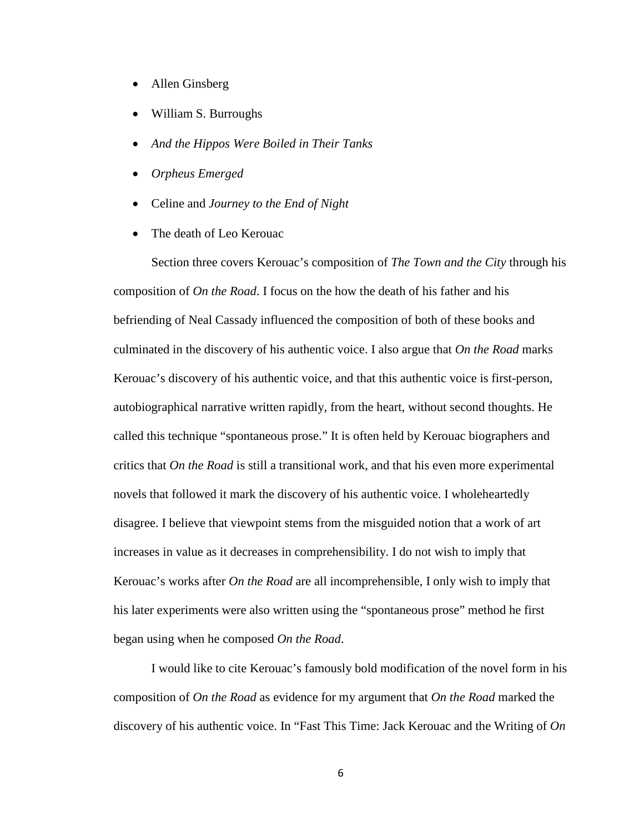- Allen Ginsberg
- William S. Burroughs
- *And the Hippos Were Boiled in Their Tanks*
- *Orpheus Emerged*
- Celine and *Journey to the End of Night*
- The death of Leo Kerouac

Section three covers Kerouac's composition of *The Town and the City* through his composition of *On the Road*. I focus on the how the death of his father and his befriending of Neal Cassady influenced the composition of both of these books and culminated in the discovery of his authentic voice. I also argue that *On the Road* marks Kerouac's discovery of his authentic voice, and that this authentic voice is first-person, autobiographical narrative written rapidly, from the heart, without second thoughts. He called this technique "spontaneous prose." It is often held by Kerouac biographers and critics that *On the Road* is still a transitional work, and that his even more experimental novels that followed it mark the discovery of his authentic voice. I wholeheartedly disagree. I believe that viewpoint stems from the misguided notion that a work of art increases in value as it decreases in comprehensibility. I do not wish to imply that Kerouac's works after *On the Road* are all incomprehensible, I only wish to imply that his later experiments were also written using the "spontaneous prose" method he first began using when he composed *On the Road*.

I would like to cite Kerouac's famously bold modification of the novel form in his composition of *On the Road* as evidence for my argument that *On the Road* marked the discovery of his authentic voice. In "Fast This Time: Jack Kerouac and the Writing of *On*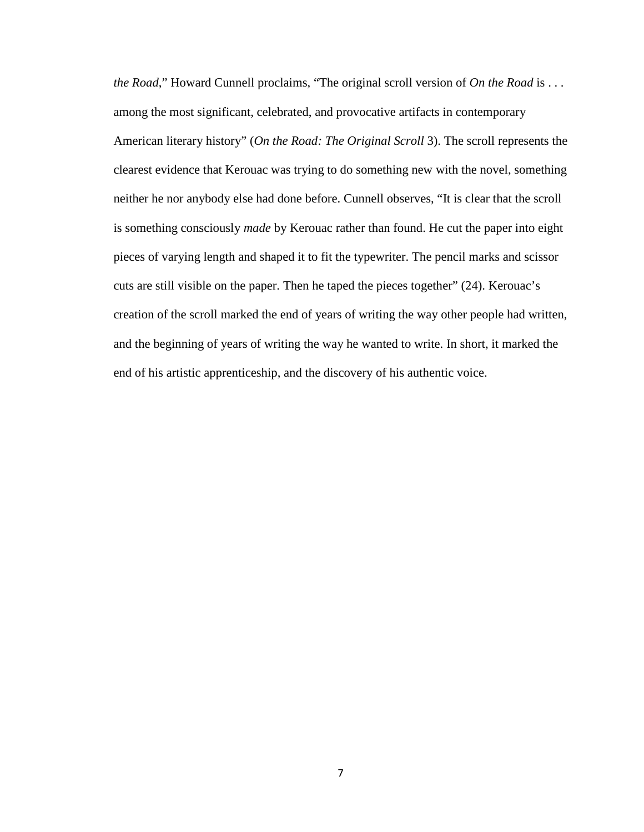*the Road*," Howard Cunnell proclaims, "The original scroll version of *On the Road* is . . . among the most significant, celebrated, and provocative artifacts in contemporary American literary history" (*On the Road: The Original Scroll* 3). The scroll represents the clearest evidence that Kerouac was trying to do something new with the novel, something neither he nor anybody else had done before. Cunnell observes, "It is clear that the scroll is something consciously *made* by Kerouac rather than found. He cut the paper into eight pieces of varying length and shaped it to fit the typewriter. The pencil marks and scissor cuts are still visible on the paper. Then he taped the pieces together" (24). Kerouac's creation of the scroll marked the end of years of writing the way other people had written, and the beginning of years of writing the way he wanted to write. In short, it marked the end of his artistic apprenticeship, and the discovery of his authentic voice.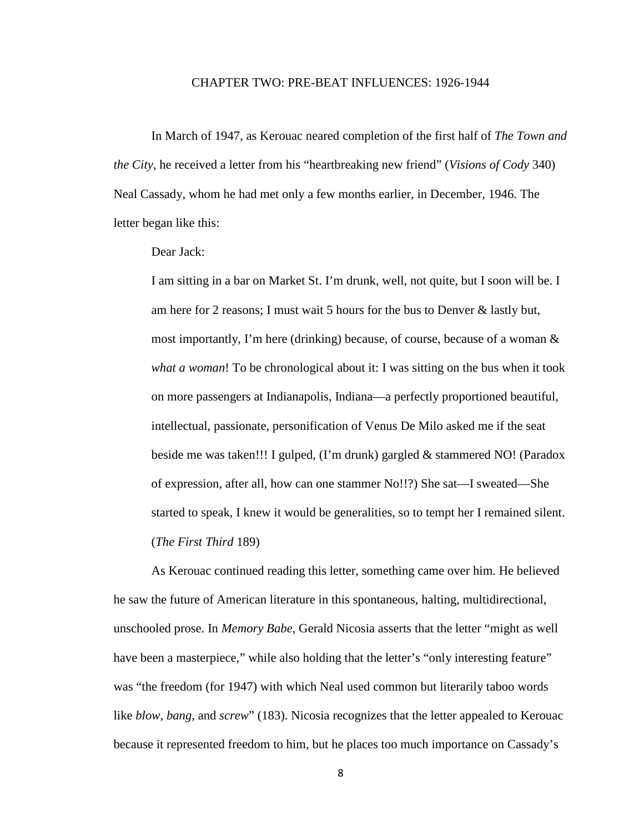#### CHAPTER TWO: PRE-BEAT INFLUENCES: 1926-1944

In March of 1947, as Kerouac neared completion of the first half of *The Town and the City*, he received a letter from his "heartbreaking new friend" (*Visions of Cody* 340) Neal Cassady, whom he had met only a few months earlier, in December, 1946. The letter began like this:

#### Dear Jack:

I am sitting in a bar on Market St. I'm drunk, well, not quite, but I soon will be. I am here for 2 reasons; I must wait 5 hours for the bus to Denver & lastly but, most importantly, I'm here (drinking) because, of course, because of a woman  $\&$ *what a woman*! To be chronological about it: I was sitting on the bus when it took on more passengers at Indianapolis, Indiana—a perfectly proportioned beautiful, intellectual, passionate, personification of Venus De Milo asked me if the seat beside me was taken!!! I gulped, (I'm drunk) gargled & stammered NO! (Paradox of expression, after all, how can one stammer No!!?) She sat—I sweated—She started to speak, I knew it would be generalities, so to tempt her I remained silent. (*The First Third* 189)

As Kerouac continued reading this letter, something came over him. He believed he saw the future of American literature in this spontaneous, halting, multidirectional, unschooled prose. In *Memory Babe*, Gerald Nicosia asserts that the letter "might as well have been a masterpiece," while also holding that the letter's "only interesting feature" was "the freedom (for 1947) with which Neal used common but literarily taboo words like *blow*, *bang*, and *screw*" (183). Nicosia recognizes that the letter appealed to Kerouac because it represented freedom to him, but he places too much importance on Cassady's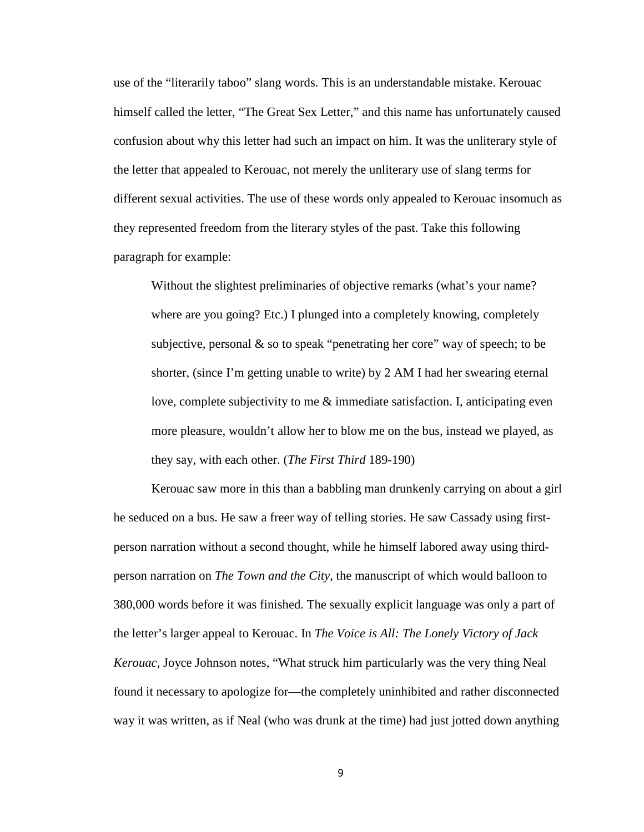use of the "literarily taboo" slang words. This is an understandable mistake. Kerouac himself called the letter, "The Great Sex Letter," and this name has unfortunately caused confusion about why this letter had such an impact on him. It was the unliterary style of the letter that appealed to Kerouac, not merely the unliterary use of slang terms for different sexual activities. The use of these words only appealed to Kerouac insomuch as they represented freedom from the literary styles of the past. Take this following paragraph for example:

Without the slightest preliminaries of objective remarks (what's your name? where are you going? Etc.) I plunged into a completely knowing, completely subjective, personal & so to speak "penetrating her core" way of speech; to be shorter, (since I'm getting unable to write) by 2 AM I had her swearing eternal love, complete subjectivity to me & immediate satisfaction. I, anticipating even more pleasure, wouldn't allow her to blow me on the bus, instead we played, as they say, with each other. (*The First Third* 189-190)

Kerouac saw more in this than a babbling man drunkenly carrying on about a girl he seduced on a bus. He saw a freer way of telling stories. He saw Cassady using firstperson narration without a second thought, while he himself labored away using thirdperson narration on *The Town and the City*, the manuscript of which would balloon to 380,000 words before it was finished. The sexually explicit language was only a part of the letter's larger appeal to Kerouac. In *The Voice is All: The Lonely Victory of Jack Kerouac*, Joyce Johnson notes, "What struck him particularly was the very thing Neal found it necessary to apologize for—the completely uninhibited and rather disconnected way it was written, as if Neal (who was drunk at the time) had just jotted down anything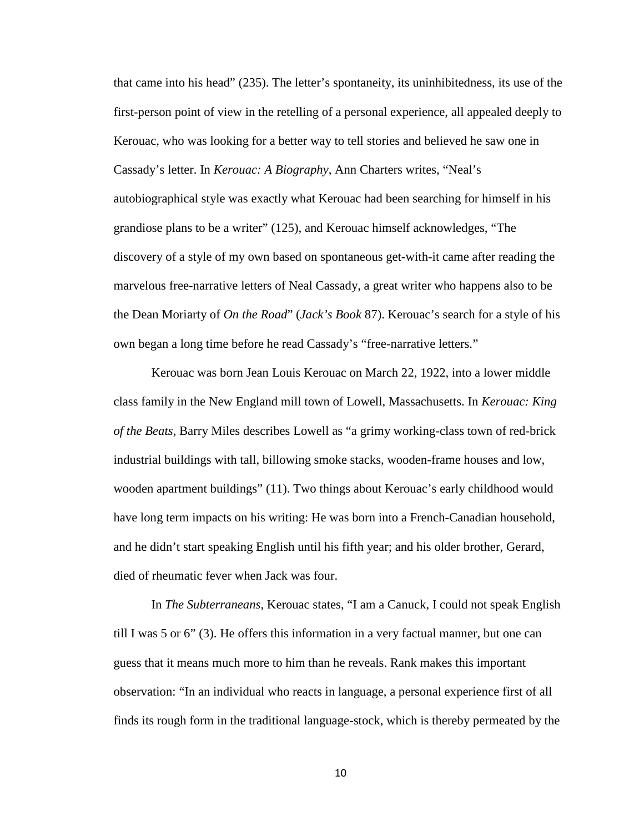that came into his head" (235). The letter's spontaneity, its uninhibitedness, its use of the first-person point of view in the retelling of a personal experience, all appealed deeply to Kerouac, who was looking for a better way to tell stories and believed he saw one in Cassady's letter. In *Kerouac: A Biography*, Ann Charters writes, "Neal's autobiographical style was exactly what Kerouac had been searching for himself in his grandiose plans to be a writer" (125), and Kerouac himself acknowledges, "The discovery of a style of my own based on spontaneous get-with-it came after reading the marvelous free-narrative letters of Neal Cassady, a great writer who happens also to be the Dean Moriarty of *On the Road*" (*Jack's Book* 87). Kerouac's search for a style of his own began a long time before he read Cassady's "free-narrative letters."

Kerouac was born Jean Louis Kerouac on March 22, 1922, into a lower middle class family in the New England mill town of Lowell, Massachusetts. In *Kerouac: King of the Beats*, Barry Miles describes Lowell as "a grimy working-class town of red-brick industrial buildings with tall, billowing smoke stacks, wooden-frame houses and low, wooden apartment buildings" (11). Two things about Kerouac's early childhood would have long term impacts on his writing: He was born into a French-Canadian household, and he didn't start speaking English until his fifth year; and his older brother, Gerard, died of rheumatic fever when Jack was four.

In *The Subterraneans*, Kerouac states, "I am a Canuck, I could not speak English till I was 5 or 6" (3). He offers this information in a very factual manner, but one can guess that it means much more to him than he reveals. Rank makes this important observation: "In an individual who reacts in language, a personal experience first of all finds its rough form in the traditional language-stock, which is thereby permeated by the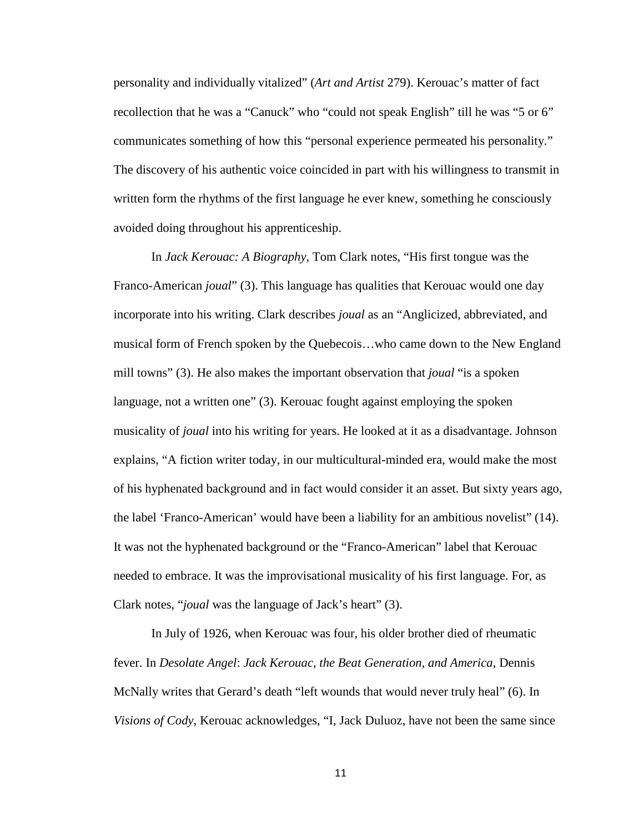personality and individually vitalized" (*Art and Artist* 279). Kerouac's matter of fact recollection that he was a "Canuck" who "could not speak English" till he was "5 or 6" communicates something of how this "personal experience permeated his personality." The discovery of his authentic voice coincided in part with his willingness to transmit in written form the rhythms of the first language he ever knew, something he consciously avoided doing throughout his apprenticeship.

In *Jack Kerouac: A Biography*, Tom Clark notes, "His first tongue was the Franco-American *joual*" (3). This language has qualities that Kerouac would one day incorporate into his writing. Clark describes *joual* as an "Anglicized, abbreviated, and musical form of French spoken by the Quebecois…who came down to the New England mill towns" (3). He also makes the important observation that *joual* "is a spoken language, not a written one" (3). Kerouac fought against employing the spoken musicality of *joual* into his writing for years. He looked at it as a disadvantage. Johnson explains, "A fiction writer today, in our multicultural-minded era, would make the most of his hyphenated background and in fact would consider it an asset. But sixty years ago, the label 'Franco-American' would have been a liability for an ambitious novelist" (14). It was not the hyphenated background or the "Franco-American" label that Kerouac needed to embrace. It was the improvisational musicality of his first language. For, as Clark notes, "*joual* was the language of Jack's heart" (3).

In July of 1926, when Kerouac was four, his older brother died of rheumatic fever. In *Desolate Angel*: *Jack Kerouac, the Beat Generation, and America*, Dennis McNally writes that Gerard's death "left wounds that would never truly heal" (6). In *Visions of Cody*, Kerouac acknowledges, "I, Jack Duluoz, have not been the same since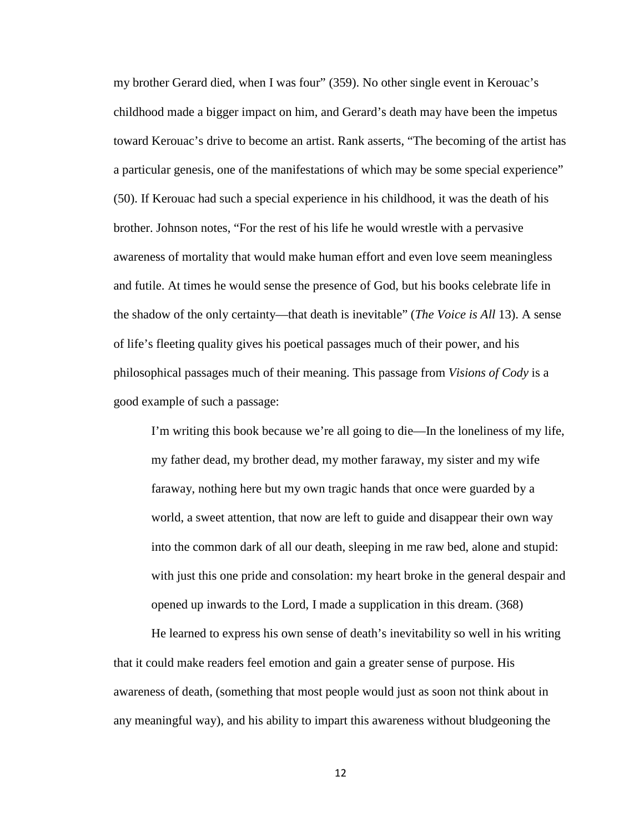my brother Gerard died, when I was four" (359). No other single event in Kerouac's childhood made a bigger impact on him, and Gerard's death may have been the impetus toward Kerouac's drive to become an artist. Rank asserts, "The becoming of the artist has a particular genesis, one of the manifestations of which may be some special experience" (50). If Kerouac had such a special experience in his childhood, it was the death of his brother. Johnson notes, "For the rest of his life he would wrestle with a pervasive awareness of mortality that would make human effort and even love seem meaningless and futile. At times he would sense the presence of God, but his books celebrate life in the shadow of the only certainty—that death is inevitable" (*The Voice is All* 13). A sense of life's fleeting quality gives his poetical passages much of their power, and his philosophical passages much of their meaning. This passage from *Visions of Cody* is a good example of such a passage:

I'm writing this book because we're all going to die—In the loneliness of my life, my father dead, my brother dead, my mother faraway, my sister and my wife faraway, nothing here but my own tragic hands that once were guarded by a world, a sweet attention, that now are left to guide and disappear their own way into the common dark of all our death, sleeping in me raw bed, alone and stupid: with just this one pride and consolation: my heart broke in the general despair and opened up inwards to the Lord, I made a supplication in this dream. (368)

He learned to express his own sense of death's inevitability so well in his writing that it could make readers feel emotion and gain a greater sense of purpose. His awareness of death, (something that most people would just as soon not think about in any meaningful way), and his ability to impart this awareness without bludgeoning the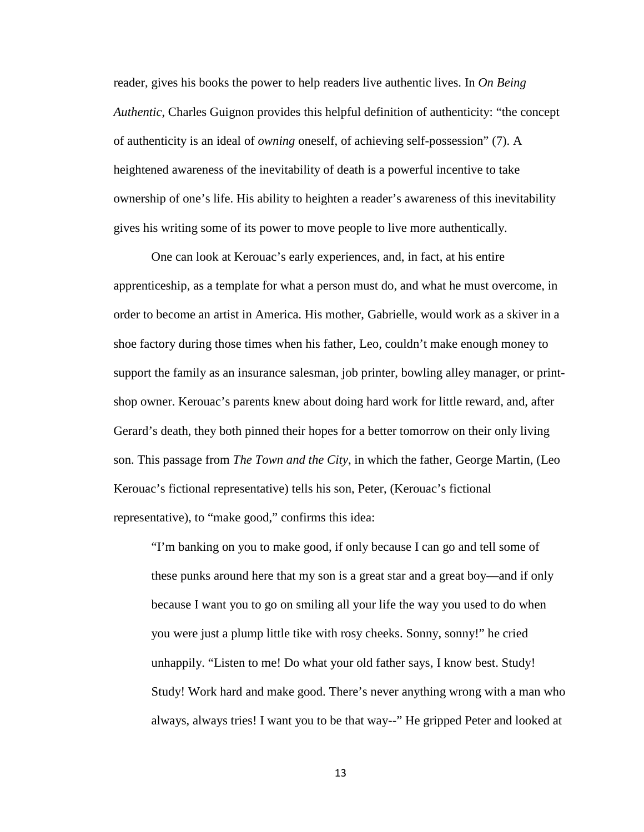reader, gives his books the power to help readers live authentic lives. In *On Being Authentic*, Charles Guignon provides this helpful definition of authenticity: "the concept of authenticity is an ideal of *owning* oneself, of achieving self-possession" (7). A heightened awareness of the inevitability of death is a powerful incentive to take ownership of one's life. His ability to heighten a reader's awareness of this inevitability gives his writing some of its power to move people to live more authentically.

One can look at Kerouac's early experiences, and, in fact, at his entire apprenticeship, as a template for what a person must do, and what he must overcome, in order to become an artist in America. His mother, Gabrielle, would work as a skiver in a shoe factory during those times when his father, Leo, couldn't make enough money to support the family as an insurance salesman, job printer, bowling alley manager, or printshop owner. Kerouac's parents knew about doing hard work for little reward, and, after Gerard's death, they both pinned their hopes for a better tomorrow on their only living son. This passage from *The Town and the City*, in which the father, George Martin, (Leo Kerouac's fictional representative) tells his son, Peter, (Kerouac's fictional representative), to "make good," confirms this idea:

"I'm banking on you to make good, if only because I can go and tell some of these punks around here that my son is a great star and a great boy—and if only because I want you to go on smiling all your life the way you used to do when you were just a plump little tike with rosy cheeks. Sonny, sonny!" he cried unhappily. "Listen to me! Do what your old father says, I know best. Study! Study! Work hard and make good. There's never anything wrong with a man who always, always tries! I want you to be that way--" He gripped Peter and looked at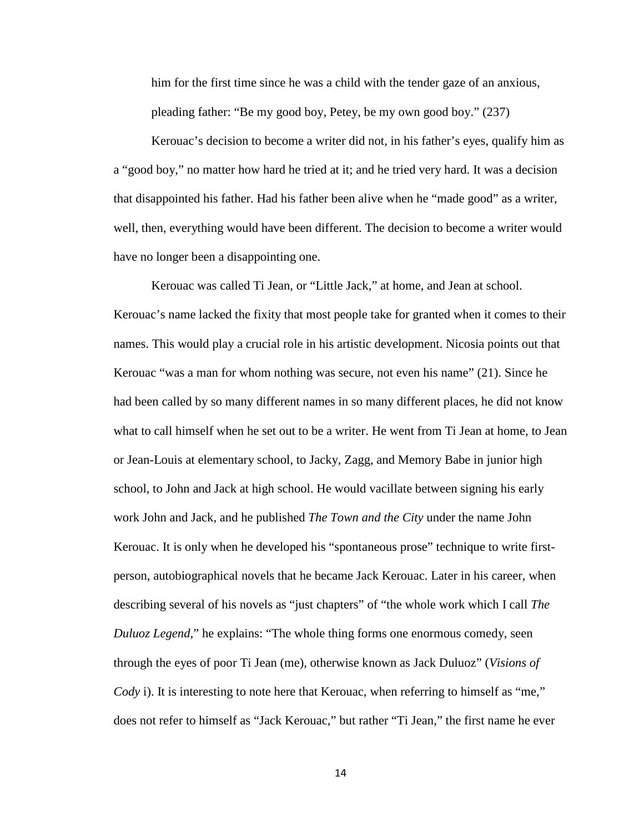him for the first time since he was a child with the tender gaze of an anxious, pleading father: "Be my good boy, Petey, be my own good boy." (237)

Kerouac's decision to become a writer did not, in his father's eyes, qualify him as a "good boy," no matter how hard he tried at it; and he tried very hard. It was a decision that disappointed his father. Had his father been alive when he "made good" as a writer, well, then, everything would have been different. The decision to become a writer would have no longer been a disappointing one.

Kerouac was called Ti Jean, or "Little Jack," at home, and Jean at school. Kerouac's name lacked the fixity that most people take for granted when it comes to their names. This would play a crucial role in his artistic development. Nicosia points out that Kerouac "was a man for whom nothing was secure, not even his name" (21). Since he had been called by so many different names in so many different places, he did not know what to call himself when he set out to be a writer. He went from Ti Jean at home, to Jean or Jean-Louis at elementary school, to Jacky, Zagg, and Memory Babe in junior high school, to John and Jack at high school. He would vacillate between signing his early work John and Jack, and he published *The Town and the City* under the name John Kerouac. It is only when he developed his "spontaneous prose" technique to write firstperson, autobiographical novels that he became Jack Kerouac. Later in his career, when describing several of his novels as "just chapters" of "the whole work which I call *The Duluoz Legend*," he explains: "The whole thing forms one enormous comedy, seen through the eyes of poor Ti Jean (me), otherwise known as Jack Duluoz" (*Visions of Cody* i). It is interesting to note here that Kerouac, when referring to himself as "me," does not refer to himself as "Jack Kerouac," but rather "Ti Jean," the first name he ever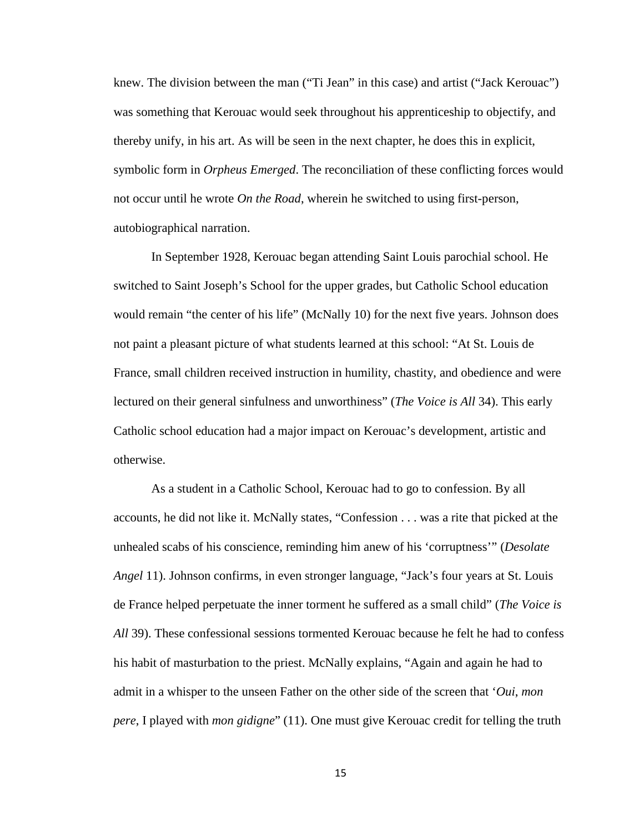knew. The division between the man ("Ti Jean" in this case) and artist ("Jack Kerouac") was something that Kerouac would seek throughout his apprenticeship to objectify, and thereby unify, in his art. As will be seen in the next chapter, he does this in explicit, symbolic form in *Orpheus Emerged*. The reconciliation of these conflicting forces would not occur until he wrote *On the Road*, wherein he switched to using first-person, autobiographical narration.

In September 1928, Kerouac began attending Saint Louis parochial school. He switched to Saint Joseph's School for the upper grades, but Catholic School education would remain "the center of his life" (McNally 10) for the next five years. Johnson does not paint a pleasant picture of what students learned at this school: "At St. Louis de France, small children received instruction in humility, chastity, and obedience and were lectured on their general sinfulness and unworthiness" (*The Voice is All* 34). This early Catholic school education had a major impact on Kerouac's development, artistic and otherwise.

As a student in a Catholic School, Kerouac had to go to confession. By all accounts, he did not like it. McNally states, "Confession . . . was a rite that picked at the unhealed scabs of his conscience, reminding him anew of his 'corruptness'" (*Desolate Angel* 11). Johnson confirms, in even stronger language, "Jack's four years at St. Louis de France helped perpetuate the inner torment he suffered as a small child" (*The Voice is All* 39). These confessional sessions tormented Kerouac because he felt he had to confess his habit of masturbation to the priest. McNally explains, "Again and again he had to admit in a whisper to the unseen Father on the other side of the screen that '*Oui*, *mon pere*, I played with *mon gidigne*" (11). One must give Kerouac credit for telling the truth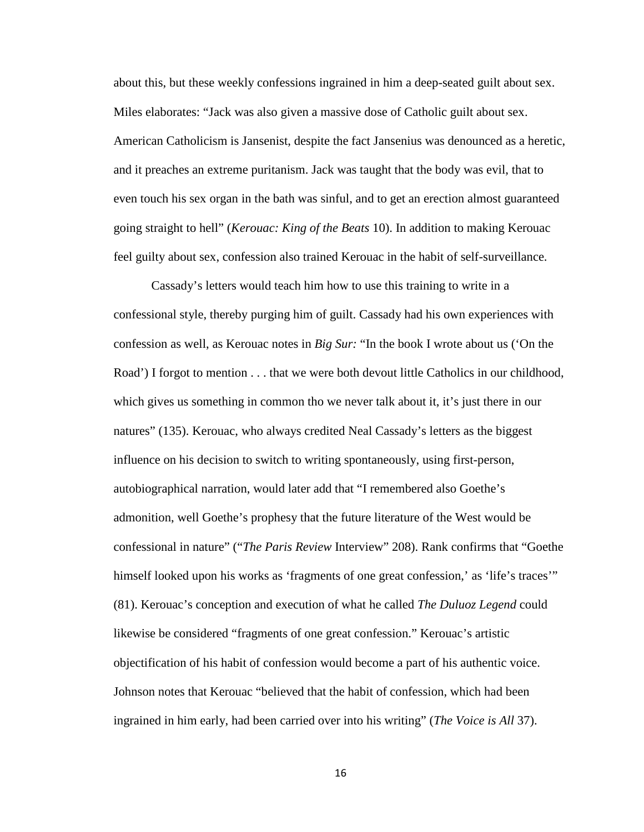about this, but these weekly confessions ingrained in him a deep-seated guilt about sex. Miles elaborates: "Jack was also given a massive dose of Catholic guilt about sex. American Catholicism is Jansenist, despite the fact Jansenius was denounced as a heretic, and it preaches an extreme puritanism. Jack was taught that the body was evil, that to even touch his sex organ in the bath was sinful, and to get an erection almost guaranteed going straight to hell" (*Kerouac: King of the Beats* 10). In addition to making Kerouac feel guilty about sex, confession also trained Kerouac in the habit of self-surveillance.

Cassady's letters would teach him how to use this training to write in a confessional style, thereby purging him of guilt. Cassady had his own experiences with confession as well, as Kerouac notes in *Big Sur:* "In the book I wrote about us ('On the Road') I forgot to mention . . . that we were both devout little Catholics in our childhood, which gives us something in common tho we never talk about it, it's just there in our natures" (135). Kerouac, who always credited Neal Cassady's letters as the biggest influence on his decision to switch to writing spontaneously, using first-person, autobiographical narration, would later add that "I remembered also Goethe's admonition, well Goethe's prophesy that the future literature of the West would be confessional in nature" ("*The Paris Review* Interview" 208). Rank confirms that "Goethe himself looked upon his works as 'fragments of one great confession,' as 'life's traces'" (81). Kerouac's conception and execution of what he called *The Duluoz Legend* could likewise be considered "fragments of one great confession." Kerouac's artistic objectification of his habit of confession would become a part of his authentic voice. Johnson notes that Kerouac "believed that the habit of confession, which had been ingrained in him early, had been carried over into his writing" (*The Voice is All* 37).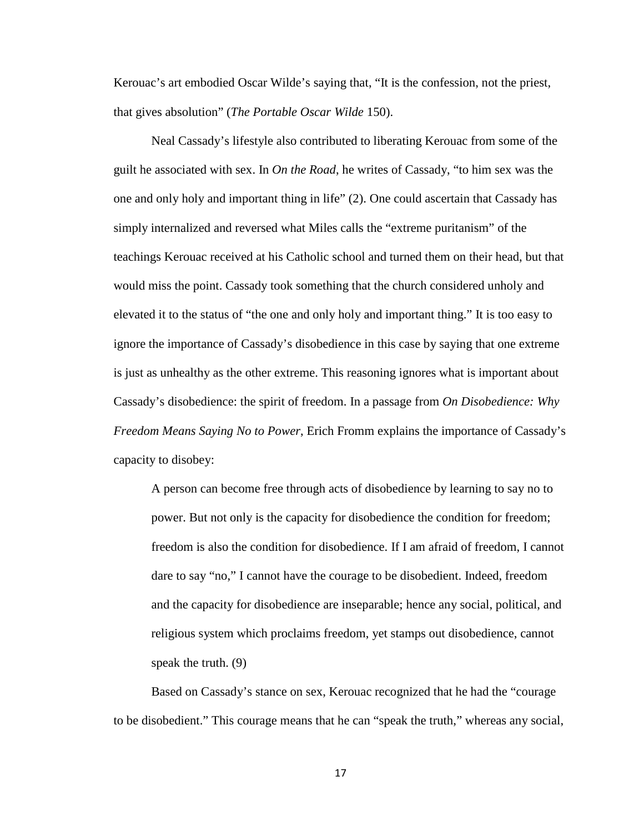Kerouac's art embodied Oscar Wilde's saying that, "It is the confession, not the priest, that gives absolution" (*The Portable Oscar Wilde* 150).

Neal Cassady's lifestyle also contributed to liberating Kerouac from some of the guilt he associated with sex. In *On the Road*, he writes of Cassady, "to him sex was the one and only holy and important thing in life" (2). One could ascertain that Cassady has simply internalized and reversed what Miles calls the "extreme puritanism" of the teachings Kerouac received at his Catholic school and turned them on their head, but that would miss the point. Cassady took something that the church considered unholy and elevated it to the status of "the one and only holy and important thing." It is too easy to ignore the importance of Cassady's disobedience in this case by saying that one extreme is just as unhealthy as the other extreme. This reasoning ignores what is important about Cassady's disobedience: the spirit of freedom. In a passage from *On Disobedience: Why Freedom Means Saying No to Power*, Erich Fromm explains the importance of Cassady's capacity to disobey:

A person can become free through acts of disobedience by learning to say no to power. But not only is the capacity for disobedience the condition for freedom; freedom is also the condition for disobedience. If I am afraid of freedom, I cannot dare to say "no," I cannot have the courage to be disobedient. Indeed, freedom and the capacity for disobedience are inseparable; hence any social, political, and religious system which proclaims freedom, yet stamps out disobedience, cannot speak the truth. (9)

Based on Cassady's stance on sex, Kerouac recognized that he had the "courage to be disobedient." This courage means that he can "speak the truth," whereas any social,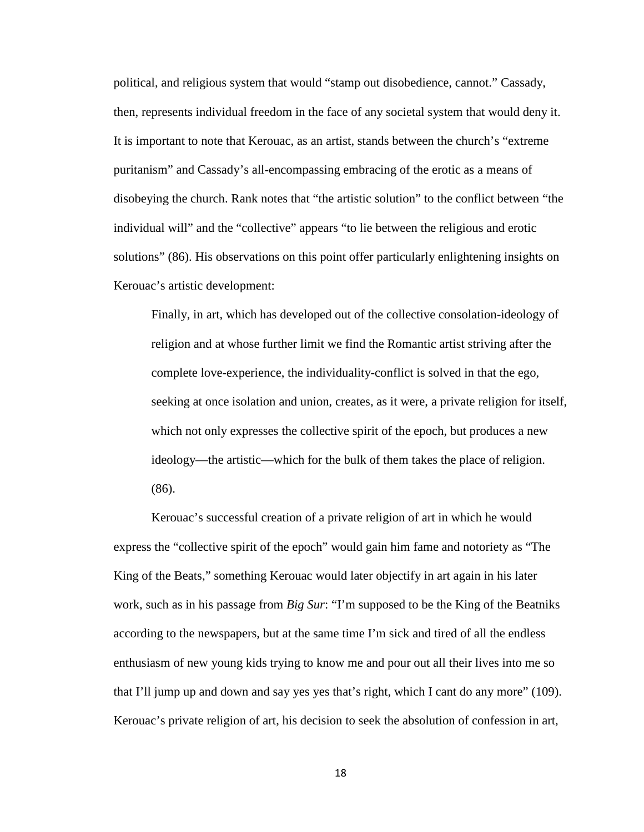political, and religious system that would "stamp out disobedience, cannot." Cassady, then, represents individual freedom in the face of any societal system that would deny it. It is important to note that Kerouac, as an artist, stands between the church's "extreme puritanism" and Cassady's all-encompassing embracing of the erotic as a means of disobeying the church. Rank notes that "the artistic solution" to the conflict between "the individual will" and the "collective" appears "to lie between the religious and erotic solutions" (86). His observations on this point offer particularly enlightening insights on Kerouac's artistic development:

Finally, in art, which has developed out of the collective consolation-ideology of religion and at whose further limit we find the Romantic artist striving after the complete love-experience, the individuality-conflict is solved in that the ego, seeking at once isolation and union, creates, as it were, a private religion for itself, which not only expresses the collective spirit of the epoch, but produces a new ideology—the artistic—which for the bulk of them takes the place of religion. (86).

Kerouac's successful creation of a private religion of art in which he would express the "collective spirit of the epoch" would gain him fame and notoriety as "The King of the Beats," something Kerouac would later objectify in art again in his later work, such as in his passage from *Big Sur*: "I'm supposed to be the King of the Beatniks according to the newspapers, but at the same time I'm sick and tired of all the endless enthusiasm of new young kids trying to know me and pour out all their lives into me so that I'll jump up and down and say yes yes that's right, which I cant do any more" (109). Kerouac's private religion of art, his decision to seek the absolution of confession in art,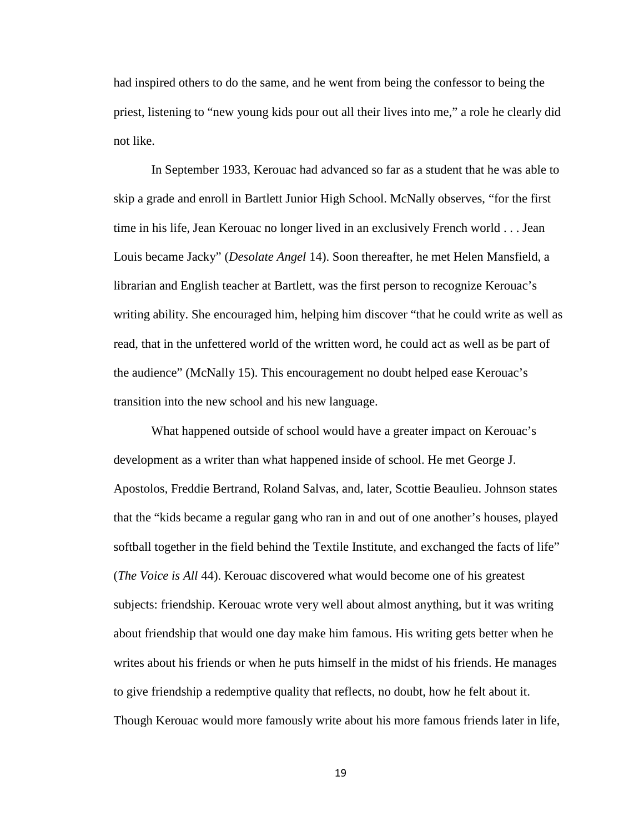had inspired others to do the same, and he went from being the confessor to being the priest, listening to "new young kids pour out all their lives into me," a role he clearly did not like.

In September 1933, Kerouac had advanced so far as a student that he was able to skip a grade and enroll in Bartlett Junior High School. McNally observes, "for the first time in his life, Jean Kerouac no longer lived in an exclusively French world . . . Jean Louis became Jacky" (*Desolate Angel* 14). Soon thereafter, he met Helen Mansfield, a librarian and English teacher at Bartlett, was the first person to recognize Kerouac's writing ability. She encouraged him, helping him discover "that he could write as well as read, that in the unfettered world of the written word, he could act as well as be part of the audience" (McNally 15). This encouragement no doubt helped ease Kerouac's transition into the new school and his new language.

What happened outside of school would have a greater impact on Kerouac's development as a writer than what happened inside of school. He met George J. Apostolos, Freddie Bertrand, Roland Salvas, and, later, Scottie Beaulieu. Johnson states that the "kids became a regular gang who ran in and out of one another's houses, played softball together in the field behind the Textile Institute, and exchanged the facts of life" (*The Voice is All* 44). Kerouac discovered what would become one of his greatest subjects: friendship. Kerouac wrote very well about almost anything, but it was writing about friendship that would one day make him famous. His writing gets better when he writes about his friends or when he puts himself in the midst of his friends. He manages to give friendship a redemptive quality that reflects, no doubt, how he felt about it. Though Kerouac would more famously write about his more famous friends later in life,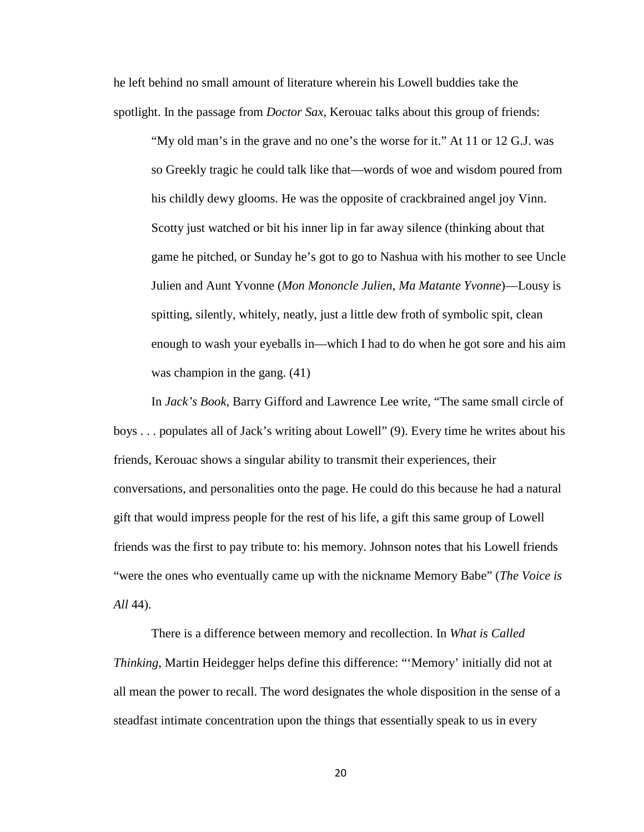he left behind no small amount of literature wherein his Lowell buddies take the spotlight. In the passage from *Doctor Sax*, Kerouac talks about this group of friends:

"My old man's in the grave and no one's the worse for it." At 11 or 12 G.J. was so Greekly tragic he could talk like that—words of woe and wisdom poured from his childly dewy glooms. He was the opposite of crackbrained angel joy Vinn. Scotty just watched or bit his inner lip in far away silence (thinking about that game he pitched, or Sunday he's got to go to Nashua with his mother to see Uncle Julien and Aunt Yvonne (*Mon Mononcle Julien*, *Ma Matante Yvonne*)—Lousy is spitting, silently, whitely, neatly, just a little dew froth of symbolic spit, clean enough to wash your eyeballs in—which I had to do when he got sore and his aim was champion in the gang. (41)

In *Jack's Book*, Barry Gifford and Lawrence Lee write, "The same small circle of boys . . . populates all of Jack's writing about Lowell" (9). Every time he writes about his friends, Kerouac shows a singular ability to transmit their experiences, their conversations, and personalities onto the page. He could do this because he had a natural gift that would impress people for the rest of his life, a gift this same group of Lowell friends was the first to pay tribute to: his memory. Johnson notes that his Lowell friends "were the ones who eventually came up with the nickname Memory Babe" (*The Voice is All* 44).

There is a difference between memory and recollection. In *What is Called Thinking*, Martin Heidegger helps define this difference: "'Memory' initially did not at all mean the power to recall. The word designates the whole disposition in the sense of a steadfast intimate concentration upon the things that essentially speak to us in every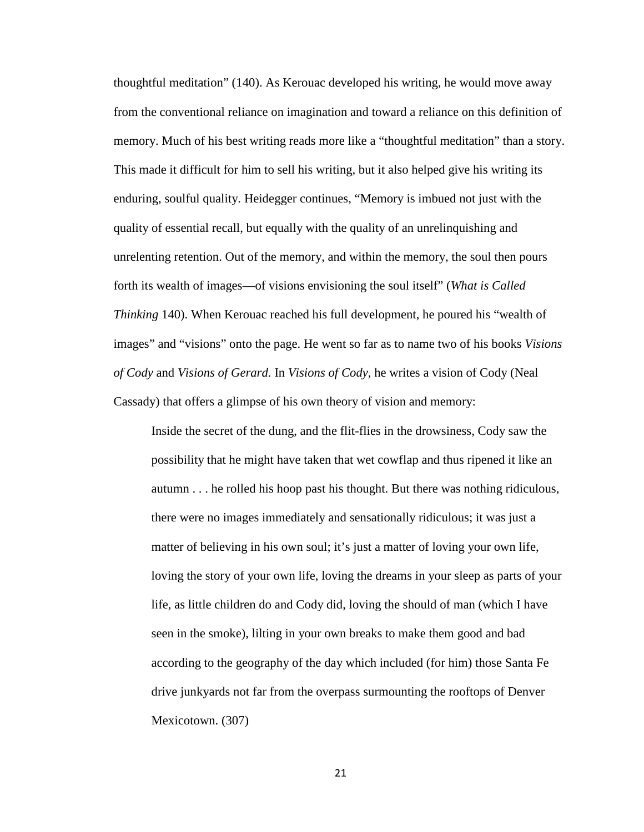thoughtful meditation" (140). As Kerouac developed his writing, he would move away from the conventional reliance on imagination and toward a reliance on this definition of memory. Much of his best writing reads more like a "thoughtful meditation" than a story. This made it difficult for him to sell his writing, but it also helped give his writing its enduring, soulful quality. Heidegger continues, "Memory is imbued not just with the quality of essential recall, but equally with the quality of an unrelinquishing and unrelenting retention. Out of the memory, and within the memory, the soul then pours forth its wealth of images—of visions envisioning the soul itself" (*What is Called Thinking* 140). When Kerouac reached his full development, he poured his "wealth of images" and "visions" onto the page. He went so far as to name two of his books *Visions of Cody* and *Visions of Gerard*. In *Visions of Cody*, he writes a vision of Cody (Neal Cassady) that offers a glimpse of his own theory of vision and memory:

Inside the secret of the dung, and the flit-flies in the drowsiness, Cody saw the possibility that he might have taken that wet cowflap and thus ripened it like an autumn . . . he rolled his hoop past his thought. But there was nothing ridiculous, there were no images immediately and sensationally ridiculous; it was just a matter of believing in his own soul; it's just a matter of loving your own life, loving the story of your own life, loving the dreams in your sleep as parts of your life, as little children do and Cody did, loving the should of man (which I have seen in the smoke), lilting in your own breaks to make them good and bad according to the geography of the day which included (for him) those Santa Fe drive junkyards not far from the overpass surmounting the rooftops of Denver Mexicotown. (307)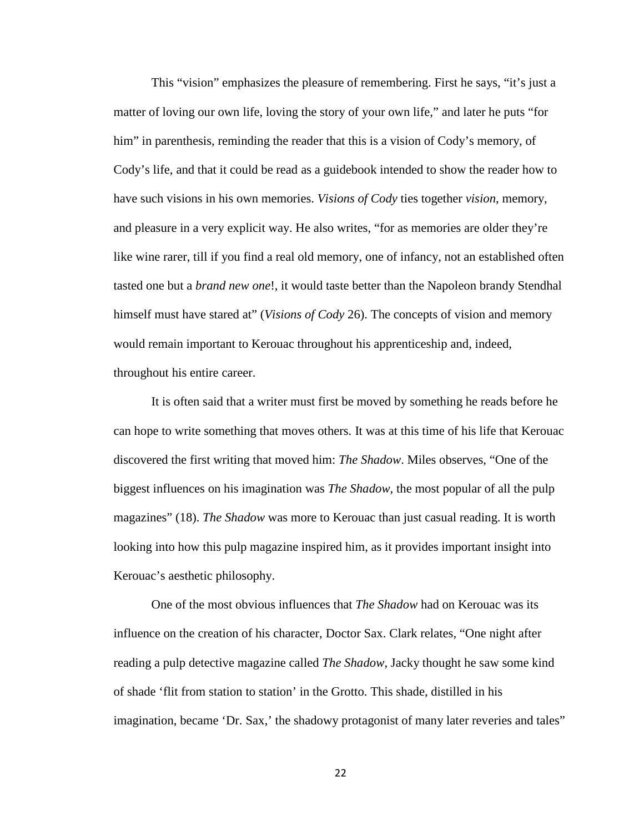This "vision" emphasizes the pleasure of remembering. First he says, "it's just a matter of loving our own life, loving the story of your own life," and later he puts "for him" in parenthesis, reminding the reader that this is a vision of Cody's memory, of Cody's life, and that it could be read as a guidebook intended to show the reader how to have such visions in his own memories. *Visions of Cody* ties together *vision*, memory, and pleasure in a very explicit way. He also writes, "for as memories are older they're like wine rarer, till if you find a real old memory, one of infancy, not an established often tasted one but a *brand new one*!, it would taste better than the Napoleon brandy Stendhal himself must have stared at" (*Visions of Cody* 26). The concepts of vision and memory would remain important to Kerouac throughout his apprenticeship and, indeed, throughout his entire career.

It is often said that a writer must first be moved by something he reads before he can hope to write something that moves others. It was at this time of his life that Kerouac discovered the first writing that moved him: *The Shadow*. Miles observes, "One of the biggest influences on his imagination was *The Shadow*, the most popular of all the pulp magazines" (18). *The Shadow* was more to Kerouac than just casual reading. It is worth looking into how this pulp magazine inspired him, as it provides important insight into Kerouac's aesthetic philosophy.

One of the most obvious influences that *The Shadow* had on Kerouac was its influence on the creation of his character, Doctor Sax. Clark relates, "One night after reading a pulp detective magazine called *The Shadow*, Jacky thought he saw some kind of shade 'flit from station to station' in the Grotto. This shade, distilled in his imagination, became 'Dr. Sax,' the shadowy protagonist of many later reveries and tales"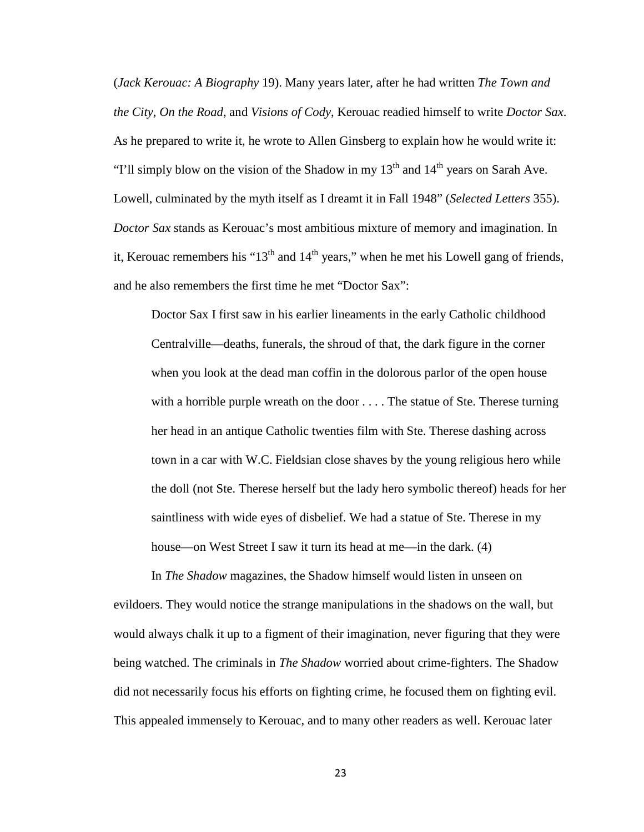(*Jack Kerouac: A Biography* 19). Many years later, after he had written *The Town and the City*, *On the Road*, and *Visions of Cody*, Kerouac readied himself to write *Doctor Sax*. As he prepared to write it, he wrote to Allen Ginsberg to explain how he would write it: "I'll simply blow on the vision of the Shadow in my  $13<sup>th</sup>$  and  $14<sup>th</sup>$  years on Sarah Ave. Lowell, culminated by the myth itself as I dreamt it in Fall 1948" (*Selected Letters* 355). *Doctor Sax* stands as Kerouac's most ambitious mixture of memory and imagination. In it, Kerouac remembers his " $13<sup>th</sup>$  and  $14<sup>th</sup>$  years," when he met his Lowell gang of friends, and he also remembers the first time he met "Doctor Sax":

Doctor Sax I first saw in his earlier lineaments in the early Catholic childhood Centralville—deaths, funerals, the shroud of that, the dark figure in the corner when you look at the dead man coffin in the dolorous parlor of the open house with a horrible purple wreath on the door . . . . The statue of Ste. Therese turning her head in an antique Catholic twenties film with Ste. Therese dashing across town in a car with W.C. Fieldsian close shaves by the young religious hero while the doll (not Ste. Therese herself but the lady hero symbolic thereof) heads for her saintliness with wide eyes of disbelief. We had a statue of Ste. Therese in my house—on West Street I saw it turn its head at me—in the dark. (4)

In *The Shadow* magazines, the Shadow himself would listen in unseen on evildoers. They would notice the strange manipulations in the shadows on the wall, but would always chalk it up to a figment of their imagination, never figuring that they were being watched. The criminals in *The Shadow* worried about crime-fighters. The Shadow did not necessarily focus his efforts on fighting crime, he focused them on fighting evil. This appealed immensely to Kerouac, and to many other readers as well. Kerouac later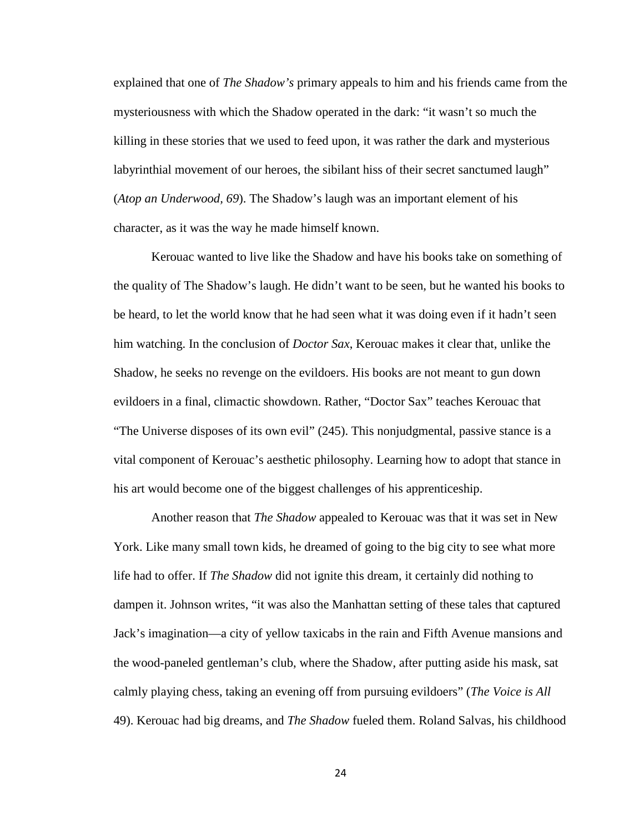explained that one of *The Shadow's* primary appeals to him and his friends came from the mysteriousness with which the Shadow operated in the dark: "it wasn't so much the killing in these stories that we used to feed upon, it was rather the dark and mysterious labyrinthial movement of our heroes, the sibilant hiss of their secret sanctumed laugh" (*Atop an Underwood, 69*). The Shadow's laugh was an important element of his character, as it was the way he made himself known.

Kerouac wanted to live like the Shadow and have his books take on something of the quality of The Shadow's laugh. He didn't want to be seen, but he wanted his books to be heard, to let the world know that he had seen what it was doing even if it hadn't seen him watching. In the conclusion of *Doctor Sax*, Kerouac makes it clear that, unlike the Shadow, he seeks no revenge on the evildoers. His books are not meant to gun down evildoers in a final, climactic showdown. Rather, "Doctor Sax" teaches Kerouac that "The Universe disposes of its own evil" (245). This nonjudgmental, passive stance is a vital component of Kerouac's aesthetic philosophy. Learning how to adopt that stance in his art would become one of the biggest challenges of his apprenticeship.

Another reason that *The Shadow* appealed to Kerouac was that it was set in New York. Like many small town kids, he dreamed of going to the big city to see what more life had to offer. If *The Shadow* did not ignite this dream, it certainly did nothing to dampen it. Johnson writes, "it was also the Manhattan setting of these tales that captured Jack's imagination—a city of yellow taxicabs in the rain and Fifth Avenue mansions and the wood-paneled gentleman's club, where the Shadow, after putting aside his mask, sat calmly playing chess, taking an evening off from pursuing evildoers" (*The Voice is All*  49). Kerouac had big dreams, and *The Shadow* fueled them. Roland Salvas, his childhood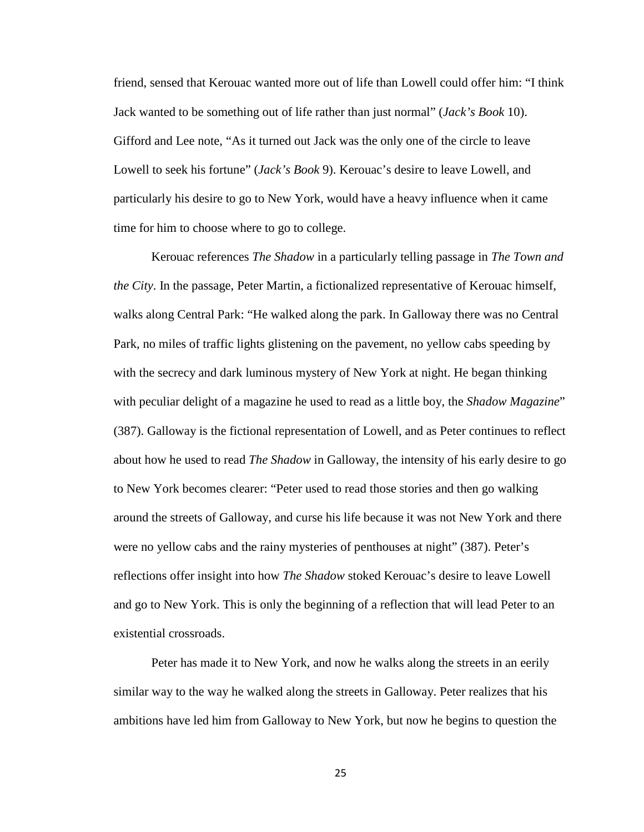friend, sensed that Kerouac wanted more out of life than Lowell could offer him: "I think Jack wanted to be something out of life rather than just normal" (*Jack's Book* 10). Gifford and Lee note, "As it turned out Jack was the only one of the circle to leave Lowell to seek his fortune" (*Jack's Book* 9). Kerouac's desire to leave Lowell, and particularly his desire to go to New York, would have a heavy influence when it came time for him to choose where to go to college.

Kerouac references *The Shadow* in a particularly telling passage in *The Town and the City*. In the passage, Peter Martin, a fictionalized representative of Kerouac himself, walks along Central Park: "He walked along the park. In Galloway there was no Central Park, no miles of traffic lights glistening on the pavement, no yellow cabs speeding by with the secrecy and dark luminous mystery of New York at night. He began thinking with peculiar delight of a magazine he used to read as a little boy, the *Shadow Magazine*" (387). Galloway is the fictional representation of Lowell, and as Peter continues to reflect about how he used to read *The Shadow* in Galloway, the intensity of his early desire to go to New York becomes clearer: "Peter used to read those stories and then go walking around the streets of Galloway, and curse his life because it was not New York and there were no yellow cabs and the rainy mysteries of penthouses at night" (387). Peter's reflections offer insight into how *The Shadow* stoked Kerouac's desire to leave Lowell and go to New York. This is only the beginning of a reflection that will lead Peter to an existential crossroads.

Peter has made it to New York, and now he walks along the streets in an eerily similar way to the way he walked along the streets in Galloway. Peter realizes that his ambitions have led him from Galloway to New York, but now he begins to question the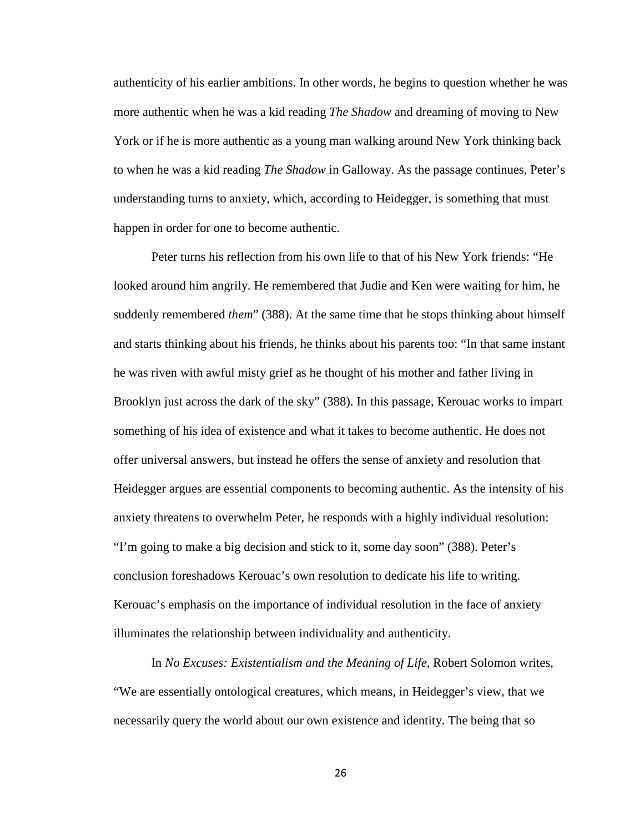authenticity of his earlier ambitions. In other words, he begins to question whether he was more authentic when he was a kid reading *The Shadow* and dreaming of moving to New York or if he is more authentic as a young man walking around New York thinking back to when he was a kid reading *The Shadow* in Galloway. As the passage continues, Peter's understanding turns to anxiety, which, according to Heidegger, is something that must happen in order for one to become authentic.

Peter turns his reflection from his own life to that of his New York friends: "He looked around him angrily. He remembered that Judie and Ken were waiting for him, he suddenly remembered *them*" (388). At the same time that he stops thinking about himself and starts thinking about his friends, he thinks about his parents too: "In that same instant he was riven with awful misty grief as he thought of his mother and father living in Brooklyn just across the dark of the sky" (388). In this passage, Kerouac works to impart something of his idea of existence and what it takes to become authentic. He does not offer universal answers, but instead he offers the sense of anxiety and resolution that Heidegger argues are essential components to becoming authentic. As the intensity of his anxiety threatens to overwhelm Peter, he responds with a highly individual resolution: "I'm going to make a big decision and stick to it, some day soon" (388). Peter's conclusion foreshadows Kerouac's own resolution to dedicate his life to writing. Kerouac's emphasis on the importance of individual resolution in the face of anxiety illuminates the relationship between individuality and authenticity.

In *No Excuses: Existentialism and the Meaning of Life*, Robert Solomon writes, "We are essentially ontological creatures, which means, in Heidegger's view, that we necessarily query the world about our own existence and identity. The being that so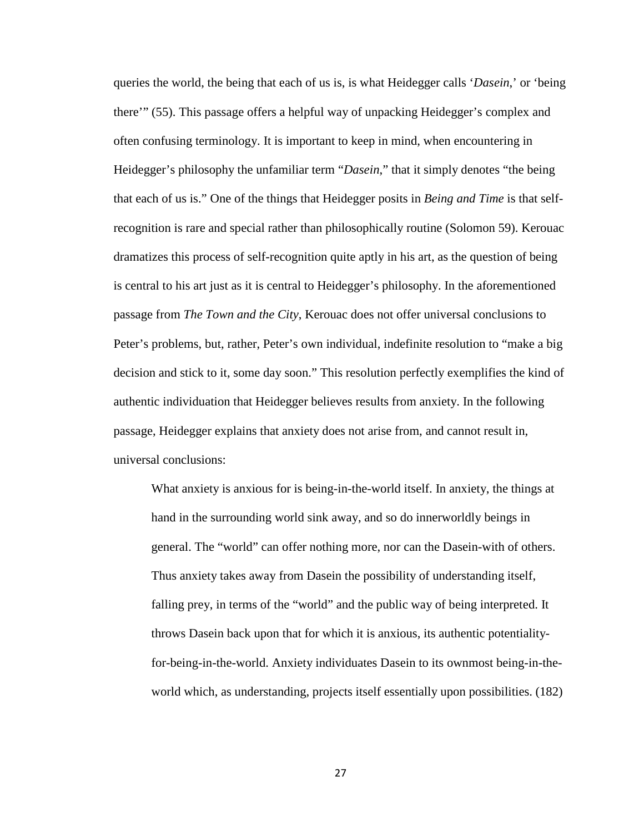queries the world, the being that each of us is, is what Heidegger calls '*Dasein*,' or 'being there'" (55). This passage offers a helpful way of unpacking Heidegger's complex and often confusing terminology. It is important to keep in mind, when encountering in Heidegger's philosophy the unfamiliar term "*Dasein*," that it simply denotes "the being that each of us is." One of the things that Heidegger posits in *Being and Time* is that selfrecognition is rare and special rather than philosophically routine (Solomon 59). Kerouac dramatizes this process of self-recognition quite aptly in his art, as the question of being is central to his art just as it is central to Heidegger's philosophy. In the aforementioned passage from *The Town and the City*, Kerouac does not offer universal conclusions to Peter's problems, but, rather, Peter's own individual, indefinite resolution to "make a big decision and stick to it, some day soon." This resolution perfectly exemplifies the kind of authentic individuation that Heidegger believes results from anxiety. In the following passage, Heidegger explains that anxiety does not arise from, and cannot result in, universal conclusions:

What anxiety is anxious for is being-in-the-world itself. In anxiety, the things at hand in the surrounding world sink away, and so do innerworldly beings in general. The "world" can offer nothing more, nor can the Dasein-with of others. Thus anxiety takes away from Dasein the possibility of understanding itself, falling prey, in terms of the "world" and the public way of being interpreted. It throws Dasein back upon that for which it is anxious, its authentic potentialityfor-being-in-the-world. Anxiety individuates Dasein to its ownmost being-in-theworld which, as understanding, projects itself essentially upon possibilities. (182)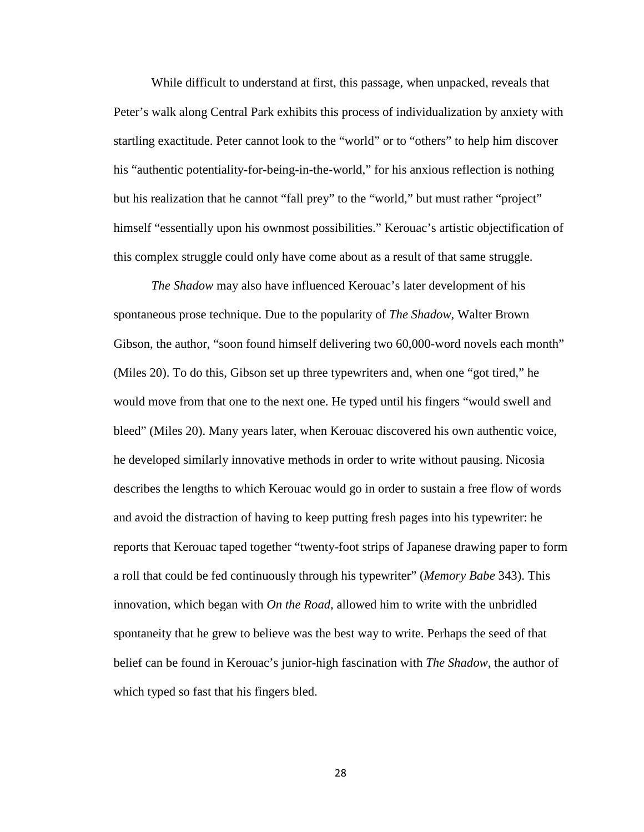While difficult to understand at first, this passage, when unpacked, reveals that Peter's walk along Central Park exhibits this process of individualization by anxiety with startling exactitude. Peter cannot look to the "world" or to "others" to help him discover his "authentic potentiality-for-being-in-the-world," for his anxious reflection is nothing but his realization that he cannot "fall prey" to the "world," but must rather "project" himself "essentially upon his ownmost possibilities." Kerouac's artistic objectification of this complex struggle could only have come about as a result of that same struggle.

*The Shadow* may also have influenced Kerouac's later development of his spontaneous prose technique. Due to the popularity of *The Shadow*, Walter Brown Gibson, the author, "soon found himself delivering two 60,000-word novels each month" (Miles 20). To do this, Gibson set up three typewriters and, when one "got tired," he would move from that one to the next one. He typed until his fingers "would swell and bleed" (Miles 20). Many years later, when Kerouac discovered his own authentic voice, he developed similarly innovative methods in order to write without pausing. Nicosia describes the lengths to which Kerouac would go in order to sustain a free flow of words and avoid the distraction of having to keep putting fresh pages into his typewriter: he reports that Kerouac taped together "twenty-foot strips of Japanese drawing paper to form a roll that could be fed continuously through his typewriter" (*Memory Babe* 343). This innovation, which began with *On the Road*, allowed him to write with the unbridled spontaneity that he grew to believe was the best way to write. Perhaps the seed of that belief can be found in Kerouac's junior-high fascination with *The Shadow*, the author of which typed so fast that his fingers bled.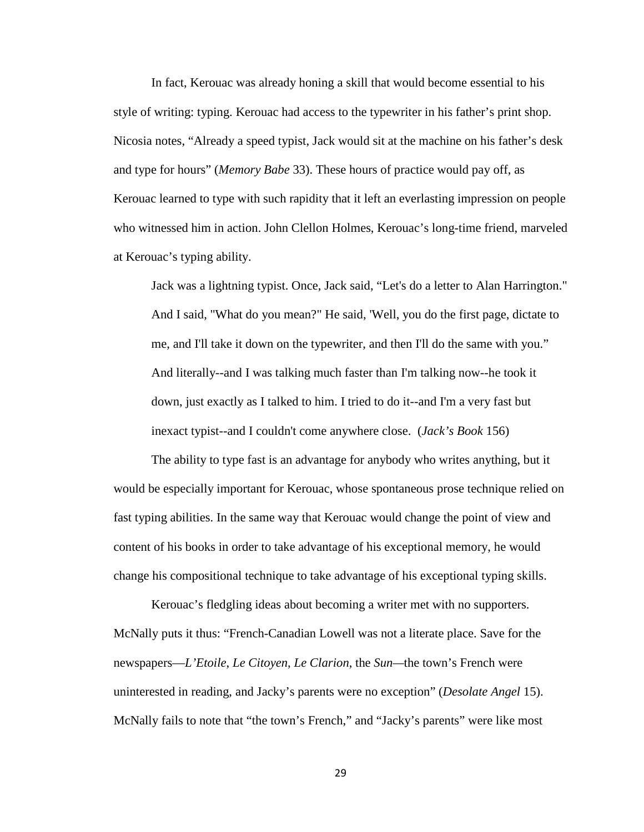In fact, Kerouac was already honing a skill that would become essential to his style of writing: typing. Kerouac had access to the typewriter in his father's print shop. Nicosia notes, "Already a speed typist, Jack would sit at the machine on his father's desk and type for hours" (*Memory Babe* 33). These hours of practice would pay off, as Kerouac learned to type with such rapidity that it left an everlasting impression on people who witnessed him in action. John Clellon Holmes, Kerouac's long-time friend, marveled at Kerouac's typing ability.

Jack was a lightning typist. Once, Jack said, "Let's do a letter to Alan Harrington." And I said, "What do you mean?" He said, 'Well, you do the first page, dictate to me, and I'll take it down on the typewriter, and then I'll do the same with you." And literally--and I was talking much faster than I'm talking now--he took it down, just exactly as I talked to him. I tried to do it--and I'm a very fast but inexact typist--and I couldn't come anywhere close. (*Jack's Book* 156)

The ability to type fast is an advantage for anybody who writes anything, but it would be especially important for Kerouac, whose spontaneous prose technique relied on fast typing abilities. In the same way that Kerouac would change the point of view and content of his books in order to take advantage of his exceptional memory, he would change his compositional technique to take advantage of his exceptional typing skills.

Kerouac's fledgling ideas about becoming a writer met with no supporters. McNally puts it thus: "French-Canadian Lowell was not a literate place. Save for the newspapers—*L'Etoile*, *Le Citoyen*, *Le Clarion*, the *Sun—*the town's French were uninterested in reading, and Jacky's parents were no exception" (*Desolate Angel* 15). McNally fails to note that "the town's French," and "Jacky's parents" were like most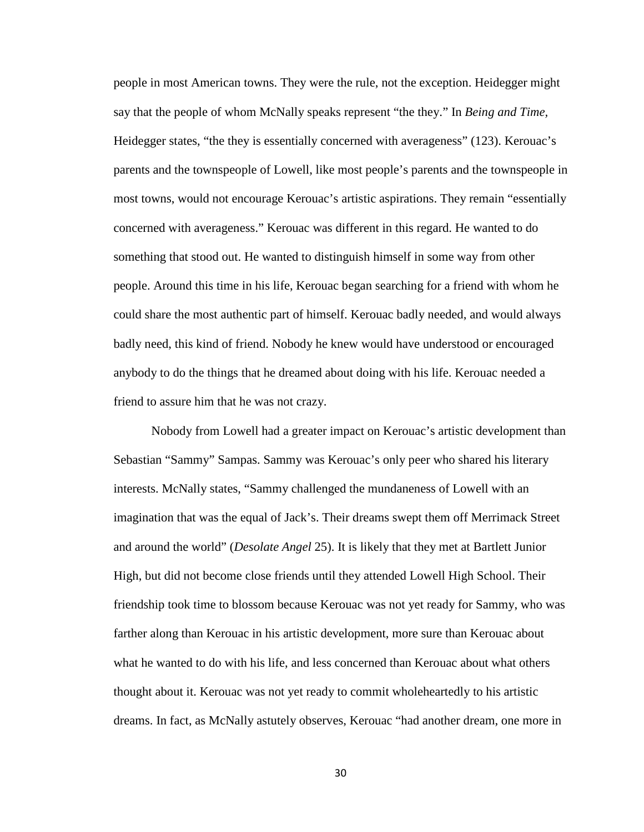people in most American towns. They were the rule, not the exception. Heidegger might say that the people of whom McNally speaks represent "the they." In *Being and Time,*  Heidegger states, "the they is essentially concerned with averageness" (123). Kerouac's parents and the townspeople of Lowell, like most people's parents and the townspeople in most towns, would not encourage Kerouac's artistic aspirations. They remain "essentially concerned with averageness." Kerouac was different in this regard. He wanted to do something that stood out. He wanted to distinguish himself in some way from other people. Around this time in his life, Kerouac began searching for a friend with whom he could share the most authentic part of himself. Kerouac badly needed, and would always badly need, this kind of friend. Nobody he knew would have understood or encouraged anybody to do the things that he dreamed about doing with his life. Kerouac needed a friend to assure him that he was not crazy.

Nobody from Lowell had a greater impact on Kerouac's artistic development than Sebastian "Sammy" Sampas. Sammy was Kerouac's only peer who shared his literary interests. McNally states, "Sammy challenged the mundaneness of Lowell with an imagination that was the equal of Jack's. Their dreams swept them off Merrimack Street and around the world" (*Desolate Angel* 25). It is likely that they met at Bartlett Junior High, but did not become close friends until they attended Lowell High School. Their friendship took time to blossom because Kerouac was not yet ready for Sammy, who was farther along than Kerouac in his artistic development, more sure than Kerouac about what he wanted to do with his life, and less concerned than Kerouac about what others thought about it. Kerouac was not yet ready to commit wholeheartedly to his artistic dreams. In fact, as McNally astutely observes, Kerouac "had another dream, one more in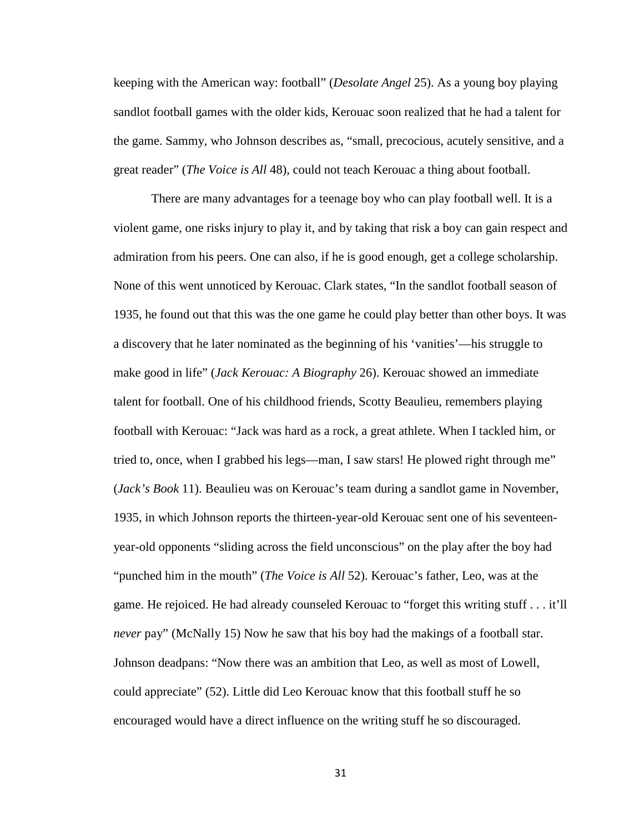keeping with the American way: football" (*Desolate Angel* 25). As a young boy playing sandlot football games with the older kids, Kerouac soon realized that he had a talent for the game. Sammy, who Johnson describes as, "small, precocious, acutely sensitive, and a great reader" (*The Voice is All* 48), could not teach Kerouac a thing about football.

There are many advantages for a teenage boy who can play football well. It is a violent game, one risks injury to play it, and by taking that risk a boy can gain respect and admiration from his peers. One can also, if he is good enough, get a college scholarship. None of this went unnoticed by Kerouac. Clark states, "In the sandlot football season of 1935, he found out that this was the one game he could play better than other boys. It was a discovery that he later nominated as the beginning of his 'vanities'—his struggle to make good in life" (*Jack Kerouac: A Biography* 26). Kerouac showed an immediate talent for football. One of his childhood friends, Scotty Beaulieu, remembers playing football with Kerouac: "Jack was hard as a rock, a great athlete. When I tackled him, or tried to, once, when I grabbed his legs—man, I saw stars! He plowed right through me" (*Jack's Book* 11). Beaulieu was on Kerouac's team during a sandlot game in November, 1935, in which Johnson reports the thirteen-year-old Kerouac sent one of his seventeenyear-old opponents "sliding across the field unconscious" on the play after the boy had "punched him in the mouth" (*The Voice is All* 52). Kerouac's father, Leo, was at the game. He rejoiced. He had already counseled Kerouac to "forget this writing stuff . . . it'll *never* pay" (McNally 15) Now he saw that his boy had the makings of a football star. Johnson deadpans: "Now there was an ambition that Leo, as well as most of Lowell, could appreciate" (52). Little did Leo Kerouac know that this football stuff he so encouraged would have a direct influence on the writing stuff he so discouraged.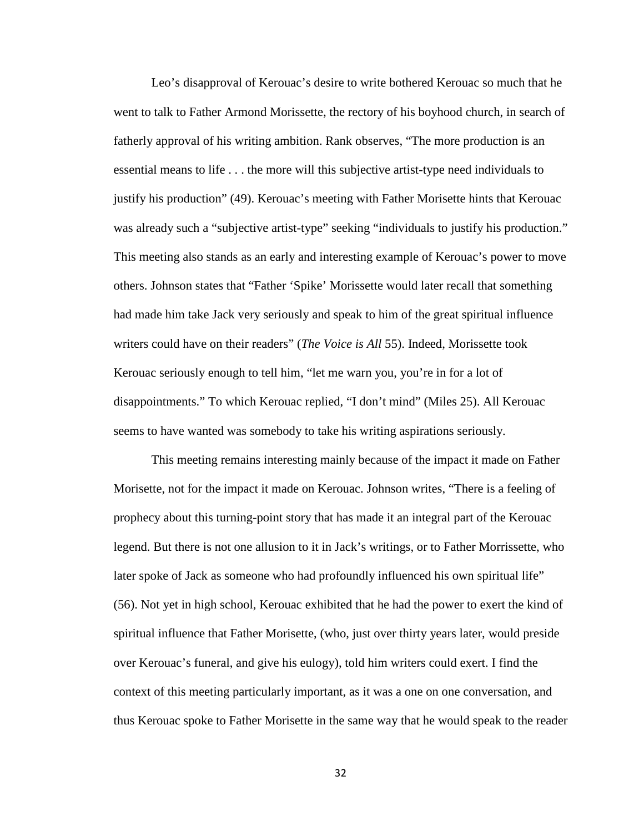Leo's disapproval of Kerouac's desire to write bothered Kerouac so much that he went to talk to Father Armond Morissette, the rectory of his boyhood church, in search of fatherly approval of his writing ambition. Rank observes, "The more production is an essential means to life . . . the more will this subjective artist-type need individuals to justify his production" (49). Kerouac's meeting with Father Morisette hints that Kerouac was already such a "subjective artist-type" seeking "individuals to justify his production." This meeting also stands as an early and interesting example of Kerouac's power to move others. Johnson states that "Father 'Spike' Morissette would later recall that something had made him take Jack very seriously and speak to him of the great spiritual influence writers could have on their readers" (*The Voice is All* 55). Indeed, Morissette took Kerouac seriously enough to tell him, "let me warn you, you're in for a lot of disappointments." To which Kerouac replied, "I don't mind" (Miles 25). All Kerouac seems to have wanted was somebody to take his writing aspirations seriously.

This meeting remains interesting mainly because of the impact it made on Father Morisette, not for the impact it made on Kerouac. Johnson writes, "There is a feeling of prophecy about this turning-point story that has made it an integral part of the Kerouac legend. But there is not one allusion to it in Jack's writings, or to Father Morrissette, who later spoke of Jack as someone who had profoundly influenced his own spiritual life" (56). Not yet in high school, Kerouac exhibited that he had the power to exert the kind of spiritual influence that Father Morisette, (who, just over thirty years later, would preside over Kerouac's funeral, and give his eulogy), told him writers could exert. I find the context of this meeting particularly important, as it was a one on one conversation, and thus Kerouac spoke to Father Morisette in the same way that he would speak to the reader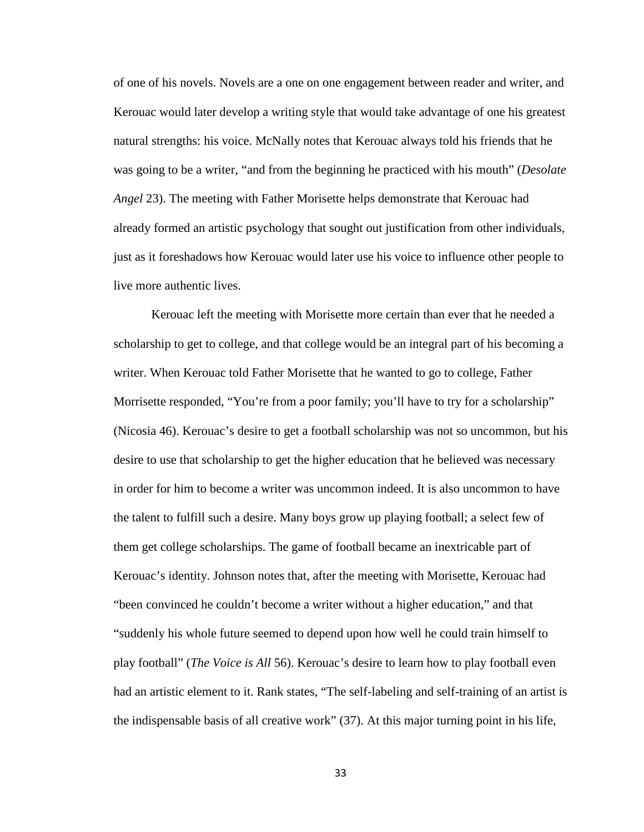of one of his novels. Novels are a one on one engagement between reader and writer, and Kerouac would later develop a writing style that would take advantage of one his greatest natural strengths: his voice. McNally notes that Kerouac always told his friends that he was going to be a writer, "and from the beginning he practiced with his mouth" (*Desolate Angel* 23). The meeting with Father Morisette helps demonstrate that Kerouac had already formed an artistic psychology that sought out justification from other individuals, just as it foreshadows how Kerouac would later use his voice to influence other people to live more authentic lives.

Kerouac left the meeting with Morisette more certain than ever that he needed a scholarship to get to college, and that college would be an integral part of his becoming a writer. When Kerouac told Father Morisette that he wanted to go to college, Father Morrisette responded, "You're from a poor family; you'll have to try for a scholarship" (Nicosia 46). Kerouac's desire to get a football scholarship was not so uncommon, but his desire to use that scholarship to get the higher education that he believed was necessary in order for him to become a writer was uncommon indeed. It is also uncommon to have the talent to fulfill such a desire. Many boys grow up playing football; a select few of them get college scholarships. The game of football became an inextricable part of Kerouac's identity. Johnson notes that, after the meeting with Morisette, Kerouac had "been convinced he couldn't become a writer without a higher education," and that "suddenly his whole future seemed to depend upon how well he could train himself to play football" (*The Voice is All* 56). Kerouac's desire to learn how to play football even had an artistic element to it. Rank states, "The self-labeling and self-training of an artist is the indispensable basis of all creative work" (37). At this major turning point in his life,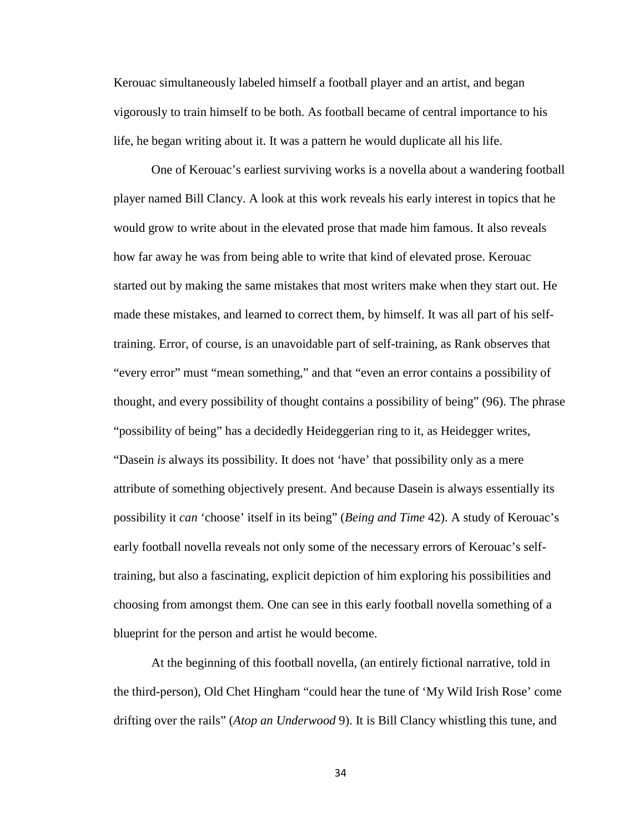Kerouac simultaneously labeled himself a football player and an artist, and began vigorously to train himself to be both. As football became of central importance to his life, he began writing about it. It was a pattern he would duplicate all his life.

One of Kerouac's earliest surviving works is a novella about a wandering football player named Bill Clancy. A look at this work reveals his early interest in topics that he would grow to write about in the elevated prose that made him famous. It also reveals how far away he was from being able to write that kind of elevated prose. Kerouac started out by making the same mistakes that most writers make when they start out. He made these mistakes, and learned to correct them, by himself. It was all part of his selftraining. Error, of course, is an unavoidable part of self-training, as Rank observes that "every error" must "mean something," and that "even an error contains a possibility of thought, and every possibility of thought contains a possibility of being" (96). The phrase "possibility of being" has a decidedly Heideggerian ring to it, as Heidegger writes, "Dasein *is* always its possibility. It does not 'have' that possibility only as a mere attribute of something objectively present. And because Dasein is always essentially its possibility it *can* 'choose' itself in its being" (*Being and Time* 42). A study of Kerouac's early football novella reveals not only some of the necessary errors of Kerouac's selftraining, but also a fascinating, explicit depiction of him exploring his possibilities and choosing from amongst them. One can see in this early football novella something of a blueprint for the person and artist he would become.

At the beginning of this football novella, (an entirely fictional narrative, told in the third-person), Old Chet Hingham "could hear the tune of 'My Wild Irish Rose' come drifting over the rails" (*Atop an Underwood* 9). It is Bill Clancy whistling this tune, and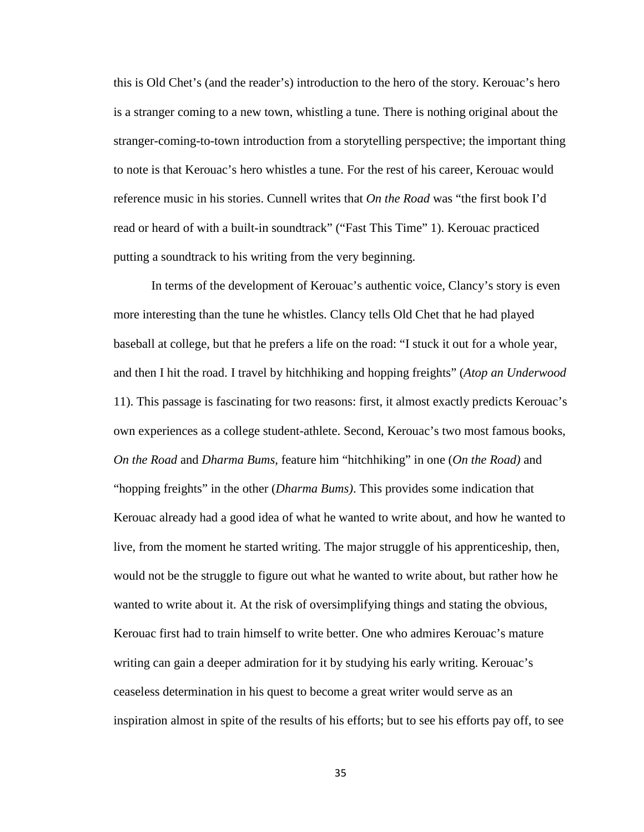this is Old Chet's (and the reader's) introduction to the hero of the story. Kerouac's hero is a stranger coming to a new town, whistling a tune. There is nothing original about the stranger-coming-to-town introduction from a storytelling perspective; the important thing to note is that Kerouac's hero whistles a tune. For the rest of his career, Kerouac would reference music in his stories. Cunnell writes that *On the Road* was "the first book I'd read or heard of with a built-in soundtrack" ("Fast This Time" 1). Kerouac practiced putting a soundtrack to his writing from the very beginning.

In terms of the development of Kerouac's authentic voice, Clancy's story is even more interesting than the tune he whistles. Clancy tells Old Chet that he had played baseball at college, but that he prefers a life on the road: "I stuck it out for a whole year, and then I hit the road. I travel by hitchhiking and hopping freights" (*Atop an Underwood*  11). This passage is fascinating for two reasons: first, it almost exactly predicts Kerouac's own experiences as a college student-athlete. Second, Kerouac's two most famous books, *On the Road* and *Dharma Bums*, feature him "hitchhiking" in one (*On the Road)* and "hopping freights" in the other (*Dharma Bums)*. This provides some indication that Kerouac already had a good idea of what he wanted to write about, and how he wanted to live, from the moment he started writing. The major struggle of his apprenticeship, then, would not be the struggle to figure out what he wanted to write about, but rather how he wanted to write about it. At the risk of oversimplifying things and stating the obvious, Kerouac first had to train himself to write better. One who admires Kerouac's mature writing can gain a deeper admiration for it by studying his early writing. Kerouac's ceaseless determination in his quest to become a great writer would serve as an inspiration almost in spite of the results of his efforts; but to see his efforts pay off, to see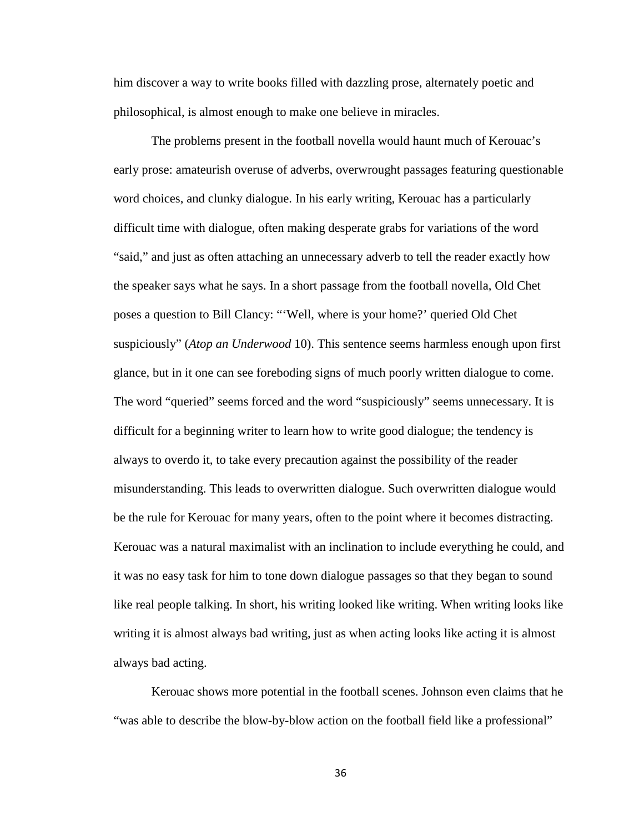him discover a way to write books filled with dazzling prose, alternately poetic and philosophical, is almost enough to make one believe in miracles.

The problems present in the football novella would haunt much of Kerouac's early prose: amateurish overuse of adverbs, overwrought passages featuring questionable word choices, and clunky dialogue. In his early writing, Kerouac has a particularly difficult time with dialogue, often making desperate grabs for variations of the word "said," and just as often attaching an unnecessary adverb to tell the reader exactly how the speaker says what he says. In a short passage from the football novella, Old Chet poses a question to Bill Clancy: "'Well, where is your home?' queried Old Chet suspiciously" (*Atop an Underwood* 10). This sentence seems harmless enough upon first glance, but in it one can see foreboding signs of much poorly written dialogue to come. The word "queried" seems forced and the word "suspiciously" seems unnecessary. It is difficult for a beginning writer to learn how to write good dialogue; the tendency is always to overdo it, to take every precaution against the possibility of the reader misunderstanding. This leads to overwritten dialogue. Such overwritten dialogue would be the rule for Kerouac for many years, often to the point where it becomes distracting. Kerouac was a natural maximalist with an inclination to include everything he could, and it was no easy task for him to tone down dialogue passages so that they began to sound like real people talking. In short, his writing looked like writing. When writing looks like writing it is almost always bad writing, just as when acting looks like acting it is almost always bad acting.

Kerouac shows more potential in the football scenes. Johnson even claims that he "was able to describe the blow-by-blow action on the football field like a professional"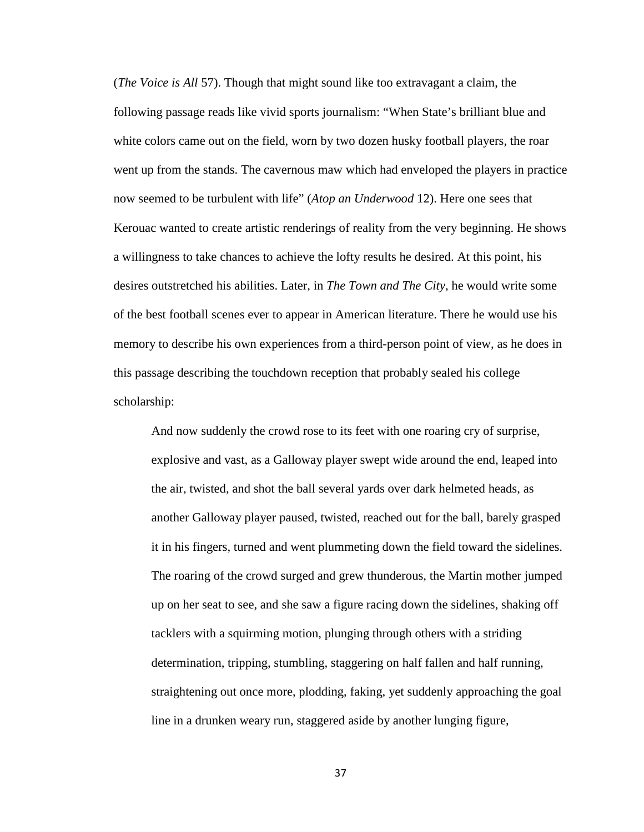(*The Voice is All* 57). Though that might sound like too extravagant a claim, the following passage reads like vivid sports journalism: "When State's brilliant blue and white colors came out on the field, worn by two dozen husky football players, the roar went up from the stands. The cavernous maw which had enveloped the players in practice now seemed to be turbulent with life" (*Atop an Underwood* 12). Here one sees that Kerouac wanted to create artistic renderings of reality from the very beginning. He shows a willingness to take chances to achieve the lofty results he desired. At this point, his desires outstretched his abilities. Later, in *The Town and The City*, he would write some of the best football scenes ever to appear in American literature. There he would use his memory to describe his own experiences from a third-person point of view, as he does in this passage describing the touchdown reception that probably sealed his college scholarship:

And now suddenly the crowd rose to its feet with one roaring cry of surprise, explosive and vast, as a Galloway player swept wide around the end, leaped into the air, twisted, and shot the ball several yards over dark helmeted heads, as another Galloway player paused, twisted, reached out for the ball, barely grasped it in his fingers, turned and went plummeting down the field toward the sidelines. The roaring of the crowd surged and grew thunderous, the Martin mother jumped up on her seat to see, and she saw a figure racing down the sidelines, shaking off tacklers with a squirming motion, plunging through others with a striding determination, tripping, stumbling, staggering on half fallen and half running, straightening out once more, plodding, faking, yet suddenly approaching the goal line in a drunken weary run, staggered aside by another lunging figure,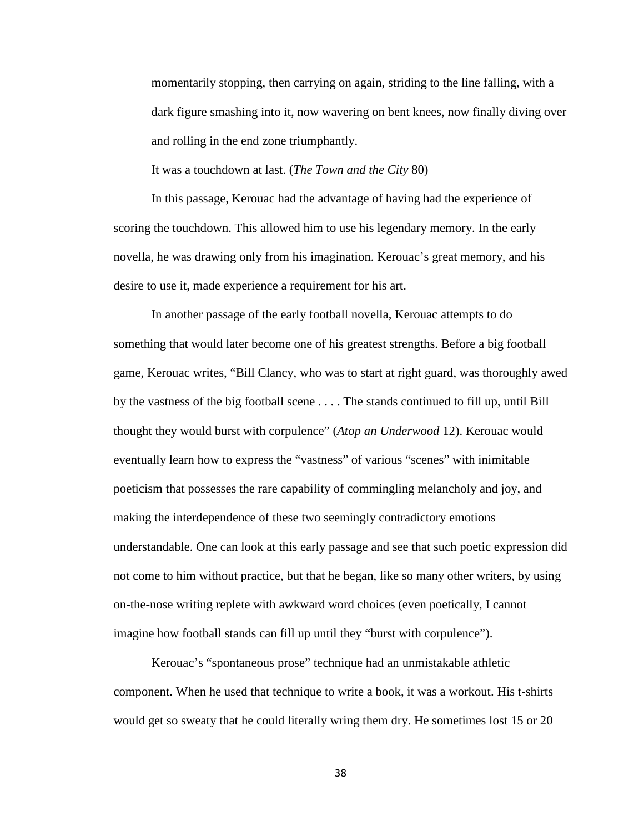momentarily stopping, then carrying on again, striding to the line falling, with a dark figure smashing into it, now wavering on bent knees, now finally diving over and rolling in the end zone triumphantly.

It was a touchdown at last. (*The Town and the City* 80)

In this passage, Kerouac had the advantage of having had the experience of scoring the touchdown. This allowed him to use his legendary memory. In the early novella, he was drawing only from his imagination. Kerouac's great memory, and his desire to use it, made experience a requirement for his art.

In another passage of the early football novella, Kerouac attempts to do something that would later become one of his greatest strengths. Before a big football game, Kerouac writes, "Bill Clancy, who was to start at right guard, was thoroughly awed by the vastness of the big football scene . . . . The stands continued to fill up, until Bill thought they would burst with corpulence" (*Atop an Underwood* 12). Kerouac would eventually learn how to express the "vastness" of various "scenes" with inimitable poeticism that possesses the rare capability of commingling melancholy and joy, and making the interdependence of these two seemingly contradictory emotions understandable. One can look at this early passage and see that such poetic expression did not come to him without practice, but that he began, like so many other writers, by using on-the-nose writing replete with awkward word choices (even poetically, I cannot imagine how football stands can fill up until they "burst with corpulence").

Kerouac's "spontaneous prose" technique had an unmistakable athletic component. When he used that technique to write a book, it was a workout. His t-shirts would get so sweaty that he could literally wring them dry. He sometimes lost 15 or 20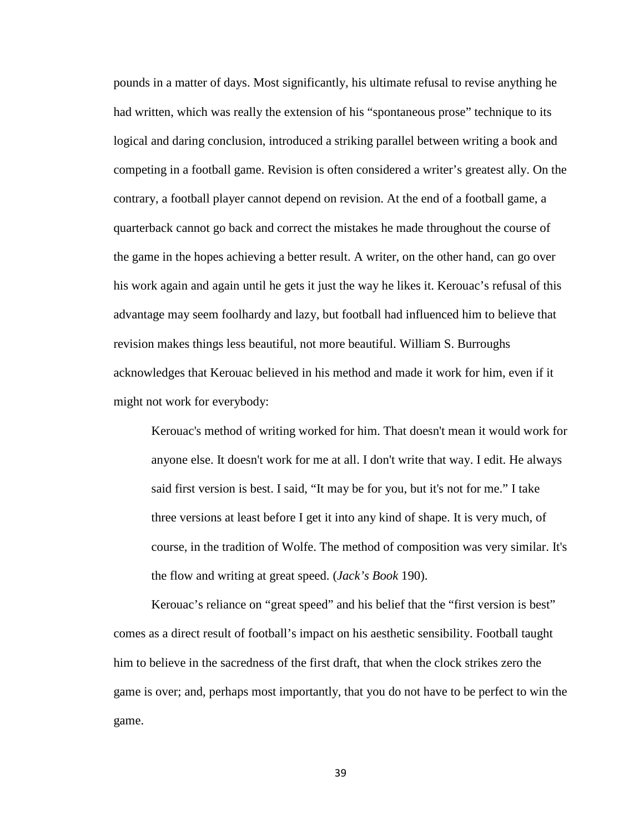pounds in a matter of days. Most significantly, his ultimate refusal to revise anything he had written, which was really the extension of his "spontaneous prose" technique to its logical and daring conclusion, introduced a striking parallel between writing a book and competing in a football game. Revision is often considered a writer's greatest ally. On the contrary, a football player cannot depend on revision. At the end of a football game, a quarterback cannot go back and correct the mistakes he made throughout the course of the game in the hopes achieving a better result. A writer, on the other hand, can go over his work again and again until he gets it just the way he likes it. Kerouac's refusal of this advantage may seem foolhardy and lazy, but football had influenced him to believe that revision makes things less beautiful, not more beautiful. William S. Burroughs acknowledges that Kerouac believed in his method and made it work for him, even if it might not work for everybody:

Kerouac's method of writing worked for him. That doesn't mean it would work for anyone else. It doesn't work for me at all. I don't write that way. I edit. He always said first version is best. I said, "It may be for you, but it's not for me." I take three versions at least before I get it into any kind of shape. It is very much, of course, in the tradition of Wolfe. The method of composition was very similar. It's the flow and writing at great speed. (*Jack's Book* 190).

Kerouac's reliance on "great speed" and his belief that the "first version is best" comes as a direct result of football's impact on his aesthetic sensibility. Football taught him to believe in the sacredness of the first draft, that when the clock strikes zero the game is over; and, perhaps most importantly, that you do not have to be perfect to win the game.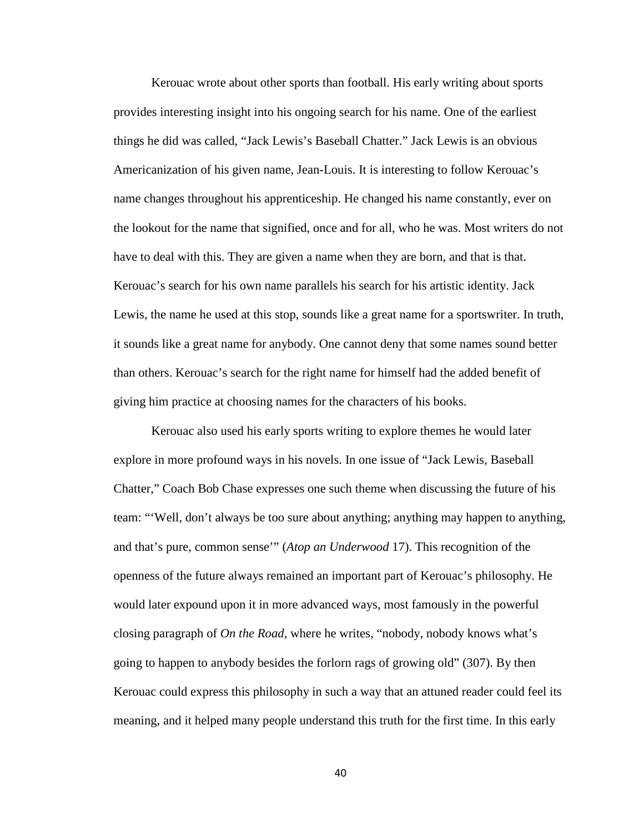Kerouac wrote about other sports than football. His early writing about sports provides interesting insight into his ongoing search for his name. One of the earliest things he did was called, "Jack Lewis's Baseball Chatter." Jack Lewis is an obvious Americanization of his given name, Jean-Louis. It is interesting to follow Kerouac's name changes throughout his apprenticeship. He changed his name constantly, ever on the lookout for the name that signified, once and for all, who he was. Most writers do not have to deal with this. They are given a name when they are born, and that is that. Kerouac's search for his own name parallels his search for his artistic identity. Jack Lewis, the name he used at this stop, sounds like a great name for a sportswriter. In truth, it sounds like a great name for anybody. One cannot deny that some names sound better than others. Kerouac's search for the right name for himself had the added benefit of giving him practice at choosing names for the characters of his books.

Kerouac also used his early sports writing to explore themes he would later explore in more profound ways in his novels. In one issue of "Jack Lewis, Baseball Chatter," Coach Bob Chase expresses one such theme when discussing the future of his team: "'Well, don't always be too sure about anything; anything may happen to anything, and that's pure, common sense'" (*Atop an Underwood* 17). This recognition of the openness of the future always remained an important part of Kerouac's philosophy. He would later expound upon it in more advanced ways, most famously in the powerful closing paragraph of *On the Road*, where he writes, "nobody, nobody knows what's going to happen to anybody besides the forlorn rags of growing old" (307). By then Kerouac could express this philosophy in such a way that an attuned reader could feel its meaning, and it helped many people understand this truth for the first time. In this early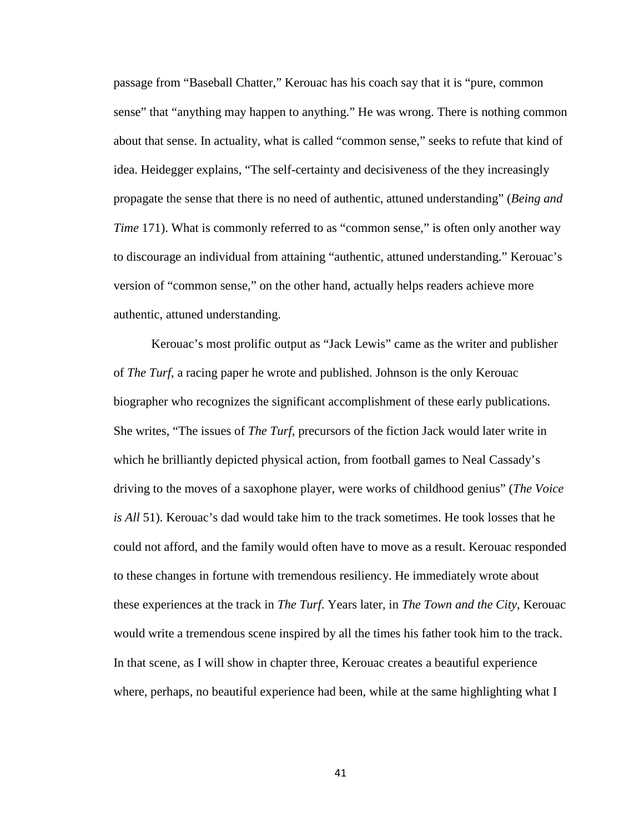passage from "Baseball Chatter," Kerouac has his coach say that it is "pure, common sense" that "anything may happen to anything." He was wrong. There is nothing common about that sense. In actuality, what is called "common sense," seeks to refute that kind of idea. Heidegger explains, "The self-certainty and decisiveness of the they increasingly propagate the sense that there is no need of authentic, attuned understanding" (*Being and Time* 171). What is commonly referred to as "common sense," is often only another way to discourage an individual from attaining "authentic, attuned understanding." Kerouac's version of "common sense," on the other hand, actually helps readers achieve more authentic, attuned understanding.

Kerouac's most prolific output as "Jack Lewis" came as the writer and publisher of *The Turf*, a racing paper he wrote and published. Johnson is the only Kerouac biographer who recognizes the significant accomplishment of these early publications. She writes, "The issues of *The Turf*, precursors of the fiction Jack would later write in which he brilliantly depicted physical action, from football games to Neal Cassady's driving to the moves of a saxophone player, were works of childhood genius" (*The Voice is All* 51). Kerouac's dad would take him to the track sometimes. He took losses that he could not afford, and the family would often have to move as a result. Kerouac responded to these changes in fortune with tremendous resiliency. He immediately wrote about these experiences at the track in *The Turf*. Years later, in *The Town and the City*, Kerouac would write a tremendous scene inspired by all the times his father took him to the track. In that scene, as I will show in chapter three, Kerouac creates a beautiful experience where, perhaps, no beautiful experience had been, while at the same highlighting what I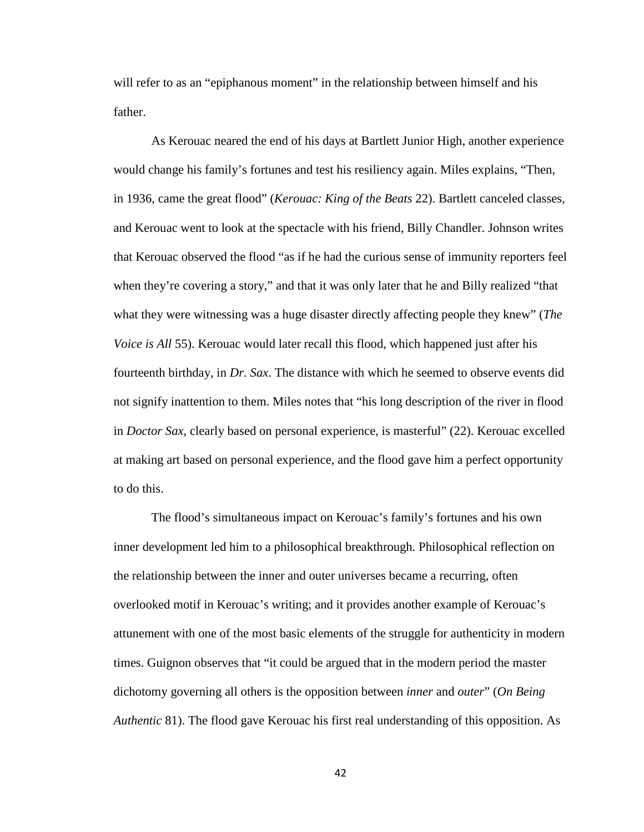will refer to as an "epiphanous moment" in the relationship between himself and his father.

As Kerouac neared the end of his days at Bartlett Junior High, another experience would change his family's fortunes and test his resiliency again. Miles explains, "Then, in 1936, came the great flood" (*Kerouac: King of the Beats* 22). Bartlett canceled classes, and Kerouac went to look at the spectacle with his friend, Billy Chandler. Johnson writes that Kerouac observed the flood "as if he had the curious sense of immunity reporters feel when they're covering a story," and that it was only later that he and Billy realized "that what they were witnessing was a huge disaster directly affecting people they knew" (*The Voice is All* 55). Kerouac would later recall this flood, which happened just after his fourteenth birthday, in *Dr. Sax*. The distance with which he seemed to observe events did not signify inattention to them. Miles notes that "his long description of the river in flood in *Doctor Sax*, clearly based on personal experience, is masterful" (22). Kerouac excelled at making art based on personal experience, and the flood gave him a perfect opportunity to do this.

The flood's simultaneous impact on Kerouac's family's fortunes and his own inner development led him to a philosophical breakthrough. Philosophical reflection on the relationship between the inner and outer universes became a recurring, often overlooked motif in Kerouac's writing; and it provides another example of Kerouac's attunement with one of the most basic elements of the struggle for authenticity in modern times. Guignon observes that "it could be argued that in the modern period the master dichotomy governing all others is the opposition between *inner* and *outer*" (*On Being Authentic* 81). The flood gave Kerouac his first real understanding of this opposition. As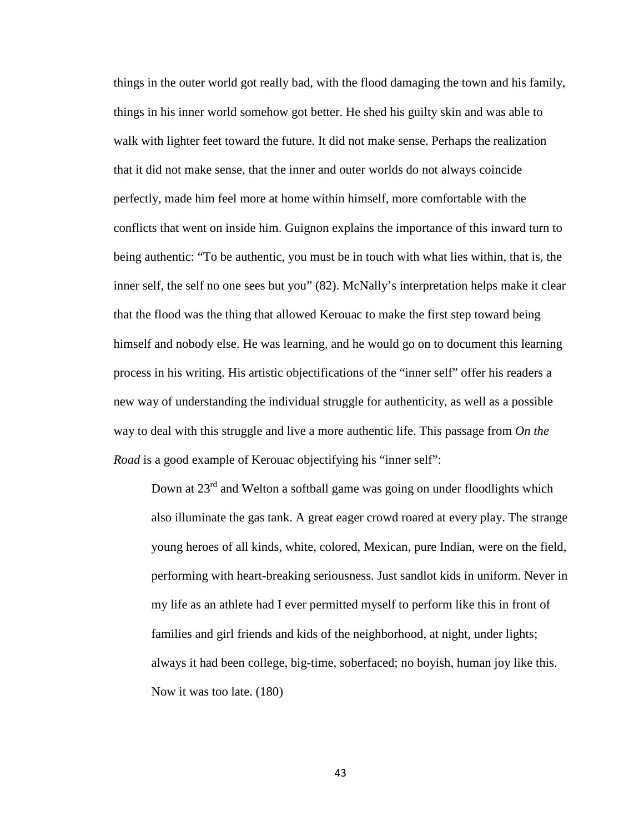things in the outer world got really bad, with the flood damaging the town and his family, things in his inner world somehow got better. He shed his guilty skin and was able to walk with lighter feet toward the future. It did not make sense. Perhaps the realization that it did not make sense, that the inner and outer worlds do not always coincide perfectly, made him feel more at home within himself, more comfortable with the conflicts that went on inside him. Guignon explains the importance of this inward turn to being authentic: "To be authentic, you must be in touch with what lies within, that is, the inner self, the self no one sees but you" (82). McNally's interpretation helps make it clear that the flood was the thing that allowed Kerouac to make the first step toward being himself and nobody else. He was learning, and he would go on to document this learning process in his writing. His artistic objectifications of the "inner self" offer his readers a new way of understanding the individual struggle for authenticity, as well as a possible way to deal with this struggle and live a more authentic life. This passage from *On the Road* is a good example of Kerouac objectifying his "inner self":

Down at 23<sup>rd</sup> and Welton a softball game was going on under floodlights which also illuminate the gas tank. A great eager crowd roared at every play. The strange young heroes of all kinds, white, colored, Mexican, pure Indian, were on the field, performing with heart-breaking seriousness. Just sandlot kids in uniform. Never in my life as an athlete had I ever permitted myself to perform like this in front of families and girl friends and kids of the neighborhood, at night, under lights; always it had been college, big-time, soberfaced; no boyish, human joy like this. Now it was too late. (180)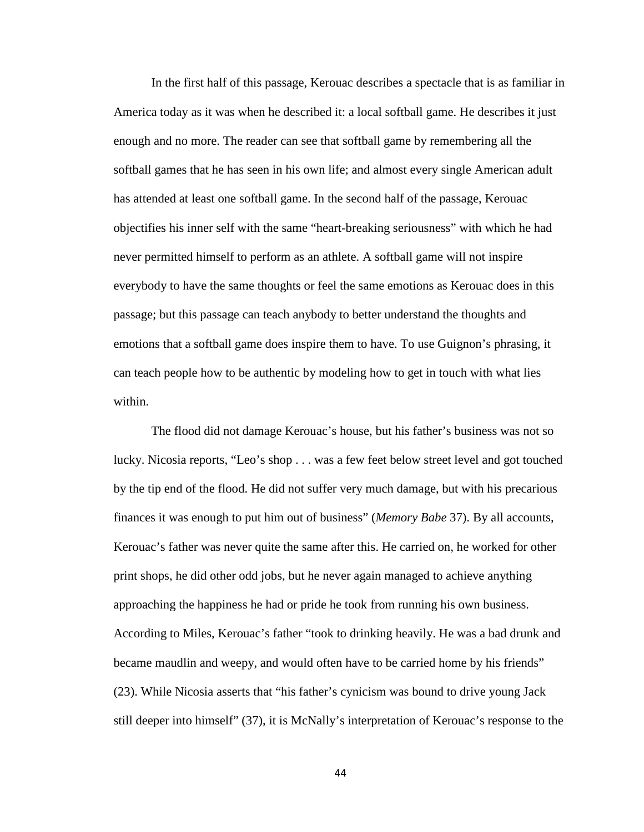In the first half of this passage, Kerouac describes a spectacle that is as familiar in America today as it was when he described it: a local softball game. He describes it just enough and no more. The reader can see that softball game by remembering all the softball games that he has seen in his own life; and almost every single American adult has attended at least one softball game. In the second half of the passage, Kerouac objectifies his inner self with the same "heart-breaking seriousness" with which he had never permitted himself to perform as an athlete. A softball game will not inspire everybody to have the same thoughts or feel the same emotions as Kerouac does in this passage; but this passage can teach anybody to better understand the thoughts and emotions that a softball game does inspire them to have. To use Guignon's phrasing, it can teach people how to be authentic by modeling how to get in touch with what lies within.

The flood did not damage Kerouac's house, but his father's business was not so lucky. Nicosia reports, "Leo's shop . . . was a few feet below street level and got touched by the tip end of the flood. He did not suffer very much damage, but with his precarious finances it was enough to put him out of business" (*Memory Babe* 37). By all accounts, Kerouac's father was never quite the same after this. He carried on, he worked for other print shops, he did other odd jobs, but he never again managed to achieve anything approaching the happiness he had or pride he took from running his own business. According to Miles, Kerouac's father "took to drinking heavily. He was a bad drunk and became maudlin and weepy, and would often have to be carried home by his friends" (23). While Nicosia asserts that "his father's cynicism was bound to drive young Jack still deeper into himself" (37), it is McNally's interpretation of Kerouac's response to the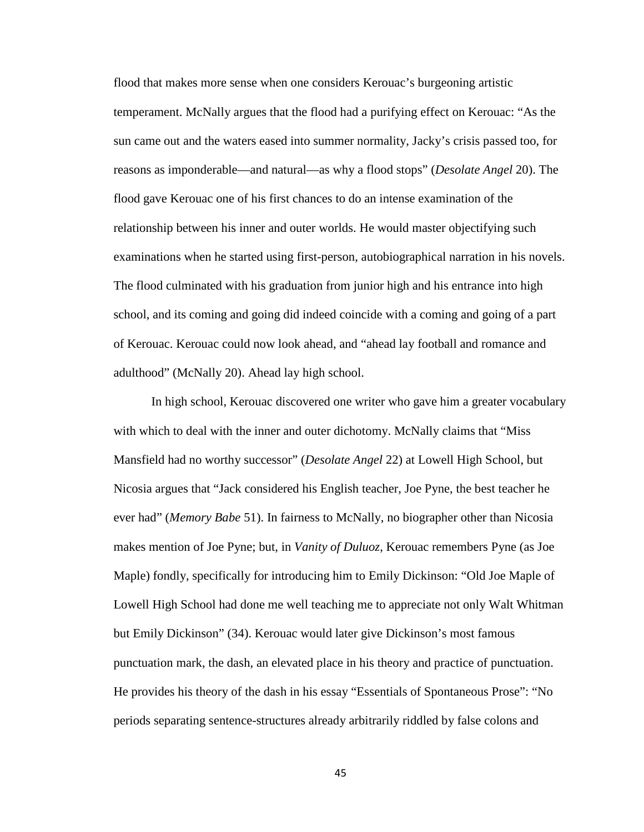flood that makes more sense when one considers Kerouac's burgeoning artistic temperament. McNally argues that the flood had a purifying effect on Kerouac: "As the sun came out and the waters eased into summer normality, Jacky's crisis passed too, for reasons as imponderable—and natural—as why a flood stops" (*Desolate Angel* 20). The flood gave Kerouac one of his first chances to do an intense examination of the relationship between his inner and outer worlds. He would master objectifying such examinations when he started using first-person, autobiographical narration in his novels. The flood culminated with his graduation from junior high and his entrance into high school, and its coming and going did indeed coincide with a coming and going of a part of Kerouac. Kerouac could now look ahead, and "ahead lay football and romance and adulthood" (McNally 20). Ahead lay high school.

In high school, Kerouac discovered one writer who gave him a greater vocabulary with which to deal with the inner and outer dichotomy. McNally claims that "Miss Mansfield had no worthy successor" (*Desolate Angel* 22) at Lowell High School, but Nicosia argues that "Jack considered his English teacher, Joe Pyne, the best teacher he ever had" (*Memory Babe* 51). In fairness to McNally, no biographer other than Nicosia makes mention of Joe Pyne; but, in *Vanity of Duluoz*, Kerouac remembers Pyne (as Joe Maple) fondly, specifically for introducing him to Emily Dickinson: "Old Joe Maple of Lowell High School had done me well teaching me to appreciate not only Walt Whitman but Emily Dickinson" (34). Kerouac would later give Dickinson's most famous punctuation mark, the dash, an elevated place in his theory and practice of punctuation. He provides his theory of the dash in his essay "Essentials of Spontaneous Prose": "No periods separating sentence-structures already arbitrarily riddled by false colons and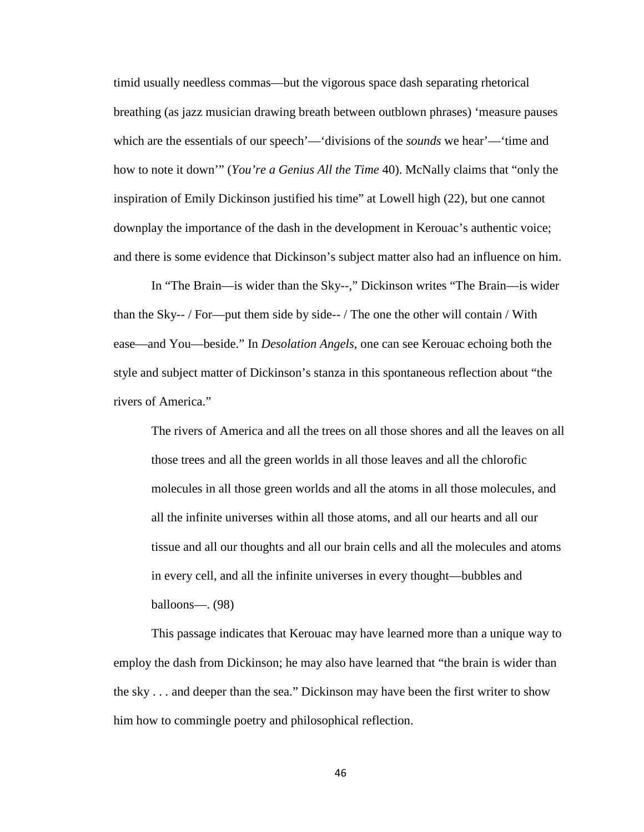timid usually needless commas—but the vigorous space dash separating rhetorical breathing (as jazz musician drawing breath between outblown phrases) 'measure pauses which are the essentials of our speech'—'divisions of the *sounds* we hear'—'time and how to note it down'" (*You're a Genius All the Time* 40). McNally claims that "only the inspiration of Emily Dickinson justified his time" at Lowell high (22), but one cannot downplay the importance of the dash in the development in Kerouac's authentic voice; and there is some evidence that Dickinson's subject matter also had an influence on him.

In "The Brain—is wider than the Sky--," Dickinson writes "The Brain—is wider than the Sky-- / For—put them side by side-- / The one the other will contain / With ease—and You—beside." In *Desolation Angels*, one can see Kerouac echoing both the style and subject matter of Dickinson's stanza in this spontaneous reflection about "the rivers of America."

The rivers of America and all the trees on all those shores and all the leaves on all those trees and all the green worlds in all those leaves and all the chlorofic molecules in all those green worlds and all the atoms in all those molecules, and all the infinite universes within all those atoms, and all our hearts and all our tissue and all our thoughts and all our brain cells and all the molecules and atoms in every cell, and all the infinite universes in every thought—bubbles and balloons—. (98)

This passage indicates that Kerouac may have learned more than a unique way to employ the dash from Dickinson; he may also have learned that "the brain is wider than the sky . . . and deeper than the sea." Dickinson may have been the first writer to show him how to commingle poetry and philosophical reflection.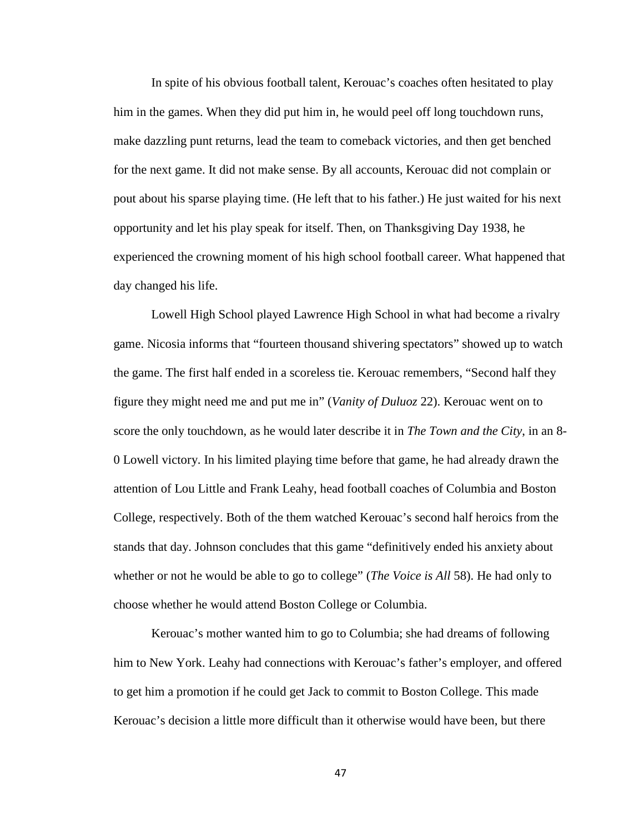In spite of his obvious football talent, Kerouac's coaches often hesitated to play him in the games. When they did put him in, he would peel off long touchdown runs, make dazzling punt returns, lead the team to comeback victories, and then get benched for the next game. It did not make sense. By all accounts, Kerouac did not complain or pout about his sparse playing time. (He left that to his father.) He just waited for his next opportunity and let his play speak for itself. Then, on Thanksgiving Day 1938, he experienced the crowning moment of his high school football career. What happened that day changed his life.

Lowell High School played Lawrence High School in what had become a rivalry game. Nicosia informs that "fourteen thousand shivering spectators" showed up to watch the game. The first half ended in a scoreless tie. Kerouac remembers, "Second half they figure they might need me and put me in" (*Vanity of Duluoz* 22). Kerouac went on to score the only touchdown, as he would later describe it in *The Town and the City*, in an 8- 0 Lowell victory. In his limited playing time before that game, he had already drawn the attention of Lou Little and Frank Leahy, head football coaches of Columbia and Boston College, respectively. Both of the them watched Kerouac's second half heroics from the stands that day. Johnson concludes that this game "definitively ended his anxiety about whether or not he would be able to go to college" (*The Voice is All* 58). He had only to choose whether he would attend Boston College or Columbia.

Kerouac's mother wanted him to go to Columbia; she had dreams of following him to New York. Leahy had connections with Kerouac's father's employer, and offered to get him a promotion if he could get Jack to commit to Boston College. This made Kerouac's decision a little more difficult than it otherwise would have been, but there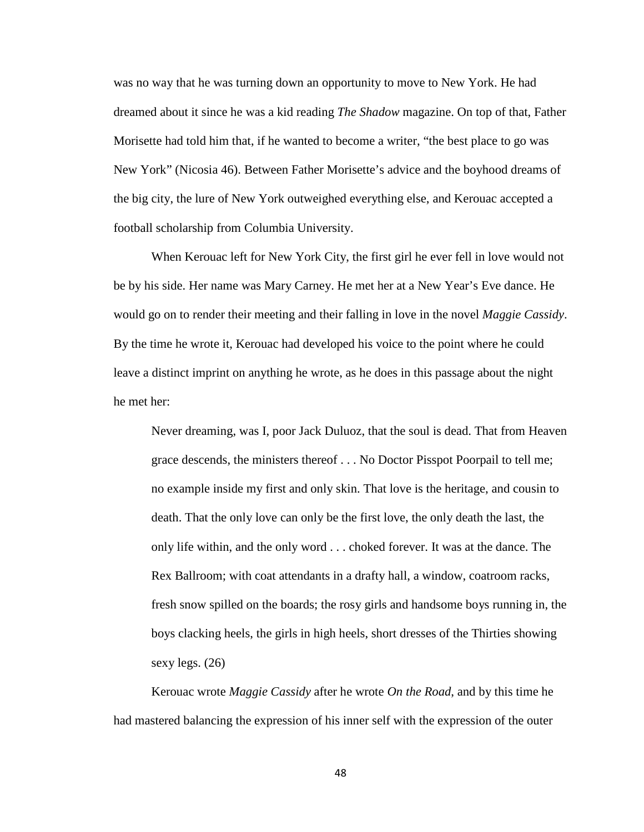was no way that he was turning down an opportunity to move to New York. He had dreamed about it since he was a kid reading *The Shadow* magazine. On top of that, Father Morisette had told him that, if he wanted to become a writer, "the best place to go was New York" (Nicosia 46). Between Father Morisette's advice and the boyhood dreams of the big city, the lure of New York outweighed everything else, and Kerouac accepted a football scholarship from Columbia University.

When Kerouac left for New York City, the first girl he ever fell in love would not be by his side. Her name was Mary Carney. He met her at a New Year's Eve dance. He would go on to render their meeting and their falling in love in the novel *Maggie Cassidy*. By the time he wrote it, Kerouac had developed his voice to the point where he could leave a distinct imprint on anything he wrote, as he does in this passage about the night he met her:

Never dreaming, was I, poor Jack Duluoz, that the soul is dead. That from Heaven grace descends, the ministers thereof . . . No Doctor Pisspot Poorpail to tell me; no example inside my first and only skin. That love is the heritage, and cousin to death. That the only love can only be the first love, the only death the last, the only life within, and the only word . . . choked forever. It was at the dance. The Rex Ballroom; with coat attendants in a drafty hall, a window, coatroom racks, fresh snow spilled on the boards; the rosy girls and handsome boys running in, the boys clacking heels, the girls in high heels, short dresses of the Thirties showing sexy legs. (26)

Kerouac wrote *Maggie Cassidy* after he wrote *On the Road*, and by this time he had mastered balancing the expression of his inner self with the expression of the outer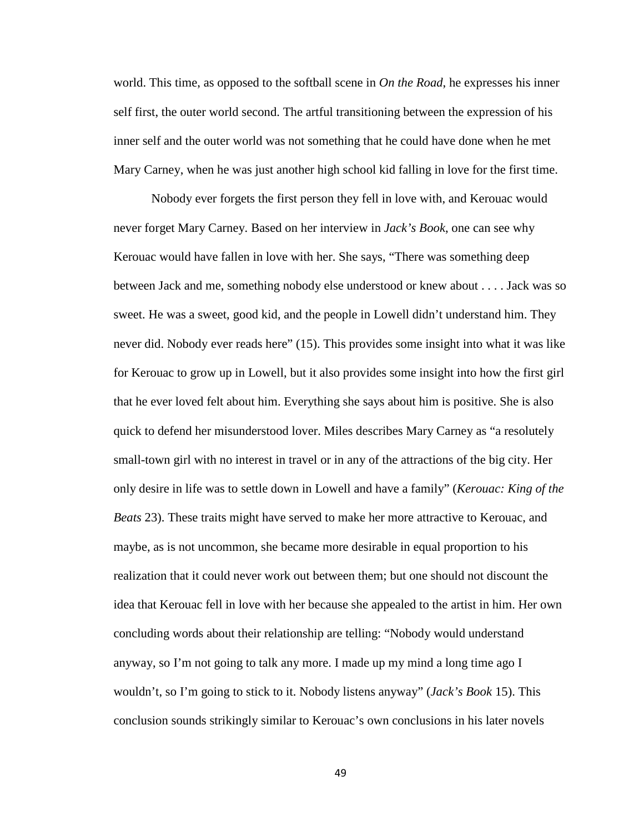world. This time, as opposed to the softball scene in *On the Road*, he expresses his inner self first, the outer world second. The artful transitioning between the expression of his inner self and the outer world was not something that he could have done when he met Mary Carney, when he was just another high school kid falling in love for the first time.

Nobody ever forgets the first person they fell in love with, and Kerouac would never forget Mary Carney. Based on her interview in *Jack's Book*, one can see why Kerouac would have fallen in love with her. She says, "There was something deep between Jack and me, something nobody else understood or knew about . . . . Jack was so sweet. He was a sweet, good kid, and the people in Lowell didn't understand him. They never did. Nobody ever reads here" (15). This provides some insight into what it was like for Kerouac to grow up in Lowell, but it also provides some insight into how the first girl that he ever loved felt about him. Everything she says about him is positive. She is also quick to defend her misunderstood lover. Miles describes Mary Carney as "a resolutely small-town girl with no interest in travel or in any of the attractions of the big city. Her only desire in life was to settle down in Lowell and have a family" (*Kerouac: King of the Beats* 23). These traits might have served to make her more attractive to Kerouac, and maybe, as is not uncommon, she became more desirable in equal proportion to his realization that it could never work out between them; but one should not discount the idea that Kerouac fell in love with her because she appealed to the artist in him. Her own concluding words about their relationship are telling: "Nobody would understand anyway, so I'm not going to talk any more. I made up my mind a long time ago I wouldn't, so I'm going to stick to it. Nobody listens anyway" (*Jack's Book* 15). This conclusion sounds strikingly similar to Kerouac's own conclusions in his later novels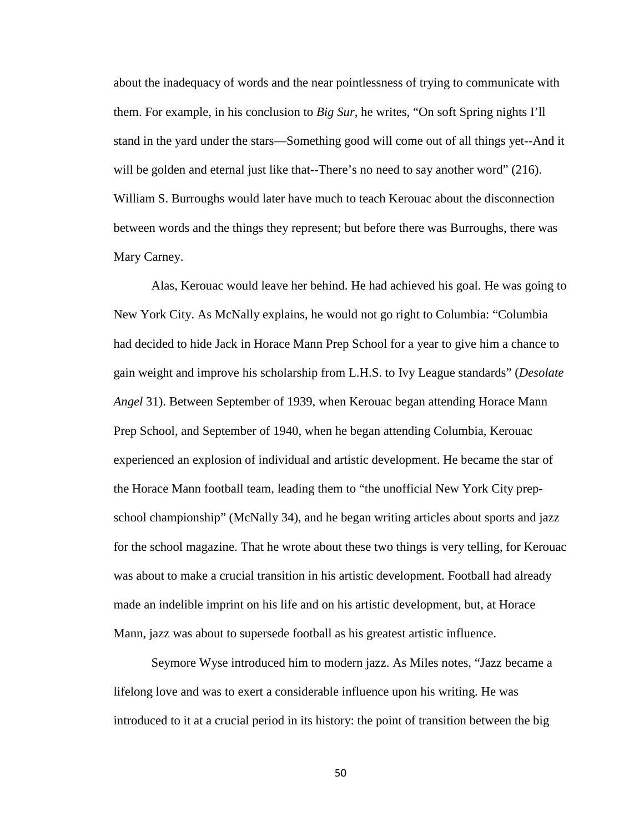about the inadequacy of words and the near pointlessness of trying to communicate with them. For example, in his conclusion to *Big Sur*, he writes, "On soft Spring nights I'll stand in the yard under the stars—Something good will come out of all things yet--And it will be golden and eternal just like that--There's no need to say another word" (216). William S. Burroughs would later have much to teach Kerouac about the disconnection between words and the things they represent; but before there was Burroughs, there was Mary Carney.

Alas, Kerouac would leave her behind. He had achieved his goal. He was going to New York City. As McNally explains, he would not go right to Columbia: "Columbia had decided to hide Jack in Horace Mann Prep School for a year to give him a chance to gain weight and improve his scholarship from L.H.S. to Ivy League standards" (*Desolate Angel* 31). Between September of 1939, when Kerouac began attending Horace Mann Prep School, and September of 1940, when he began attending Columbia, Kerouac experienced an explosion of individual and artistic development. He became the star of the Horace Mann football team, leading them to "the unofficial New York City prepschool championship" (McNally 34), and he began writing articles about sports and jazz for the school magazine. That he wrote about these two things is very telling, for Kerouac was about to make a crucial transition in his artistic development. Football had already made an indelible imprint on his life and on his artistic development, but, at Horace Mann, jazz was about to supersede football as his greatest artistic influence.

Seymore Wyse introduced him to modern jazz. As Miles notes, "Jazz became a lifelong love and was to exert a considerable influence upon his writing. He was introduced to it at a crucial period in its history: the point of transition between the big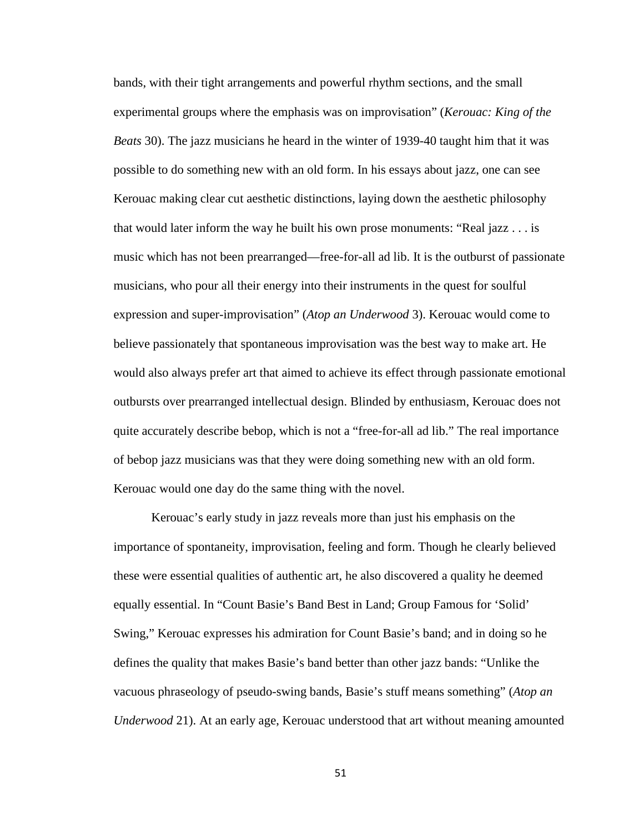bands, with their tight arrangements and powerful rhythm sections, and the small experimental groups where the emphasis was on improvisation" (*Kerouac: King of the Beats* 30). The jazz musicians he heard in the winter of 1939-40 taught him that it was possible to do something new with an old form. In his essays about jazz, one can see Kerouac making clear cut aesthetic distinctions, laying down the aesthetic philosophy that would later inform the way he built his own prose monuments: "Real jazz . . . is music which has not been prearranged—free-for-all ad lib. It is the outburst of passionate musicians, who pour all their energy into their instruments in the quest for soulful expression and super-improvisation" (*Atop an Underwood* 3). Kerouac would come to believe passionately that spontaneous improvisation was the best way to make art. He would also always prefer art that aimed to achieve its effect through passionate emotional outbursts over prearranged intellectual design. Blinded by enthusiasm, Kerouac does not quite accurately describe bebop, which is not a "free-for-all ad lib." The real importance of bebop jazz musicians was that they were doing something new with an old form. Kerouac would one day do the same thing with the novel.

Kerouac's early study in jazz reveals more than just his emphasis on the importance of spontaneity, improvisation, feeling and form. Though he clearly believed these were essential qualities of authentic art, he also discovered a quality he deemed equally essential. In "Count Basie's Band Best in Land; Group Famous for 'Solid' Swing," Kerouac expresses his admiration for Count Basie's band; and in doing so he defines the quality that makes Basie's band better than other jazz bands: "Unlike the vacuous phraseology of pseudo-swing bands, Basie's stuff means something" (*Atop an Underwood* 21). At an early age, Kerouac understood that art without meaning amounted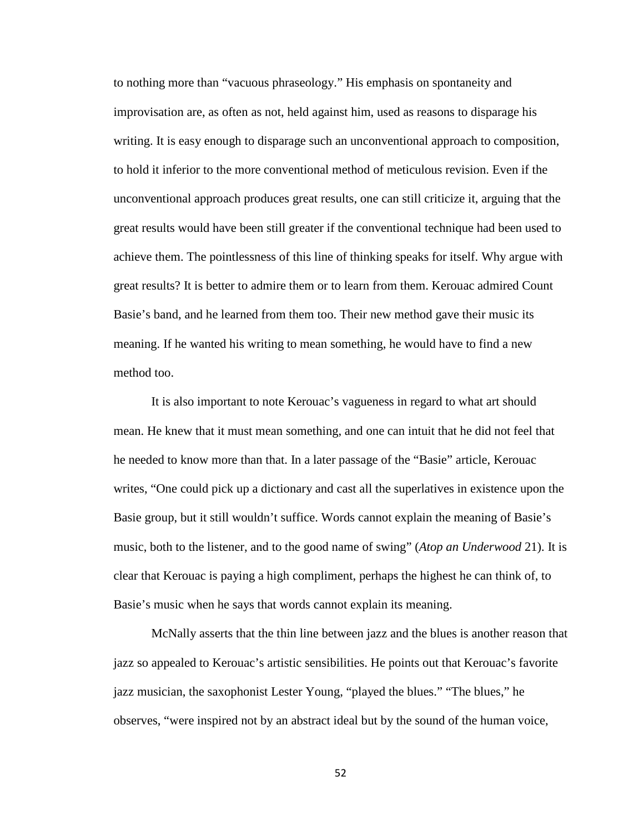to nothing more than "vacuous phraseology." His emphasis on spontaneity and improvisation are, as often as not, held against him, used as reasons to disparage his writing. It is easy enough to disparage such an unconventional approach to composition, to hold it inferior to the more conventional method of meticulous revision. Even if the unconventional approach produces great results, one can still criticize it, arguing that the great results would have been still greater if the conventional technique had been used to achieve them. The pointlessness of this line of thinking speaks for itself. Why argue with great results? It is better to admire them or to learn from them. Kerouac admired Count Basie's band, and he learned from them too. Their new method gave their music its meaning. If he wanted his writing to mean something, he would have to find a new method too.

It is also important to note Kerouac's vagueness in regard to what art should mean. He knew that it must mean something, and one can intuit that he did not feel that he needed to know more than that. In a later passage of the "Basie" article, Kerouac writes, "One could pick up a dictionary and cast all the superlatives in existence upon the Basie group, but it still wouldn't suffice. Words cannot explain the meaning of Basie's music, both to the listener, and to the good name of swing" (*Atop an Underwood* 21). It is clear that Kerouac is paying a high compliment, perhaps the highest he can think of, to Basie's music when he says that words cannot explain its meaning.

McNally asserts that the thin line between jazz and the blues is another reason that jazz so appealed to Kerouac's artistic sensibilities. He points out that Kerouac's favorite jazz musician, the saxophonist Lester Young, "played the blues." "The blues," he observes, "were inspired not by an abstract ideal but by the sound of the human voice,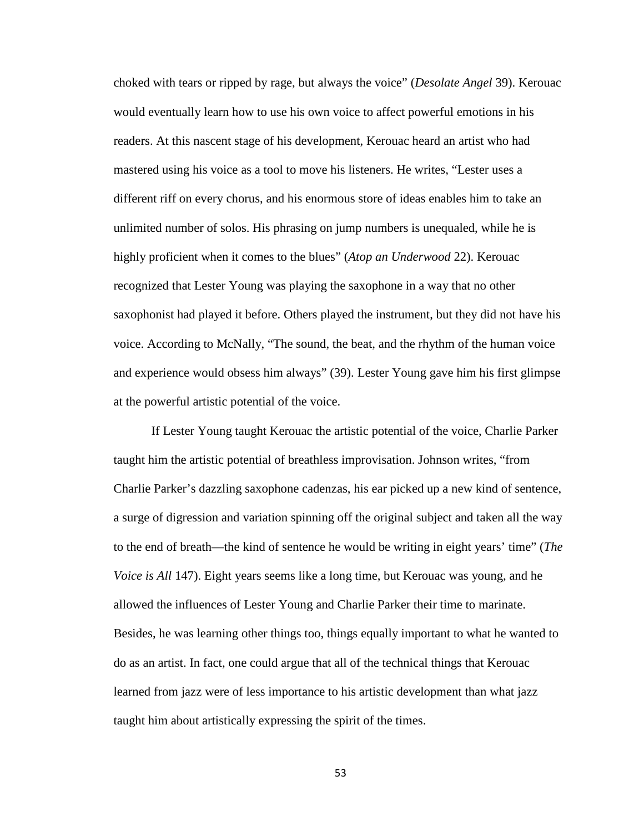choked with tears or ripped by rage, but always the voice" (*Desolate Angel* 39). Kerouac would eventually learn how to use his own voice to affect powerful emotions in his readers. At this nascent stage of his development, Kerouac heard an artist who had mastered using his voice as a tool to move his listeners. He writes, "Lester uses a different riff on every chorus, and his enormous store of ideas enables him to take an unlimited number of solos. His phrasing on jump numbers is unequaled, while he is highly proficient when it comes to the blues" (*Atop an Underwood* 22). Kerouac recognized that Lester Young was playing the saxophone in a way that no other saxophonist had played it before. Others played the instrument, but they did not have his voice. According to McNally, "The sound, the beat, and the rhythm of the human voice and experience would obsess him always" (39). Lester Young gave him his first glimpse at the powerful artistic potential of the voice.

If Lester Young taught Kerouac the artistic potential of the voice, Charlie Parker taught him the artistic potential of breathless improvisation. Johnson writes, "from Charlie Parker's dazzling saxophone cadenzas, his ear picked up a new kind of sentence, a surge of digression and variation spinning off the original subject and taken all the way to the end of breath—the kind of sentence he would be writing in eight years' time" (*The Voice is All* 147). Eight years seems like a long time, but Kerouac was young, and he allowed the influences of Lester Young and Charlie Parker their time to marinate. Besides, he was learning other things too, things equally important to what he wanted to do as an artist. In fact, one could argue that all of the technical things that Kerouac learned from jazz were of less importance to his artistic development than what jazz taught him about artistically expressing the spirit of the times.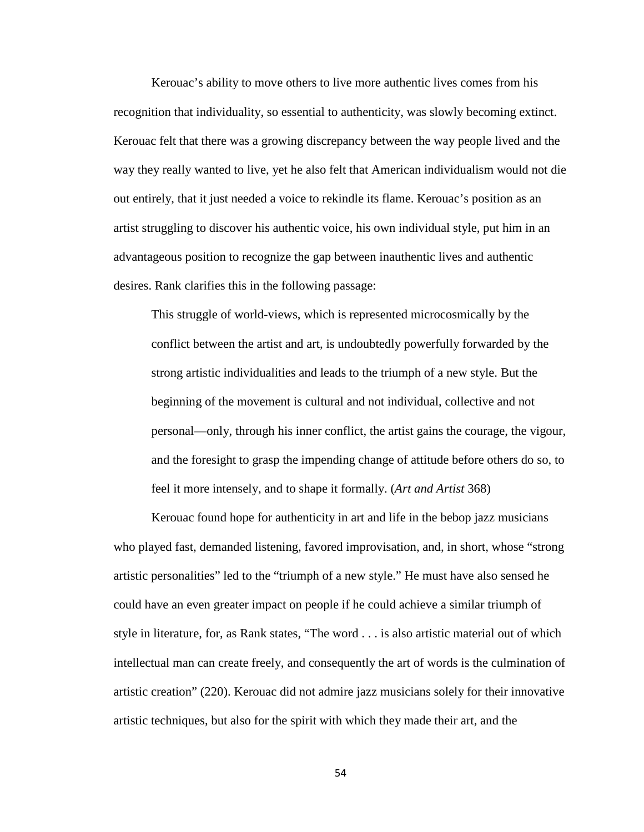Kerouac's ability to move others to live more authentic lives comes from his recognition that individuality, so essential to authenticity, was slowly becoming extinct. Kerouac felt that there was a growing discrepancy between the way people lived and the way they really wanted to live, yet he also felt that American individualism would not die out entirely, that it just needed a voice to rekindle its flame. Kerouac's position as an artist struggling to discover his authentic voice, his own individual style, put him in an advantageous position to recognize the gap between inauthentic lives and authentic desires. Rank clarifies this in the following passage:

This struggle of world-views, which is represented microcosmically by the conflict between the artist and art, is undoubtedly powerfully forwarded by the strong artistic individualities and leads to the triumph of a new style. But the beginning of the movement is cultural and not individual, collective and not personal—only, through his inner conflict, the artist gains the courage, the vigour, and the foresight to grasp the impending change of attitude before others do so, to feel it more intensely, and to shape it formally. (*Art and Artist* 368)

Kerouac found hope for authenticity in art and life in the bebop jazz musicians who played fast, demanded listening, favored improvisation, and, in short, whose "strong artistic personalities" led to the "triumph of a new style." He must have also sensed he could have an even greater impact on people if he could achieve a similar triumph of style in literature, for, as Rank states, "The word . . . is also artistic material out of which intellectual man can create freely, and consequently the art of words is the culmination of artistic creation" (220). Kerouac did not admire jazz musicians solely for their innovative artistic techniques, but also for the spirit with which they made their art, and the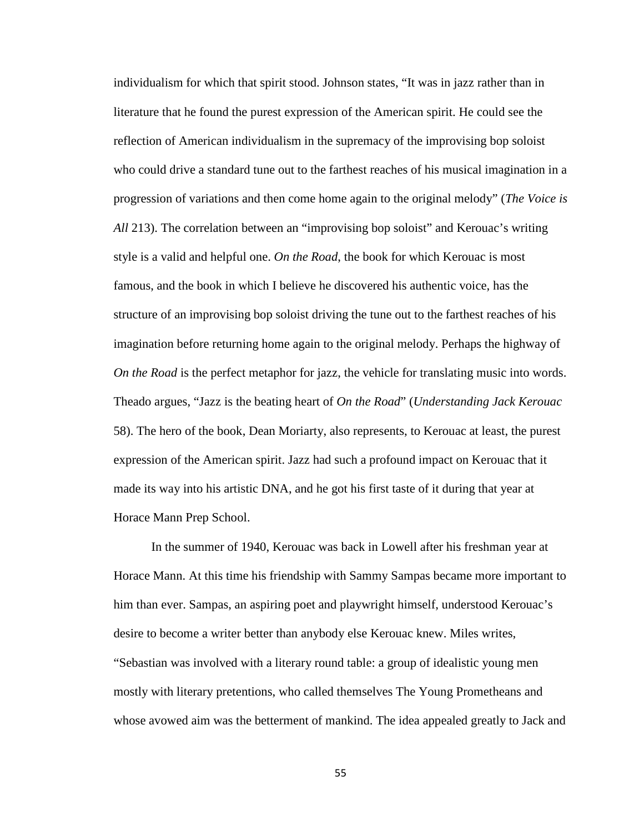individualism for which that spirit stood. Johnson states, "It was in jazz rather than in literature that he found the purest expression of the American spirit. He could see the reflection of American individualism in the supremacy of the improvising bop soloist who could drive a standard tune out to the farthest reaches of his musical imagination in a progression of variations and then come home again to the original melody" (*The Voice is All* 213). The correlation between an "improvising bop soloist" and Kerouac's writing style is a valid and helpful one. *On the Road*, the book for which Kerouac is most famous, and the book in which I believe he discovered his authentic voice, has the structure of an improvising bop soloist driving the tune out to the farthest reaches of his imagination before returning home again to the original melody. Perhaps the highway of *On the Road* is the perfect metaphor for jazz, the vehicle for translating music into words. Theado argues, "Jazz is the beating heart of *On the Road*" (*Understanding Jack Kerouac*  58). The hero of the book, Dean Moriarty, also represents, to Kerouac at least, the purest expression of the American spirit. Jazz had such a profound impact on Kerouac that it made its way into his artistic DNA, and he got his first taste of it during that year at Horace Mann Prep School.

In the summer of 1940, Kerouac was back in Lowell after his freshman year at Horace Mann. At this time his friendship with Sammy Sampas became more important to him than ever. Sampas, an aspiring poet and playwright himself, understood Kerouac's desire to become a writer better than anybody else Kerouac knew. Miles writes, "Sebastian was involved with a literary round table: a group of idealistic young men mostly with literary pretentions, who called themselves The Young Prometheans and whose avowed aim was the betterment of mankind. The idea appealed greatly to Jack and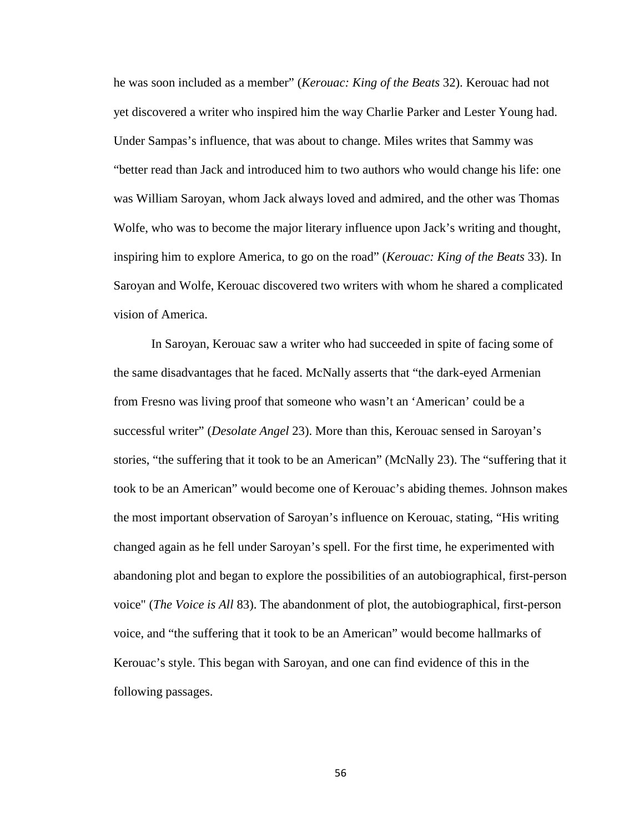he was soon included as a member" (*Kerouac: King of the Beats* 32). Kerouac had not yet discovered a writer who inspired him the way Charlie Parker and Lester Young had. Under Sampas's influence, that was about to change. Miles writes that Sammy was "better read than Jack and introduced him to two authors who would change his life: one was William Saroyan, whom Jack always loved and admired, and the other was Thomas Wolfe, who was to become the major literary influence upon Jack's writing and thought, inspiring him to explore America, to go on the road" (*Kerouac: King of the Beats* 33). In Saroyan and Wolfe, Kerouac discovered two writers with whom he shared a complicated vision of America.

In Saroyan, Kerouac saw a writer who had succeeded in spite of facing some of the same disadvantages that he faced. McNally asserts that "the dark-eyed Armenian from Fresno was living proof that someone who wasn't an 'American' could be a successful writer" (*Desolate Angel* 23). More than this, Kerouac sensed in Saroyan's stories, "the suffering that it took to be an American" (McNally 23). The "suffering that it took to be an American" would become one of Kerouac's abiding themes. Johnson makes the most important observation of Saroyan's influence on Kerouac, stating, "His writing changed again as he fell under Saroyan's spell. For the first time, he experimented with abandoning plot and began to explore the possibilities of an autobiographical, first-person voice" (*The Voice is All* 83). The abandonment of plot, the autobiographical, first-person voice, and "the suffering that it took to be an American" would become hallmarks of Kerouac's style. This began with Saroyan, and one can find evidence of this in the following passages.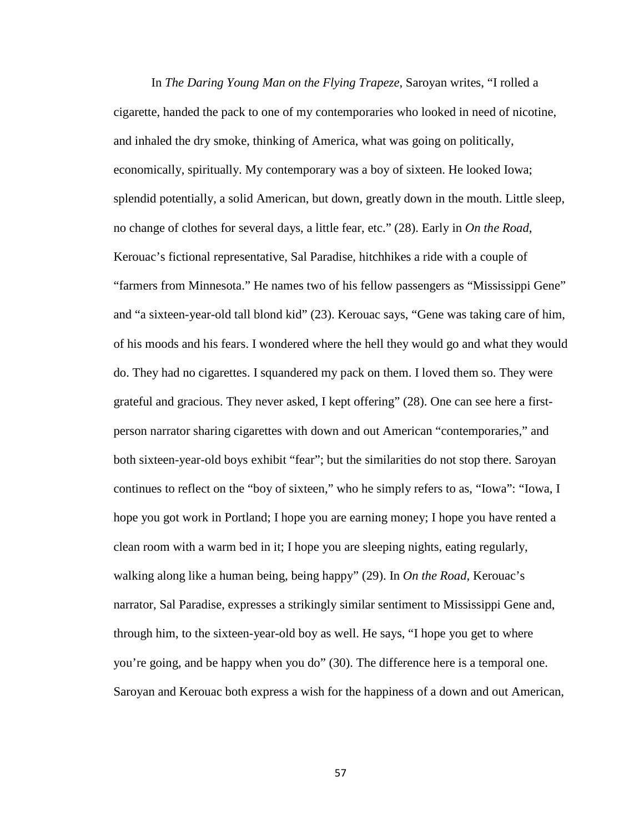In *The Daring Young Man on the Flying Trapeze*, Saroyan writes, "I rolled a cigarette, handed the pack to one of my contemporaries who looked in need of nicotine, and inhaled the dry smoke, thinking of America, what was going on politically, economically, spiritually. My contemporary was a boy of sixteen. He looked Iowa; splendid potentially, a solid American, but down, greatly down in the mouth. Little sleep, no change of clothes for several days, a little fear, etc." (28). Early in *On the Road*, Kerouac's fictional representative, Sal Paradise, hitchhikes a ride with a couple of "farmers from Minnesota." He names two of his fellow passengers as "Mississippi Gene" and "a sixteen-year-old tall blond kid" (23). Kerouac says, "Gene was taking care of him, of his moods and his fears. I wondered where the hell they would go and what they would do. They had no cigarettes. I squandered my pack on them. I loved them so. They were grateful and gracious. They never asked, I kept offering" (28). One can see here a firstperson narrator sharing cigarettes with down and out American "contemporaries," and both sixteen-year-old boys exhibit "fear"; but the similarities do not stop there. Saroyan continues to reflect on the "boy of sixteen," who he simply refers to as, "Iowa": "Iowa, I hope you got work in Portland; I hope you are earning money; I hope you have rented a clean room with a warm bed in it; I hope you are sleeping nights, eating regularly, walking along like a human being, being happy" (29). In *On the Road*, Kerouac's narrator, Sal Paradise, expresses a strikingly similar sentiment to Mississippi Gene and, through him, to the sixteen-year-old boy as well. He says, "I hope you get to where you're going, and be happy when you do" (30). The difference here is a temporal one. Saroyan and Kerouac both express a wish for the happiness of a down and out American,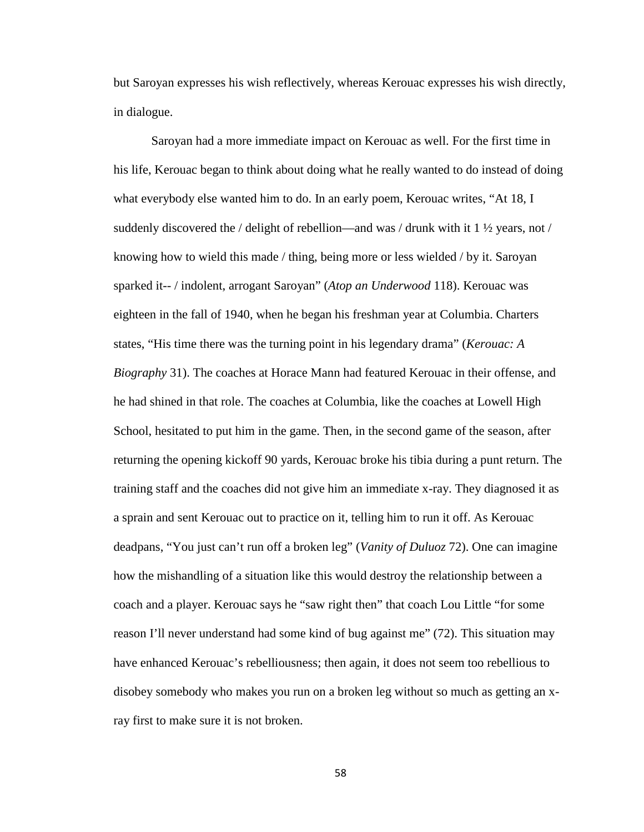but Saroyan expresses his wish reflectively, whereas Kerouac expresses his wish directly, in dialogue.

Saroyan had a more immediate impact on Kerouac as well. For the first time in his life, Kerouac began to think about doing what he really wanted to do instead of doing what everybody else wanted him to do. In an early poem, Kerouac writes, "At 18, I suddenly discovered the / delight of rebellion—and was / drunk with it 1  $\frac{1}{2}$  years, not / knowing how to wield this made / thing, being more or less wielded / by it. Saroyan sparked it-- / indolent, arrogant Saroyan" (*Atop an Underwood* 118). Kerouac was eighteen in the fall of 1940, when he began his freshman year at Columbia. Charters states, "His time there was the turning point in his legendary drama" (*Kerouac: A Biography* 31). The coaches at Horace Mann had featured Kerouac in their offense, and he had shined in that role. The coaches at Columbia, like the coaches at Lowell High School, hesitated to put him in the game. Then, in the second game of the season, after returning the opening kickoff 90 yards, Kerouac broke his tibia during a punt return. The training staff and the coaches did not give him an immediate x-ray. They diagnosed it as a sprain and sent Kerouac out to practice on it, telling him to run it off. As Kerouac deadpans, "You just can't run off a broken leg" (*Vanity of Duluoz* 72). One can imagine how the mishandling of a situation like this would destroy the relationship between a coach and a player. Kerouac says he "saw right then" that coach Lou Little "for some reason I'll never understand had some kind of bug against me" (72). This situation may have enhanced Kerouac's rebelliousness; then again, it does not seem too rebellious to disobey somebody who makes you run on a broken leg without so much as getting an xray first to make sure it is not broken.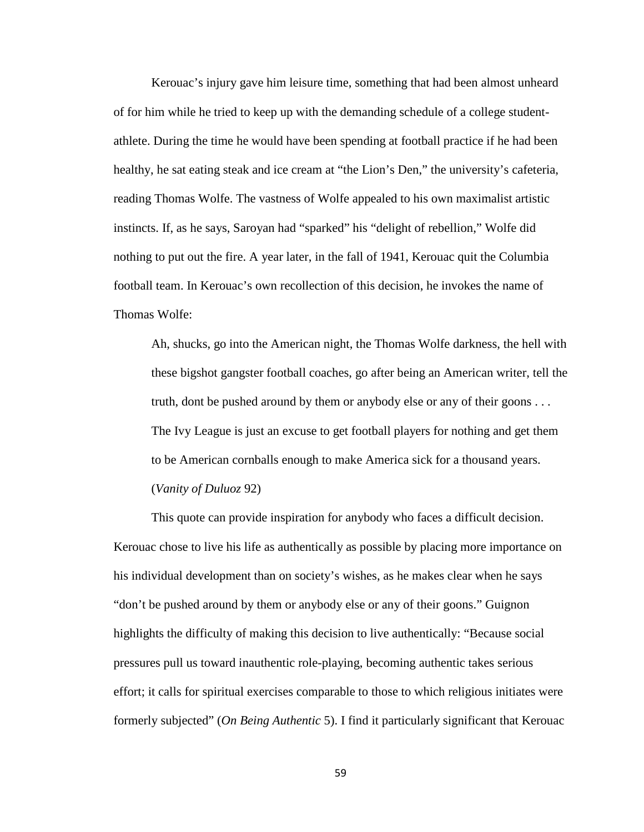Kerouac's injury gave him leisure time, something that had been almost unheard of for him while he tried to keep up with the demanding schedule of a college studentathlete. During the time he would have been spending at football practice if he had been healthy, he sat eating steak and ice cream at "the Lion's Den," the university's cafeteria, reading Thomas Wolfe. The vastness of Wolfe appealed to his own maximalist artistic instincts. If, as he says, Saroyan had "sparked" his "delight of rebellion," Wolfe did nothing to put out the fire. A year later, in the fall of 1941, Kerouac quit the Columbia football team. In Kerouac's own recollection of this decision, he invokes the name of Thomas Wolfe:

Ah, shucks, go into the American night, the Thomas Wolfe darkness, the hell with these bigshot gangster football coaches, go after being an American writer, tell the truth, dont be pushed around by them or anybody else or any of their goons . . . The Ivy League is just an excuse to get football players for nothing and get them to be American cornballs enough to make America sick for a thousand years. (*Vanity of Duluoz* 92)

This quote can provide inspiration for anybody who faces a difficult decision. Kerouac chose to live his life as authentically as possible by placing more importance on his individual development than on society's wishes, as he makes clear when he says "don't be pushed around by them or anybody else or any of their goons." Guignon highlights the difficulty of making this decision to live authentically: "Because social pressures pull us toward inauthentic role-playing, becoming authentic takes serious effort; it calls for spiritual exercises comparable to those to which religious initiates were formerly subjected" (*On Being Authentic* 5). I find it particularly significant that Kerouac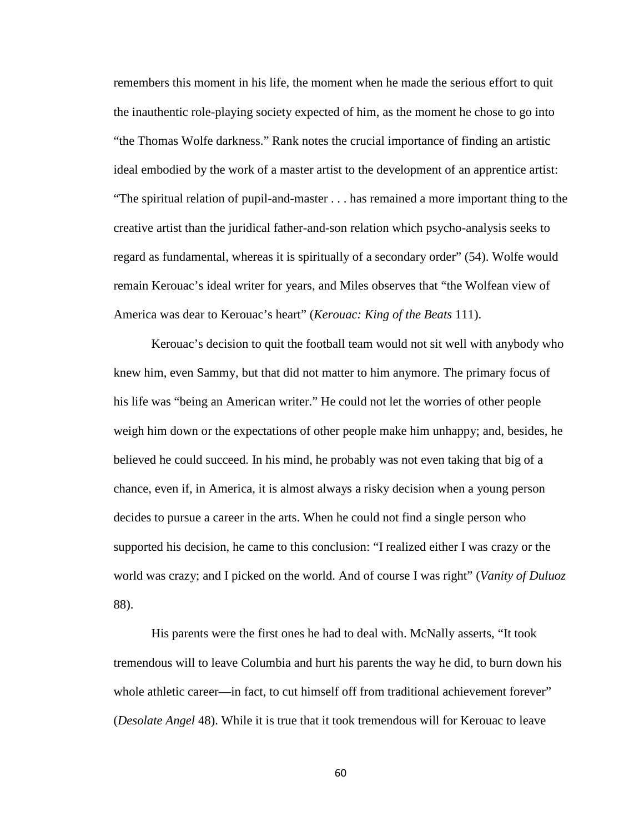remembers this moment in his life, the moment when he made the serious effort to quit the inauthentic role-playing society expected of him, as the moment he chose to go into "the Thomas Wolfe darkness." Rank notes the crucial importance of finding an artistic ideal embodied by the work of a master artist to the development of an apprentice artist: "The spiritual relation of pupil-and-master . . . has remained a more important thing to the creative artist than the juridical father-and-son relation which psycho-analysis seeks to regard as fundamental, whereas it is spiritually of a secondary order" (54). Wolfe would remain Kerouac's ideal writer for years, and Miles observes that "the Wolfean view of America was dear to Kerouac's heart" (*Kerouac: King of the Beats* 111).

Kerouac's decision to quit the football team would not sit well with anybody who knew him, even Sammy, but that did not matter to him anymore. The primary focus of his life was "being an American writer." He could not let the worries of other people weigh him down or the expectations of other people make him unhappy; and, besides, he believed he could succeed. In his mind, he probably was not even taking that big of a chance, even if, in America, it is almost always a risky decision when a young person decides to pursue a career in the arts. When he could not find a single person who supported his decision, he came to this conclusion: "I realized either I was crazy or the world was crazy; and I picked on the world. And of course I was right" (*Vanity of Duluoz*  88).

His parents were the first ones he had to deal with. McNally asserts, "It took tremendous will to leave Columbia and hurt his parents the way he did, to burn down his whole athletic career—in fact, to cut himself off from traditional achievement forever" (*Desolate Angel* 48). While it is true that it took tremendous will for Kerouac to leave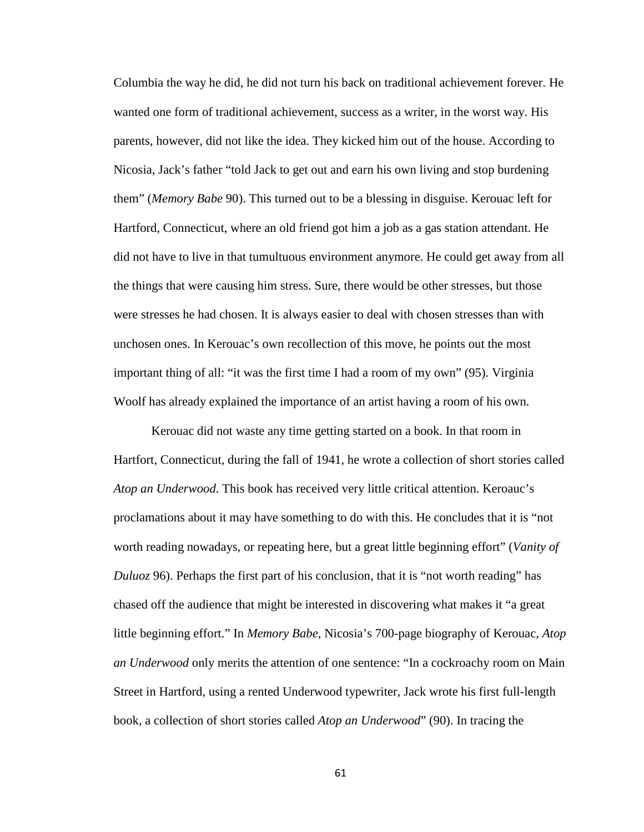Columbia the way he did, he did not turn his back on traditional achievement forever. He wanted one form of traditional achievement, success as a writer, in the worst way. His parents, however, did not like the idea. They kicked him out of the house. According to Nicosia, Jack's father "told Jack to get out and earn his own living and stop burdening them" (*Memory Babe* 90). This turned out to be a blessing in disguise. Kerouac left for Hartford, Connecticut, where an old friend got him a job as a gas station attendant. He did not have to live in that tumultuous environment anymore. He could get away from all the things that were causing him stress. Sure, there would be other stresses, but those were stresses he had chosen. It is always easier to deal with chosen stresses than with unchosen ones. In Kerouac's own recollection of this move, he points out the most important thing of all: "it was the first time I had a room of my own" (95). Virginia Woolf has already explained the importance of an artist having a room of his own.

Kerouac did not waste any time getting started on a book. In that room in Hartfort, Connecticut, during the fall of 1941, he wrote a collection of short stories called *Atop an Underwood*. This book has received very little critical attention. Keroauc's proclamations about it may have something to do with this. He concludes that it is "not worth reading nowadays, or repeating here, but a great little beginning effort" (*Vanity of Duluoz* 96). Perhaps the first part of his conclusion, that it is "not worth reading" has chased off the audience that might be interested in discovering what makes it "a great little beginning effort." In *Memory Babe*, Nicosia's 700-page biography of Kerouac, *Atop an Underwood* only merits the attention of one sentence: "In a cockroachy room on Main Street in Hartford, using a rented Underwood typewriter, Jack wrote his first full-length book, a collection of short stories called *Atop an Underwood*" (90). In tracing the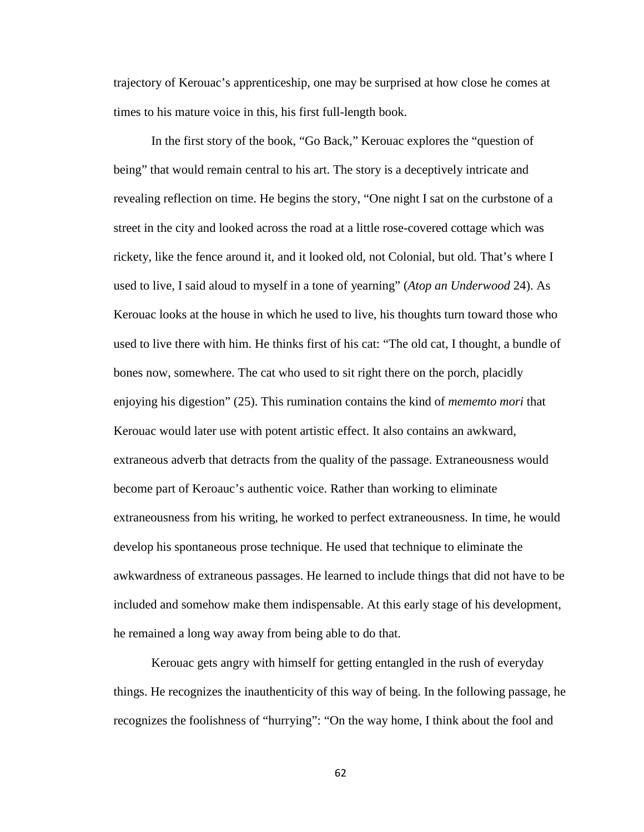trajectory of Kerouac's apprenticeship, one may be surprised at how close he comes at times to his mature voice in this, his first full-length book.

In the first story of the book, "Go Back," Kerouac explores the "question of being" that would remain central to his art. The story is a deceptively intricate and revealing reflection on time. He begins the story, "One night I sat on the curbstone of a street in the city and looked across the road at a little rose-covered cottage which was rickety, like the fence around it, and it looked old, not Colonial, but old. That's where I used to live, I said aloud to myself in a tone of yearning" (*Atop an Underwood* 24). As Kerouac looks at the house in which he used to live, his thoughts turn toward those who used to live there with him. He thinks first of his cat: "The old cat, I thought, a bundle of bones now, somewhere. The cat who used to sit right there on the porch, placidly enjoying his digestion" (25). This rumination contains the kind of *mememto mori* that Kerouac would later use with potent artistic effect. It also contains an awkward, extraneous adverb that detracts from the quality of the passage. Extraneousness would become part of Keroauc's authentic voice. Rather than working to eliminate extraneousness from his writing, he worked to perfect extraneousness. In time, he would develop his spontaneous prose technique. He used that technique to eliminate the awkwardness of extraneous passages. He learned to include things that did not have to be included and somehow make them indispensable. At this early stage of his development, he remained a long way away from being able to do that.

Kerouac gets angry with himself for getting entangled in the rush of everyday things. He recognizes the inauthenticity of this way of being. In the following passage, he recognizes the foolishness of "hurrying": "On the way home, I think about the fool and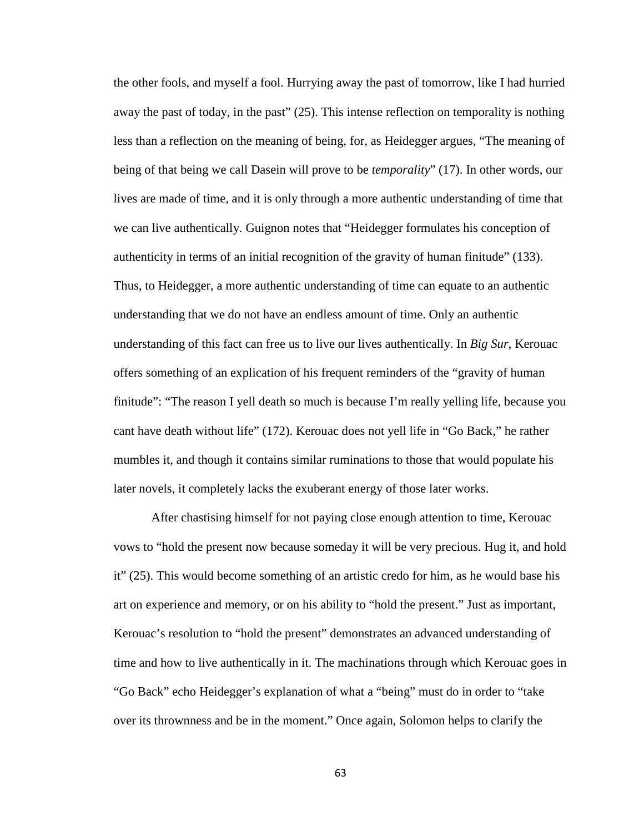the other fools, and myself a fool. Hurrying away the past of tomorrow, like I had hurried away the past of today, in the past" (25). This intense reflection on temporality is nothing less than a reflection on the meaning of being, for, as Heidegger argues, "The meaning of being of that being we call Dasein will prove to be *temporality*" (17). In other words, our lives are made of time, and it is only through a more authentic understanding of time that we can live authentically. Guignon notes that "Heidegger formulates his conception of authenticity in terms of an initial recognition of the gravity of human finitude" (133). Thus, to Heidegger, a more authentic understanding of time can equate to an authentic understanding that we do not have an endless amount of time. Only an authentic understanding of this fact can free us to live our lives authentically. In *Big Sur*, Kerouac offers something of an explication of his frequent reminders of the "gravity of human finitude": "The reason I yell death so much is because I'm really yelling life, because you cant have death without life" (172). Kerouac does not yell life in "Go Back," he rather mumbles it, and though it contains similar ruminations to those that would populate his later novels, it completely lacks the exuberant energy of those later works.

After chastising himself for not paying close enough attention to time, Kerouac vows to "hold the present now because someday it will be very precious. Hug it, and hold it" (25). This would become something of an artistic credo for him, as he would base his art on experience and memory, or on his ability to "hold the present." Just as important, Kerouac's resolution to "hold the present" demonstrates an advanced understanding of time and how to live authentically in it. The machinations through which Kerouac goes in "Go Back" echo Heidegger's explanation of what a "being" must do in order to "take over its thrownness and be in the moment." Once again, Solomon helps to clarify the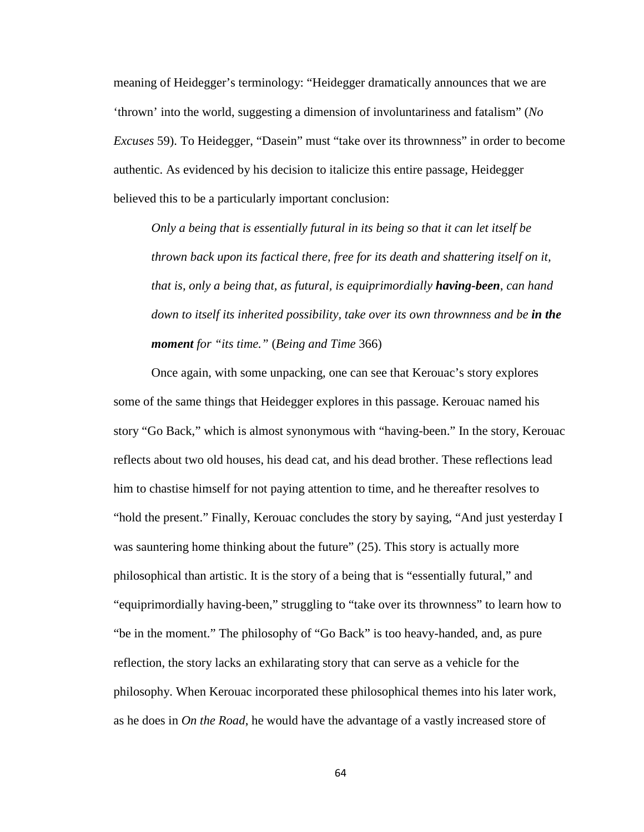meaning of Heidegger's terminology: "Heidegger dramatically announces that we are 'thrown' into the world, suggesting a dimension of involuntariness and fatalism" (*No Excuses* 59). To Heidegger, "Dasein" must "take over its thrownness" in order to become authentic. As evidenced by his decision to italicize this entire passage, Heidegger believed this to be a particularly important conclusion:

*Only a being that is essentially futural in its being so that it can let itself be thrown back upon its factical there, free for its death and shattering itself on it, that is, only a being that, as futural, is equiprimordially having-been*, *can hand down to itself its inherited possibility, take over its own thrownness and be in the moment for "its time."* (*Being and Time* 366)

Once again, with some unpacking, one can see that Kerouac's story explores some of the same things that Heidegger explores in this passage. Kerouac named his story "Go Back," which is almost synonymous with "having-been." In the story, Kerouac reflects about two old houses, his dead cat, and his dead brother. These reflections lead him to chastise himself for not paying attention to time, and he thereafter resolves to "hold the present." Finally, Kerouac concludes the story by saying, "And just yesterday I was sauntering home thinking about the future" (25). This story is actually more philosophical than artistic. It is the story of a being that is "essentially futural," and "equiprimordially having-been," struggling to "take over its thrownness" to learn how to "be in the moment." The philosophy of "Go Back" is too heavy-handed, and, as pure reflection, the story lacks an exhilarating story that can serve as a vehicle for the philosophy. When Kerouac incorporated these philosophical themes into his later work, as he does in *On the Road*, he would have the advantage of a vastly increased store of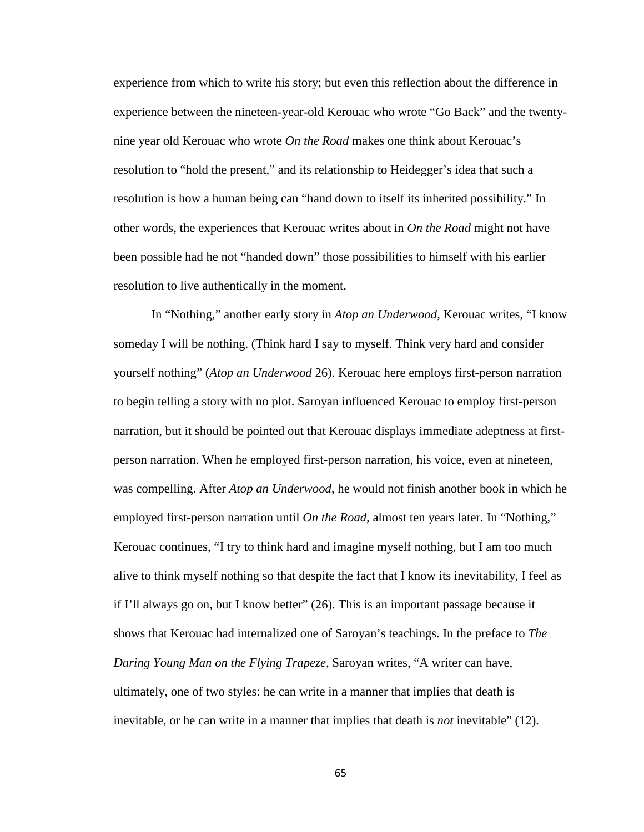experience from which to write his story; but even this reflection about the difference in experience between the nineteen-year-old Kerouac who wrote "Go Back" and the twentynine year old Kerouac who wrote *On the Road* makes one think about Kerouac's resolution to "hold the present," and its relationship to Heidegger's idea that such a resolution is how a human being can "hand down to itself its inherited possibility." In other words, the experiences that Kerouac writes about in *On the Road* might not have been possible had he not "handed down" those possibilities to himself with his earlier resolution to live authentically in the moment.

In "Nothing," another early story in *Atop an Underwood*, Kerouac writes, "I know someday I will be nothing. (Think hard I say to myself. Think very hard and consider yourself nothing" (*Atop an Underwood* 26). Kerouac here employs first-person narration to begin telling a story with no plot. Saroyan influenced Kerouac to employ first-person narration, but it should be pointed out that Kerouac displays immediate adeptness at firstperson narration. When he employed first-person narration, his voice, even at nineteen, was compelling. After *Atop an Underwood*, he would not finish another book in which he employed first-person narration until *On the Road*, almost ten years later. In "Nothing," Kerouac continues, "I try to think hard and imagine myself nothing, but I am too much alive to think myself nothing so that despite the fact that I know its inevitability, I feel as if I'll always go on, but I know better" (26). This is an important passage because it shows that Kerouac had internalized one of Saroyan's teachings. In the preface to *The Daring Young Man on the Flying Trapeze*, Saroyan writes, "A writer can have, ultimately, one of two styles: he can write in a manner that implies that death is inevitable, or he can write in a manner that implies that death is *not* inevitable" (12).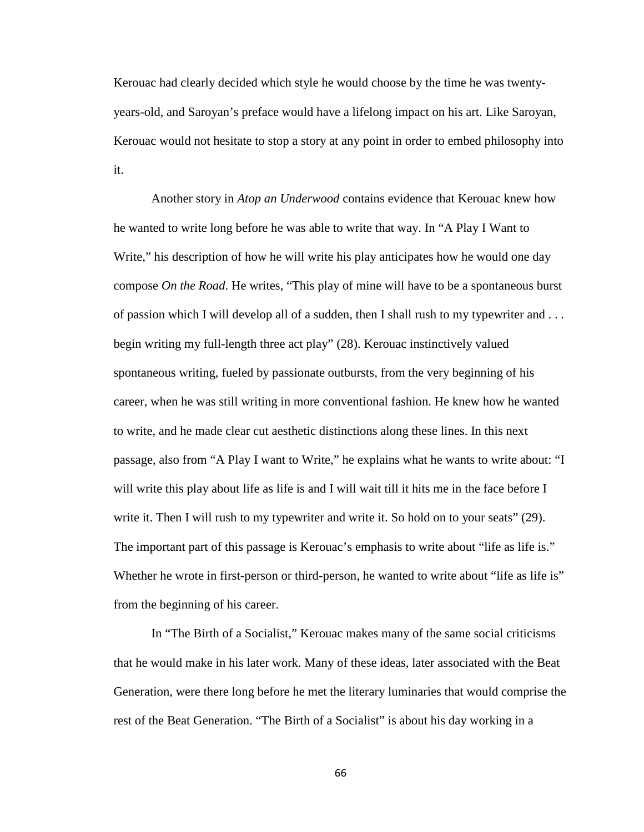Kerouac had clearly decided which style he would choose by the time he was twentyyears-old, and Saroyan's preface would have a lifelong impact on his art. Like Saroyan, Kerouac would not hesitate to stop a story at any point in order to embed philosophy into it.

Another story in *Atop an Underwood* contains evidence that Kerouac knew how he wanted to write long before he was able to write that way. In "A Play I Want to Write," his description of how he will write his play anticipates how he would one day compose *On the Road*. He writes, "This play of mine will have to be a spontaneous burst of passion which I will develop all of a sudden, then I shall rush to my typewriter and . . . begin writing my full-length three act play" (28). Kerouac instinctively valued spontaneous writing, fueled by passionate outbursts, from the very beginning of his career, when he was still writing in more conventional fashion. He knew how he wanted to write, and he made clear cut aesthetic distinctions along these lines. In this next passage, also from "A Play I want to Write," he explains what he wants to write about: "I will write this play about life as life is and I will wait till it hits me in the face before I write it. Then I will rush to my typewriter and write it. So hold on to your seats" (29). The important part of this passage is Kerouac's emphasis to write about "life as life is." Whether he wrote in first-person or third-person, he wanted to write about "life as life is" from the beginning of his career.

In "The Birth of a Socialist," Kerouac makes many of the same social criticisms that he would make in his later work. Many of these ideas, later associated with the Beat Generation, were there long before he met the literary luminaries that would comprise the rest of the Beat Generation. "The Birth of a Socialist" is about his day working in a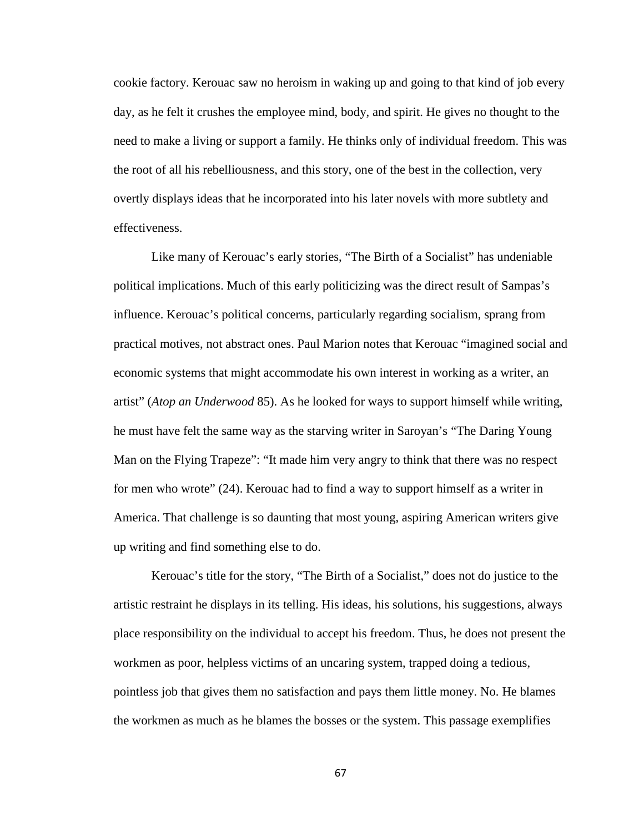cookie factory. Kerouac saw no heroism in waking up and going to that kind of job every day, as he felt it crushes the employee mind, body, and spirit. He gives no thought to the need to make a living or support a family. He thinks only of individual freedom. This was the root of all his rebelliousness, and this story, one of the best in the collection, very overtly displays ideas that he incorporated into his later novels with more subtlety and effectiveness.

Like many of Kerouac's early stories, "The Birth of a Socialist" has undeniable political implications. Much of this early politicizing was the direct result of Sampas's influence. Kerouac's political concerns, particularly regarding socialism, sprang from practical motives, not abstract ones. Paul Marion notes that Kerouac "imagined social and economic systems that might accommodate his own interest in working as a writer, an artist" (*Atop an Underwood* 85). As he looked for ways to support himself while writing, he must have felt the same way as the starving writer in Saroyan's "The Daring Young Man on the Flying Trapeze": "It made him very angry to think that there was no respect for men who wrote" (24). Kerouac had to find a way to support himself as a writer in America. That challenge is so daunting that most young, aspiring American writers give up writing and find something else to do.

Kerouac's title for the story, "The Birth of a Socialist," does not do justice to the artistic restraint he displays in its telling. His ideas, his solutions, his suggestions, always place responsibility on the individual to accept his freedom. Thus, he does not present the workmen as poor, helpless victims of an uncaring system, trapped doing a tedious, pointless job that gives them no satisfaction and pays them little money. No. He blames the workmen as much as he blames the bosses or the system. This passage exemplifies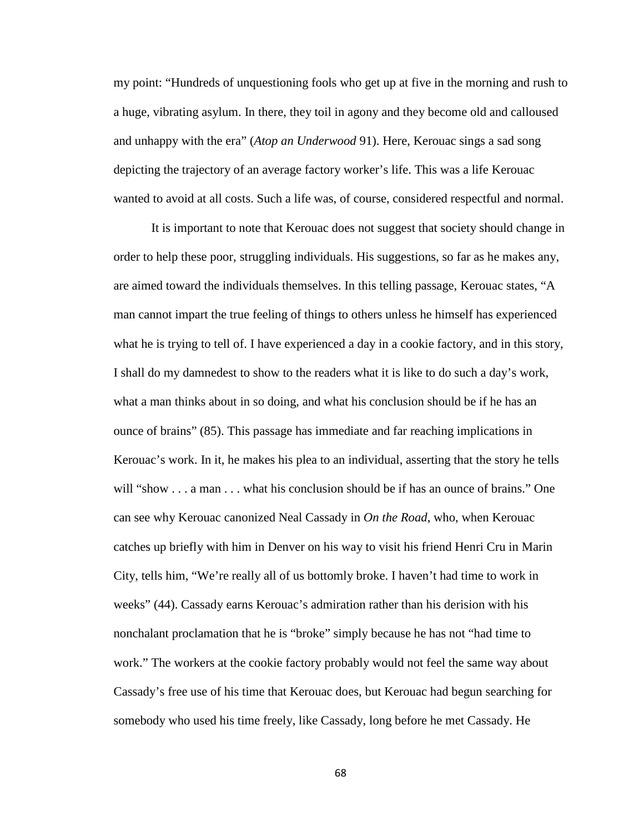my point: "Hundreds of unquestioning fools who get up at five in the morning and rush to a huge, vibrating asylum. In there, they toil in agony and they become old and calloused and unhappy with the era" (*Atop an Underwood* 91). Here, Kerouac sings a sad song depicting the trajectory of an average factory worker's life. This was a life Kerouac wanted to avoid at all costs. Such a life was, of course, considered respectful and normal.

It is important to note that Kerouac does not suggest that society should change in order to help these poor, struggling individuals. His suggestions, so far as he makes any, are aimed toward the individuals themselves. In this telling passage, Kerouac states, "A man cannot impart the true feeling of things to others unless he himself has experienced what he is trying to tell of. I have experienced a day in a cookie factory, and in this story, I shall do my damnedest to show to the readers what it is like to do such a day's work, what a man thinks about in so doing, and what his conclusion should be if he has an ounce of brains" (85). This passage has immediate and far reaching implications in Kerouac's work. In it, he makes his plea to an individual, asserting that the story he tells will "show . . . a man . . . what his conclusion should be if has an ounce of brains." One can see why Kerouac canonized Neal Cassady in *On the Road*, who, when Kerouac catches up briefly with him in Denver on his way to visit his friend Henri Cru in Marin City, tells him, "We're really all of us bottomly broke. I haven't had time to work in weeks" (44). Cassady earns Kerouac's admiration rather than his derision with his nonchalant proclamation that he is "broke" simply because he has not "had time to work." The workers at the cookie factory probably would not feel the same way about Cassady's free use of his time that Kerouac does, but Kerouac had begun searching for somebody who used his time freely, like Cassady, long before he met Cassady. He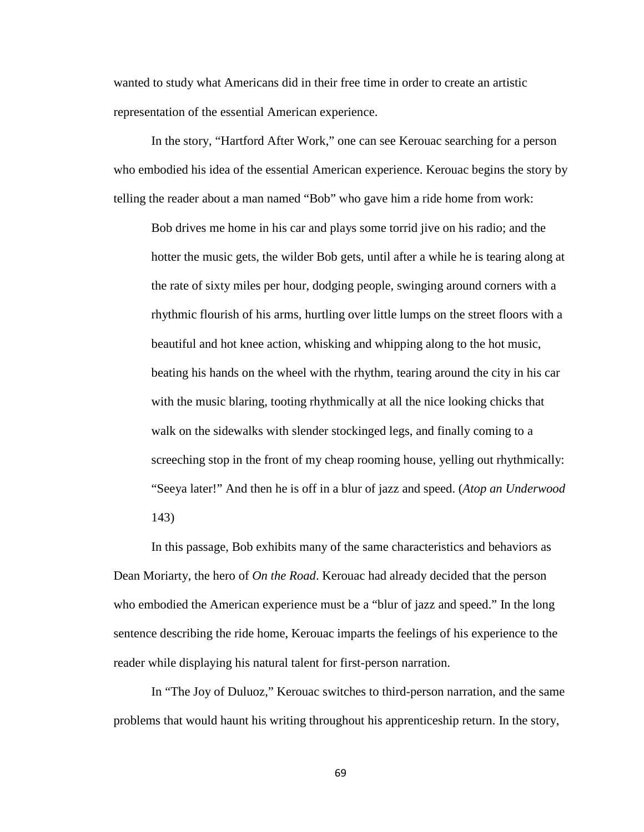wanted to study what Americans did in their free time in order to create an artistic representation of the essential American experience.

In the story, "Hartford After Work," one can see Kerouac searching for a person who embodied his idea of the essential American experience. Kerouac begins the story by telling the reader about a man named "Bob" who gave him a ride home from work:

Bob drives me home in his car and plays some torrid jive on his radio; and the hotter the music gets, the wilder Bob gets, until after a while he is tearing along at the rate of sixty miles per hour, dodging people, swinging around corners with a rhythmic flourish of his arms, hurtling over little lumps on the street floors with a beautiful and hot knee action, whisking and whipping along to the hot music, beating his hands on the wheel with the rhythm, tearing around the city in his car with the music blaring, tooting rhythmically at all the nice looking chicks that walk on the sidewalks with slender stockinged legs, and finally coming to a screeching stop in the front of my cheap rooming house, yelling out rhythmically: "Seeya later!" And then he is off in a blur of jazz and speed. (*Atop an Underwood*  143)

In this passage, Bob exhibits many of the same characteristics and behaviors as Dean Moriarty, the hero of *On the Road*. Kerouac had already decided that the person who embodied the American experience must be a "blur of jazz and speed." In the long sentence describing the ride home, Kerouac imparts the feelings of his experience to the reader while displaying his natural talent for first-person narration.

In "The Joy of Duluoz," Kerouac switches to third-person narration, and the same problems that would haunt his writing throughout his apprenticeship return. In the story,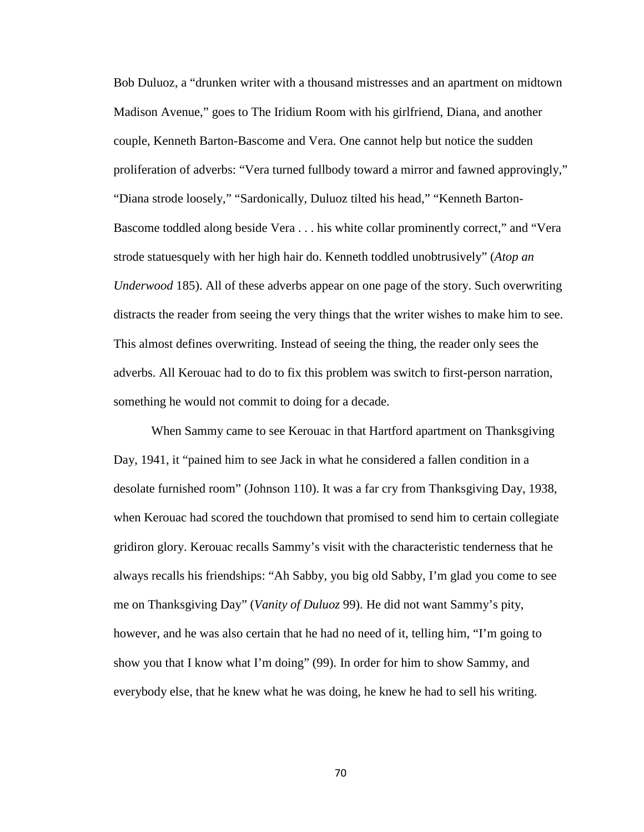Bob Duluoz, a "drunken writer with a thousand mistresses and an apartment on midtown Madison Avenue," goes to The Iridium Room with his girlfriend, Diana, and another couple, Kenneth Barton-Bascome and Vera. One cannot help but notice the sudden proliferation of adverbs: "Vera turned fullbody toward a mirror and fawned approvingly," "Diana strode loosely," "Sardonically, Duluoz tilted his head," "Kenneth Barton-Bascome toddled along beside Vera . . . his white collar prominently correct," and "Vera strode statuesquely with her high hair do. Kenneth toddled unobtrusively" (*Atop an Underwood* 185). All of these adverbs appear on one page of the story. Such overwriting distracts the reader from seeing the very things that the writer wishes to make him to see. This almost defines overwriting. Instead of seeing the thing, the reader only sees the adverbs. All Kerouac had to do to fix this problem was switch to first-person narration, something he would not commit to doing for a decade.

When Sammy came to see Kerouac in that Hartford apartment on Thanksgiving Day, 1941, it "pained him to see Jack in what he considered a fallen condition in a desolate furnished room" (Johnson 110). It was a far cry from Thanksgiving Day, 1938, when Kerouac had scored the touchdown that promised to send him to certain collegiate gridiron glory. Kerouac recalls Sammy's visit with the characteristic tenderness that he always recalls his friendships: "Ah Sabby, you big old Sabby, I'm glad you come to see me on Thanksgiving Day" (*Vanity of Duluoz* 99). He did not want Sammy's pity, however, and he was also certain that he had no need of it, telling him, "I'm going to show you that I know what I'm doing" (99). In order for him to show Sammy, and everybody else, that he knew what he was doing, he knew he had to sell his writing.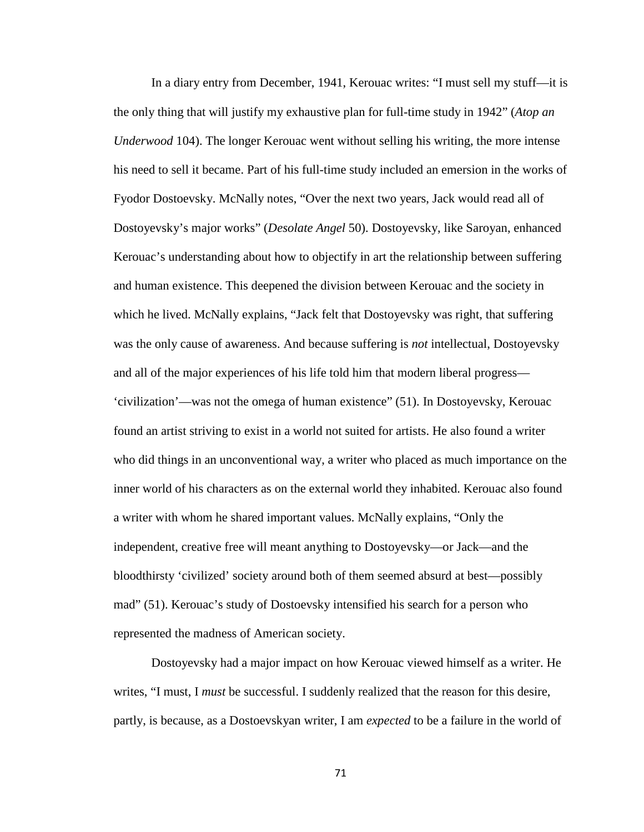In a diary entry from December, 1941, Kerouac writes: "I must sell my stuff—it is the only thing that will justify my exhaustive plan for full-time study in 1942" (*Atop an Underwood* 104). The longer Kerouac went without selling his writing, the more intense his need to sell it became. Part of his full-time study included an emersion in the works of Fyodor Dostoevsky. McNally notes, "Over the next two years, Jack would read all of Dostoyevsky's major works" (*Desolate Angel* 50). Dostoyevsky, like Saroyan, enhanced Kerouac's understanding about how to objectify in art the relationship between suffering and human existence. This deepened the division between Kerouac and the society in which he lived. McNally explains, "Jack felt that Dostoyevsky was right, that suffering was the only cause of awareness. And because suffering is *not* intellectual, Dostoyevsky and all of the major experiences of his life told him that modern liberal progress— 'civilization'—was not the omega of human existence" (51). In Dostoyevsky, Kerouac found an artist striving to exist in a world not suited for artists. He also found a writer who did things in an unconventional way, a writer who placed as much importance on the inner world of his characters as on the external world they inhabited. Kerouac also found a writer with whom he shared important values. McNally explains, "Only the independent, creative free will meant anything to Dostoyevsky—or Jack—and the bloodthirsty 'civilized' society around both of them seemed absurd at best—possibly mad" (51). Kerouac's study of Dostoevsky intensified his search for a person who represented the madness of American society.

Dostoyevsky had a major impact on how Kerouac viewed himself as a writer. He writes, "I must, I *must* be successful. I suddenly realized that the reason for this desire, partly, is because, as a Dostoevskyan writer, I am *expected* to be a failure in the world of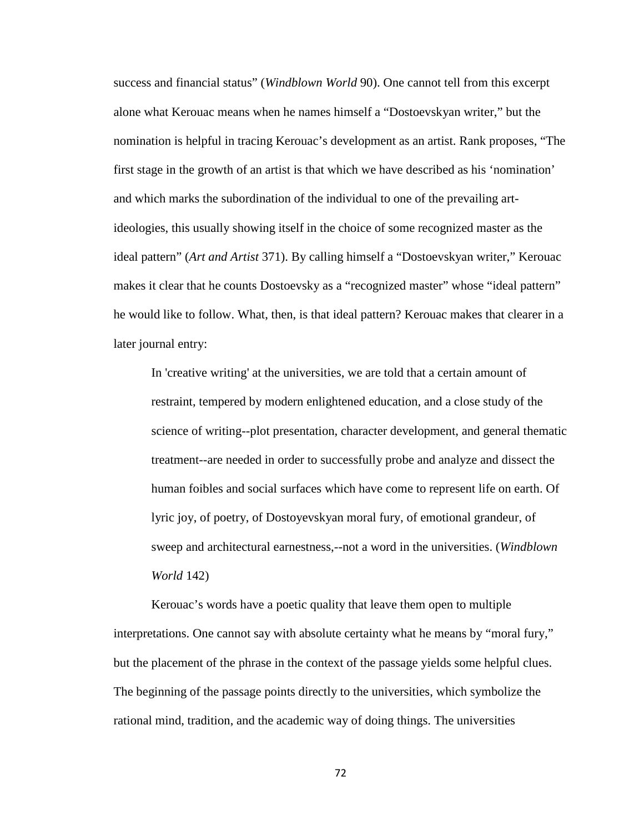success and financial status" (*Windblown World* 90). One cannot tell from this excerpt alone what Kerouac means when he names himself a "Dostoevskyan writer," but the nomination is helpful in tracing Kerouac's development as an artist. Rank proposes, "The first stage in the growth of an artist is that which we have described as his 'nomination' and which marks the subordination of the individual to one of the prevailing artideologies, this usually showing itself in the choice of some recognized master as the ideal pattern" (*Art and Artist* 371). By calling himself a "Dostoevskyan writer," Kerouac makes it clear that he counts Dostoevsky as a "recognized master" whose "ideal pattern" he would like to follow. What, then, is that ideal pattern? Kerouac makes that clearer in a later journal entry:

In 'creative writing' at the universities, we are told that a certain amount of restraint, tempered by modern enlightened education, and a close study of the science of writing--plot presentation, character development, and general thematic treatment--are needed in order to successfully probe and analyze and dissect the human foibles and social surfaces which have come to represent life on earth. Of lyric joy, of poetry, of Dostoyevskyan moral fury, of emotional grandeur, of sweep and architectural earnestness,--not a word in the universities. (*Windblown World* 142)

Kerouac's words have a poetic quality that leave them open to multiple interpretations. One cannot say with absolute certainty what he means by "moral fury," but the placement of the phrase in the context of the passage yields some helpful clues. The beginning of the passage points directly to the universities, which symbolize the rational mind, tradition, and the academic way of doing things. The universities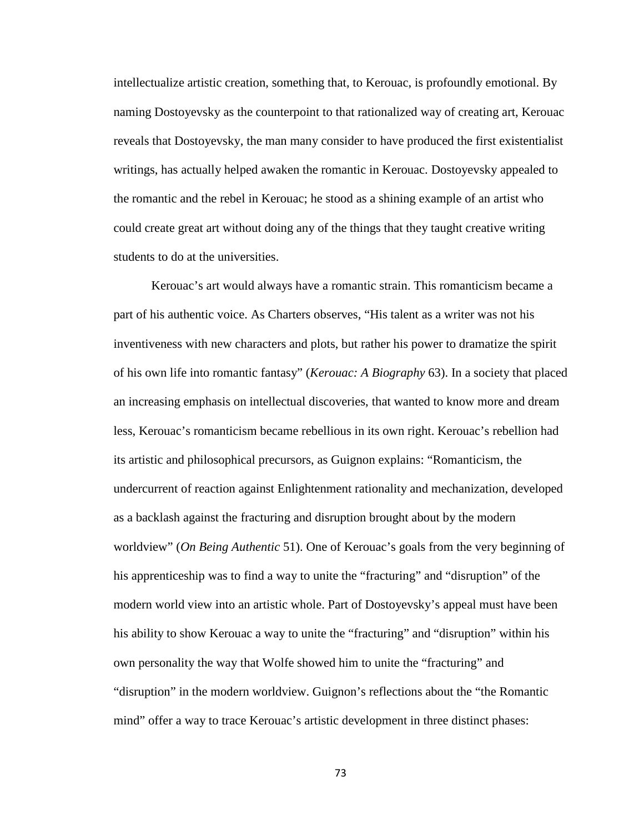intellectualize artistic creation, something that, to Kerouac, is profoundly emotional. By naming Dostoyevsky as the counterpoint to that rationalized way of creating art, Kerouac reveals that Dostoyevsky, the man many consider to have produced the first existentialist writings, has actually helped awaken the romantic in Kerouac. Dostoyevsky appealed to the romantic and the rebel in Kerouac; he stood as a shining example of an artist who could create great art without doing any of the things that they taught creative writing students to do at the universities.

Kerouac's art would always have a romantic strain. This romanticism became a part of his authentic voice. As Charters observes, "His talent as a writer was not his inventiveness with new characters and plots, but rather his power to dramatize the spirit of his own life into romantic fantasy" (*Kerouac: A Biography* 63). In a society that placed an increasing emphasis on intellectual discoveries, that wanted to know more and dream less, Kerouac's romanticism became rebellious in its own right. Kerouac's rebellion had its artistic and philosophical precursors, as Guignon explains: "Romanticism, the undercurrent of reaction against Enlightenment rationality and mechanization, developed as a backlash against the fracturing and disruption brought about by the modern worldview" (*On Being Authentic* 51). One of Kerouac's goals from the very beginning of his apprenticeship was to find a way to unite the "fracturing" and "disruption" of the modern world view into an artistic whole. Part of Dostoyevsky's appeal must have been his ability to show Kerouac a way to unite the "fracturing" and "disruption" within his own personality the way that Wolfe showed him to unite the "fracturing" and "disruption" in the modern worldview. Guignon's reflections about the "the Romantic mind" offer a way to trace Kerouac's artistic development in three distinct phases: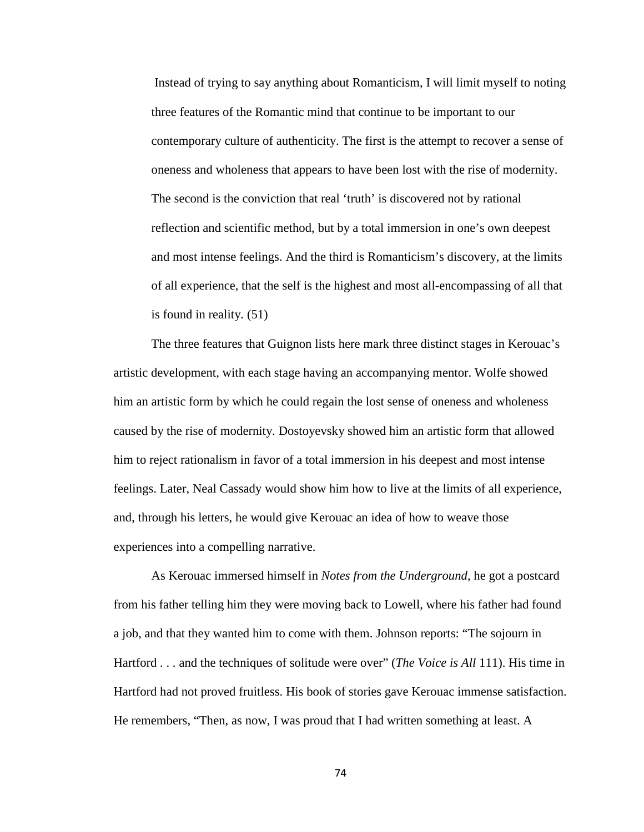Instead of trying to say anything about Romanticism, I will limit myself to noting three features of the Romantic mind that continue to be important to our contemporary culture of authenticity. The first is the attempt to recover a sense of oneness and wholeness that appears to have been lost with the rise of modernity. The second is the conviction that real 'truth' is discovered not by rational reflection and scientific method, but by a total immersion in one's own deepest and most intense feelings. And the third is Romanticism's discovery, at the limits of all experience, that the self is the highest and most all-encompassing of all that is found in reality. (51)

The three features that Guignon lists here mark three distinct stages in Kerouac's artistic development, with each stage having an accompanying mentor. Wolfe showed him an artistic form by which he could regain the lost sense of oneness and wholeness caused by the rise of modernity. Dostoyevsky showed him an artistic form that allowed him to reject rationalism in favor of a total immersion in his deepest and most intense feelings. Later, Neal Cassady would show him how to live at the limits of all experience, and, through his letters, he would give Kerouac an idea of how to weave those experiences into a compelling narrative.

As Kerouac immersed himself in *Notes from the Underground*, he got a postcard from his father telling him they were moving back to Lowell, where his father had found a job, and that they wanted him to come with them. Johnson reports: "The sojourn in Hartford . . . and the techniques of solitude were over" (*The Voice is All* 111). His time in Hartford had not proved fruitless. His book of stories gave Kerouac immense satisfaction. He remembers, "Then, as now, I was proud that I had written something at least. A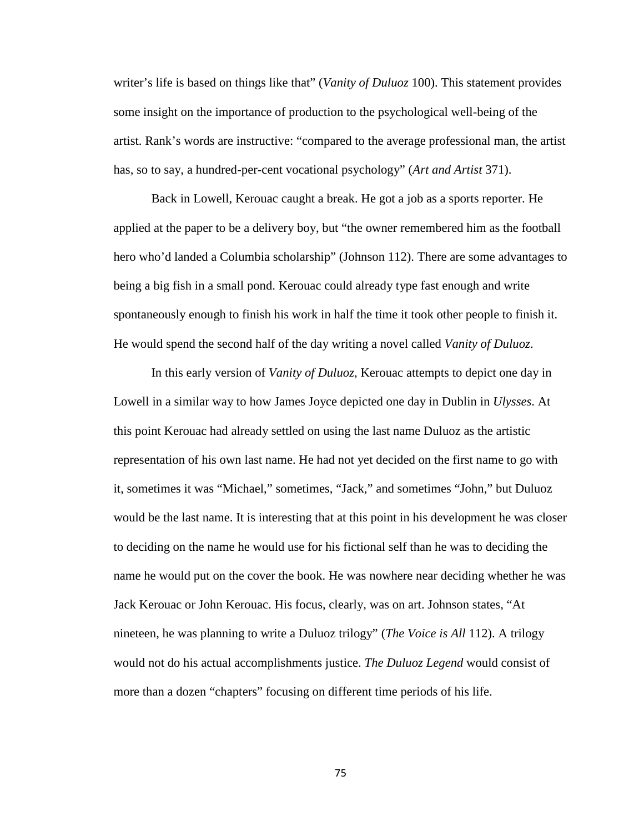writer's life is based on things like that" (*Vanity of Duluoz* 100). This statement provides some insight on the importance of production to the psychological well-being of the artist. Rank's words are instructive: "compared to the average professional man, the artist has, so to say, a hundred-per-cent vocational psychology" (*Art and Artist* 371).

Back in Lowell, Kerouac caught a break. He got a job as a sports reporter. He applied at the paper to be a delivery boy, but "the owner remembered him as the football hero who'd landed a Columbia scholarship" (Johnson 112). There are some advantages to being a big fish in a small pond. Kerouac could already type fast enough and write spontaneously enough to finish his work in half the time it took other people to finish it. He would spend the second half of the day writing a novel called *Vanity of Duluoz*.

In this early version of *Vanity of Duluoz*, Kerouac attempts to depict one day in Lowell in a similar way to how James Joyce depicted one day in Dublin in *Ulysses*. At this point Kerouac had already settled on using the last name Duluoz as the artistic representation of his own last name. He had not yet decided on the first name to go with it, sometimes it was "Michael," sometimes, "Jack," and sometimes "John," but Duluoz would be the last name. It is interesting that at this point in his development he was closer to deciding on the name he would use for his fictional self than he was to deciding the name he would put on the cover the book. He was nowhere near deciding whether he was Jack Kerouac or John Kerouac. His focus, clearly, was on art. Johnson states, "At nineteen, he was planning to write a Duluoz trilogy" (*The Voice is All* 112). A trilogy would not do his actual accomplishments justice. *The Duluoz Legend* would consist of more than a dozen "chapters" focusing on different time periods of his life.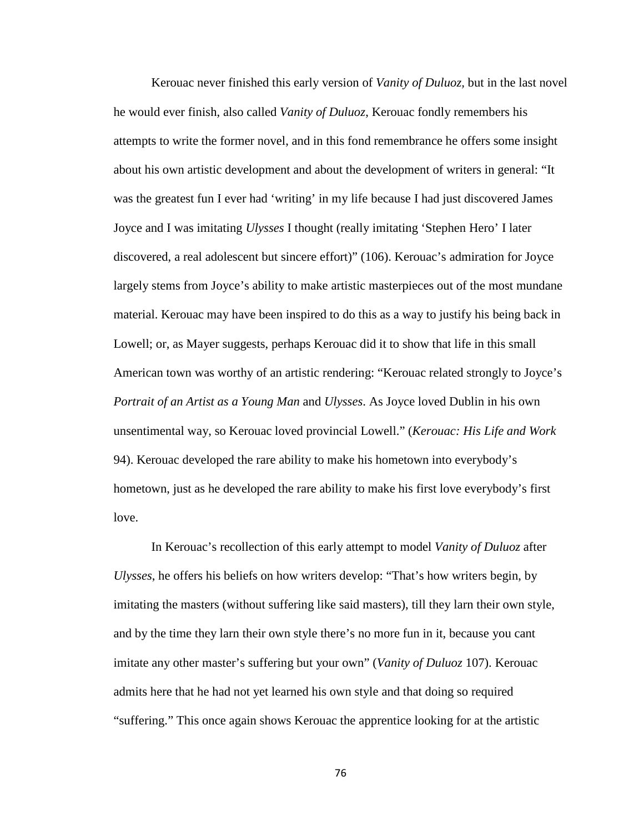Kerouac never finished this early version of *Vanity of Duluoz,* but in the last novel he would ever finish, also called *Vanity of Duluoz*, Kerouac fondly remembers his attempts to write the former novel, and in this fond remembrance he offers some insight about his own artistic development and about the development of writers in general: "It was the greatest fun I ever had 'writing' in my life because I had just discovered James Joyce and I was imitating *Ulysses* I thought (really imitating 'Stephen Hero' I later discovered, a real adolescent but sincere effort)" (106). Kerouac's admiration for Joyce largely stems from Joyce's ability to make artistic masterpieces out of the most mundane material. Kerouac may have been inspired to do this as a way to justify his being back in Lowell; or, as Mayer suggests, perhaps Kerouac did it to show that life in this small American town was worthy of an artistic rendering: "Kerouac related strongly to Joyce's *Portrait of an Artist as a Young Man* and *Ulysses*. As Joyce loved Dublin in his own unsentimental way, so Kerouac loved provincial Lowell." (*Kerouac: His Life and Work*  94). Kerouac developed the rare ability to make his hometown into everybody's hometown, just as he developed the rare ability to make his first love everybody's first love.

In Kerouac's recollection of this early attempt to model *Vanity of Duluoz* after *Ulysses*, he offers his beliefs on how writers develop: "That's how writers begin, by imitating the masters (without suffering like said masters), till they larn their own style, and by the time they larn their own style there's no more fun in it, because you cant imitate any other master's suffering but your own" (*Vanity of Duluoz* 107). Kerouac admits here that he had not yet learned his own style and that doing so required "suffering." This once again shows Kerouac the apprentice looking for at the artistic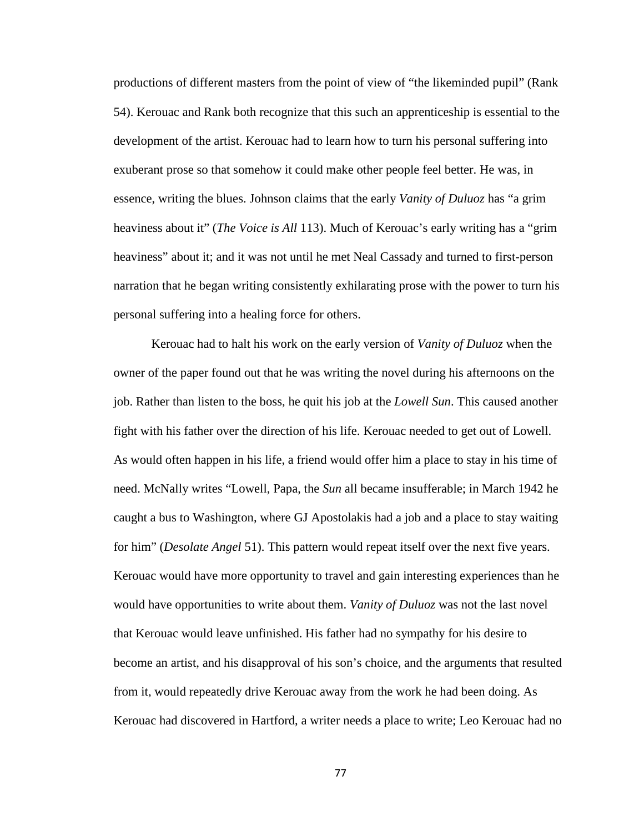productions of different masters from the point of view of "the likeminded pupil" (Rank 54). Kerouac and Rank both recognize that this such an apprenticeship is essential to the development of the artist. Kerouac had to learn how to turn his personal suffering into exuberant prose so that somehow it could make other people feel better. He was, in essence, writing the blues. Johnson claims that the early *Vanity of Duluoz* has "a grim heaviness about it" (*The Voice is All* 113). Much of Kerouac's early writing has a "grim heaviness" about it; and it was not until he met Neal Cassady and turned to first-person narration that he began writing consistently exhilarating prose with the power to turn his personal suffering into a healing force for others.

Kerouac had to halt his work on the early version of *Vanity of Duluoz* when the owner of the paper found out that he was writing the novel during his afternoons on the job. Rather than listen to the boss, he quit his job at the *Lowell Sun*. This caused another fight with his father over the direction of his life. Kerouac needed to get out of Lowell. As would often happen in his life, a friend would offer him a place to stay in his time of need. McNally writes "Lowell, Papa, the *Sun* all became insufferable; in March 1942 he caught a bus to Washington, where GJ Apostolakis had a job and a place to stay waiting for him" (*Desolate Angel* 51). This pattern would repeat itself over the next five years. Kerouac would have more opportunity to travel and gain interesting experiences than he would have opportunities to write about them. *Vanity of Duluoz* was not the last novel that Kerouac would leave unfinished. His father had no sympathy for his desire to become an artist, and his disapproval of his son's choice, and the arguments that resulted from it, would repeatedly drive Kerouac away from the work he had been doing. As Kerouac had discovered in Hartford, a writer needs a place to write; Leo Kerouac had no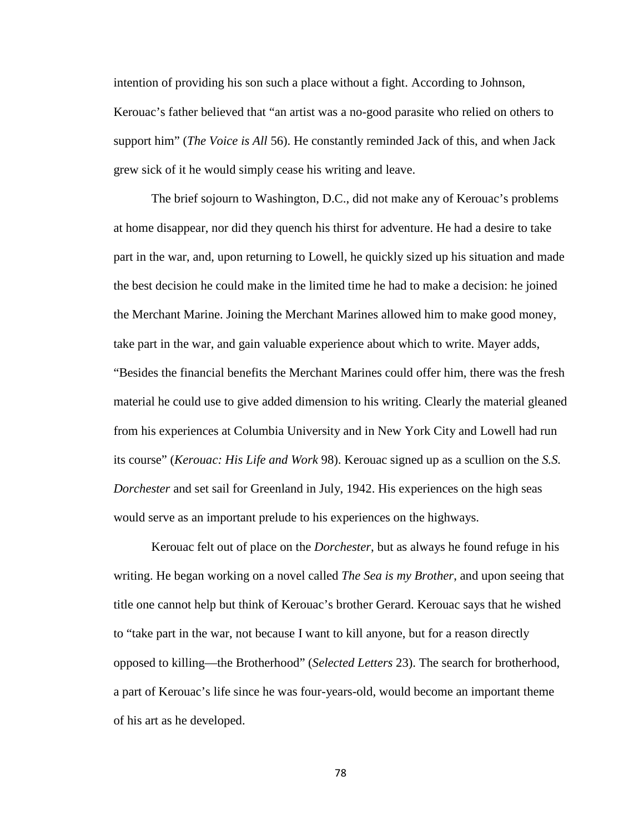intention of providing his son such a place without a fight. According to Johnson, Kerouac's father believed that "an artist was a no-good parasite who relied on others to support him" (*The Voice is All* 56). He constantly reminded Jack of this, and when Jack grew sick of it he would simply cease his writing and leave.

The brief sojourn to Washington, D.C., did not make any of Kerouac's problems at home disappear, nor did they quench his thirst for adventure. He had a desire to take part in the war, and, upon returning to Lowell, he quickly sized up his situation and made the best decision he could make in the limited time he had to make a decision: he joined the Merchant Marine. Joining the Merchant Marines allowed him to make good money, take part in the war, and gain valuable experience about which to write. Mayer adds, "Besides the financial benefits the Merchant Marines could offer him, there was the fresh material he could use to give added dimension to his writing. Clearly the material gleaned from his experiences at Columbia University and in New York City and Lowell had run its course" (*Kerouac: His Life and Work* 98). Kerouac signed up as a scullion on the *S.S. Dorchester* and set sail for Greenland in July, 1942. His experiences on the high seas would serve as an important prelude to his experiences on the highways.

Kerouac felt out of place on the *Dorchester*, but as always he found refuge in his writing. He began working on a novel called *The Sea is my Brother*, and upon seeing that title one cannot help but think of Kerouac's brother Gerard. Kerouac says that he wished to "take part in the war, not because I want to kill anyone, but for a reason directly opposed to killing—the Brotherhood" (*Selected Letters* 23). The search for brotherhood, a part of Kerouac's life since he was four-years-old, would become an important theme of his art as he developed.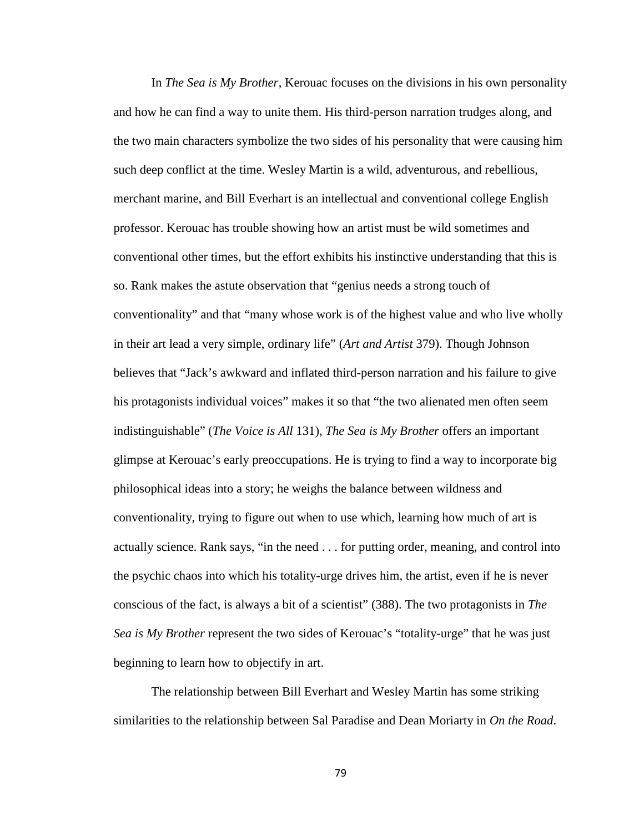In *The Sea is My Brother*, Kerouac focuses on the divisions in his own personality and how he can find a way to unite them. His third-person narration trudges along, and the two main characters symbolize the two sides of his personality that were causing him such deep conflict at the time. Wesley Martin is a wild, adventurous, and rebellious, merchant marine, and Bill Everhart is an intellectual and conventional college English professor. Kerouac has trouble showing how an artist must be wild sometimes and conventional other times, but the effort exhibits his instinctive understanding that this is so. Rank makes the astute observation that "genius needs a strong touch of conventionality" and that "many whose work is of the highest value and who live wholly in their art lead a very simple, ordinary life" (*Art and Artist* 379). Though Johnson believes that "Jack's awkward and inflated third-person narration and his failure to give his protagonists individual voices" makes it so that "the two alienated men often seem indistinguishable" (*The Voice is All* 131), *The Sea is My Brother* offers an important glimpse at Kerouac's early preoccupations. He is trying to find a way to incorporate big philosophical ideas into a story; he weighs the balance between wildness and conventionality, trying to figure out when to use which, learning how much of art is actually science. Rank says, "in the need . . . for putting order, meaning, and control into the psychic chaos into which his totality-urge drives him, the artist, even if he is never conscious of the fact, is always a bit of a scientist" (388). The two protagonists in *The Sea is My Brother* represent the two sides of Kerouac's "totality-urge" that he was just beginning to learn how to objectify in art.

The relationship between Bill Everhart and Wesley Martin has some striking similarities to the relationship between Sal Paradise and Dean Moriarty in *On the Road*.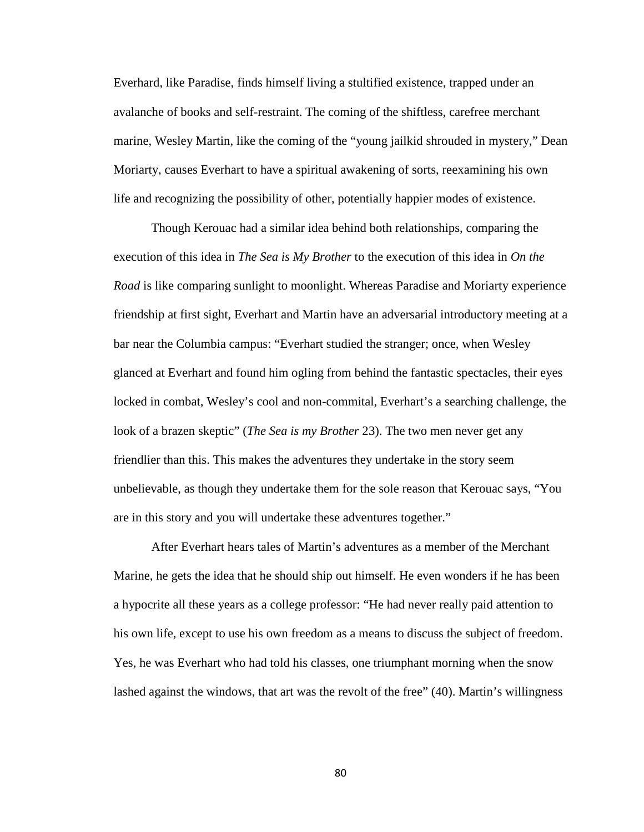Everhard, like Paradise, finds himself living a stultified existence, trapped under an avalanche of books and self-restraint. The coming of the shiftless, carefree merchant marine, Wesley Martin, like the coming of the "young jailkid shrouded in mystery," Dean Moriarty, causes Everhart to have a spiritual awakening of sorts, reexamining his own life and recognizing the possibility of other, potentially happier modes of existence.

Though Kerouac had a similar idea behind both relationships, comparing the execution of this idea in *The Sea is My Brother* to the execution of this idea in *On the Road* is like comparing sunlight to moonlight. Whereas Paradise and Moriarty experience friendship at first sight, Everhart and Martin have an adversarial introductory meeting at a bar near the Columbia campus: "Everhart studied the stranger; once, when Wesley glanced at Everhart and found him ogling from behind the fantastic spectacles, their eyes locked in combat, Wesley's cool and non-commital, Everhart's a searching challenge, the look of a brazen skeptic" (*The Sea is my Brother* 23). The two men never get any friendlier than this. This makes the adventures they undertake in the story seem unbelievable, as though they undertake them for the sole reason that Kerouac says, "You are in this story and you will undertake these adventures together."

After Everhart hears tales of Martin's adventures as a member of the Merchant Marine, he gets the idea that he should ship out himself. He even wonders if he has been a hypocrite all these years as a college professor: "He had never really paid attention to his own life, except to use his own freedom as a means to discuss the subject of freedom. Yes, he was Everhart who had told his classes, one triumphant morning when the snow lashed against the windows, that art was the revolt of the free" (40). Martin's willingness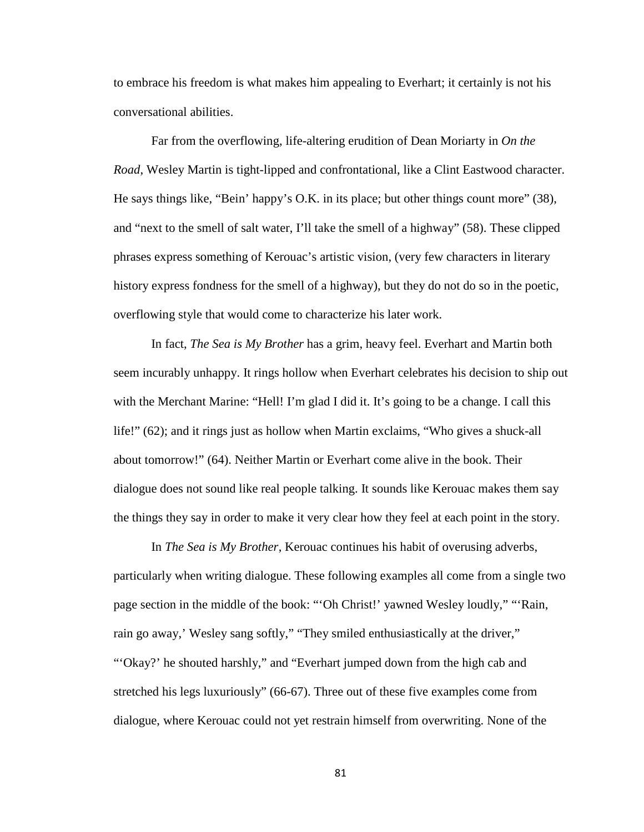to embrace his freedom is what makes him appealing to Everhart; it certainly is not his conversational abilities.

Far from the overflowing, life-altering erudition of Dean Moriarty in *On the Road*, Wesley Martin is tight-lipped and confrontational, like a Clint Eastwood character. He says things like, "Bein' happy's O.K. in its place; but other things count more" (38), and "next to the smell of salt water, I'll take the smell of a highway" (58). These clipped phrases express something of Kerouac's artistic vision, (very few characters in literary history express fondness for the smell of a highway), but they do not do so in the poetic, overflowing style that would come to characterize his later work.

In fact, *The Sea is My Brother* has a grim, heavy feel. Everhart and Martin both seem incurably unhappy. It rings hollow when Everhart celebrates his decision to ship out with the Merchant Marine: "Hell! I'm glad I did it. It's going to be a change. I call this life!" (62); and it rings just as hollow when Martin exclaims, "Who gives a shuck-all about tomorrow!" (64). Neither Martin or Everhart come alive in the book. Their dialogue does not sound like real people talking. It sounds like Kerouac makes them say the things they say in order to make it very clear how they feel at each point in the story.

In *The Sea is My Brother*, Kerouac continues his habit of overusing adverbs, particularly when writing dialogue. These following examples all come from a single two page section in the middle of the book: "'Oh Christ!' yawned Wesley loudly," "'Rain, rain go away,' Wesley sang softly," "They smiled enthusiastically at the driver," "'Okay?' he shouted harshly," and "Everhart jumped down from the high cab and stretched his legs luxuriously" (66-67). Three out of these five examples come from dialogue, where Kerouac could not yet restrain himself from overwriting. None of the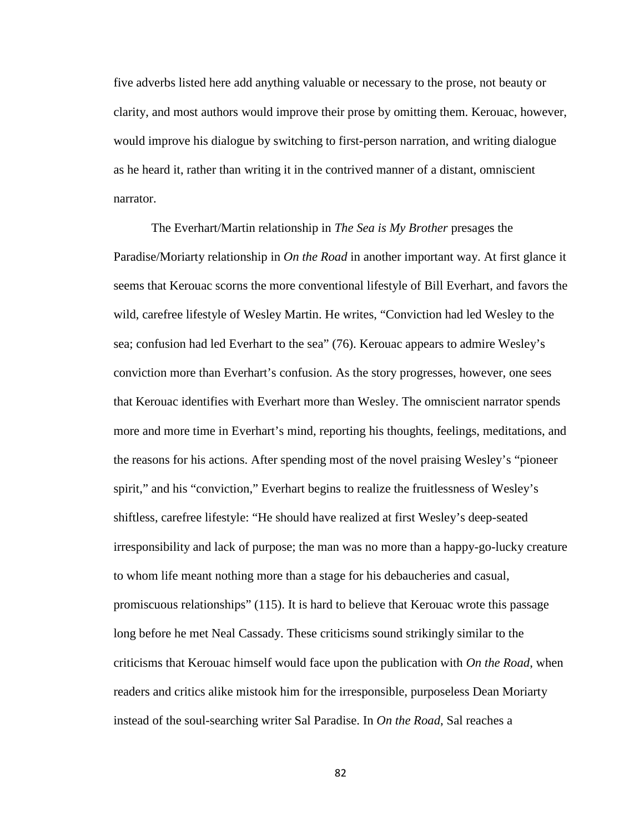five adverbs listed here add anything valuable or necessary to the prose, not beauty or clarity, and most authors would improve their prose by omitting them. Kerouac, however, would improve his dialogue by switching to first-person narration, and writing dialogue as he heard it, rather than writing it in the contrived manner of a distant, omniscient narrator.

The Everhart/Martin relationship in *The Sea is My Brother* presages the Paradise/Moriarty relationship in *On the Road* in another important way. At first glance it seems that Kerouac scorns the more conventional lifestyle of Bill Everhart, and favors the wild, carefree lifestyle of Wesley Martin. He writes, "Conviction had led Wesley to the sea; confusion had led Everhart to the sea" (76). Kerouac appears to admire Wesley's conviction more than Everhart's confusion. As the story progresses, however, one sees that Kerouac identifies with Everhart more than Wesley. The omniscient narrator spends more and more time in Everhart's mind, reporting his thoughts, feelings, meditations, and the reasons for his actions. After spending most of the novel praising Wesley's "pioneer spirit," and his "conviction," Everhart begins to realize the fruitlessness of Wesley's shiftless, carefree lifestyle: "He should have realized at first Wesley's deep-seated irresponsibility and lack of purpose; the man was no more than a happy-go-lucky creature to whom life meant nothing more than a stage for his debaucheries and casual, promiscuous relationships" (115). It is hard to believe that Kerouac wrote this passage long before he met Neal Cassady. These criticisms sound strikingly similar to the criticisms that Kerouac himself would face upon the publication with *On the Road*, when readers and critics alike mistook him for the irresponsible, purposeless Dean Moriarty instead of the soul-searching writer Sal Paradise. In *On the Road*, Sal reaches a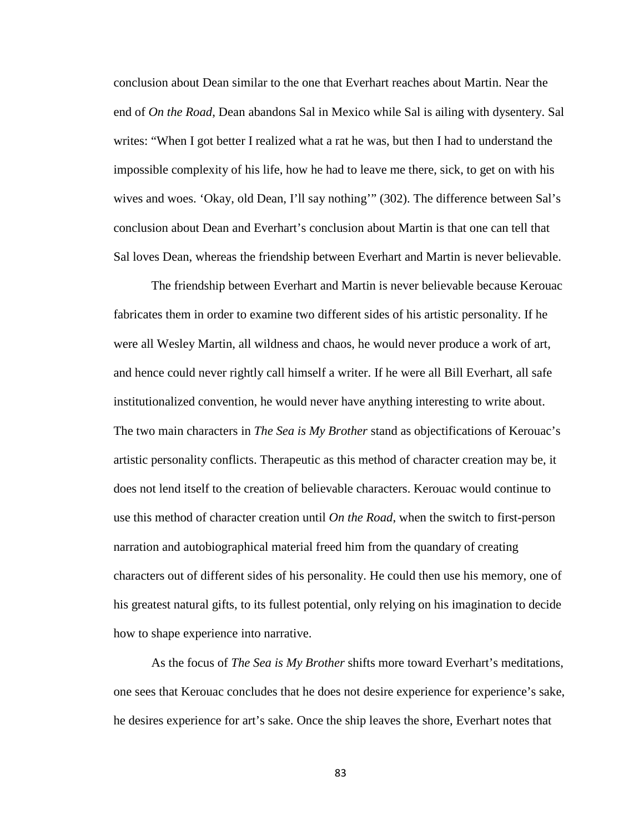conclusion about Dean similar to the one that Everhart reaches about Martin. Near the end of *On the Road*, Dean abandons Sal in Mexico while Sal is ailing with dysentery. Sal writes: "When I got better I realized what a rat he was, but then I had to understand the impossible complexity of his life, how he had to leave me there, sick, to get on with his wives and woes. 'Okay, old Dean, I'll say nothing'" (302). The difference between Sal's conclusion about Dean and Everhart's conclusion about Martin is that one can tell that Sal loves Dean, whereas the friendship between Everhart and Martin is never believable.

The friendship between Everhart and Martin is never believable because Kerouac fabricates them in order to examine two different sides of his artistic personality. If he were all Wesley Martin, all wildness and chaos, he would never produce a work of art, and hence could never rightly call himself a writer. If he were all Bill Everhart, all safe institutionalized convention, he would never have anything interesting to write about. The two main characters in *The Sea is My Brother* stand as objectifications of Kerouac's artistic personality conflicts. Therapeutic as this method of character creation may be, it does not lend itself to the creation of believable characters. Kerouac would continue to use this method of character creation until *On the Road*, when the switch to first-person narration and autobiographical material freed him from the quandary of creating characters out of different sides of his personality. He could then use his memory, one of his greatest natural gifts, to its fullest potential, only relying on his imagination to decide how to shape experience into narrative.

As the focus of *The Sea is My Brother* shifts more toward Everhart's meditations, one sees that Kerouac concludes that he does not desire experience for experience's sake, he desires experience for art's sake. Once the ship leaves the shore, Everhart notes that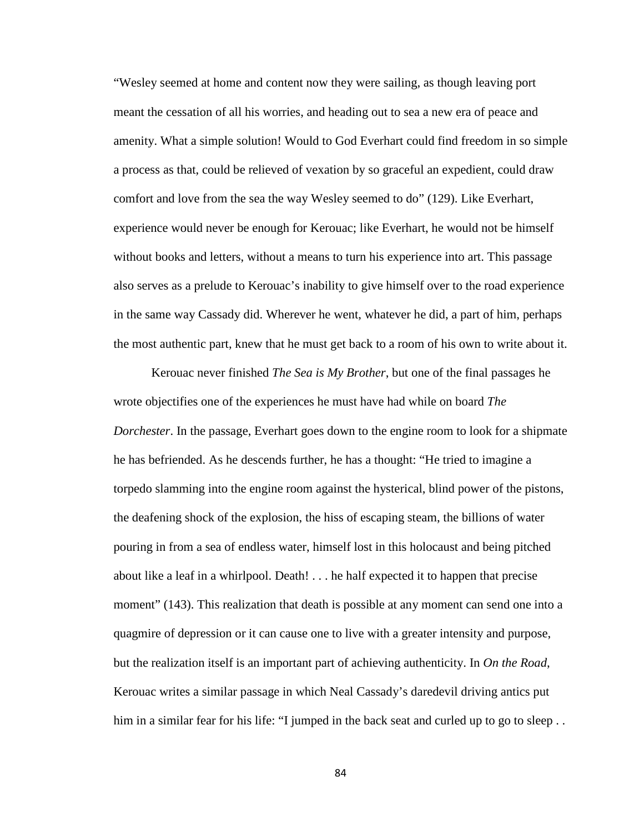"Wesley seemed at home and content now they were sailing, as though leaving port meant the cessation of all his worries, and heading out to sea a new era of peace and amenity. What a simple solution! Would to God Everhart could find freedom in so simple a process as that, could be relieved of vexation by so graceful an expedient, could draw comfort and love from the sea the way Wesley seemed to do" (129). Like Everhart, experience would never be enough for Kerouac; like Everhart, he would not be himself without books and letters, without a means to turn his experience into art. This passage also serves as a prelude to Kerouac's inability to give himself over to the road experience in the same way Cassady did. Wherever he went, whatever he did, a part of him, perhaps the most authentic part, knew that he must get back to a room of his own to write about it.

Kerouac never finished *The Sea is My Brother*, but one of the final passages he wrote objectifies one of the experiences he must have had while on board *The Dorchester*. In the passage, Everhart goes down to the engine room to look for a shipmate he has befriended. As he descends further, he has a thought: "He tried to imagine a torpedo slamming into the engine room against the hysterical, blind power of the pistons, the deafening shock of the explosion, the hiss of escaping steam, the billions of water pouring in from a sea of endless water, himself lost in this holocaust and being pitched about like a leaf in a whirlpool. Death! . . . he half expected it to happen that precise moment" (143). This realization that death is possible at any moment can send one into a quagmire of depression or it can cause one to live with a greater intensity and purpose, but the realization itself is an important part of achieving authenticity. In *On the Road*, Kerouac writes a similar passage in which Neal Cassady's daredevil driving antics put him in a similar fear for his life: "I jumped in the back seat and curled up to go to sleep...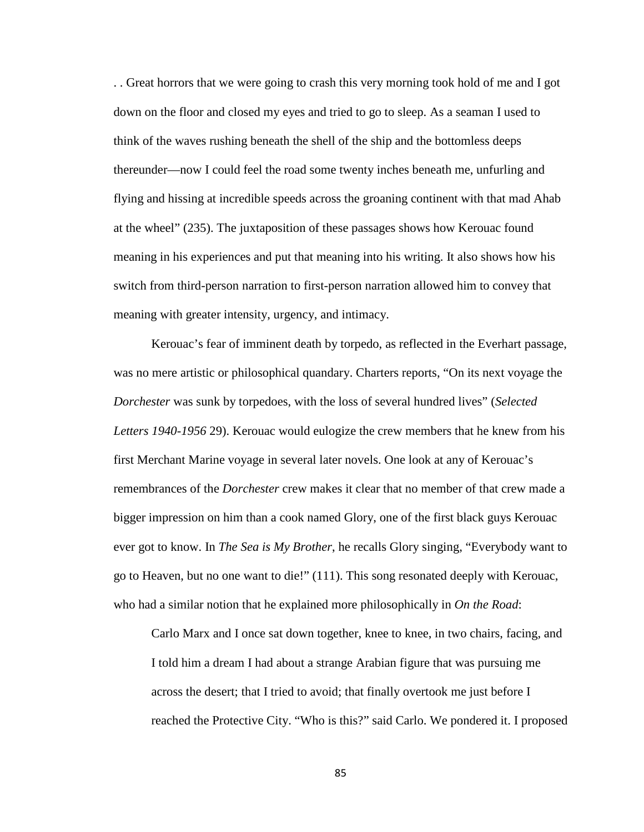. . Great horrors that we were going to crash this very morning took hold of me and I got down on the floor and closed my eyes and tried to go to sleep. As a seaman I used to think of the waves rushing beneath the shell of the ship and the bottomless deeps thereunder—now I could feel the road some twenty inches beneath me, unfurling and flying and hissing at incredible speeds across the groaning continent with that mad Ahab at the wheel" (235). The juxtaposition of these passages shows how Kerouac found meaning in his experiences and put that meaning into his writing. It also shows how his switch from third-person narration to first-person narration allowed him to convey that meaning with greater intensity, urgency, and intimacy.

Kerouac's fear of imminent death by torpedo, as reflected in the Everhart passage, was no mere artistic or philosophical quandary. Charters reports, "On its next voyage the *Dorchester* was sunk by torpedoes, with the loss of several hundred lives" (*Selected Letters 1940-1956* 29). Kerouac would eulogize the crew members that he knew from his first Merchant Marine voyage in several later novels. One look at any of Kerouac's remembrances of the *Dorchester* crew makes it clear that no member of that crew made a bigger impression on him than a cook named Glory, one of the first black guys Kerouac ever got to know. In *The Sea is My Brother*, he recalls Glory singing, "Everybody want to go to Heaven, but no one want to die!" (111). This song resonated deeply with Kerouac, who had a similar notion that he explained more philosophically in *On the Road*:

Carlo Marx and I once sat down together, knee to knee, in two chairs, facing, and I told him a dream I had about a strange Arabian figure that was pursuing me across the desert; that I tried to avoid; that finally overtook me just before I reached the Protective City. "Who is this?" said Carlo. We pondered it. I proposed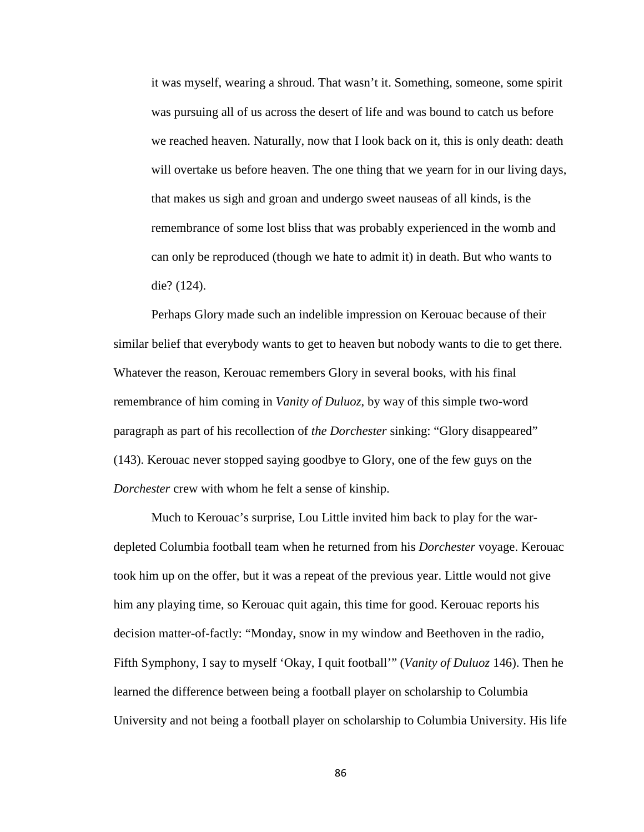it was myself, wearing a shroud. That wasn't it. Something, someone, some spirit was pursuing all of us across the desert of life and was bound to catch us before we reached heaven. Naturally, now that I look back on it, this is only death: death will overtake us before heaven. The one thing that we yearn for in our living days, that makes us sigh and groan and undergo sweet nauseas of all kinds, is the remembrance of some lost bliss that was probably experienced in the womb and can only be reproduced (though we hate to admit it) in death. But who wants to die? (124).

Perhaps Glory made such an indelible impression on Kerouac because of their similar belief that everybody wants to get to heaven but nobody wants to die to get there. Whatever the reason, Kerouac remembers Glory in several books, with his final remembrance of him coming in *Vanity of Duluoz*, by way of this simple two-word paragraph as part of his recollection of *the Dorchester* sinking: "Glory disappeared" (143). Kerouac never stopped saying goodbye to Glory, one of the few guys on the *Dorchester* crew with whom he felt a sense of kinship.

Much to Kerouac's surprise, Lou Little invited him back to play for the wardepleted Columbia football team when he returned from his *Dorchester* voyage. Kerouac took him up on the offer, but it was a repeat of the previous year. Little would not give him any playing time, so Kerouac quit again, this time for good. Kerouac reports his decision matter-of-factly: "Monday, snow in my window and Beethoven in the radio, Fifth Symphony, I say to myself 'Okay, I quit football'" (*Vanity of Duluoz* 146). Then he learned the difference between being a football player on scholarship to Columbia University and not being a football player on scholarship to Columbia University. His life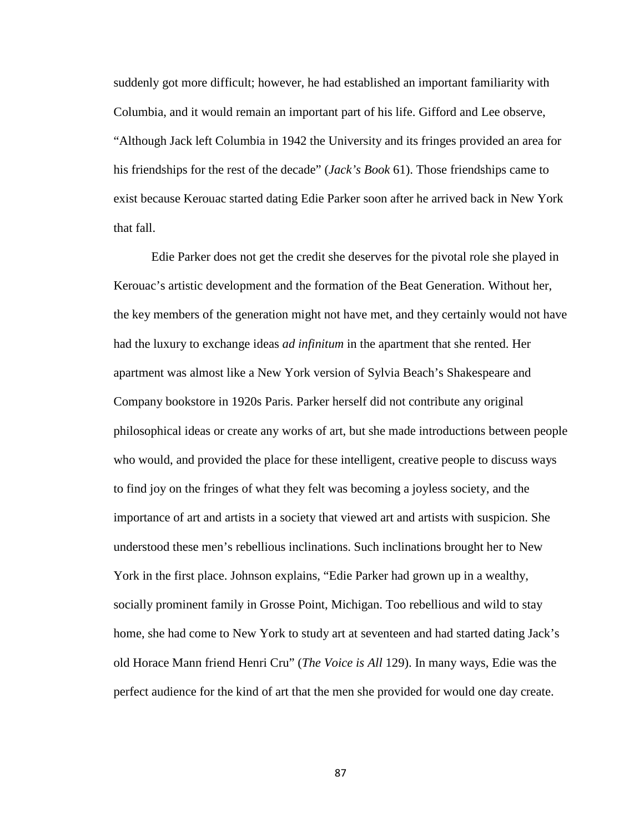suddenly got more difficult; however, he had established an important familiarity with Columbia, and it would remain an important part of his life. Gifford and Lee observe, "Although Jack left Columbia in 1942 the University and its fringes provided an area for his friendships for the rest of the decade" (*Jack's Book* 61). Those friendships came to exist because Kerouac started dating Edie Parker soon after he arrived back in New York that fall.

Edie Parker does not get the credit she deserves for the pivotal role she played in Kerouac's artistic development and the formation of the Beat Generation. Without her, the key members of the generation might not have met, and they certainly would not have had the luxury to exchange ideas *ad infinitum* in the apartment that she rented. Her apartment was almost like a New York version of Sylvia Beach's Shakespeare and Company bookstore in 1920s Paris. Parker herself did not contribute any original philosophical ideas or create any works of art, but she made introductions between people who would, and provided the place for these intelligent, creative people to discuss ways to find joy on the fringes of what they felt was becoming a joyless society, and the importance of art and artists in a society that viewed art and artists with suspicion. She understood these men's rebellious inclinations. Such inclinations brought her to New York in the first place. Johnson explains, "Edie Parker had grown up in a wealthy, socially prominent family in Grosse Point, Michigan. Too rebellious and wild to stay home, she had come to New York to study art at seventeen and had started dating Jack's old Horace Mann friend Henri Cru" (*The Voice is All* 129). In many ways, Edie was the perfect audience for the kind of art that the men she provided for would one day create.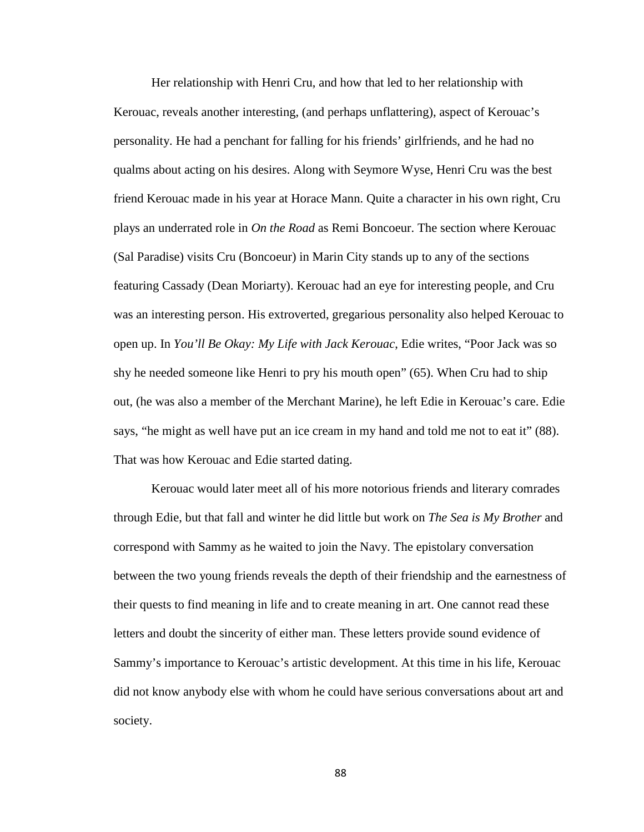Her relationship with Henri Cru, and how that led to her relationship with Kerouac, reveals another interesting, (and perhaps unflattering), aspect of Kerouac's personality. He had a penchant for falling for his friends' girlfriends, and he had no qualms about acting on his desires. Along with Seymore Wyse, Henri Cru was the best friend Kerouac made in his year at Horace Mann. Quite a character in his own right, Cru plays an underrated role in *On the Road* as Remi Boncoeur. The section where Kerouac (Sal Paradise) visits Cru (Boncoeur) in Marin City stands up to any of the sections featuring Cassady (Dean Moriarty). Kerouac had an eye for interesting people, and Cru was an interesting person. His extroverted, gregarious personality also helped Kerouac to open up. In *You'll Be Okay: My Life with Jack Kerouac*, Edie writes, "Poor Jack was so shy he needed someone like Henri to pry his mouth open" (65). When Cru had to ship out, (he was also a member of the Merchant Marine), he left Edie in Kerouac's care. Edie says, "he might as well have put an ice cream in my hand and told me not to eat it" (88). That was how Kerouac and Edie started dating.

Kerouac would later meet all of his more notorious friends and literary comrades through Edie, but that fall and winter he did little but work on *The Sea is My Brother* and correspond with Sammy as he waited to join the Navy. The epistolary conversation between the two young friends reveals the depth of their friendship and the earnestness of their quests to find meaning in life and to create meaning in art. One cannot read these letters and doubt the sincerity of either man. These letters provide sound evidence of Sammy's importance to Kerouac's artistic development. At this time in his life, Kerouac did not know anybody else with whom he could have serious conversations about art and society.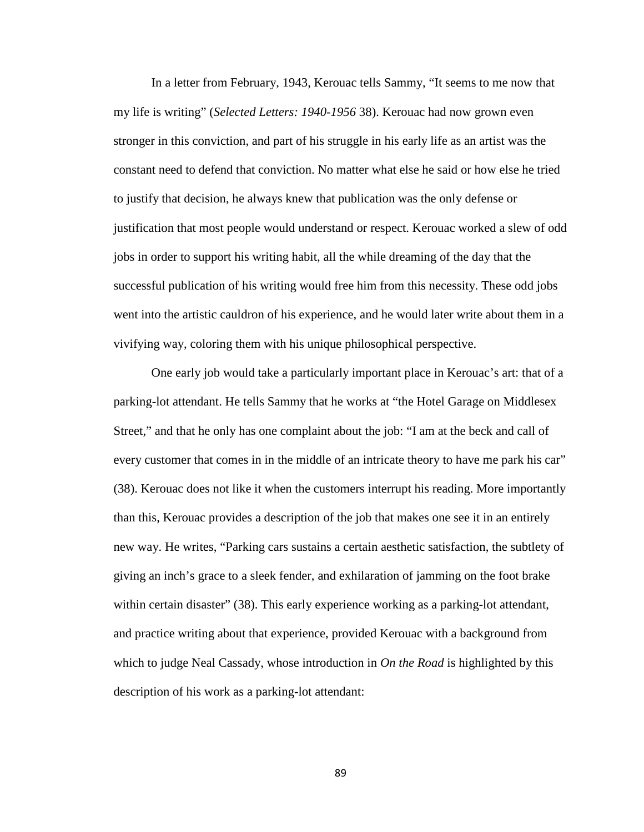In a letter from February, 1943, Kerouac tells Sammy, "It seems to me now that my life is writing" (*Selected Letters: 1940-1956* 38). Kerouac had now grown even stronger in this conviction, and part of his struggle in his early life as an artist was the constant need to defend that conviction. No matter what else he said or how else he tried to justify that decision, he always knew that publication was the only defense or justification that most people would understand or respect. Kerouac worked a slew of odd jobs in order to support his writing habit, all the while dreaming of the day that the successful publication of his writing would free him from this necessity. These odd jobs went into the artistic cauldron of his experience, and he would later write about them in a vivifying way, coloring them with his unique philosophical perspective.

One early job would take a particularly important place in Kerouac's art: that of a parking-lot attendant. He tells Sammy that he works at "the Hotel Garage on Middlesex Street," and that he only has one complaint about the job: "I am at the beck and call of every customer that comes in in the middle of an intricate theory to have me park his car" (38). Kerouac does not like it when the customers interrupt his reading. More importantly than this, Kerouac provides a description of the job that makes one see it in an entirely new way. He writes, "Parking cars sustains a certain aesthetic satisfaction, the subtlety of giving an inch's grace to a sleek fender, and exhilaration of jamming on the foot brake within certain disaster" (38). This early experience working as a parking-lot attendant, and practice writing about that experience, provided Kerouac with a background from which to judge Neal Cassady, whose introduction in *On the Road* is highlighted by this description of his work as a parking-lot attendant: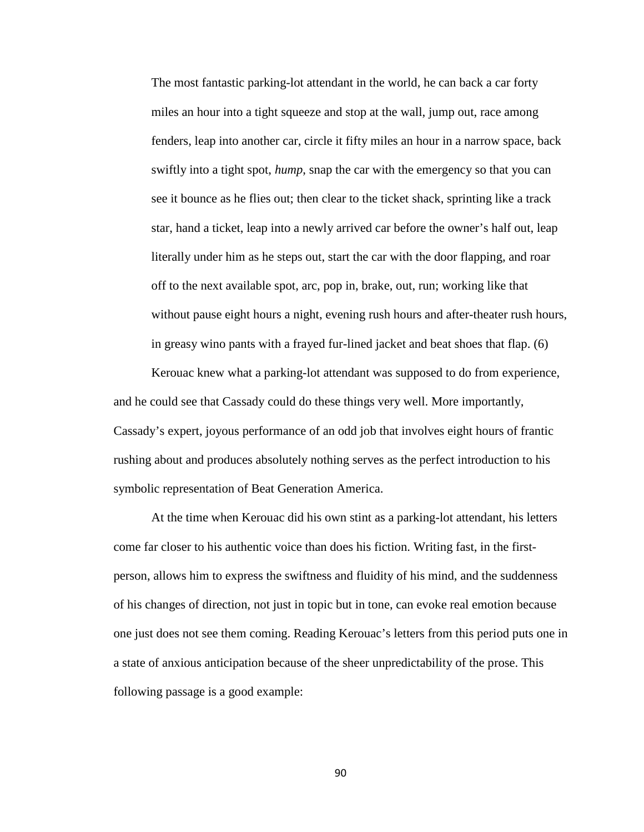The most fantastic parking-lot attendant in the world, he can back a car forty miles an hour into a tight squeeze and stop at the wall, jump out, race among fenders, leap into another car, circle it fifty miles an hour in a narrow space, back swiftly into a tight spot, *hump*, snap the car with the emergency so that you can see it bounce as he flies out; then clear to the ticket shack, sprinting like a track star, hand a ticket, leap into a newly arrived car before the owner's half out, leap literally under him as he steps out, start the car with the door flapping, and roar off to the next available spot, arc, pop in, brake, out, run; working like that without pause eight hours a night, evening rush hours and after-theater rush hours, in greasy wino pants with a frayed fur-lined jacket and beat shoes that flap. (6)

Kerouac knew what a parking-lot attendant was supposed to do from experience, and he could see that Cassady could do these things very well. More importantly, Cassady's expert, joyous performance of an odd job that involves eight hours of frantic rushing about and produces absolutely nothing serves as the perfect introduction to his symbolic representation of Beat Generation America.

At the time when Kerouac did his own stint as a parking-lot attendant, his letters come far closer to his authentic voice than does his fiction. Writing fast, in the firstperson, allows him to express the swiftness and fluidity of his mind, and the suddenness of his changes of direction, not just in topic but in tone, can evoke real emotion because one just does not see them coming. Reading Kerouac's letters from this period puts one in a state of anxious anticipation because of the sheer unpredictability of the prose. This following passage is a good example: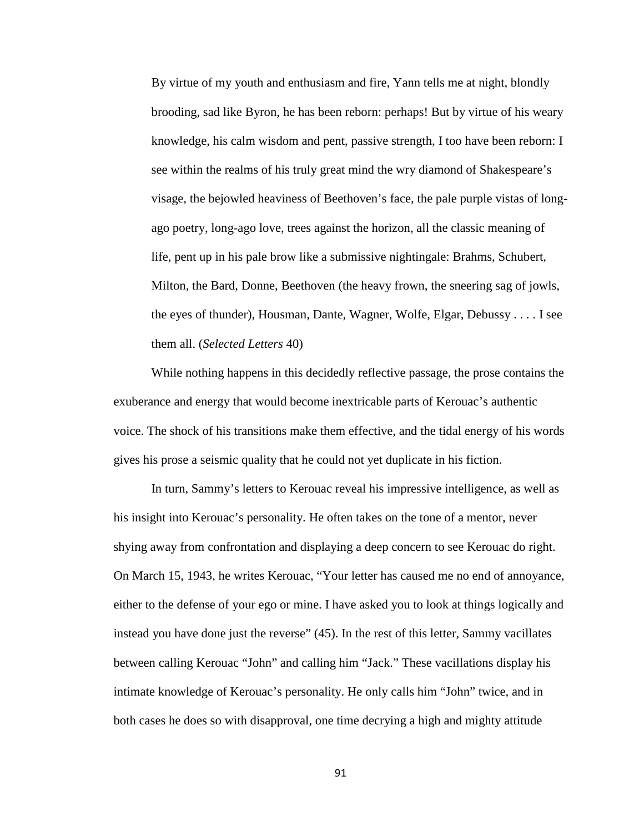By virtue of my youth and enthusiasm and fire, Yann tells me at night, blondly brooding, sad like Byron, he has been reborn: perhaps! But by virtue of his weary knowledge, his calm wisdom and pent, passive strength, I too have been reborn: I see within the realms of his truly great mind the wry diamond of Shakespeare's visage, the bejowled heaviness of Beethoven's face, the pale purple vistas of longago poetry, long-ago love, trees against the horizon, all the classic meaning of life, pent up in his pale brow like a submissive nightingale: Brahms, Schubert, Milton, the Bard, Donne, Beethoven (the heavy frown, the sneering sag of jowls, the eyes of thunder), Housman, Dante, Wagner, Wolfe, Elgar, Debussy . . . . I see them all. (*Selected Letters* 40)

While nothing happens in this decidedly reflective passage, the prose contains the exuberance and energy that would become inextricable parts of Kerouac's authentic voice. The shock of his transitions make them effective, and the tidal energy of his words gives his prose a seismic quality that he could not yet duplicate in his fiction.

In turn, Sammy's letters to Kerouac reveal his impressive intelligence, as well as his insight into Kerouac's personality. He often takes on the tone of a mentor, never shying away from confrontation and displaying a deep concern to see Kerouac do right. On March 15, 1943, he writes Kerouac, "Your letter has caused me no end of annoyance, either to the defense of your ego or mine. I have asked you to look at things logically and instead you have done just the reverse" (45). In the rest of this letter, Sammy vacillates between calling Kerouac "John" and calling him "Jack." These vacillations display his intimate knowledge of Kerouac's personality. He only calls him "John" twice, and in both cases he does so with disapproval, one time decrying a high and mighty attitude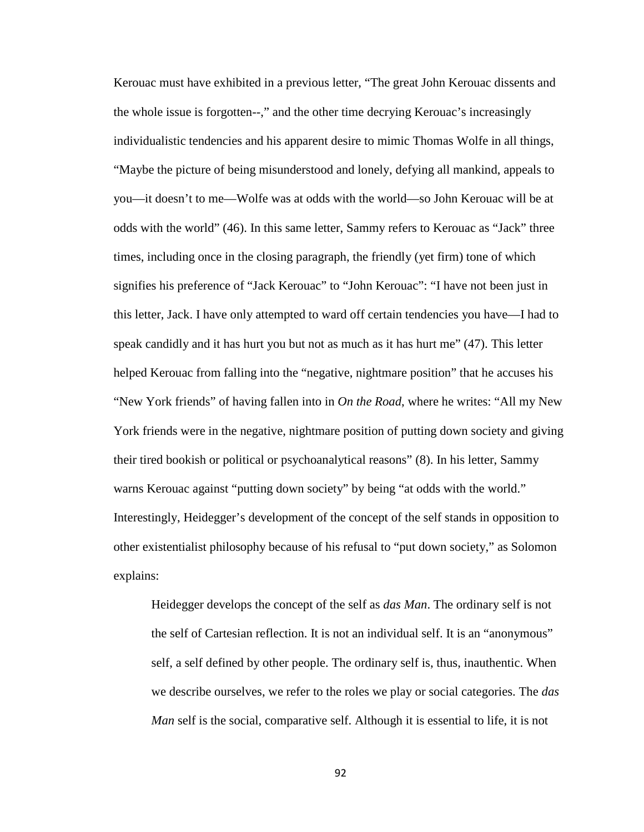Kerouac must have exhibited in a previous letter, "The great John Kerouac dissents and the whole issue is forgotten--," and the other time decrying Kerouac's increasingly individualistic tendencies and his apparent desire to mimic Thomas Wolfe in all things, "Maybe the picture of being misunderstood and lonely, defying all mankind, appeals to you—it doesn't to me—Wolfe was at odds with the world—so John Kerouac will be at odds with the world" (46). In this same letter, Sammy refers to Kerouac as "Jack" three times, including once in the closing paragraph, the friendly (yet firm) tone of which signifies his preference of "Jack Kerouac" to "John Kerouac": "I have not been just in this letter, Jack. I have only attempted to ward off certain tendencies you have—I had to speak candidly and it has hurt you but not as much as it has hurt me" (47). This letter helped Kerouac from falling into the "negative, nightmare position" that he accuses his "New York friends" of having fallen into in *On the Road*, where he writes: "All my New York friends were in the negative, nightmare position of putting down society and giving their tired bookish or political or psychoanalytical reasons" (8). In his letter, Sammy warns Kerouac against "putting down society" by being "at odds with the world." Interestingly, Heidegger's development of the concept of the self stands in opposition to other existentialist philosophy because of his refusal to "put down society," as Solomon explains:

Heidegger develops the concept of the self as *das Man*. The ordinary self is not the self of Cartesian reflection. It is not an individual self. It is an "anonymous" self, a self defined by other people. The ordinary self is, thus, inauthentic. When we describe ourselves, we refer to the roles we play or social categories. The *das Man* self is the social, comparative self. Although it is essential to life, it is not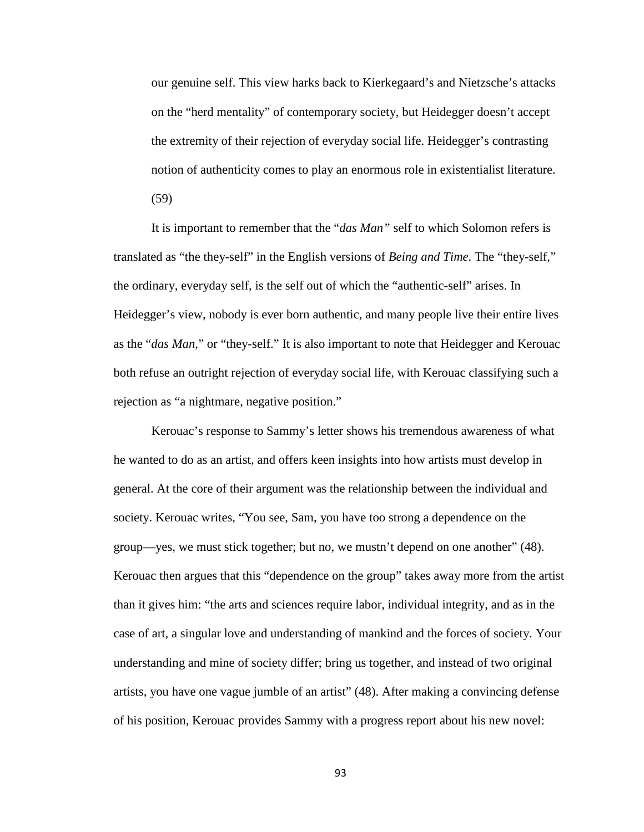our genuine self. This view harks back to Kierkegaard's and Nietzsche's attacks on the "herd mentality" of contemporary society, but Heidegger doesn't accept the extremity of their rejection of everyday social life. Heidegger's contrasting notion of authenticity comes to play an enormous role in existentialist literature. (59)

It is important to remember that the "*das Man"* self to which Solomon refers is translated as "the they-self" in the English versions of *Being and Time*. The "they-self," the ordinary, everyday self, is the self out of which the "authentic-self" arises. In Heidegger's view, nobody is ever born authentic, and many people live their entire lives as the "*das Man*," or "they-self." It is also important to note that Heidegger and Kerouac both refuse an outright rejection of everyday social life, with Kerouac classifying such a rejection as "a nightmare, negative position."

Kerouac's response to Sammy's letter shows his tremendous awareness of what he wanted to do as an artist, and offers keen insights into how artists must develop in general. At the core of their argument was the relationship between the individual and society. Kerouac writes, "You see, Sam, you have too strong a dependence on the group—yes, we must stick together; but no, we mustn't depend on one another" (48). Kerouac then argues that this "dependence on the group" takes away more from the artist than it gives him: "the arts and sciences require labor, individual integrity, and as in the case of art, a singular love and understanding of mankind and the forces of society. Your understanding and mine of society differ; bring us together, and instead of two original artists, you have one vague jumble of an artist" (48). After making a convincing defense of his position, Kerouac provides Sammy with a progress report about his new novel: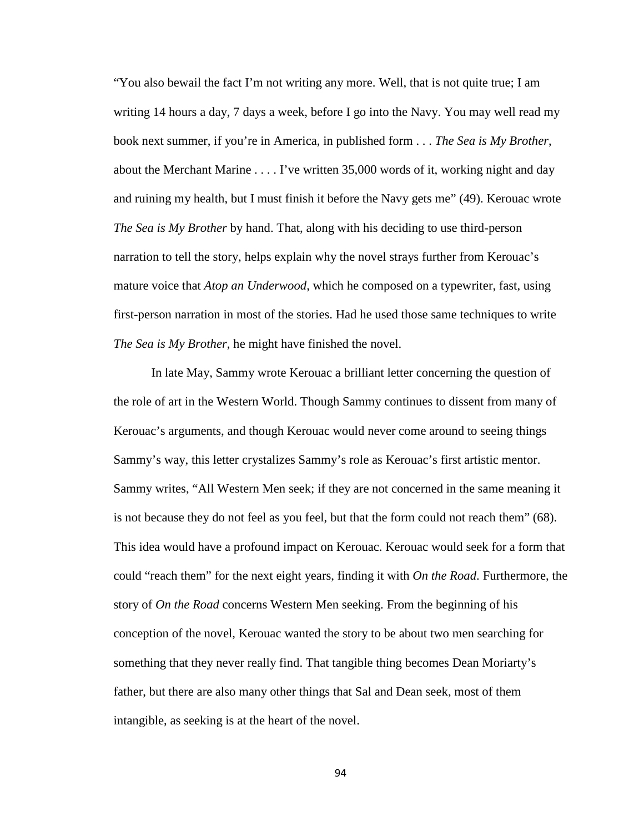"You also bewail the fact I'm not writing any more. Well, that is not quite true; I am writing 14 hours a day, 7 days a week, before I go into the Navy. You may well read my book next summer, if you're in America, in published form . . . *The Sea is My Brother*, about the Merchant Marine . . . . I've written 35,000 words of it, working night and day and ruining my health, but I must finish it before the Navy gets me" (49). Kerouac wrote *The Sea is My Brother* by hand. That, along with his deciding to use third-person narration to tell the story, helps explain why the novel strays further from Kerouac's mature voice that *Atop an Underwood*, which he composed on a typewriter, fast, using first-person narration in most of the stories. Had he used those same techniques to write *The Sea is My Brother*, he might have finished the novel.

In late May, Sammy wrote Kerouac a brilliant letter concerning the question of the role of art in the Western World. Though Sammy continues to dissent from many of Kerouac's arguments, and though Kerouac would never come around to seeing things Sammy's way, this letter crystalizes Sammy's role as Kerouac's first artistic mentor. Sammy writes, "All Western Men seek; if they are not concerned in the same meaning it is not because they do not feel as you feel, but that the form could not reach them" (68). This idea would have a profound impact on Kerouac. Kerouac would seek for a form that could "reach them" for the next eight years, finding it with *On the Road*. Furthermore, the story of *On the Road* concerns Western Men seeking. From the beginning of his conception of the novel, Kerouac wanted the story to be about two men searching for something that they never really find. That tangible thing becomes Dean Moriarty's father, but there are also many other things that Sal and Dean seek, most of them intangible, as seeking is at the heart of the novel.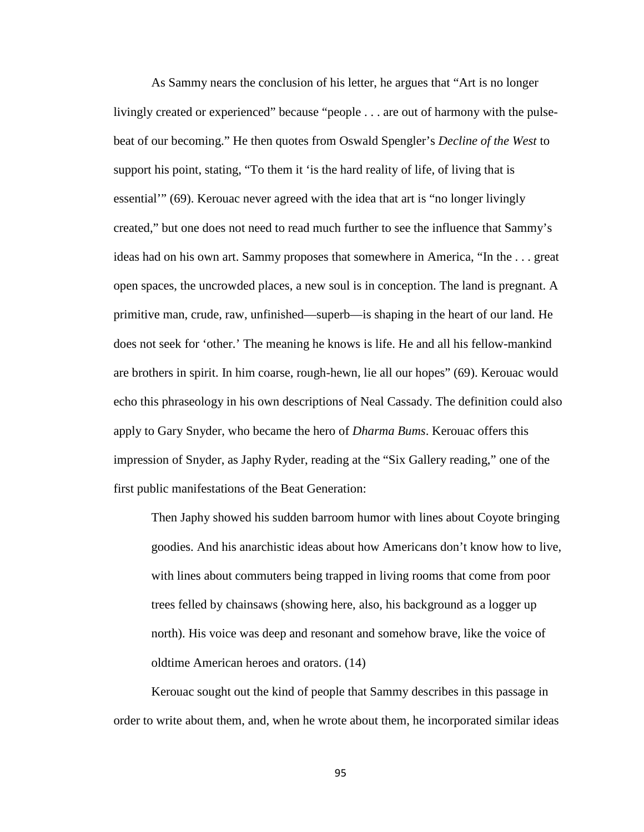As Sammy nears the conclusion of his letter, he argues that "Art is no longer livingly created or experienced" because "people . . . are out of harmony with the pulsebeat of our becoming." He then quotes from Oswald Spengler's *Decline of the West* to support his point, stating, "To them it 'is the hard reality of life, of living that is essential'" (69). Kerouac never agreed with the idea that art is "no longer livingly created," but one does not need to read much further to see the influence that Sammy's ideas had on his own art. Sammy proposes that somewhere in America, "In the . . . great open spaces, the uncrowded places, a new soul is in conception. The land is pregnant. A primitive man, crude, raw, unfinished—superb—is shaping in the heart of our land. He does not seek for 'other.' The meaning he knows is life. He and all his fellow-mankind are brothers in spirit. In him coarse, rough-hewn, lie all our hopes" (69). Kerouac would echo this phraseology in his own descriptions of Neal Cassady. The definition could also apply to Gary Snyder, who became the hero of *Dharma Bums*. Kerouac offers this impression of Snyder, as Japhy Ryder, reading at the "Six Gallery reading," one of the first public manifestations of the Beat Generation:

Then Japhy showed his sudden barroom humor with lines about Coyote bringing goodies. And his anarchistic ideas about how Americans don't know how to live, with lines about commuters being trapped in living rooms that come from poor trees felled by chainsaws (showing here, also, his background as a logger up north). His voice was deep and resonant and somehow brave, like the voice of oldtime American heroes and orators. (14)

Kerouac sought out the kind of people that Sammy describes in this passage in order to write about them, and, when he wrote about them, he incorporated similar ideas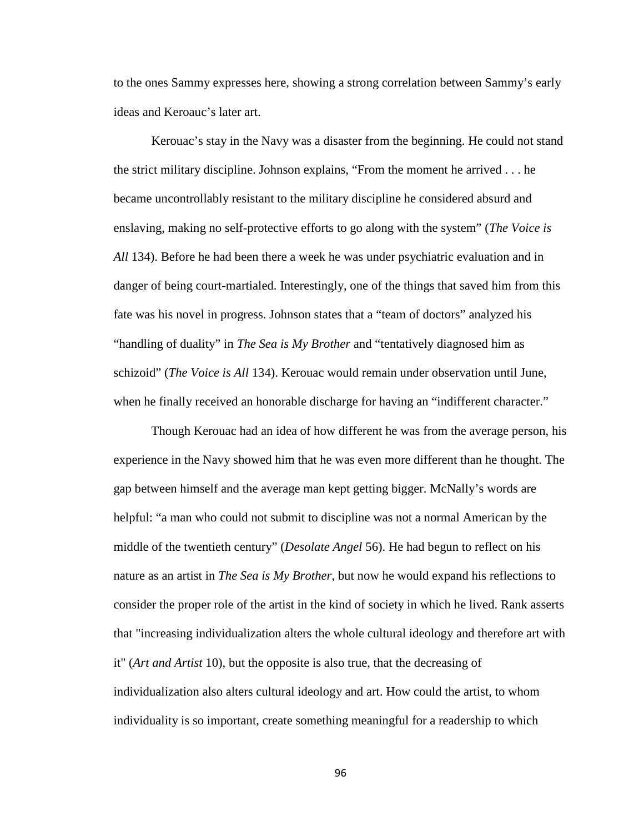to the ones Sammy expresses here, showing a strong correlation between Sammy's early ideas and Keroauc's later art.

Kerouac's stay in the Navy was a disaster from the beginning. He could not stand the strict military discipline. Johnson explains, "From the moment he arrived . . . he became uncontrollably resistant to the military discipline he considered absurd and enslaving, making no self-protective efforts to go along with the system" (*The Voice is All* 134). Before he had been there a week he was under psychiatric evaluation and in danger of being court-martialed. Interestingly, one of the things that saved him from this fate was his novel in progress. Johnson states that a "team of doctors" analyzed his "handling of duality" in *The Sea is My Brother* and "tentatively diagnosed him as schizoid" (*The Voice is All* 134). Kerouac would remain under observation until June, when he finally received an honorable discharge for having an "indifferent character."

Though Kerouac had an idea of how different he was from the average person, his experience in the Navy showed him that he was even more different than he thought. The gap between himself and the average man kept getting bigger. McNally's words are helpful: "a man who could not submit to discipline was not a normal American by the middle of the twentieth century" (*Desolate Angel* 56). He had begun to reflect on his nature as an artist in *The Sea is My Brother*, but now he would expand his reflections to consider the proper role of the artist in the kind of society in which he lived. Rank asserts that "increasing individualization alters the whole cultural ideology and therefore art with it" (*Art and Artist* 10), but the opposite is also true, that the decreasing of individualization also alters cultural ideology and art. How could the artist, to whom individuality is so important, create something meaningful for a readership to which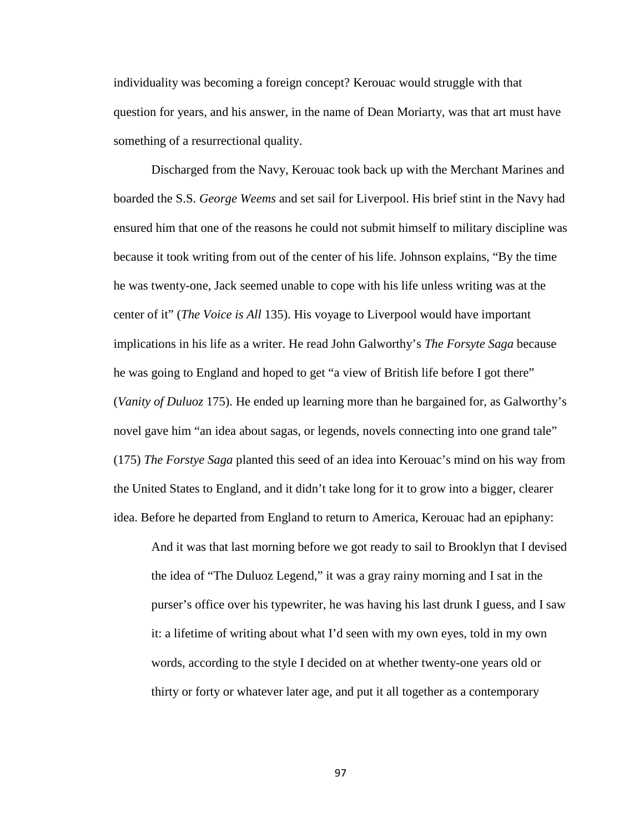individuality was becoming a foreign concept? Kerouac would struggle with that question for years, and his answer, in the name of Dean Moriarty, was that art must have something of a resurrectional quality.

Discharged from the Navy, Kerouac took back up with the Merchant Marines and boarded the S.S. *George Weems* and set sail for Liverpool. His brief stint in the Navy had ensured him that one of the reasons he could not submit himself to military discipline was because it took writing from out of the center of his life. Johnson explains, "By the time he was twenty-one, Jack seemed unable to cope with his life unless writing was at the center of it" (*The Voice is All* 135). His voyage to Liverpool would have important implications in his life as a writer. He read John Galworthy's *The Forsyte Saga* because he was going to England and hoped to get "a view of British life before I got there" (*Vanity of Duluoz* 175). He ended up learning more than he bargained for, as Galworthy's novel gave him "an idea about sagas, or legends, novels connecting into one grand tale" (175) *The Forstye Saga* planted this seed of an idea into Kerouac's mind on his way from the United States to England, and it didn't take long for it to grow into a bigger, clearer idea. Before he departed from England to return to America, Kerouac had an epiphany:

And it was that last morning before we got ready to sail to Brooklyn that I devised the idea of "The Duluoz Legend," it was a gray rainy morning and I sat in the purser's office over his typewriter, he was having his last drunk I guess, and I saw it: a lifetime of writing about what I'd seen with my own eyes, told in my own words, according to the style I decided on at whether twenty-one years old or thirty or forty or whatever later age, and put it all together as a contemporary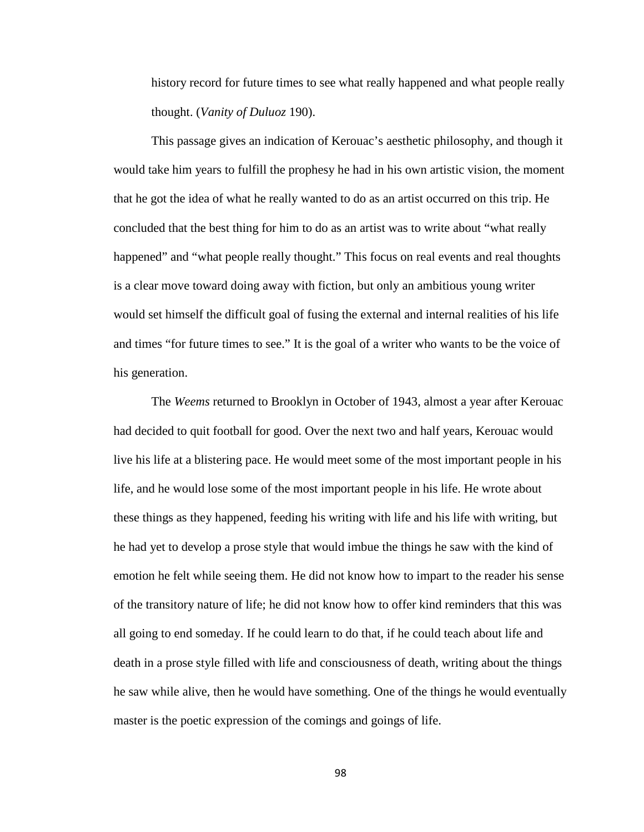history record for future times to see what really happened and what people really thought. (*Vanity of Duluoz* 190).

This passage gives an indication of Kerouac's aesthetic philosophy, and though it would take him years to fulfill the prophesy he had in his own artistic vision, the moment that he got the idea of what he really wanted to do as an artist occurred on this trip. He concluded that the best thing for him to do as an artist was to write about "what really happened" and "what people really thought." This focus on real events and real thoughts is a clear move toward doing away with fiction, but only an ambitious young writer would set himself the difficult goal of fusing the external and internal realities of his life and times "for future times to see." It is the goal of a writer who wants to be the voice of his generation.

The *Weems* returned to Brooklyn in October of 1943, almost a year after Kerouac had decided to quit football for good. Over the next two and half years, Kerouac would live his life at a blistering pace. He would meet some of the most important people in his life, and he would lose some of the most important people in his life. He wrote about these things as they happened, feeding his writing with life and his life with writing, but he had yet to develop a prose style that would imbue the things he saw with the kind of emotion he felt while seeing them. He did not know how to impart to the reader his sense of the transitory nature of life; he did not know how to offer kind reminders that this was all going to end someday. If he could learn to do that, if he could teach about life and death in a prose style filled with life and consciousness of death, writing about the things he saw while alive, then he would have something. One of the things he would eventually master is the poetic expression of the comings and goings of life.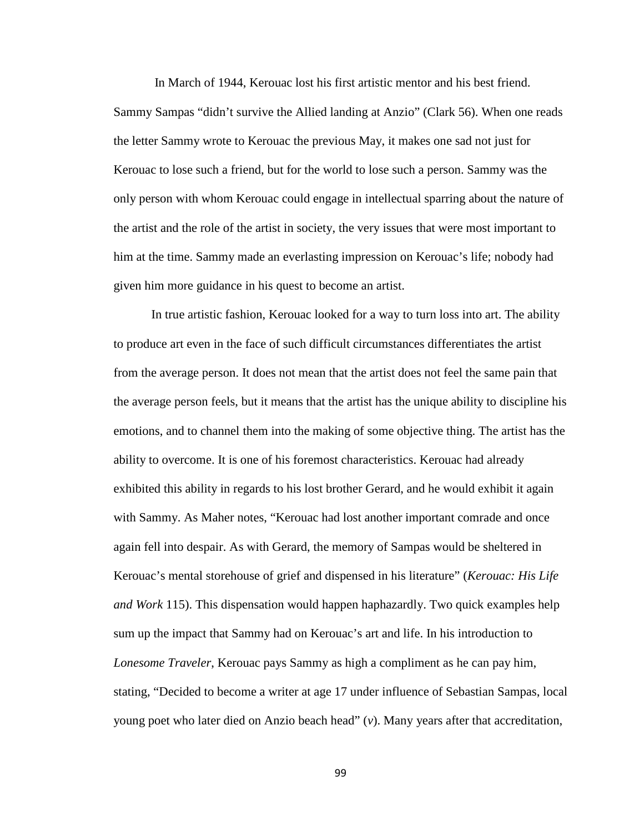In March of 1944, Kerouac lost his first artistic mentor and his best friend. Sammy Sampas "didn't survive the Allied landing at Anzio" (Clark 56). When one reads the letter Sammy wrote to Kerouac the previous May, it makes one sad not just for Kerouac to lose such a friend, but for the world to lose such a person. Sammy was the only person with whom Kerouac could engage in intellectual sparring about the nature of the artist and the role of the artist in society, the very issues that were most important to him at the time. Sammy made an everlasting impression on Kerouac's life; nobody had given him more guidance in his quest to become an artist.

In true artistic fashion, Kerouac looked for a way to turn loss into art. The ability to produce art even in the face of such difficult circumstances differentiates the artist from the average person. It does not mean that the artist does not feel the same pain that the average person feels, but it means that the artist has the unique ability to discipline his emotions, and to channel them into the making of some objective thing. The artist has the ability to overcome. It is one of his foremost characteristics. Kerouac had already exhibited this ability in regards to his lost brother Gerard, and he would exhibit it again with Sammy. As Maher notes, "Kerouac had lost another important comrade and once again fell into despair. As with Gerard, the memory of Sampas would be sheltered in Kerouac's mental storehouse of grief and dispensed in his literature" (*Kerouac: His Life and Work* 115). This dispensation would happen haphazardly. Two quick examples help sum up the impact that Sammy had on Kerouac's art and life. In his introduction to *Lonesome Traveler*, Kerouac pays Sammy as high a compliment as he can pay him, stating, "Decided to become a writer at age 17 under influence of Sebastian Sampas, local young poet who later died on Anzio beach head" (*v*). Many years after that accreditation,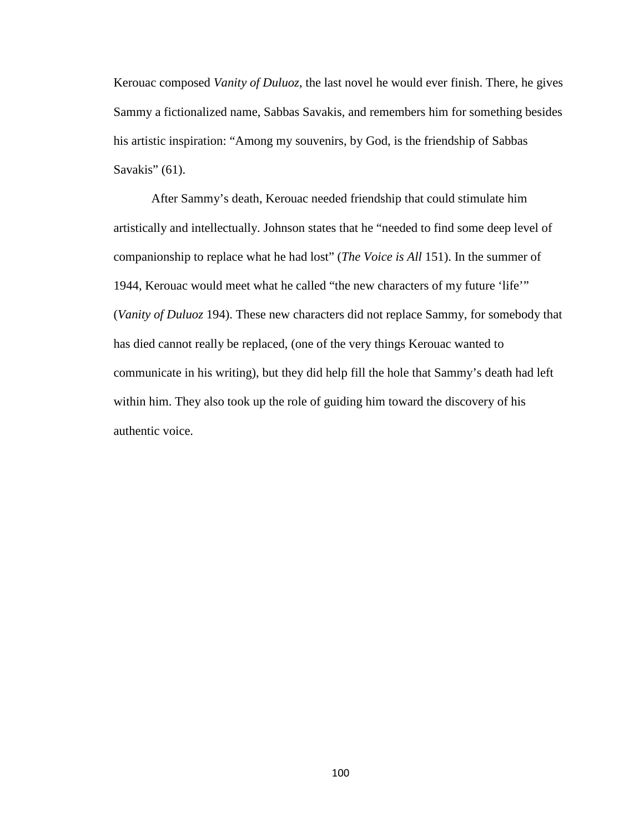Kerouac composed *Vanity of Duluoz*, the last novel he would ever finish. There, he gives Sammy a fictionalized name, Sabbas Savakis, and remembers him for something besides his artistic inspiration: "Among my souvenirs, by God, is the friendship of Sabbas Savakis" (61).

After Sammy's death, Kerouac needed friendship that could stimulate him artistically and intellectually. Johnson states that he "needed to find some deep level of companionship to replace what he had lost" (*The Voice is All* 151). In the summer of 1944, Kerouac would meet what he called "the new characters of my future 'life'" (*Vanity of Duluoz* 194). These new characters did not replace Sammy, for somebody that has died cannot really be replaced, (one of the very things Kerouac wanted to communicate in his writing), but they did help fill the hole that Sammy's death had left within him. They also took up the role of guiding him toward the discovery of his authentic voice.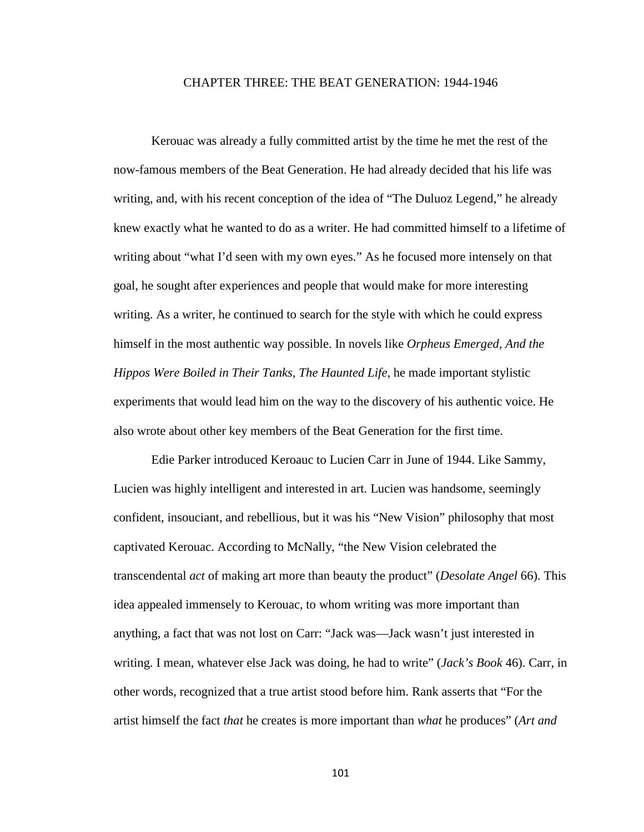## CHAPTER THREE: THE BEAT GENERATION: 1944-1946

Kerouac was already a fully committed artist by the time he met the rest of the now-famous members of the Beat Generation. He had already decided that his life was writing, and, with his recent conception of the idea of "The Duluoz Legend," he already knew exactly what he wanted to do as a writer. He had committed himself to a lifetime of writing about "what I'd seen with my own eyes." As he focused more intensely on that goal, he sought after experiences and people that would make for more interesting writing. As a writer, he continued to search for the style with which he could express himself in the most authentic way possible. In novels like *Orpheus Emerged, And the Hippos Were Boiled in Their Tanks*, *The Haunted Life*, he made important stylistic experiments that would lead him on the way to the discovery of his authentic voice. He also wrote about other key members of the Beat Generation for the first time.

Edie Parker introduced Keroauc to Lucien Carr in June of 1944. Like Sammy, Lucien was highly intelligent and interested in art. Lucien was handsome, seemingly confident, insouciant, and rebellious, but it was his "New Vision" philosophy that most captivated Kerouac. According to McNally, "the New Vision celebrated the transcendental *act* of making art more than beauty the product" (*Desolate Angel* 66). This idea appealed immensely to Kerouac, to whom writing was more important than anything, a fact that was not lost on Carr: "Jack was—Jack wasn't just interested in writing. I mean, whatever else Jack was doing, he had to write" (*Jack's Book* 46). Carr, in other words, recognized that a true artist stood before him. Rank asserts that "For the artist himself the fact *that* he creates is more important than *what* he produces" (*Art and*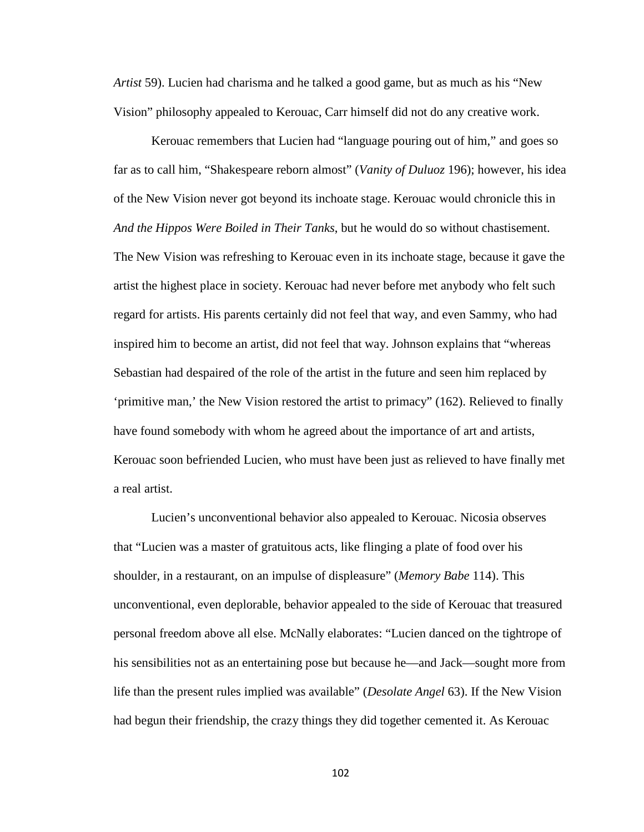*Artist* 59). Lucien had charisma and he talked a good game, but as much as his "New Vision" philosophy appealed to Kerouac, Carr himself did not do any creative work.

Kerouac remembers that Lucien had "language pouring out of him," and goes so far as to call him, "Shakespeare reborn almost" (*Vanity of Duluoz* 196); however, his idea of the New Vision never got beyond its inchoate stage. Kerouac would chronicle this in *And the Hippos Were Boiled in Their Tanks*, but he would do so without chastisement. The New Vision was refreshing to Kerouac even in its inchoate stage, because it gave the artist the highest place in society. Kerouac had never before met anybody who felt such regard for artists. His parents certainly did not feel that way, and even Sammy, who had inspired him to become an artist, did not feel that way. Johnson explains that "whereas Sebastian had despaired of the role of the artist in the future and seen him replaced by 'primitive man,' the New Vision restored the artist to primacy" (162). Relieved to finally have found somebody with whom he agreed about the importance of art and artists, Kerouac soon befriended Lucien, who must have been just as relieved to have finally met a real artist.

Lucien's unconventional behavior also appealed to Kerouac. Nicosia observes that "Lucien was a master of gratuitous acts, like flinging a plate of food over his shoulder, in a restaurant, on an impulse of displeasure" (*Memory Babe* 114). This unconventional, even deplorable, behavior appealed to the side of Kerouac that treasured personal freedom above all else. McNally elaborates: "Lucien danced on the tightrope of his sensibilities not as an entertaining pose but because he—and Jack—sought more from life than the present rules implied was available" (*Desolate Angel* 63). If the New Vision had begun their friendship, the crazy things they did together cemented it. As Kerouac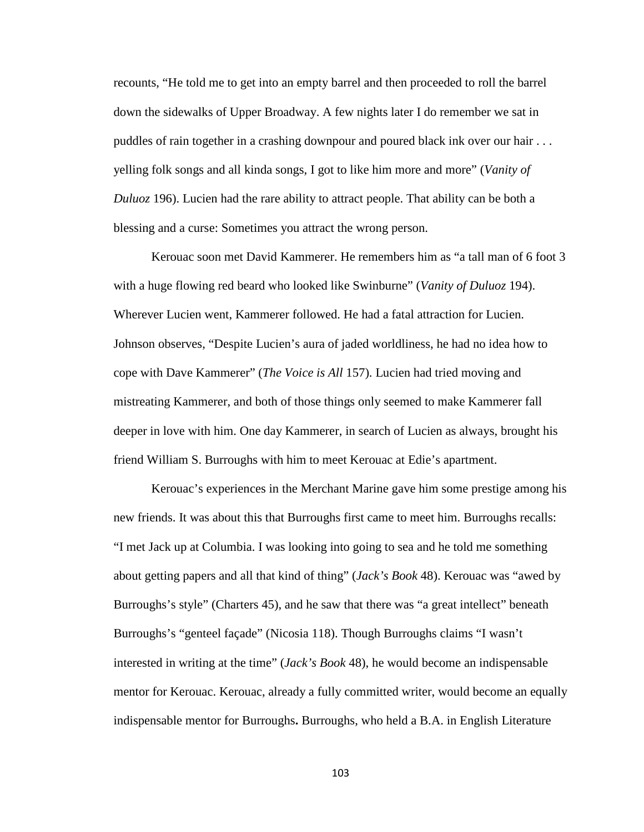recounts, "He told me to get into an empty barrel and then proceeded to roll the barrel down the sidewalks of Upper Broadway. A few nights later I do remember we sat in puddles of rain together in a crashing downpour and poured black ink over our hair . . . yelling folk songs and all kinda songs, I got to like him more and more" (*Vanity of Duluoz* 196). Lucien had the rare ability to attract people. That ability can be both a blessing and a curse: Sometimes you attract the wrong person.

Kerouac soon met David Kammerer. He remembers him as "a tall man of 6 foot 3 with a huge flowing red beard who looked like Swinburne" (*Vanity of Duluoz* 194). Wherever Lucien went, Kammerer followed. He had a fatal attraction for Lucien. Johnson observes, "Despite Lucien's aura of jaded worldliness, he had no idea how to cope with Dave Kammerer" (*The Voice is All* 157). Lucien had tried moving and mistreating Kammerer, and both of those things only seemed to make Kammerer fall deeper in love with him. One day Kammerer, in search of Lucien as always, brought his friend William S. Burroughs with him to meet Kerouac at Edie's apartment.

Kerouac's experiences in the Merchant Marine gave him some prestige among his new friends. It was about this that Burroughs first came to meet him. Burroughs recalls: "I met Jack up at Columbia. I was looking into going to sea and he told me something about getting papers and all that kind of thing" (*Jack's Book* 48). Kerouac was "awed by Burroughs's style" (Charters 45), and he saw that there was "a great intellect" beneath Burroughs's "genteel façade" (Nicosia 118). Though Burroughs claims "I wasn't interested in writing at the time" (*Jack's Book* 48), he would become an indispensable mentor for Kerouac. Kerouac, already a fully committed writer, would become an equally indispensable mentor for Burroughs**.** Burroughs, who held a B.A. in English Literature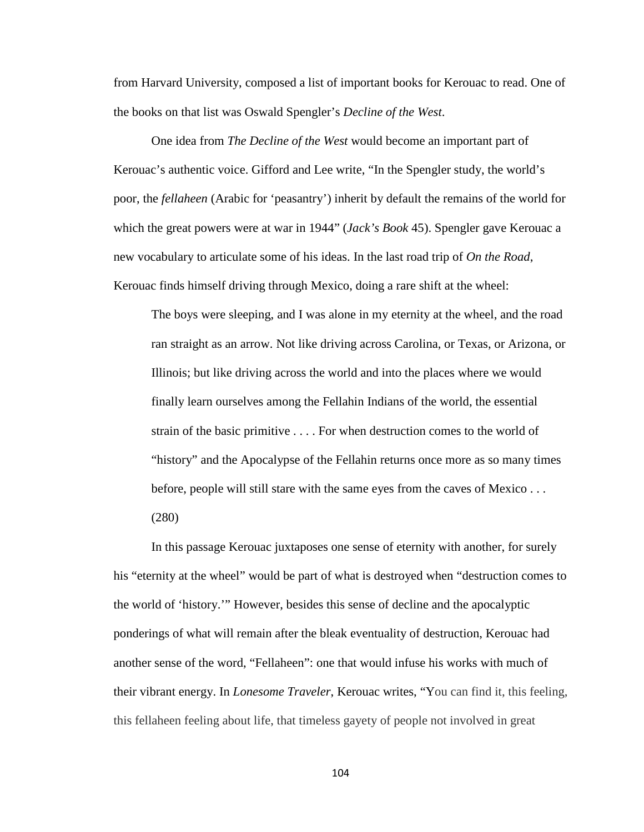from Harvard University, composed a list of important books for Kerouac to read. One of the books on that list was Oswald Spengler's *Decline of the West*.

One idea from *The Decline of the West* would become an important part of Kerouac's authentic voice. Gifford and Lee write, "In the Spengler study, the world's poor, the *fellaheen* (Arabic for 'peasantry') inherit by default the remains of the world for which the great powers were at war in 1944" (*Jack's Book* 45). Spengler gave Kerouac a new vocabulary to articulate some of his ideas. In the last road trip of *On the Road*, Kerouac finds himself driving through Mexico, doing a rare shift at the wheel:

The boys were sleeping, and I was alone in my eternity at the wheel, and the road ran straight as an arrow. Not like driving across Carolina, or Texas, or Arizona, or Illinois; but like driving across the world and into the places where we would finally learn ourselves among the Fellahin Indians of the world, the essential strain of the basic primitive . . . . For when destruction comes to the world of "history" and the Apocalypse of the Fellahin returns once more as so many times before, people will still stare with the same eyes from the caves of Mexico . . . (280)

In this passage Kerouac juxtaposes one sense of eternity with another, for surely his "eternity at the wheel" would be part of what is destroyed when "destruction comes to the world of 'history.'" However, besides this sense of decline and the apocalyptic ponderings of what will remain after the bleak eventuality of destruction, Kerouac had another sense of the word, "Fellaheen": one that would infuse his works with much of their vibrant energy. In *Lonesome Traveler*, Kerouac writes, "You can find it, this feeling, this fellaheen feeling about life, that timeless gayety of people not involved in great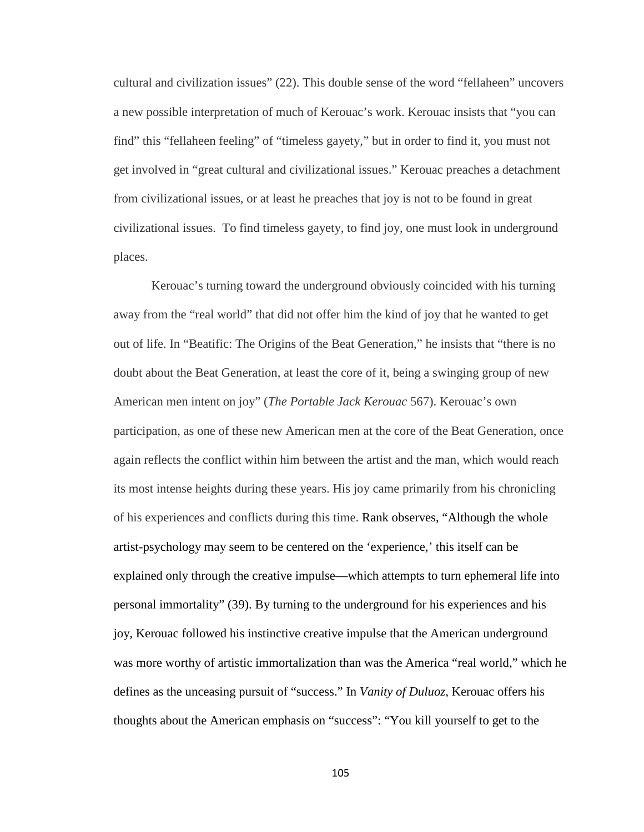cultural and civilization issues" (22). This double sense of the word "fellaheen" uncovers a new possible interpretation of much of Kerouac's work. Kerouac insists that "you can find" this "fellaheen feeling" of "timeless gayety," but in order to find it, you must not get involved in "great cultural and civilizational issues." Kerouac preaches a detachment from civilizational issues, or at least he preaches that joy is not to be found in great civilizational issues. To find timeless gayety, to find joy, one must look in underground places.

Kerouac's turning toward the underground obviously coincided with his turning away from the "real world" that did not offer him the kind of joy that he wanted to get out of life. In "Beatific: The Origins of the Beat Generation," he insists that "there is no doubt about the Beat Generation, at least the core of it, being a swinging group of new American men intent on joy" (*The Portable Jack Kerouac* 567). Kerouac's own participation, as one of these new American men at the core of the Beat Generation, once again reflects the conflict within him between the artist and the man, which would reach its most intense heights during these years. His joy came primarily from his chronicling of his experiences and conflicts during this time. Rank observes, "Although the whole artist-psychology may seem to be centered on the 'experience,' this itself can be explained only through the creative impulse—which attempts to turn ephemeral life into personal immortality" (39). By turning to the underground for his experiences and his joy, Kerouac followed his instinctive creative impulse that the American underground was more worthy of artistic immortalization than was the America "real world," which he defines as the unceasing pursuit of "success." In *Vanity of Duluoz*, Kerouac offers his thoughts about the American emphasis on "success": "You kill yourself to get to the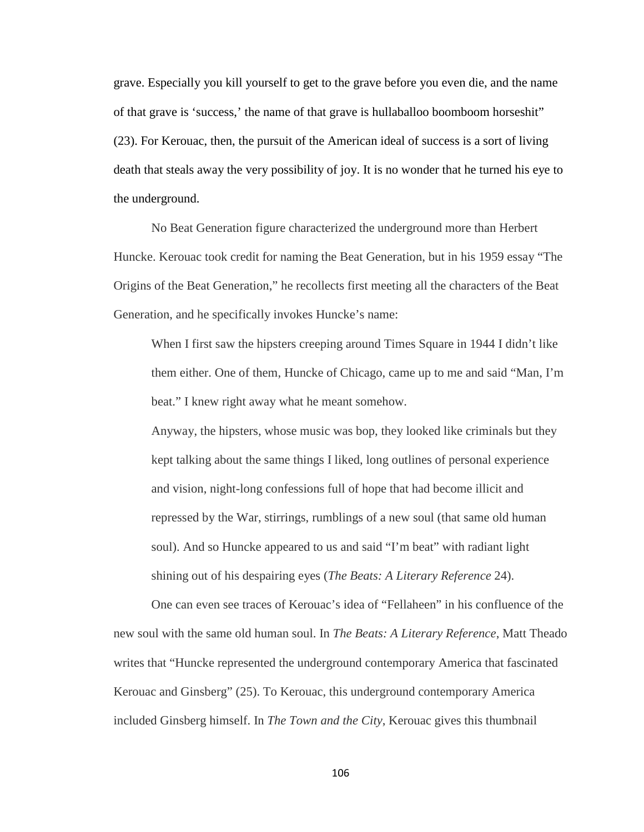grave. Especially you kill yourself to get to the grave before you even die, and the name of that grave is 'success,' the name of that grave is hullaballoo boomboom horseshit" (23). For Kerouac, then, the pursuit of the American ideal of success is a sort of living death that steals away the very possibility of joy. It is no wonder that he turned his eye to the underground.

No Beat Generation figure characterized the underground more than Herbert Huncke. Kerouac took credit for naming the Beat Generation, but in his 1959 essay "The Origins of the Beat Generation," he recollects first meeting all the characters of the Beat Generation, and he specifically invokes Huncke's name:

When I first saw the hipsters creeping around Times Square in 1944 I didn't like them either. One of them, Huncke of Chicago, came up to me and said "Man, I'm beat." I knew right away what he meant somehow.

Anyway, the hipsters, whose music was bop, they looked like criminals but they kept talking about the same things I liked, long outlines of personal experience and vision, night-long confessions full of hope that had become illicit and repressed by the War, stirrings, rumblings of a new soul (that same old human soul). And so Huncke appeared to us and said "I'm beat" with radiant light shining out of his despairing eyes (*The Beats: A Literary Reference* 24).

One can even see traces of Kerouac's idea of "Fellaheen" in his confluence of the new soul with the same old human soul. In *The Beats: A Literary Reference*, Matt Theado writes that "Huncke represented the underground contemporary America that fascinated Kerouac and Ginsberg" (25). To Kerouac, this underground contemporary America included Ginsberg himself. In *The Town and the City*, Kerouac gives this thumbnail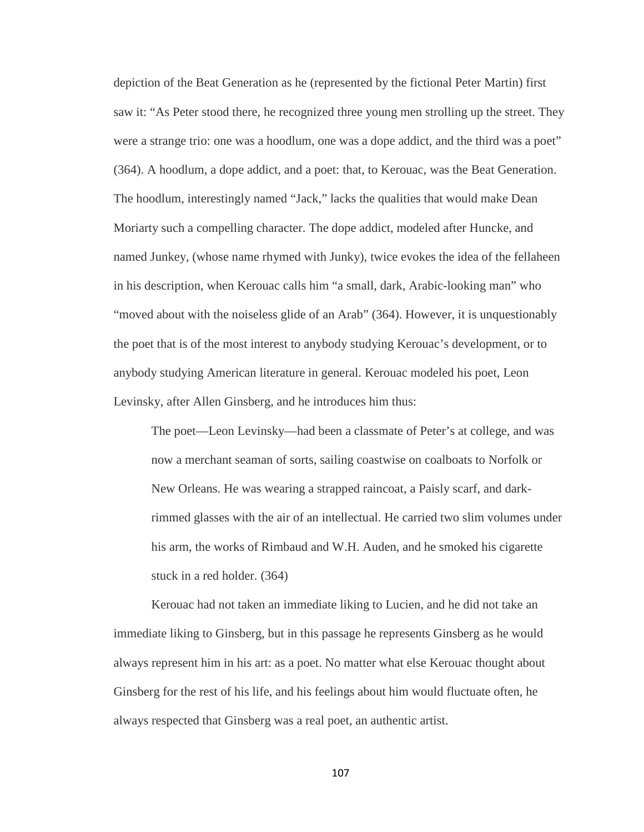depiction of the Beat Generation as he (represented by the fictional Peter Martin) first saw it: "As Peter stood there, he recognized three young men strolling up the street. They were a strange trio: one was a hoodlum, one was a dope addict, and the third was a poet" (364). A hoodlum, a dope addict, and a poet: that, to Kerouac, was the Beat Generation. The hoodlum, interestingly named "Jack," lacks the qualities that would make Dean Moriarty such a compelling character. The dope addict, modeled after Huncke, and named Junkey, (whose name rhymed with Junky), twice evokes the idea of the fellaheen in his description, when Kerouac calls him "a small, dark, Arabic-looking man" who "moved about with the noiseless glide of an Arab" (364). However, it is unquestionably the poet that is of the most interest to anybody studying Kerouac's development, or to anybody studying American literature in general. Kerouac modeled his poet, Leon Levinsky, after Allen Ginsberg, and he introduces him thus:

The poet—Leon Levinsky—had been a classmate of Peter's at college, and was now a merchant seaman of sorts, sailing coastwise on coalboats to Norfolk or New Orleans. He was wearing a strapped raincoat, a Paisly scarf, and darkrimmed glasses with the air of an intellectual. He carried two slim volumes under his arm, the works of Rimbaud and W.H. Auden, and he smoked his cigarette stuck in a red holder. (364)

Kerouac had not taken an immediate liking to Lucien, and he did not take an immediate liking to Ginsberg, but in this passage he represents Ginsberg as he would always represent him in his art: as a poet. No matter what else Kerouac thought about Ginsberg for the rest of his life, and his feelings about him would fluctuate often, he always respected that Ginsberg was a real poet, an authentic artist.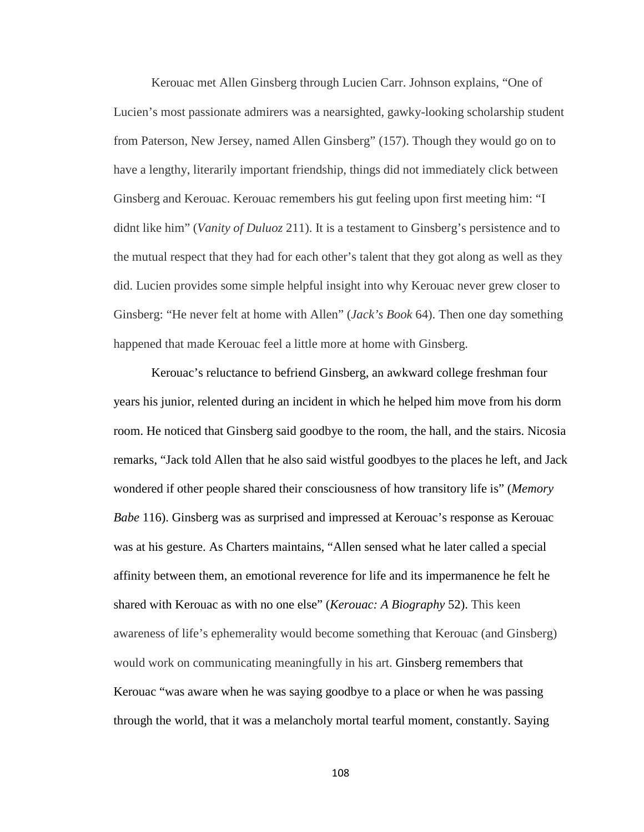Kerouac met Allen Ginsberg through Lucien Carr. Johnson explains, "One of Lucien's most passionate admirers was a nearsighted, gawky-looking scholarship student from Paterson, New Jersey, named Allen Ginsberg" (157). Though they would go on to have a lengthy, literarily important friendship, things did not immediately click between Ginsberg and Kerouac. Kerouac remembers his gut feeling upon first meeting him: "I didnt like him" (*Vanity of Duluoz* 211). It is a testament to Ginsberg's persistence and to the mutual respect that they had for each other's talent that they got along as well as they did. Lucien provides some simple helpful insight into why Kerouac never grew closer to Ginsberg: "He never felt at home with Allen" (*Jack's Book* 64). Then one day something happened that made Kerouac feel a little more at home with Ginsberg.

Kerouac's reluctance to befriend Ginsberg, an awkward college freshman four years his junior, relented during an incident in which he helped him move from his dorm room. He noticed that Ginsberg said goodbye to the room, the hall, and the stairs. Nicosia remarks, "Jack told Allen that he also said wistful goodbyes to the places he left, and Jack wondered if other people shared their consciousness of how transitory life is" (*Memory Babe* 116). Ginsberg was as surprised and impressed at Kerouac's response as Kerouac was at his gesture. As Charters maintains, "Allen sensed what he later called a special affinity between them, an emotional reverence for life and its impermanence he felt he shared with Kerouac as with no one else" (*Kerouac: A Biography* 52). This keen awareness of life's ephemerality would become something that Kerouac (and Ginsberg) would work on communicating meaningfully in his art. Ginsberg remembers that Kerouac "was aware when he was saying goodbye to a place or when he was passing through the world, that it was a melancholy mortal tearful moment, constantly. Saying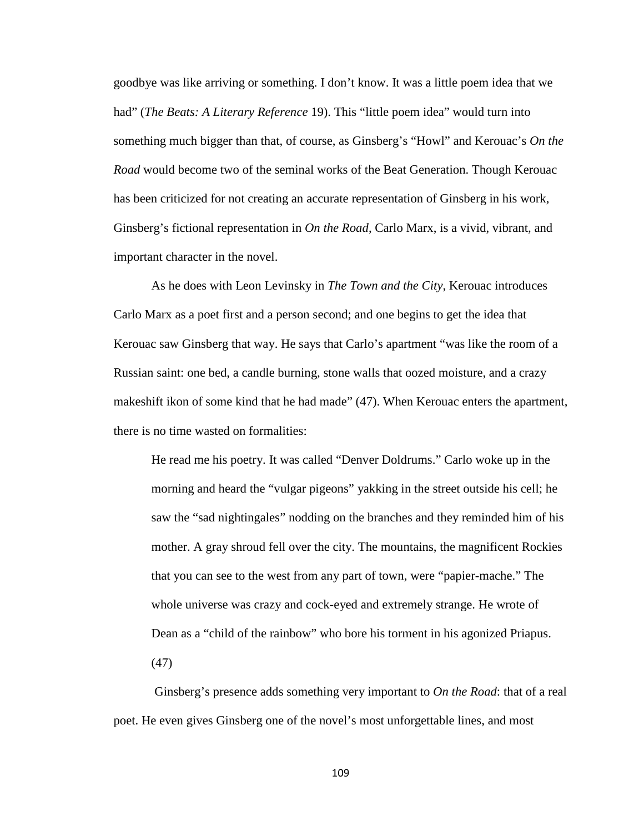goodbye was like arriving or something. I don't know. It was a little poem idea that we had" (*The Beats: A Literary Reference* 19). This "little poem idea" would turn into something much bigger than that, of course, as Ginsberg's "Howl" and Kerouac's *On the Road* would become two of the seminal works of the Beat Generation. Though Kerouac has been criticized for not creating an accurate representation of Ginsberg in his work, Ginsberg's fictional representation in *On the Road*, Carlo Marx, is a vivid, vibrant, and important character in the novel.

As he does with Leon Levinsky in *The Town and the City*, Kerouac introduces Carlo Marx as a poet first and a person second; and one begins to get the idea that Kerouac saw Ginsberg that way. He says that Carlo's apartment "was like the room of a Russian saint: one bed, a candle burning, stone walls that oozed moisture, and a crazy makeshift ikon of some kind that he had made" (47). When Kerouac enters the apartment, there is no time wasted on formalities:

He read me his poetry. It was called "Denver Doldrums." Carlo woke up in the morning and heard the "vulgar pigeons" yakking in the street outside his cell; he saw the "sad nightingales" nodding on the branches and they reminded him of his mother. A gray shroud fell over the city. The mountains, the magnificent Rockies that you can see to the west from any part of town, were "papier-mache." The whole universe was crazy and cock-eyed and extremely strange. He wrote of Dean as a "child of the rainbow" who bore his torment in his agonized Priapus. (47)

Ginsberg's presence adds something very important to *On the Road*: that of a real poet. He even gives Ginsberg one of the novel's most unforgettable lines, and most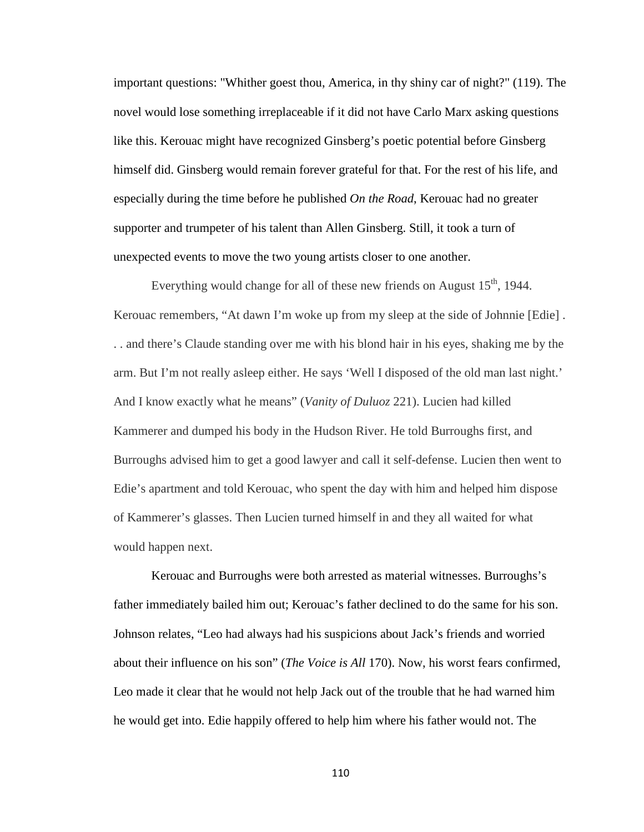important questions: "Whither goest thou, America, in thy shiny car of night?" (119). The novel would lose something irreplaceable if it did not have Carlo Marx asking questions like this. Kerouac might have recognized Ginsberg's poetic potential before Ginsberg himself did. Ginsberg would remain forever grateful for that. For the rest of his life, and especially during the time before he published *On the Road*, Kerouac had no greater supporter and trumpeter of his talent than Allen Ginsberg. Still, it took a turn of unexpected events to move the two young artists closer to one another.

Everything would change for all of these new friends on August  $15<sup>th</sup>$ , 1944. Kerouac remembers, "At dawn I'm woke up from my sleep at the side of Johnnie [Edie] . . . and there's Claude standing over me with his blond hair in his eyes, shaking me by the arm. But I'm not really asleep either. He says 'Well I disposed of the old man last night.' And I know exactly what he means" (*Vanity of Duluoz* 221). Lucien had killed Kammerer and dumped his body in the Hudson River. He told Burroughs first, and Burroughs advised him to get a good lawyer and call it self-defense. Lucien then went to Edie's apartment and told Kerouac, who spent the day with him and helped him dispose of Kammerer's glasses. Then Lucien turned himself in and they all waited for what would happen next.

Kerouac and Burroughs were both arrested as material witnesses. Burroughs's father immediately bailed him out; Kerouac's father declined to do the same for his son. Johnson relates, "Leo had always had his suspicions about Jack's friends and worried about their influence on his son" (*The Voice is All* 170). Now, his worst fears confirmed, Leo made it clear that he would not help Jack out of the trouble that he had warned him he would get into. Edie happily offered to help him where his father would not. The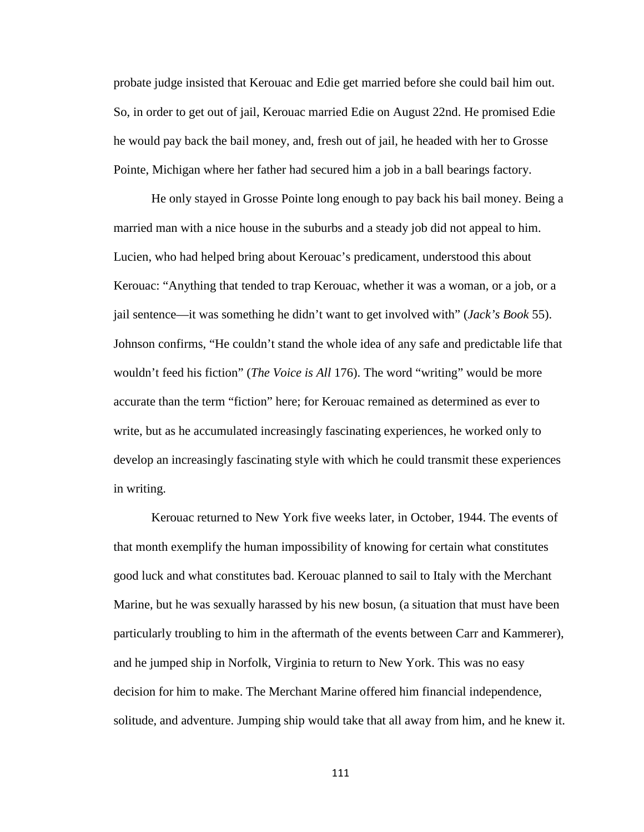probate judge insisted that Kerouac and Edie get married before she could bail him out. So, in order to get out of jail, Kerouac married Edie on August 22nd. He promised Edie he would pay back the bail money, and, fresh out of jail, he headed with her to Grosse Pointe, Michigan where her father had secured him a job in a ball bearings factory.

He only stayed in Grosse Pointe long enough to pay back his bail money. Being a married man with a nice house in the suburbs and a steady job did not appeal to him. Lucien, who had helped bring about Kerouac's predicament, understood this about Kerouac: "Anything that tended to trap Kerouac, whether it was a woman, or a job, or a jail sentence—it was something he didn't want to get involved with" (*Jack's Book* 55). Johnson confirms, "He couldn't stand the whole idea of any safe and predictable life that wouldn't feed his fiction" (*The Voice is All* 176). The word "writing" would be more accurate than the term "fiction" here; for Kerouac remained as determined as ever to write, but as he accumulated increasingly fascinating experiences, he worked only to develop an increasingly fascinating style with which he could transmit these experiences in writing.

Kerouac returned to New York five weeks later, in October, 1944. The events of that month exemplify the human impossibility of knowing for certain what constitutes good luck and what constitutes bad. Kerouac planned to sail to Italy with the Merchant Marine, but he was sexually harassed by his new bosun, (a situation that must have been particularly troubling to him in the aftermath of the events between Carr and Kammerer), and he jumped ship in Norfolk, Virginia to return to New York. This was no easy decision for him to make. The Merchant Marine offered him financial independence, solitude, and adventure. Jumping ship would take that all away from him, and he knew it.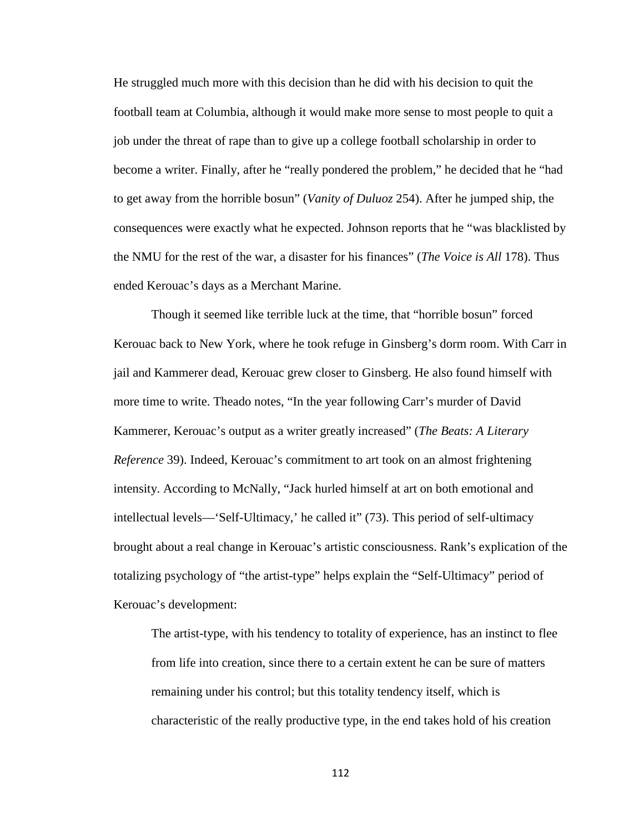He struggled much more with this decision than he did with his decision to quit the football team at Columbia, although it would make more sense to most people to quit a job under the threat of rape than to give up a college football scholarship in order to become a writer. Finally, after he "really pondered the problem," he decided that he "had to get away from the horrible bosun" (*Vanity of Duluoz* 254). After he jumped ship, the consequences were exactly what he expected. Johnson reports that he "was blacklisted by the NMU for the rest of the war, a disaster for his finances" (*The Voice is All* 178). Thus ended Kerouac's days as a Merchant Marine.

Though it seemed like terrible luck at the time, that "horrible bosun" forced Kerouac back to New York, where he took refuge in Ginsberg's dorm room. With Carr in jail and Kammerer dead, Kerouac grew closer to Ginsberg. He also found himself with more time to write. Theado notes, "In the year following Carr's murder of David Kammerer, Kerouac's output as a writer greatly increased" (*The Beats: A Literary Reference* 39). Indeed, Kerouac's commitment to art took on an almost frightening intensity. According to McNally, "Jack hurled himself at art on both emotional and intellectual levels—'Self-Ultimacy,' he called it" (73). This period of self-ultimacy brought about a real change in Kerouac's artistic consciousness. Rank's explication of the totalizing psychology of "the artist-type" helps explain the "Self-Ultimacy" period of Kerouac's development:

The artist-type, with his tendency to totality of experience, has an instinct to flee from life into creation, since there to a certain extent he can be sure of matters remaining under his control; but this totality tendency itself, which is characteristic of the really productive type, in the end takes hold of his creation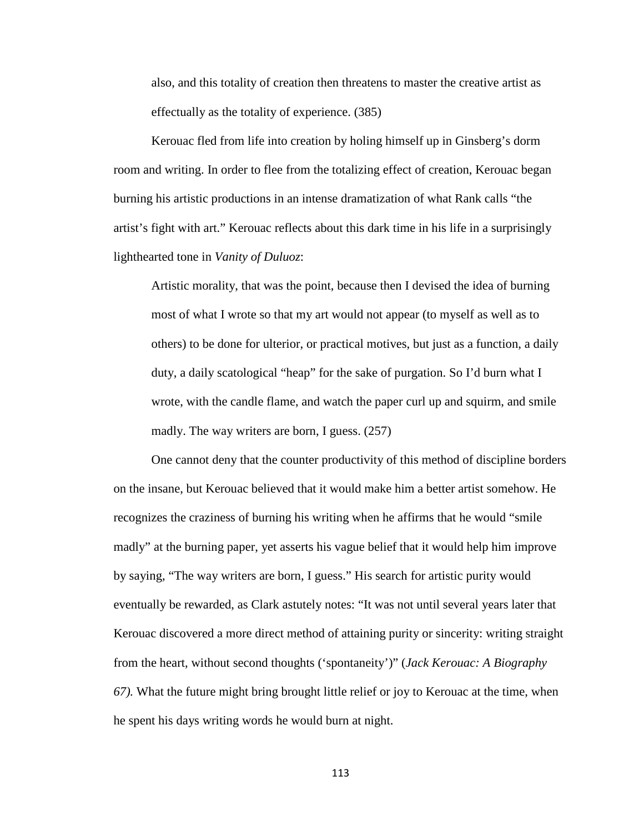also, and this totality of creation then threatens to master the creative artist as effectually as the totality of experience. (385)

Kerouac fled from life into creation by holing himself up in Ginsberg's dorm room and writing. In order to flee from the totalizing effect of creation, Kerouac began burning his artistic productions in an intense dramatization of what Rank calls "the artist's fight with art." Kerouac reflects about this dark time in his life in a surprisingly lighthearted tone in *Vanity of Duluoz*:

Artistic morality, that was the point, because then I devised the idea of burning most of what I wrote so that my art would not appear (to myself as well as to others) to be done for ulterior, or practical motives, but just as a function, a daily duty, a daily scatological "heap" for the sake of purgation. So I'd burn what I wrote, with the candle flame, and watch the paper curl up and squirm, and smile madly. The way writers are born, I guess. (257)

One cannot deny that the counter productivity of this method of discipline borders on the insane, but Kerouac believed that it would make him a better artist somehow. He recognizes the craziness of burning his writing when he affirms that he would "smile madly" at the burning paper, yet asserts his vague belief that it would help him improve by saying, "The way writers are born, I guess." His search for artistic purity would eventually be rewarded, as Clark astutely notes: "It was not until several years later that Kerouac discovered a more direct method of attaining purity or sincerity: writing straight from the heart, without second thoughts ('spontaneity')" (*Jack Kerouac: A Biography 67).* What the future might bring brought little relief or joy to Kerouac at the time, when he spent his days writing words he would burn at night.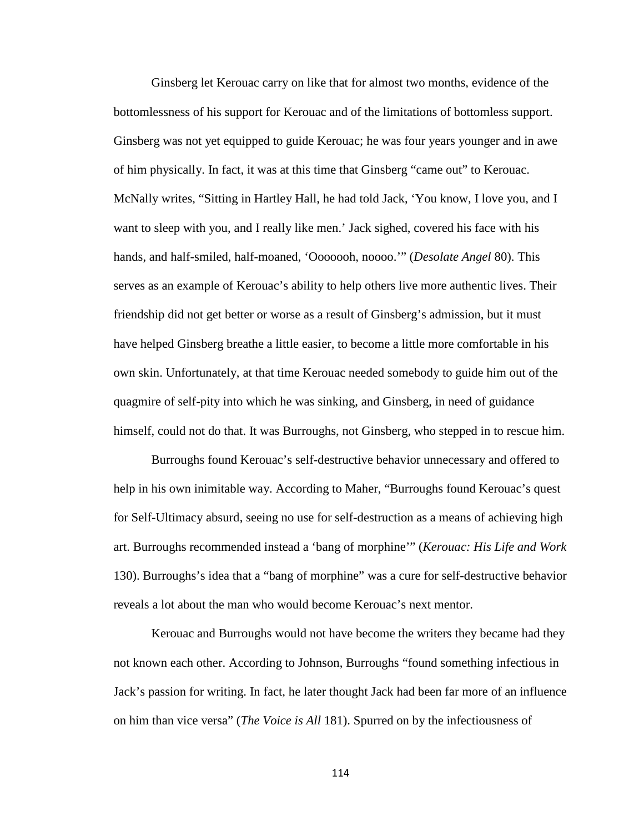Ginsberg let Kerouac carry on like that for almost two months, evidence of the bottomlessness of his support for Kerouac and of the limitations of bottomless support. Ginsberg was not yet equipped to guide Kerouac; he was four years younger and in awe of him physically. In fact, it was at this time that Ginsberg "came out" to Kerouac. McNally writes, "Sitting in Hartley Hall, he had told Jack, 'You know, I love you, and I want to sleep with you, and I really like men.' Jack sighed, covered his face with his hands, and half-smiled, half-moaned, 'Ooooooh, noooo.'" (*Desolate Angel* 80). This serves as an example of Kerouac's ability to help others live more authentic lives. Their friendship did not get better or worse as a result of Ginsberg's admission, but it must have helped Ginsberg breathe a little easier, to become a little more comfortable in his own skin. Unfortunately, at that time Kerouac needed somebody to guide him out of the quagmire of self-pity into which he was sinking, and Ginsberg, in need of guidance himself, could not do that. It was Burroughs, not Ginsberg, who stepped in to rescue him.

Burroughs found Kerouac's self-destructive behavior unnecessary and offered to help in his own inimitable way. According to Maher, "Burroughs found Kerouac's quest for Self-Ultimacy absurd, seeing no use for self-destruction as a means of achieving high art. Burroughs recommended instead a 'bang of morphine'" (*Kerouac: His Life and Work*  130). Burroughs's idea that a "bang of morphine" was a cure for self-destructive behavior reveals a lot about the man who would become Kerouac's next mentor.

Kerouac and Burroughs would not have become the writers they became had they not known each other. According to Johnson, Burroughs "found something infectious in Jack's passion for writing. In fact, he later thought Jack had been far more of an influence on him than vice versa" (*The Voice is All* 181). Spurred on by the infectiousness of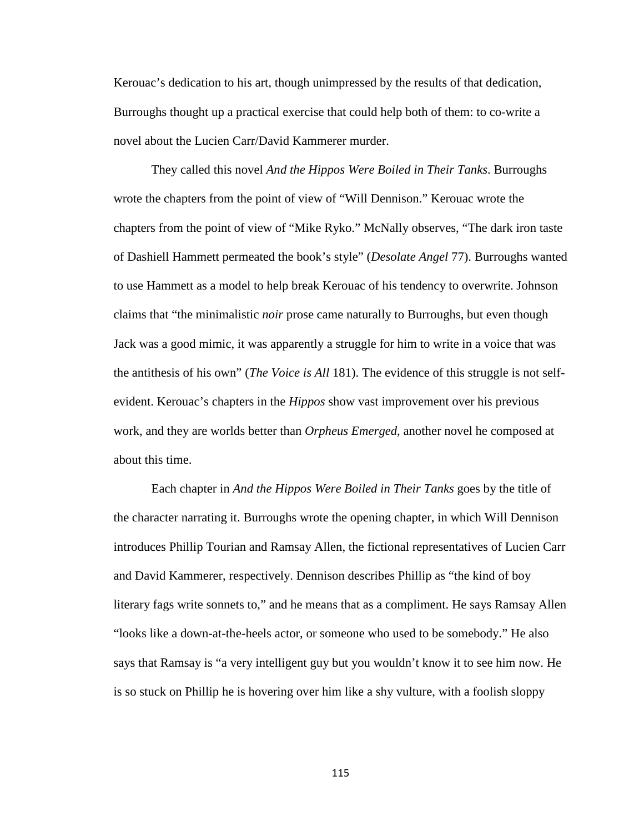Kerouac's dedication to his art, though unimpressed by the results of that dedication, Burroughs thought up a practical exercise that could help both of them: to co-write a novel about the Lucien Carr/David Kammerer murder.

They called this novel *And the Hippos Were Boiled in Their Tanks*. Burroughs wrote the chapters from the point of view of "Will Dennison." Kerouac wrote the chapters from the point of view of "Mike Ryko." McNally observes, "The dark iron taste of Dashiell Hammett permeated the book's style" (*Desolate Angel* 77). Burroughs wanted to use Hammett as a model to help break Kerouac of his tendency to overwrite. Johnson claims that "the minimalistic *noir* prose came naturally to Burroughs, but even though Jack was a good mimic, it was apparently a struggle for him to write in a voice that was the antithesis of his own" (*The Voice is All* 181). The evidence of this struggle is not selfevident. Kerouac's chapters in the *Hippos* show vast improvement over his previous work, and they are worlds better than *Orpheus Emerged*, another novel he composed at about this time.

Each chapter in *And the Hippos Were Boiled in Their Tanks* goes by the title of the character narrating it. Burroughs wrote the opening chapter, in which Will Dennison introduces Phillip Tourian and Ramsay Allen, the fictional representatives of Lucien Carr and David Kammerer, respectively. Dennison describes Phillip as "the kind of boy literary fags write sonnets to," and he means that as a compliment. He says Ramsay Allen "looks like a down-at-the-heels actor, or someone who used to be somebody." He also says that Ramsay is "a very intelligent guy but you wouldn't know it to see him now. He is so stuck on Phillip he is hovering over him like a shy vulture, with a foolish sloppy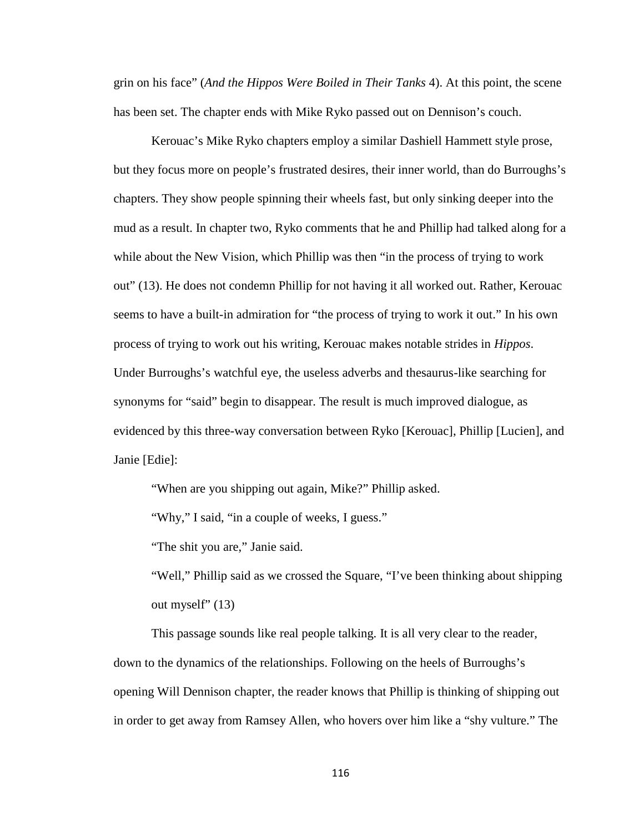grin on his face" (*And the Hippos Were Boiled in Their Tanks* 4). At this point, the scene has been set. The chapter ends with Mike Ryko passed out on Dennison's couch.

Kerouac's Mike Ryko chapters employ a similar Dashiell Hammett style prose, but they focus more on people's frustrated desires, their inner world, than do Burroughs's chapters. They show people spinning their wheels fast, but only sinking deeper into the mud as a result. In chapter two, Ryko comments that he and Phillip had talked along for a while about the New Vision, which Phillip was then "in the process of trying to work out" (13). He does not condemn Phillip for not having it all worked out. Rather, Kerouac seems to have a built-in admiration for "the process of trying to work it out." In his own process of trying to work out his writing, Kerouac makes notable strides in *Hippos*. Under Burroughs's watchful eye, the useless adverbs and thesaurus-like searching for synonyms for "said" begin to disappear. The result is much improved dialogue, as evidenced by this three-way conversation between Ryko [Kerouac], Phillip [Lucien], and Janie [Edie]:

"When are you shipping out again, Mike?" Phillip asked.

"Why," I said, "in a couple of weeks, I guess."

"The shit you are," Janie said.

"Well," Phillip said as we crossed the Square, "I've been thinking about shipping out myself" (13)

This passage sounds like real people talking. It is all very clear to the reader, down to the dynamics of the relationships. Following on the heels of Burroughs's opening Will Dennison chapter, the reader knows that Phillip is thinking of shipping out in order to get away from Ramsey Allen, who hovers over him like a "shy vulture." The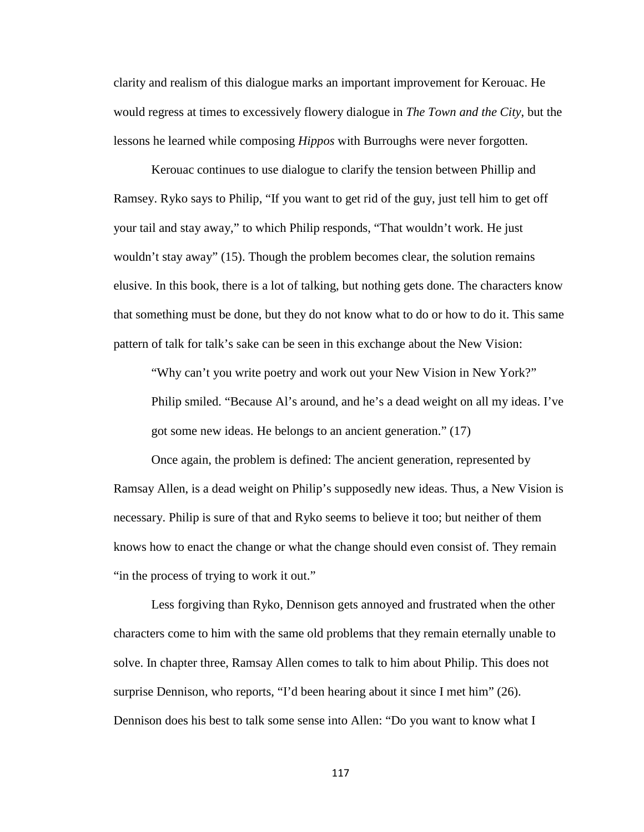clarity and realism of this dialogue marks an important improvement for Kerouac. He would regress at times to excessively flowery dialogue in *The Town and the City*, but the lessons he learned while composing *Hippos* with Burroughs were never forgotten.

Kerouac continues to use dialogue to clarify the tension between Phillip and Ramsey. Ryko says to Philip, "If you want to get rid of the guy, just tell him to get off your tail and stay away," to which Philip responds, "That wouldn't work. He just wouldn't stay away" (15). Though the problem becomes clear, the solution remains elusive. In this book, there is a lot of talking, but nothing gets done. The characters know that something must be done, but they do not know what to do or how to do it. This same pattern of talk for talk's sake can be seen in this exchange about the New Vision:

"Why can't you write poetry and work out your New Vision in New York?" Philip smiled. "Because Al's around, and he's a dead weight on all my ideas. I've got some new ideas. He belongs to an ancient generation." (17)

Once again, the problem is defined: The ancient generation, represented by Ramsay Allen, is a dead weight on Philip's supposedly new ideas. Thus, a New Vision is necessary. Philip is sure of that and Ryko seems to believe it too; but neither of them knows how to enact the change or what the change should even consist of. They remain "in the process of trying to work it out."

Less forgiving than Ryko, Dennison gets annoyed and frustrated when the other characters come to him with the same old problems that they remain eternally unable to solve. In chapter three, Ramsay Allen comes to talk to him about Philip. This does not surprise Dennison, who reports, "I'd been hearing about it since I met him" (26). Dennison does his best to talk some sense into Allen: "Do you want to know what I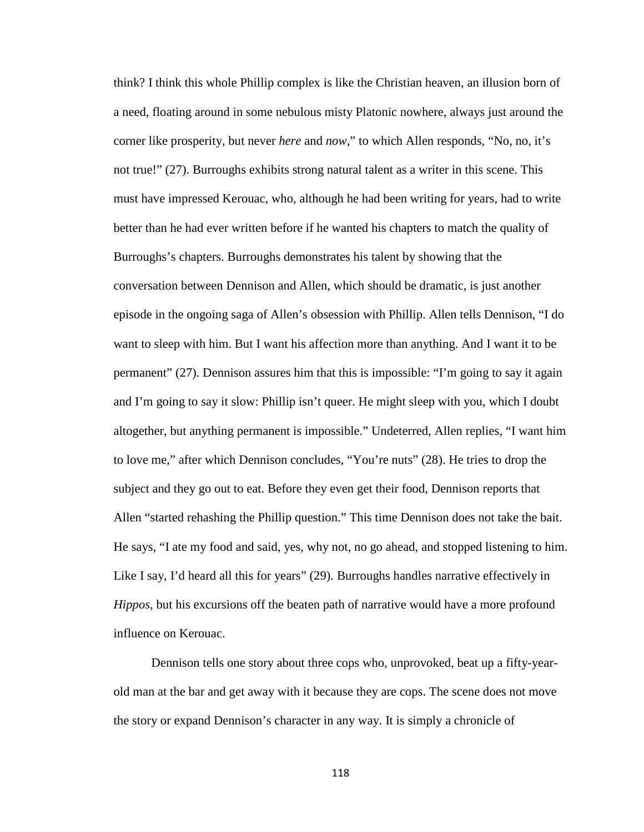think? I think this whole Phillip complex is like the Christian heaven, an illusion born of a need, floating around in some nebulous misty Platonic nowhere, always just around the corner like prosperity, but never *here* and *now*," to which Allen responds, "No, no, it's not true!" (27). Burroughs exhibits strong natural talent as a writer in this scene. This must have impressed Kerouac, who, although he had been writing for years, had to write better than he had ever written before if he wanted his chapters to match the quality of Burroughs's chapters. Burroughs demonstrates his talent by showing that the conversation between Dennison and Allen, which should be dramatic, is just another episode in the ongoing saga of Allen's obsession with Phillip. Allen tells Dennison, "I do want to sleep with him. But I want his affection more than anything. And I want it to be permanent" (27). Dennison assures him that this is impossible: "I'm going to say it again and I'm going to say it slow: Phillip isn't queer. He might sleep with you, which I doubt altogether, but anything permanent is impossible." Undeterred, Allen replies, "I want him to love me," after which Dennison concludes, "You're nuts" (28). He tries to drop the subject and they go out to eat. Before they even get their food, Dennison reports that Allen "started rehashing the Phillip question." This time Dennison does not take the bait. He says, "I ate my food and said, yes, why not, no go ahead, and stopped listening to him. Like I say, I'd heard all this for years" (29). Burroughs handles narrative effectively in *Hippos*, but his excursions off the beaten path of narrative would have a more profound influence on Kerouac.

Dennison tells one story about three cops who, unprovoked, beat up a fifty-yearold man at the bar and get away with it because they are cops. The scene does not move the story or expand Dennison's character in any way. It is simply a chronicle of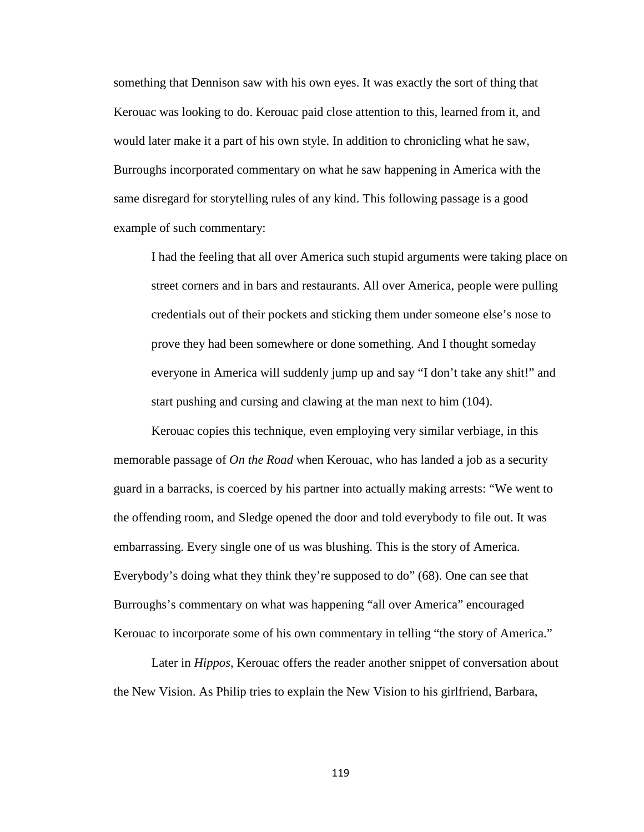something that Dennison saw with his own eyes. It was exactly the sort of thing that Kerouac was looking to do. Kerouac paid close attention to this, learned from it, and would later make it a part of his own style. In addition to chronicling what he saw, Burroughs incorporated commentary on what he saw happening in America with the same disregard for storytelling rules of any kind. This following passage is a good example of such commentary:

I had the feeling that all over America such stupid arguments were taking place on street corners and in bars and restaurants. All over America, people were pulling credentials out of their pockets and sticking them under someone else's nose to prove they had been somewhere or done something. And I thought someday everyone in America will suddenly jump up and say "I don't take any shit!" and start pushing and cursing and clawing at the man next to him (104).

Kerouac copies this technique, even employing very similar verbiage, in this memorable passage of *On the Road* when Kerouac, who has landed a job as a security guard in a barracks, is coerced by his partner into actually making arrests: "We went to the offending room, and Sledge opened the door and told everybody to file out. It was embarrassing. Every single one of us was blushing. This is the story of America. Everybody's doing what they think they're supposed to do" (68). One can see that Burroughs's commentary on what was happening "all over America" encouraged Kerouac to incorporate some of his own commentary in telling "the story of America."

Later in *Hippos*, Kerouac offers the reader another snippet of conversation about the New Vision. As Philip tries to explain the New Vision to his girlfriend, Barbara,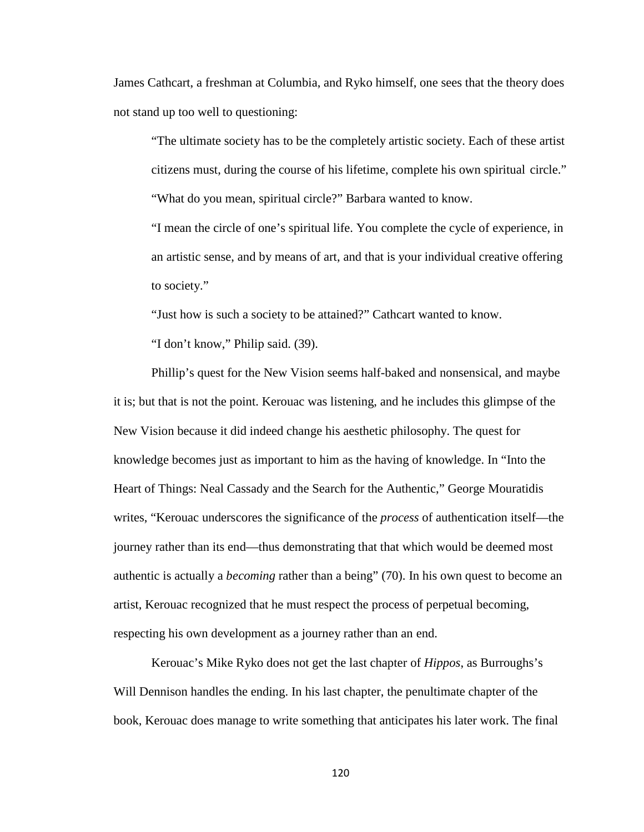James Cathcart, a freshman at Columbia, and Ryko himself, one sees that the theory does not stand up too well to questioning:

"The ultimate society has to be the completely artistic society. Each of these artist citizens must, during the course of his lifetime, complete his own spiritual circle." "What do you mean, spiritual circle?" Barbara wanted to know.

"I mean the circle of one's spiritual life. You complete the cycle of experience, in an artistic sense, and by means of art, and that is your individual creative offering to society."

"Just how is such a society to be attained?" Cathcart wanted to know.

"I don't know," Philip said. (39).

Phillip's quest for the New Vision seems half-baked and nonsensical, and maybe it is; but that is not the point. Kerouac was listening, and he includes this glimpse of the New Vision because it did indeed change his aesthetic philosophy. The quest for knowledge becomes just as important to him as the having of knowledge. In "Into the Heart of Things: Neal Cassady and the Search for the Authentic," George Mouratidis writes, "Kerouac underscores the significance of the *process* of authentication itself—the journey rather than its end—thus demonstrating that that which would be deemed most authentic is actually a *becoming* rather than a being" (70). In his own quest to become an artist, Kerouac recognized that he must respect the process of perpetual becoming, respecting his own development as a journey rather than an end.

Kerouac's Mike Ryko does not get the last chapter of *Hippos*, as Burroughs's Will Dennison handles the ending. In his last chapter, the penultimate chapter of the book, Kerouac does manage to write something that anticipates his later work. The final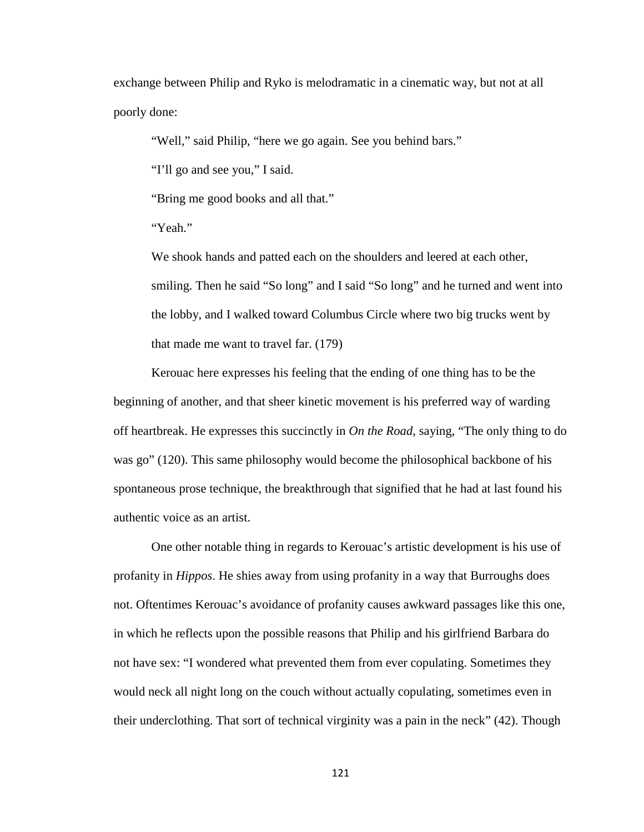exchange between Philip and Ryko is melodramatic in a cinematic way, but not at all poorly done:

"Well," said Philip, "here we go again. See you behind bars."

"I'll go and see you," I said.

"Bring me good books and all that."

"Yeah."

We shook hands and patted each on the shoulders and leered at each other, smiling. Then he said "So long" and I said "So long" and he turned and went into the lobby, and I walked toward Columbus Circle where two big trucks went by that made me want to travel far. (179)

Kerouac here expresses his feeling that the ending of one thing has to be the beginning of another, and that sheer kinetic movement is his preferred way of warding off heartbreak. He expresses this succinctly in *On the Road*, saying, "The only thing to do was go" (120). This same philosophy would become the philosophical backbone of his spontaneous prose technique, the breakthrough that signified that he had at last found his authentic voice as an artist.

One other notable thing in regards to Kerouac's artistic development is his use of profanity in *Hippos*. He shies away from using profanity in a way that Burroughs does not. Oftentimes Kerouac's avoidance of profanity causes awkward passages like this one, in which he reflects upon the possible reasons that Philip and his girlfriend Barbara do not have sex: "I wondered what prevented them from ever copulating. Sometimes they would neck all night long on the couch without actually copulating, sometimes even in their underclothing. That sort of technical virginity was a pain in the neck" (42). Though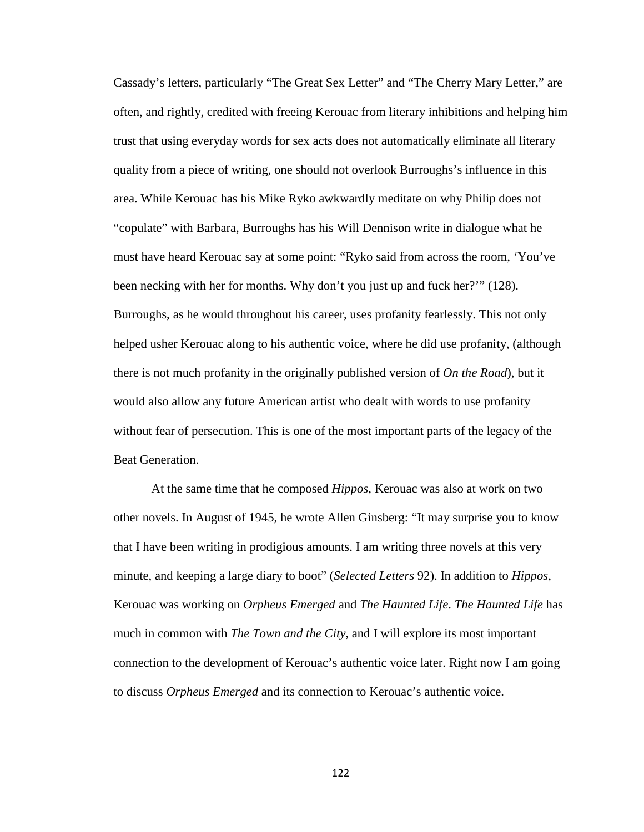Cassady's letters, particularly "The Great Sex Letter" and "The Cherry Mary Letter," are often, and rightly, credited with freeing Kerouac from literary inhibitions and helping him trust that using everyday words for sex acts does not automatically eliminate all literary quality from a piece of writing, one should not overlook Burroughs's influence in this area. While Kerouac has his Mike Ryko awkwardly meditate on why Philip does not "copulate" with Barbara, Burroughs has his Will Dennison write in dialogue what he must have heard Kerouac say at some point: "Ryko said from across the room, 'You've been necking with her for months. Why don't you just up and fuck her?'" (128). Burroughs, as he would throughout his career, uses profanity fearlessly. This not only helped usher Kerouac along to his authentic voice, where he did use profanity, (although there is not much profanity in the originally published version of *On the Road*), but it would also allow any future American artist who dealt with words to use profanity without fear of persecution. This is one of the most important parts of the legacy of the Beat Generation.

At the same time that he composed *Hippos*, Kerouac was also at work on two other novels. In August of 1945, he wrote Allen Ginsberg: "It may surprise you to know that I have been writing in prodigious amounts. I am writing three novels at this very minute, and keeping a large diary to boot" (*Selected Letters* 92). In addition to *Hippos*, Kerouac was working on *Orpheus Emerged* and *The Haunted Life*. *The Haunted Life* has much in common with *The Town and the City*, and I will explore its most important connection to the development of Kerouac's authentic voice later. Right now I am going to discuss *Orpheus Emerged* and its connection to Kerouac's authentic voice.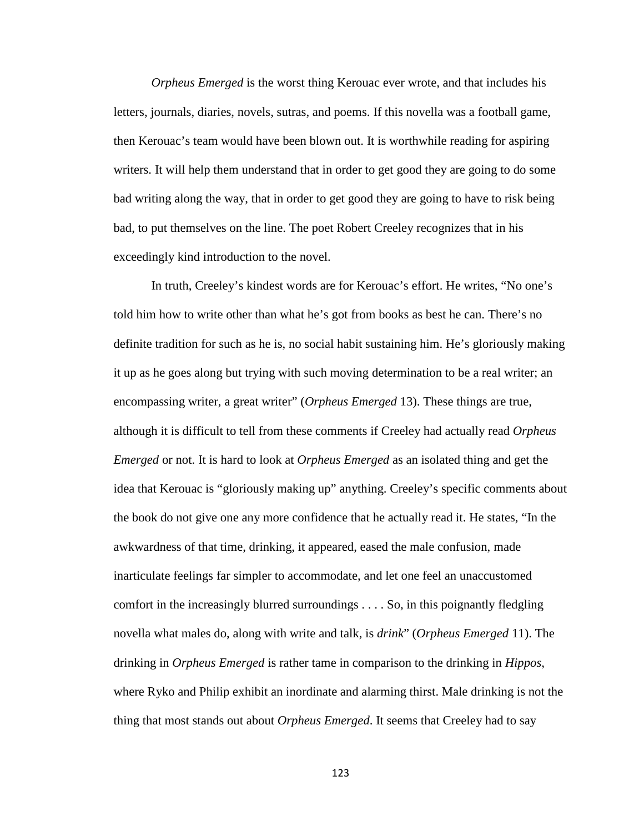*Orpheus Emerged* is the worst thing Kerouac ever wrote, and that includes his letters, journals, diaries, novels, sutras, and poems. If this novella was a football game, then Kerouac's team would have been blown out. It is worthwhile reading for aspiring writers. It will help them understand that in order to get good they are going to do some bad writing along the way, that in order to get good they are going to have to risk being bad, to put themselves on the line. The poet Robert Creeley recognizes that in his exceedingly kind introduction to the novel.

In truth, Creeley's kindest words are for Kerouac's effort. He writes, "No one's told him how to write other than what he's got from books as best he can. There's no definite tradition for such as he is, no social habit sustaining him. He's gloriously making it up as he goes along but trying with such moving determination to be a real writer; an encompassing writer, a great writer" (*Orpheus Emerged* 13). These things are true, although it is difficult to tell from these comments if Creeley had actually read *Orpheus Emerged* or not. It is hard to look at *Orpheus Emerged* as an isolated thing and get the idea that Kerouac is "gloriously making up" anything. Creeley's specific comments about the book do not give one any more confidence that he actually read it. He states, "In the awkwardness of that time, drinking, it appeared, eased the male confusion, made inarticulate feelings far simpler to accommodate, and let one feel an unaccustomed comfort in the increasingly blurred surroundings . . . . So, in this poignantly fledgling novella what males do, along with write and talk, is *drink*" (*Orpheus Emerged* 11). The drinking in *Orpheus Emerged* is rather tame in comparison to the drinking in *Hippos*, where Ryko and Philip exhibit an inordinate and alarming thirst. Male drinking is not the thing that most stands out about *Orpheus Emerged*. It seems that Creeley had to say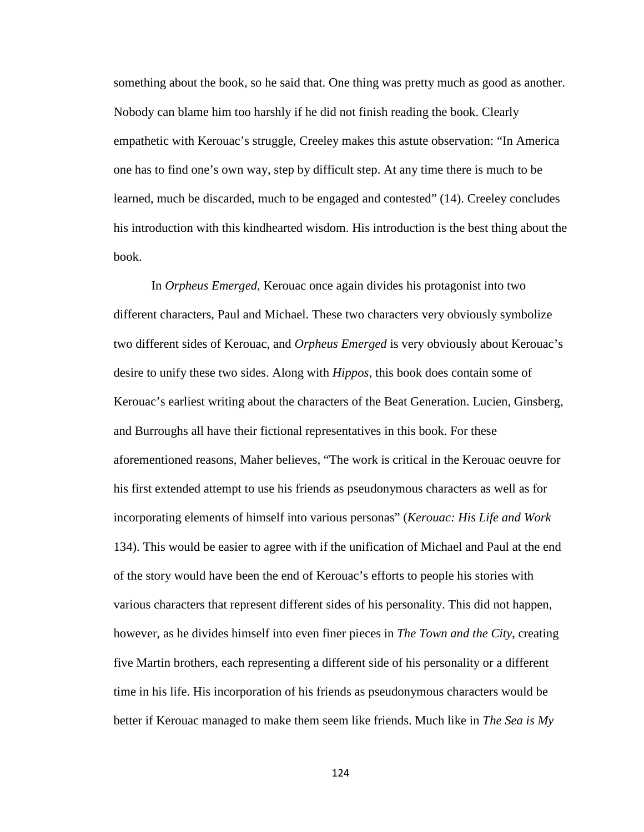something about the book, so he said that. One thing was pretty much as good as another. Nobody can blame him too harshly if he did not finish reading the book. Clearly empathetic with Kerouac's struggle, Creeley makes this astute observation: "In America one has to find one's own way, step by difficult step. At any time there is much to be learned, much be discarded, much to be engaged and contested" (14). Creeley concludes his introduction with this kindhearted wisdom. His introduction is the best thing about the book.

In *Orpheus Emerged*, Kerouac once again divides his protagonist into two different characters, Paul and Michael. These two characters very obviously symbolize two different sides of Kerouac, and *Orpheus Emerged* is very obviously about Kerouac's desire to unify these two sides. Along with *Hippos*, this book does contain some of Kerouac's earliest writing about the characters of the Beat Generation. Lucien, Ginsberg, and Burroughs all have their fictional representatives in this book. For these aforementioned reasons, Maher believes, "The work is critical in the Kerouac oeuvre for his first extended attempt to use his friends as pseudonymous characters as well as for incorporating elements of himself into various personas" (*Kerouac: His Life and Work*  134). This would be easier to agree with if the unification of Michael and Paul at the end of the story would have been the end of Kerouac's efforts to people his stories with various characters that represent different sides of his personality. This did not happen, however, as he divides himself into even finer pieces in *The Town and the City*, creating five Martin brothers, each representing a different side of his personality or a different time in his life. His incorporation of his friends as pseudonymous characters would be better if Kerouac managed to make them seem like friends. Much like in *The Sea is My*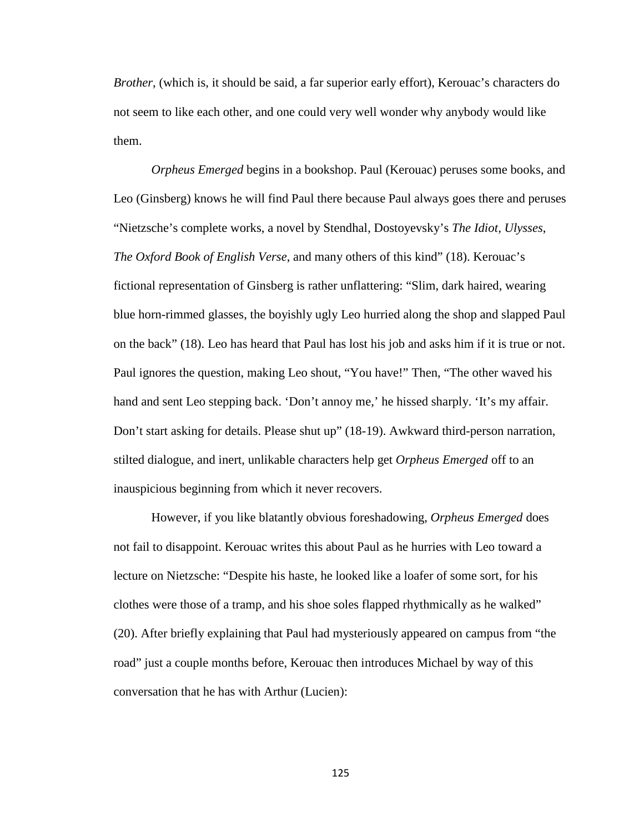*Brother*, (which is, it should be said, a far superior early effort), Kerouac's characters do not seem to like each other, and one could very well wonder why anybody would like them.

*Orpheus Emerged* begins in a bookshop. Paul (Kerouac) peruses some books, and Leo (Ginsberg) knows he will find Paul there because Paul always goes there and peruses "Nietzsche's complete works, a novel by Stendhal, Dostoyevsky's *The Idiot, Ulysses*, *The Oxford Book of English Verse*, and many others of this kind" (18). Kerouac's fictional representation of Ginsberg is rather unflattering: "Slim, dark haired, wearing blue horn-rimmed glasses, the boyishly ugly Leo hurried along the shop and slapped Paul on the back" (18). Leo has heard that Paul has lost his job and asks him if it is true or not. Paul ignores the question, making Leo shout, "You have!" Then, "The other waved his hand and sent Leo stepping back. 'Don't annoy me,' he hissed sharply. 'It's my affair. Don't start asking for details. Please shut up" (18-19). Awkward third-person narration, stilted dialogue, and inert, unlikable characters help get *Orpheus Emerged* off to an inauspicious beginning from which it never recovers.

However, if you like blatantly obvious foreshadowing, *Orpheus Emerged* does not fail to disappoint. Kerouac writes this about Paul as he hurries with Leo toward a lecture on Nietzsche: "Despite his haste, he looked like a loafer of some sort, for his clothes were those of a tramp, and his shoe soles flapped rhythmically as he walked" (20). After briefly explaining that Paul had mysteriously appeared on campus from "the road" just a couple months before, Kerouac then introduces Michael by way of this conversation that he has with Arthur (Lucien):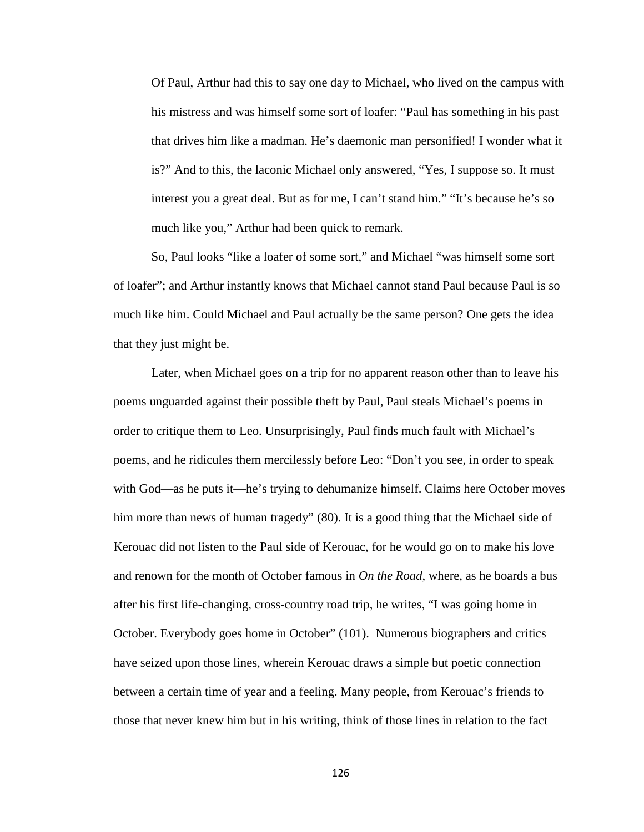Of Paul, Arthur had this to say one day to Michael, who lived on the campus with his mistress and was himself some sort of loafer: "Paul has something in his past that drives him like a madman. He's daemonic man personified! I wonder what it is?" And to this, the laconic Michael only answered, "Yes, I suppose so. It must interest you a great deal. But as for me, I can't stand him." "It's because he's so much like you," Arthur had been quick to remark.

So, Paul looks "like a loafer of some sort," and Michael "was himself some sort of loafer"; and Arthur instantly knows that Michael cannot stand Paul because Paul is so much like him. Could Michael and Paul actually be the same person? One gets the idea that they just might be.

Later, when Michael goes on a trip for no apparent reason other than to leave his poems unguarded against their possible theft by Paul, Paul steals Michael's poems in order to critique them to Leo. Unsurprisingly, Paul finds much fault with Michael's poems, and he ridicules them mercilessly before Leo: "Don't you see, in order to speak with God—as he puts it—he's trying to dehumanize himself. Claims here October moves him more than news of human tragedy" (80). It is a good thing that the Michael side of Kerouac did not listen to the Paul side of Kerouac, for he would go on to make his love and renown for the month of October famous in *On the Road*, where, as he boards a bus after his first life-changing, cross-country road trip, he writes, "I was going home in October. Everybody goes home in October" (101). Numerous biographers and critics have seized upon those lines, wherein Kerouac draws a simple but poetic connection between a certain time of year and a feeling. Many people, from Kerouac's friends to those that never knew him but in his writing, think of those lines in relation to the fact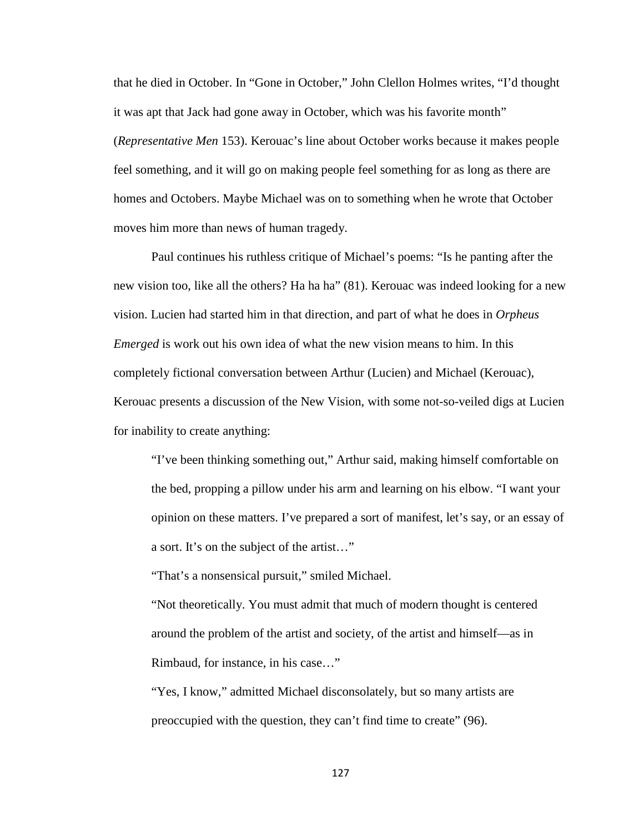that he died in October. In "Gone in October," John Clellon Holmes writes, "I'd thought it was apt that Jack had gone away in October, which was his favorite month" (*Representative Men* 153). Kerouac's line about October works because it makes people feel something, and it will go on making people feel something for as long as there are homes and Octobers. Maybe Michael was on to something when he wrote that October moves him more than news of human tragedy.

Paul continues his ruthless critique of Michael's poems: "Is he panting after the new vision too, like all the others? Ha ha ha" (81). Kerouac was indeed looking for a new vision. Lucien had started him in that direction, and part of what he does in *Orpheus Emerged* is work out his own idea of what the new vision means to him. In this completely fictional conversation between Arthur (Lucien) and Michael (Kerouac), Kerouac presents a discussion of the New Vision, with some not-so-veiled digs at Lucien for inability to create anything:

"I've been thinking something out," Arthur said, making himself comfortable on the bed, propping a pillow under his arm and learning on his elbow. "I want your opinion on these matters. I've prepared a sort of manifest, let's say, or an essay of a sort. It's on the subject of the artist…"

"That's a nonsensical pursuit," smiled Michael.

"Not theoretically. You must admit that much of modern thought is centered around the problem of the artist and society, of the artist and himself—as in Rimbaud, for instance, in his case…"

"Yes, I know," admitted Michael disconsolately, but so many artists are preoccupied with the question, they can't find time to create" (96).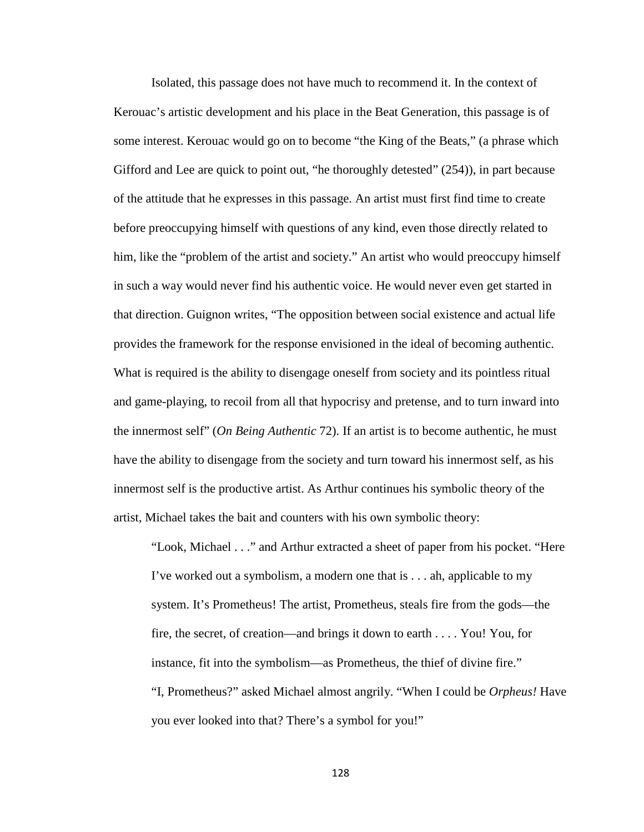Isolated, this passage does not have much to recommend it. In the context of Kerouac's artistic development and his place in the Beat Generation, this passage is of some interest. Kerouac would go on to become "the King of the Beats," (a phrase which Gifford and Lee are quick to point out, "he thoroughly detested" (254)), in part because of the attitude that he expresses in this passage. An artist must first find time to create before preoccupying himself with questions of any kind, even those directly related to him, like the "problem of the artist and society." An artist who would preoccupy himself in such a way would never find his authentic voice. He would never even get started in that direction. Guignon writes, "The opposition between social existence and actual life provides the framework for the response envisioned in the ideal of becoming authentic. What is required is the ability to disengage oneself from society and its pointless ritual and game-playing, to recoil from all that hypocrisy and pretense, and to turn inward into the innermost self" (*On Being Authentic* 72). If an artist is to become authentic, he must have the ability to disengage from the society and turn toward his innermost self, as his innermost self is the productive artist. As Arthur continues his symbolic theory of the artist, Michael takes the bait and counters with his own symbolic theory:

"Look, Michael . . ." and Arthur extracted a sheet of paper from his pocket. "Here I've worked out a symbolism, a modern one that is . . . ah, applicable to my system. It's Prometheus! The artist, Prometheus, steals fire from the gods—the fire, the secret, of creation—and brings it down to earth . . . . You! You, for instance, fit into the symbolism—as Prometheus, the thief of divine fire." "I, Prometheus?" asked Michael almost angrily. "When I could be *Orpheus!* Have you ever looked into that? There's a symbol for you!"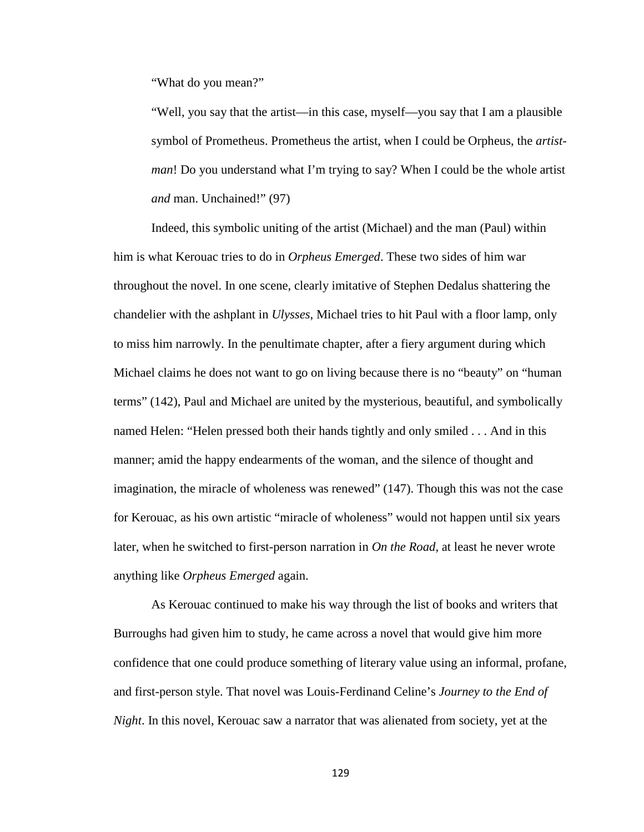"What do you mean?"

"Well, you say that the artist—in this case, myself—you say that I am a plausible symbol of Prometheus. Prometheus the artist, when I could be Orpheus, the *artistman*! Do you understand what I'm trying to say? When I could be the whole artist *and* man. Unchained!" (97)

Indeed, this symbolic uniting of the artist (Michael) and the man (Paul) within him is what Kerouac tries to do in *Orpheus Emerged*. These two sides of him war throughout the novel. In one scene, clearly imitative of Stephen Dedalus shattering the chandelier with the ashplant in *Ulysses*, Michael tries to hit Paul with a floor lamp, only to miss him narrowly. In the penultimate chapter, after a fiery argument during which Michael claims he does not want to go on living because there is no "beauty" on "human terms" (142), Paul and Michael are united by the mysterious, beautiful, and symbolically named Helen: "Helen pressed both their hands tightly and only smiled . . . And in this manner; amid the happy endearments of the woman, and the silence of thought and imagination, the miracle of wholeness was renewed" (147). Though this was not the case for Kerouac, as his own artistic "miracle of wholeness" would not happen until six years later, when he switched to first-person narration in *On the Road*, at least he never wrote anything like *Orpheus Emerged* again.

As Kerouac continued to make his way through the list of books and writers that Burroughs had given him to study, he came across a novel that would give him more confidence that one could produce something of literary value using an informal, profane, and first-person style. That novel was Louis-Ferdinand Celine's *Journey to the End of Night*. In this novel, Kerouac saw a narrator that was alienated from society, yet at the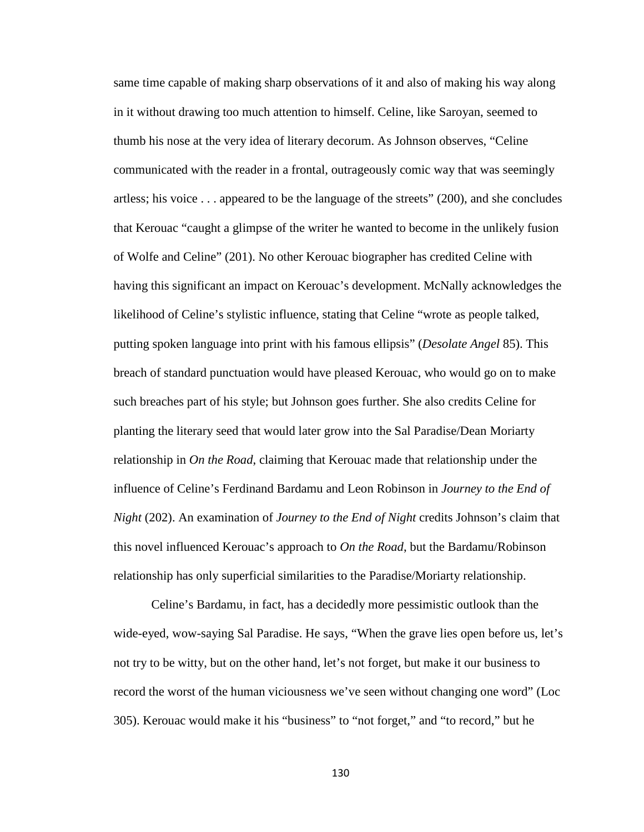same time capable of making sharp observations of it and also of making his way along in it without drawing too much attention to himself. Celine, like Saroyan, seemed to thumb his nose at the very idea of literary decorum. As Johnson observes, "Celine communicated with the reader in a frontal, outrageously comic way that was seemingly artless; his voice . . . appeared to be the language of the streets" (200), and she concludes that Kerouac "caught a glimpse of the writer he wanted to become in the unlikely fusion of Wolfe and Celine" (201). No other Kerouac biographer has credited Celine with having this significant an impact on Kerouac's development. McNally acknowledges the likelihood of Celine's stylistic influence, stating that Celine "wrote as people talked, putting spoken language into print with his famous ellipsis" (*Desolate Angel* 85). This breach of standard punctuation would have pleased Kerouac, who would go on to make such breaches part of his style; but Johnson goes further. She also credits Celine for planting the literary seed that would later grow into the Sal Paradise/Dean Moriarty relationship in *On the Road*, claiming that Kerouac made that relationship under the influence of Celine's Ferdinand Bardamu and Leon Robinson in *Journey to the End of Night* (202). An examination of *Journey to the End of Night* credits Johnson's claim that this novel influenced Kerouac's approach to *On the Road*, but the Bardamu/Robinson relationship has only superficial similarities to the Paradise/Moriarty relationship.

Celine's Bardamu, in fact, has a decidedly more pessimistic outlook than the wide-eyed, wow-saying Sal Paradise. He says, "When the grave lies open before us, let's not try to be witty, but on the other hand, let's not forget, but make it our business to record the worst of the human viciousness we've seen without changing one word" (Loc 305). Kerouac would make it his "business" to "not forget," and "to record," but he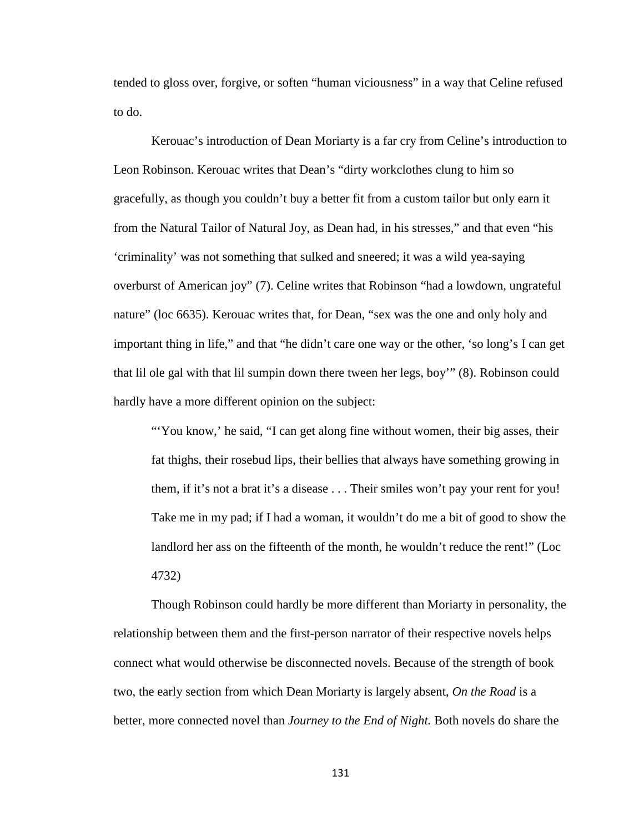tended to gloss over, forgive, or soften "human viciousness" in a way that Celine refused to do.

Kerouac's introduction of Dean Moriarty is a far cry from Celine's introduction to Leon Robinson. Kerouac writes that Dean's "dirty workclothes clung to him so gracefully, as though you couldn't buy a better fit from a custom tailor but only earn it from the Natural Tailor of Natural Joy, as Dean had, in his stresses," and that even "his 'criminality' was not something that sulked and sneered; it was a wild yea-saying overburst of American joy" (7). Celine writes that Robinson "had a lowdown, ungrateful nature" (loc 6635). Kerouac writes that, for Dean, "sex was the one and only holy and important thing in life," and that "he didn't care one way or the other, 'so long's I can get that lil ole gal with that lil sumpin down there tween her legs, boy'" (8). Robinson could hardly have a more different opinion on the subject:

"You know,' he said, "I can get along fine without women, their big asses, their fat thighs, their rosebud lips, their bellies that always have something growing in them, if it's not a brat it's a disease . . . Their smiles won't pay your rent for you! Take me in my pad; if I had a woman, it wouldn't do me a bit of good to show the landlord her ass on the fifteenth of the month, he wouldn't reduce the rent!" (Loc 4732)

Though Robinson could hardly be more different than Moriarty in personality, the relationship between them and the first-person narrator of their respective novels helps connect what would otherwise be disconnected novels. Because of the strength of book two, the early section from which Dean Moriarty is largely absent, *On the Road* is a better, more connected novel than *Journey to the End of Night.* Both novels do share the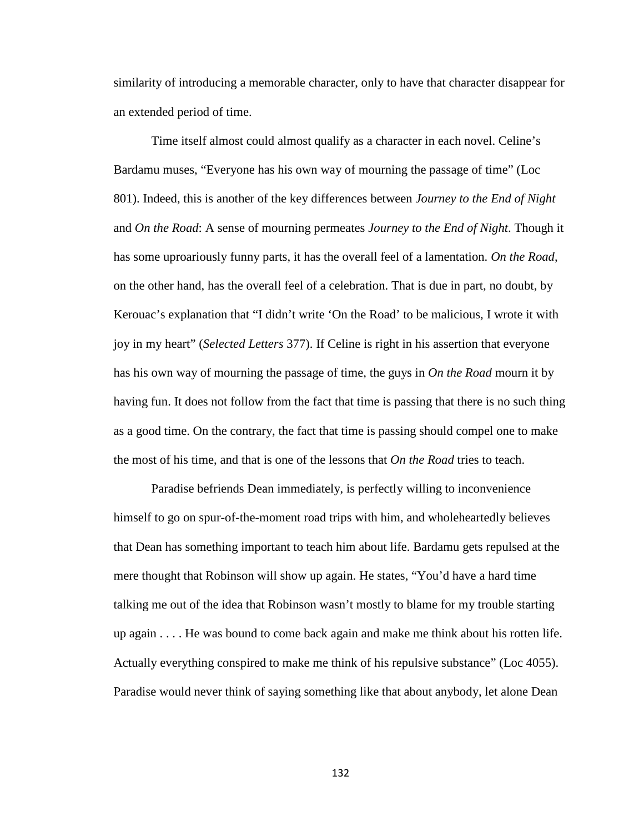similarity of introducing a memorable character, only to have that character disappear for an extended period of time.

Time itself almost could almost qualify as a character in each novel. Celine's Bardamu muses, "Everyone has his own way of mourning the passage of time" (Loc 801). Indeed, this is another of the key differences between *Journey to the End of Night*  and *On the Road*: A sense of mourning permeates *Journey to the End of Night*. Though it has some uproariously funny parts, it has the overall feel of a lamentation. *On the Road*, on the other hand, has the overall feel of a celebration. That is due in part, no doubt, by Kerouac's explanation that "I didn't write 'On the Road' to be malicious, I wrote it with joy in my heart" (*Selected Letters* 377). If Celine is right in his assertion that everyone has his own way of mourning the passage of time, the guys in *On the Road* mourn it by having fun. It does not follow from the fact that time is passing that there is no such thing as a good time. On the contrary, the fact that time is passing should compel one to make the most of his time, and that is one of the lessons that *On the Road* tries to teach.

Paradise befriends Dean immediately, is perfectly willing to inconvenience himself to go on spur-of-the-moment road trips with him, and wholeheartedly believes that Dean has something important to teach him about life. Bardamu gets repulsed at the mere thought that Robinson will show up again. He states, "You'd have a hard time talking me out of the idea that Robinson wasn't mostly to blame for my trouble starting up again . . . . He was bound to come back again and make me think about his rotten life. Actually everything conspired to make me think of his repulsive substance" (Loc 4055). Paradise would never think of saying something like that about anybody, let alone Dean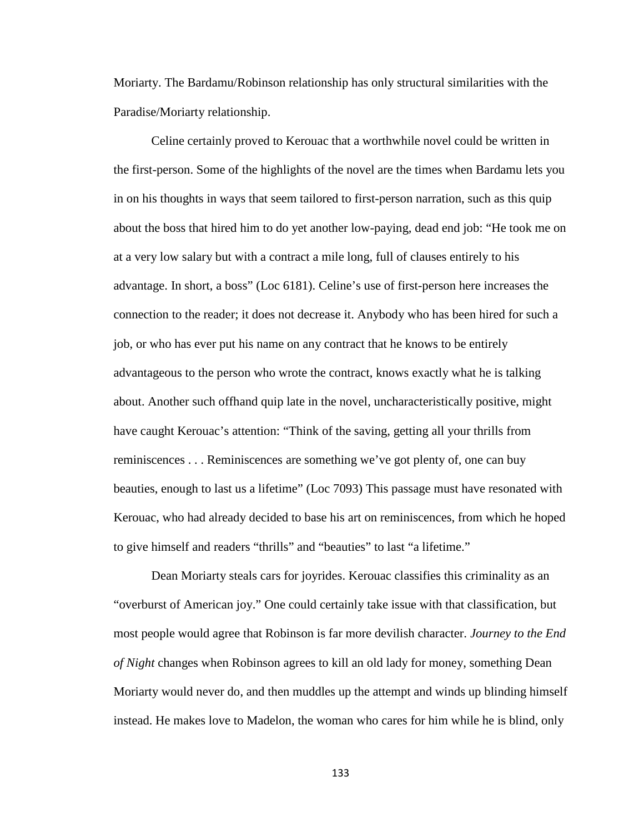Moriarty. The Bardamu/Robinson relationship has only structural similarities with the Paradise/Moriarty relationship.

Celine certainly proved to Kerouac that a worthwhile novel could be written in the first-person. Some of the highlights of the novel are the times when Bardamu lets you in on his thoughts in ways that seem tailored to first-person narration, such as this quip about the boss that hired him to do yet another low-paying, dead end job: "He took me on at a very low salary but with a contract a mile long, full of clauses entirely to his advantage. In short, a boss" (Loc 6181). Celine's use of first-person here increases the connection to the reader; it does not decrease it. Anybody who has been hired for such a job, or who has ever put his name on any contract that he knows to be entirely advantageous to the person who wrote the contract, knows exactly what he is talking about. Another such offhand quip late in the novel, uncharacteristically positive, might have caught Kerouac's attention: "Think of the saving, getting all your thrills from reminiscences . . . Reminiscences are something we've got plenty of, one can buy beauties, enough to last us a lifetime" (Loc 7093) This passage must have resonated with Kerouac, who had already decided to base his art on reminiscences, from which he hoped to give himself and readers "thrills" and "beauties" to last "a lifetime."

Dean Moriarty steals cars for joyrides. Kerouac classifies this criminality as an "overburst of American joy." One could certainly take issue with that classification, but most people would agree that Robinson is far more devilish character. *Journey to the End of Night* changes when Robinson agrees to kill an old lady for money, something Dean Moriarty would never do, and then muddles up the attempt and winds up blinding himself instead. He makes love to Madelon, the woman who cares for him while he is blind, only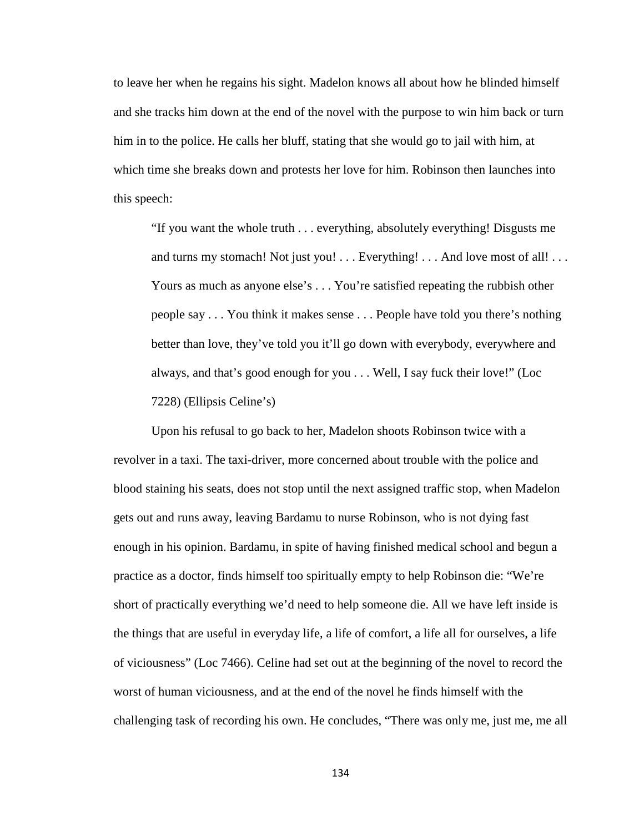to leave her when he regains his sight. Madelon knows all about how he blinded himself and she tracks him down at the end of the novel with the purpose to win him back or turn him in to the police. He calls her bluff, stating that she would go to jail with him, at which time she breaks down and protests her love for him. Robinson then launches into this speech:

"If you want the whole truth . . . everything, absolutely everything! Disgusts me and turns my stomach! Not just you! . . . Everything! . . . And love most of all! . . . Yours as much as anyone else's . . . You're satisfied repeating the rubbish other people say . . . You think it makes sense . . . People have told you there's nothing better than love, they've told you it'll go down with everybody, everywhere and always, and that's good enough for you . . . Well, I say fuck their love!" (Loc 7228) (Ellipsis Celine's)

Upon his refusal to go back to her, Madelon shoots Robinson twice with a revolver in a taxi. The taxi-driver, more concerned about trouble with the police and blood staining his seats, does not stop until the next assigned traffic stop, when Madelon gets out and runs away, leaving Bardamu to nurse Robinson, who is not dying fast enough in his opinion. Bardamu, in spite of having finished medical school and begun a practice as a doctor, finds himself too spiritually empty to help Robinson die: "We're short of practically everything we'd need to help someone die. All we have left inside is the things that are useful in everyday life, a life of comfort, a life all for ourselves, a life of viciousness" (Loc 7466). Celine had set out at the beginning of the novel to record the worst of human viciousness, and at the end of the novel he finds himself with the challenging task of recording his own. He concludes, "There was only me, just me, me all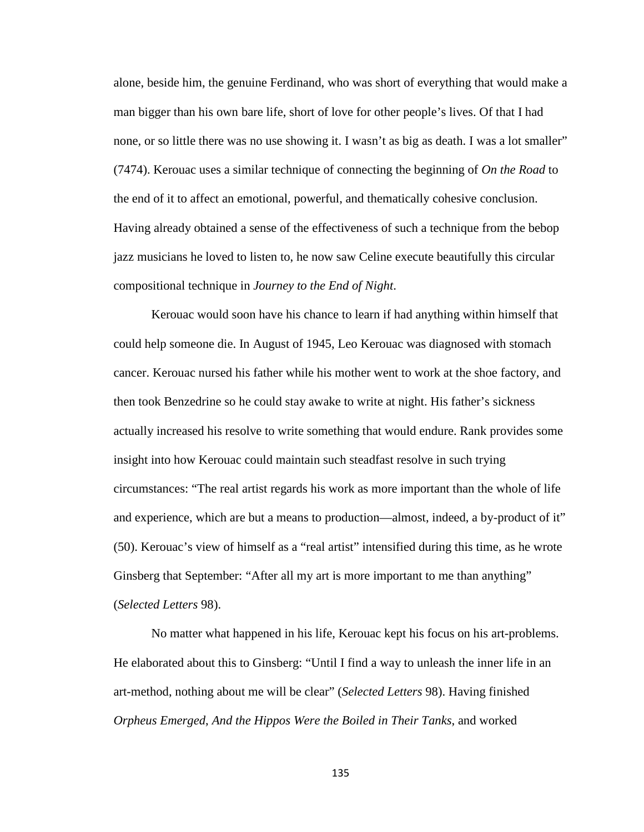alone, beside him, the genuine Ferdinand, who was short of everything that would make a man bigger than his own bare life, short of love for other people's lives. Of that I had none, or so little there was no use showing it. I wasn't as big as death. I was a lot smaller" (7474). Kerouac uses a similar technique of connecting the beginning of *On the Road* to the end of it to affect an emotional, powerful, and thematically cohesive conclusion. Having already obtained a sense of the effectiveness of such a technique from the bebop jazz musicians he loved to listen to, he now saw Celine execute beautifully this circular compositional technique in *Journey to the End of Night*.

Kerouac would soon have his chance to learn if had anything within himself that could help someone die. In August of 1945, Leo Kerouac was diagnosed with stomach cancer. Kerouac nursed his father while his mother went to work at the shoe factory, and then took Benzedrine so he could stay awake to write at night. His father's sickness actually increased his resolve to write something that would endure. Rank provides some insight into how Kerouac could maintain such steadfast resolve in such trying circumstances: "The real artist regards his work as more important than the whole of life and experience, which are but a means to production—almost, indeed, a by-product of it" (50). Kerouac's view of himself as a "real artist" intensified during this time, as he wrote Ginsberg that September: "After all my art is more important to me than anything" (*Selected Letters* 98).

No matter what happened in his life, Kerouac kept his focus on his art-problems. He elaborated about this to Ginsberg: "Until I find a way to unleash the inner life in an art-method, nothing about me will be clear" (*Selected Letters* 98). Having finished *Orpheus Emerged*, *And the Hippos Were the Boiled in Their Tanks*, and worked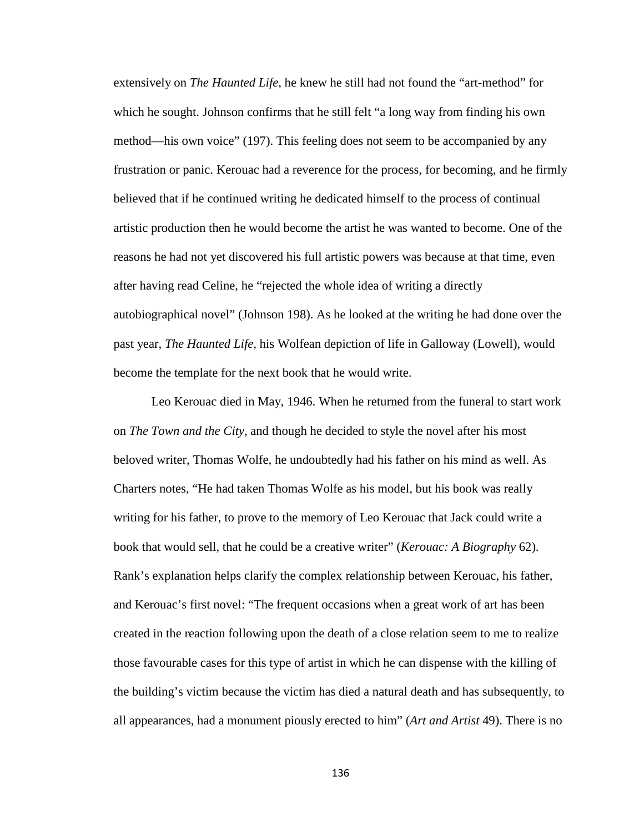extensively on *The Haunted Life*, he knew he still had not found the "art-method" for which he sought. Johnson confirms that he still felt "a long way from finding his own method—his own voice" (197). This feeling does not seem to be accompanied by any frustration or panic. Kerouac had a reverence for the process, for becoming, and he firmly believed that if he continued writing he dedicated himself to the process of continual artistic production then he would become the artist he was wanted to become. One of the reasons he had not yet discovered his full artistic powers was because at that time, even after having read Celine, he "rejected the whole idea of writing a directly autobiographical novel" (Johnson 198). As he looked at the writing he had done over the past year, *The Haunted Life,* his Wolfean depiction of life in Galloway (Lowell), would become the template for the next book that he would write.

Leo Kerouac died in May, 1946. When he returned from the funeral to start work on *The Town and the City*, and though he decided to style the novel after his most beloved writer, Thomas Wolfe, he undoubtedly had his father on his mind as well. As Charters notes, "He had taken Thomas Wolfe as his model, but his book was really writing for his father, to prove to the memory of Leo Kerouac that Jack could write a book that would sell, that he could be a creative writer" (*Kerouac: A Biography* 62). Rank's explanation helps clarify the complex relationship between Kerouac, his father, and Kerouac's first novel: "The frequent occasions when a great work of art has been created in the reaction following upon the death of a close relation seem to me to realize those favourable cases for this type of artist in which he can dispense with the killing of the building's victim because the victim has died a natural death and has subsequently, to all appearances, had a monument piously erected to him" (*Art and Artist* 49). There is no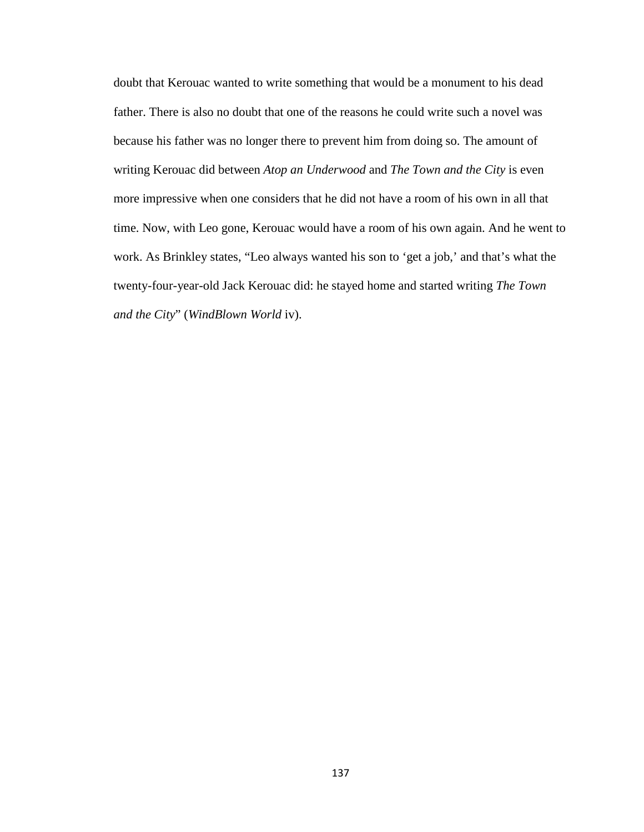doubt that Kerouac wanted to write something that would be a monument to his dead father. There is also no doubt that one of the reasons he could write such a novel was because his father was no longer there to prevent him from doing so. The amount of writing Kerouac did between *Atop an Underwood* and *The Town and the City* is even more impressive when one considers that he did not have a room of his own in all that time. Now, with Leo gone, Kerouac would have a room of his own again. And he went to work. As Brinkley states, "Leo always wanted his son to 'get a job,' and that's what the twenty-four-year-old Jack Kerouac did: he stayed home and started writing *The Town and the City*" (*WindBlown World* iv).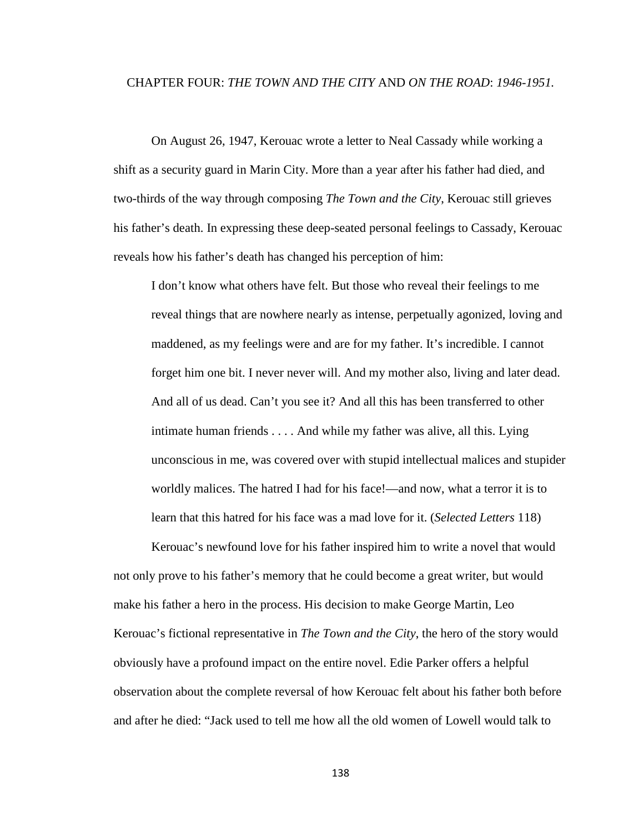## CHAPTER FOUR: *THE TOWN AND THE CITY* AND *ON THE ROAD*: *1946-1951.*

On August 26, 1947, Kerouac wrote a letter to Neal Cassady while working a shift as a security guard in Marin City. More than a year after his father had died, and two-thirds of the way through composing *The Town and the City*, Kerouac still grieves his father's death. In expressing these deep-seated personal feelings to Cassady, Kerouac reveals how his father's death has changed his perception of him:

I don't know what others have felt. But those who reveal their feelings to me reveal things that are nowhere nearly as intense, perpetually agonized, loving and maddened, as my feelings were and are for my father. It's incredible. I cannot forget him one bit. I never never will. And my mother also, living and later dead. And all of us dead. Can't you see it? And all this has been transferred to other intimate human friends . . . . And while my father was alive, all this. Lying unconscious in me, was covered over with stupid intellectual malices and stupider worldly malices. The hatred I had for his face!—and now, what a terror it is to learn that this hatred for his face was a mad love for it. (*Selected Letters* 118)

Kerouac's newfound love for his father inspired him to write a novel that would not only prove to his father's memory that he could become a great writer, but would make his father a hero in the process. His decision to make George Martin, Leo Kerouac's fictional representative in *The Town and the City*, the hero of the story would obviously have a profound impact on the entire novel. Edie Parker offers a helpful observation about the complete reversal of how Kerouac felt about his father both before and after he died: "Jack used to tell me how all the old women of Lowell would talk to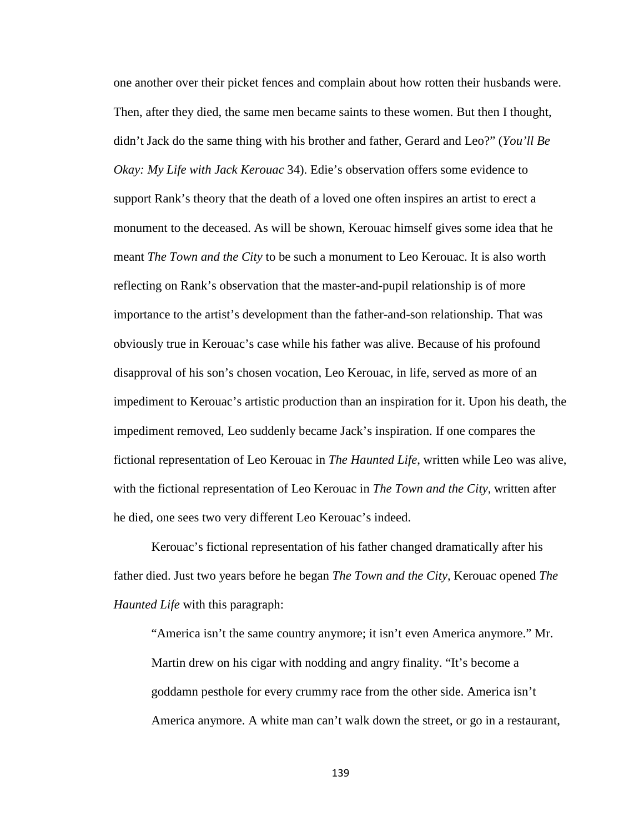one another over their picket fences and complain about how rotten their husbands were. Then, after they died, the same men became saints to these women. But then I thought, didn't Jack do the same thing with his brother and father, Gerard and Leo?" (*You'll Be Okay: My Life with Jack Kerouac* 34). Edie's observation offers some evidence to support Rank's theory that the death of a loved one often inspires an artist to erect a monument to the deceased. As will be shown, Kerouac himself gives some idea that he meant *The Town and the City* to be such a monument to Leo Kerouac. It is also worth reflecting on Rank's observation that the master-and-pupil relationship is of more importance to the artist's development than the father-and-son relationship. That was obviously true in Kerouac's case while his father was alive. Because of his profound disapproval of his son's chosen vocation, Leo Kerouac, in life, served as more of an impediment to Kerouac's artistic production than an inspiration for it. Upon his death, the impediment removed, Leo suddenly became Jack's inspiration. If one compares the fictional representation of Leo Kerouac in *The Haunted Life*, written while Leo was alive, with the fictional representation of Leo Kerouac in *The Town and the City*, written after he died, one sees two very different Leo Kerouac's indeed.

Kerouac's fictional representation of his father changed dramatically after his father died. Just two years before he began *The Town and the City*, Kerouac opened *The Haunted Life* with this paragraph:

"America isn't the same country anymore; it isn't even America anymore." Mr. Martin drew on his cigar with nodding and angry finality. "It's become a goddamn pesthole for every crummy race from the other side. America isn't America anymore. A white man can't walk down the street, or go in a restaurant,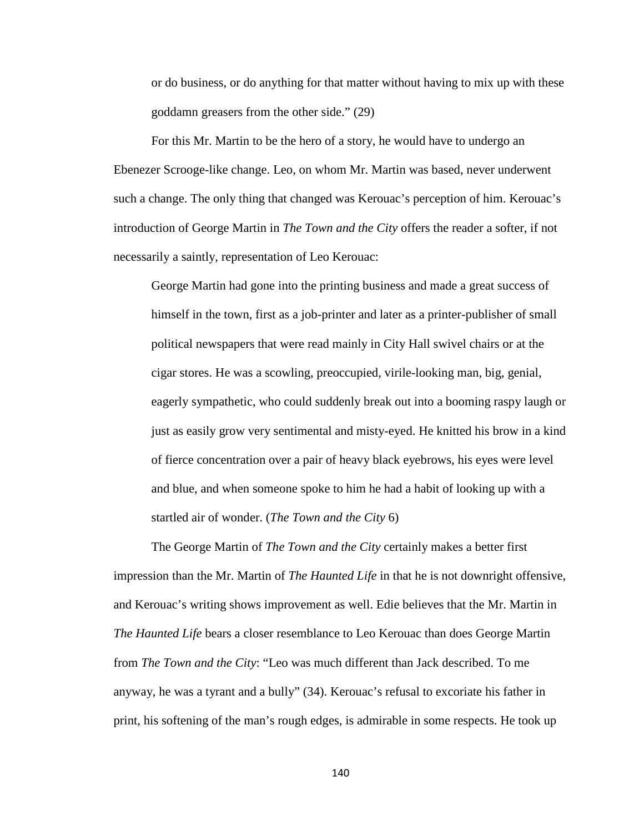or do business, or do anything for that matter without having to mix up with these goddamn greasers from the other side." (29)

For this Mr. Martin to be the hero of a story, he would have to undergo an Ebenezer Scrooge-like change. Leo, on whom Mr. Martin was based, never underwent such a change. The only thing that changed was Kerouac's perception of him. Kerouac's introduction of George Martin in *The Town and the City* offers the reader a softer, if not necessarily a saintly, representation of Leo Kerouac:

George Martin had gone into the printing business and made a great success of himself in the town, first as a job-printer and later as a printer-publisher of small political newspapers that were read mainly in City Hall swivel chairs or at the cigar stores. He was a scowling, preoccupied, virile-looking man, big, genial, eagerly sympathetic, who could suddenly break out into a booming raspy laugh or just as easily grow very sentimental and misty-eyed. He knitted his brow in a kind of fierce concentration over a pair of heavy black eyebrows, his eyes were level and blue, and when someone spoke to him he had a habit of looking up with a startled air of wonder. (*The Town and the City* 6)

The George Martin of *The Town and the City* certainly makes a better first impression than the Mr. Martin of *The Haunted Life* in that he is not downright offensive, and Kerouac's writing shows improvement as well. Edie believes that the Mr. Martin in *The Haunted Life* bears a closer resemblance to Leo Kerouac than does George Martin from *The Town and the City*: "Leo was much different than Jack described. To me anyway, he was a tyrant and a bully" (34). Kerouac's refusal to excoriate his father in print, his softening of the man's rough edges, is admirable in some respects. He took up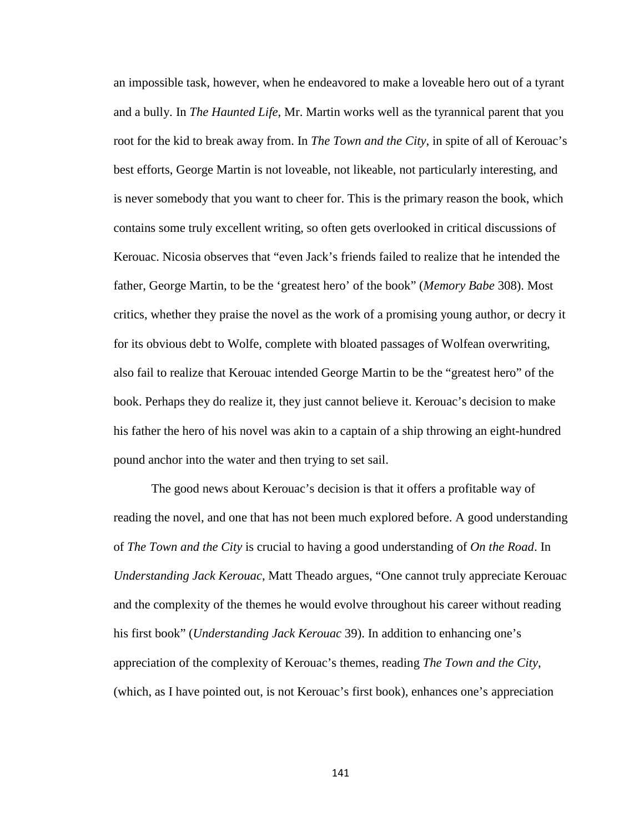an impossible task, however, when he endeavored to make a loveable hero out of a tyrant and a bully. In *The Haunted Life*, Mr. Martin works well as the tyrannical parent that you root for the kid to break away from. In *The Town and the City*, in spite of all of Kerouac's best efforts, George Martin is not loveable, not likeable, not particularly interesting, and is never somebody that you want to cheer for. This is the primary reason the book, which contains some truly excellent writing, so often gets overlooked in critical discussions of Kerouac. Nicosia observes that "even Jack's friends failed to realize that he intended the father, George Martin, to be the 'greatest hero' of the book" (*Memory Babe* 308). Most critics, whether they praise the novel as the work of a promising young author, or decry it for its obvious debt to Wolfe, complete with bloated passages of Wolfean overwriting, also fail to realize that Kerouac intended George Martin to be the "greatest hero" of the book. Perhaps they do realize it, they just cannot believe it. Kerouac's decision to make his father the hero of his novel was akin to a captain of a ship throwing an eight-hundred pound anchor into the water and then trying to set sail.

The good news about Kerouac's decision is that it offers a profitable way of reading the novel, and one that has not been much explored before. A good understanding of *The Town and the City* is crucial to having a good understanding of *On the Road*. In *Understanding Jack Kerouac*, Matt Theado argues, "One cannot truly appreciate Kerouac and the complexity of the themes he would evolve throughout his career without reading his first book" (*Understanding Jack Kerouac* 39). In addition to enhancing one's appreciation of the complexity of Kerouac's themes, reading *The Town and the City*, (which, as I have pointed out, is not Kerouac's first book), enhances one's appreciation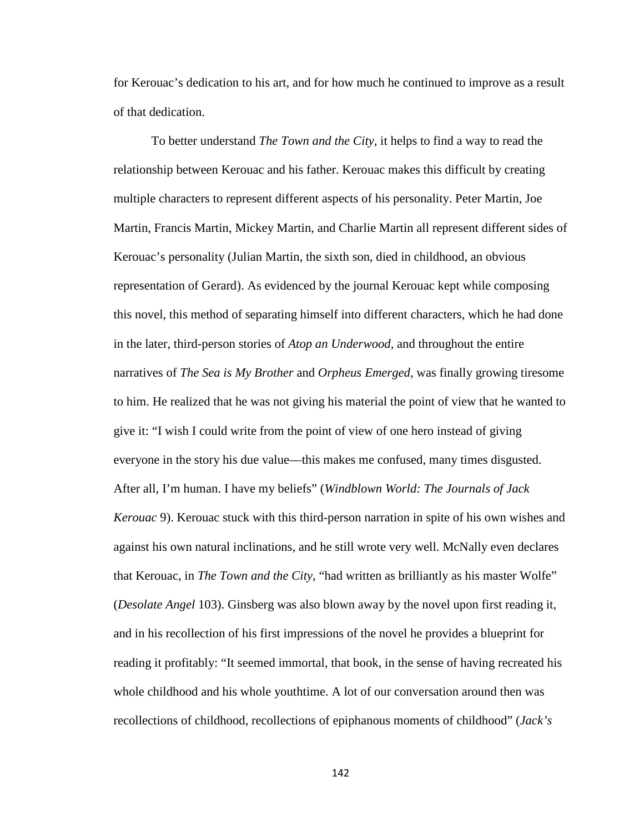for Kerouac's dedication to his art, and for how much he continued to improve as a result of that dedication.

To better understand *The Town and the City*, it helps to find a way to read the relationship between Kerouac and his father. Kerouac makes this difficult by creating multiple characters to represent different aspects of his personality. Peter Martin, Joe Martin, Francis Martin, Mickey Martin, and Charlie Martin all represent different sides of Kerouac's personality (Julian Martin, the sixth son, died in childhood, an obvious representation of Gerard). As evidenced by the journal Kerouac kept while composing this novel, this method of separating himself into different characters, which he had done in the later, third-person stories of *Atop an Underwood,* and throughout the entire narratives of *The Sea is My Brother* and *Orpheus Emerged*, was finally growing tiresome to him. He realized that he was not giving his material the point of view that he wanted to give it: "I wish I could write from the point of view of one hero instead of giving everyone in the story his due value—this makes me confused, many times disgusted. After all, I'm human. I have my beliefs" (*Windblown World: The Journals of Jack Kerouac* 9). Kerouac stuck with this third-person narration in spite of his own wishes and against his own natural inclinations, and he still wrote very well. McNally even declares that Kerouac, in *The Town and the City*, "had written as brilliantly as his master Wolfe" (*Desolate Angel* 103). Ginsberg was also blown away by the novel upon first reading it, and in his recollection of his first impressions of the novel he provides a blueprint for reading it profitably: "It seemed immortal, that book, in the sense of having recreated his whole childhood and his whole youthtime. A lot of our conversation around then was recollections of childhood, recollections of epiphanous moments of childhood" (*Jack's*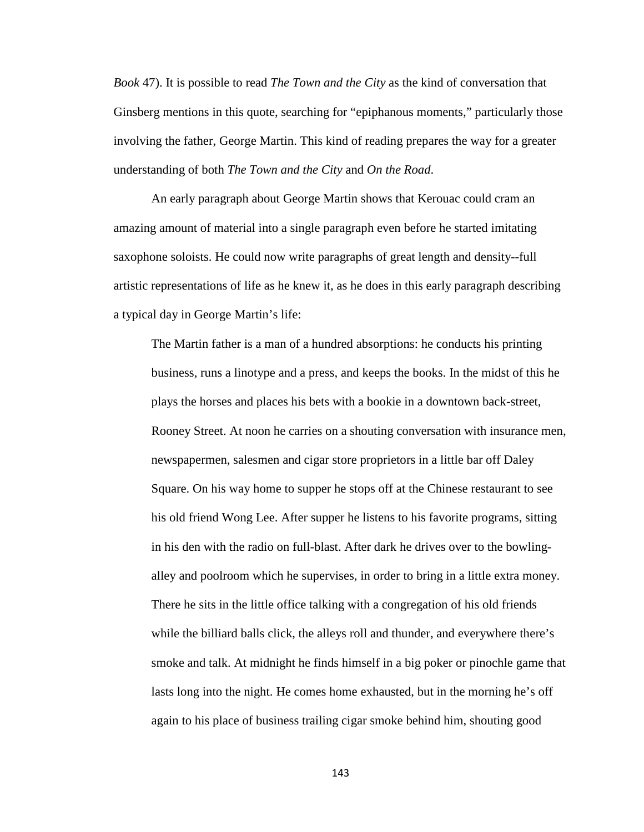*Book* 47). It is possible to read *The Town and the City* as the kind of conversation that Ginsberg mentions in this quote, searching for "epiphanous moments," particularly those involving the father, George Martin. This kind of reading prepares the way for a greater understanding of both *The Town and the City* and *On the Road*.

An early paragraph about George Martin shows that Kerouac could cram an amazing amount of material into a single paragraph even before he started imitating saxophone soloists. He could now write paragraphs of great length and density--full artistic representations of life as he knew it, as he does in this early paragraph describing a typical day in George Martin's life:

The Martin father is a man of a hundred absorptions: he conducts his printing business, runs a linotype and a press, and keeps the books. In the midst of this he plays the horses and places his bets with a bookie in a downtown back-street, Rooney Street. At noon he carries on a shouting conversation with insurance men, newspapermen, salesmen and cigar store proprietors in a little bar off Daley Square. On his way home to supper he stops off at the Chinese restaurant to see his old friend Wong Lee. After supper he listens to his favorite programs, sitting in his den with the radio on full-blast. After dark he drives over to the bowlingalley and poolroom which he supervises, in order to bring in a little extra money. There he sits in the little office talking with a congregation of his old friends while the billiard balls click, the alleys roll and thunder, and everywhere there's smoke and talk. At midnight he finds himself in a big poker or pinochle game that lasts long into the night. He comes home exhausted, but in the morning he's off again to his place of business trailing cigar smoke behind him, shouting good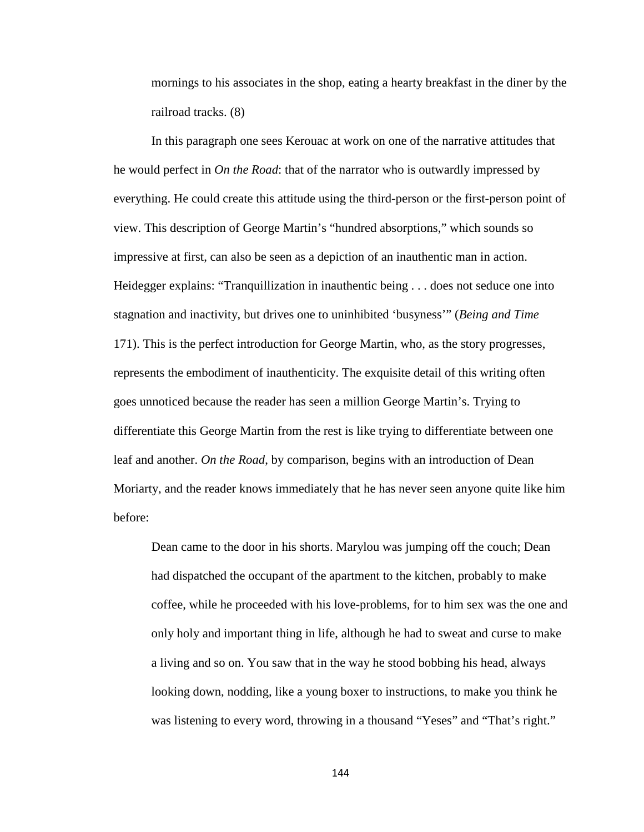mornings to his associates in the shop, eating a hearty breakfast in the diner by the railroad tracks. (8)

In this paragraph one sees Kerouac at work on one of the narrative attitudes that he would perfect in *On the Road*: that of the narrator who is outwardly impressed by everything. He could create this attitude using the third-person or the first-person point of view. This description of George Martin's "hundred absorptions," which sounds so impressive at first, can also be seen as a depiction of an inauthentic man in action. Heidegger explains: "Tranquillization in inauthentic being . . . does not seduce one into stagnation and inactivity, but drives one to uninhibited 'busyness'" (*Being and Time*  171). This is the perfect introduction for George Martin, who, as the story progresses, represents the embodiment of inauthenticity. The exquisite detail of this writing often goes unnoticed because the reader has seen a million George Martin's. Trying to differentiate this George Martin from the rest is like trying to differentiate between one leaf and another. *On the Road*, by comparison, begins with an introduction of Dean Moriarty, and the reader knows immediately that he has never seen anyone quite like him before:

Dean came to the door in his shorts. Marylou was jumping off the couch; Dean had dispatched the occupant of the apartment to the kitchen, probably to make coffee, while he proceeded with his love-problems, for to him sex was the one and only holy and important thing in life, although he had to sweat and curse to make a living and so on. You saw that in the way he stood bobbing his head, always looking down, nodding, like a young boxer to instructions, to make you think he was listening to every word, throwing in a thousand "Yeses" and "That's right."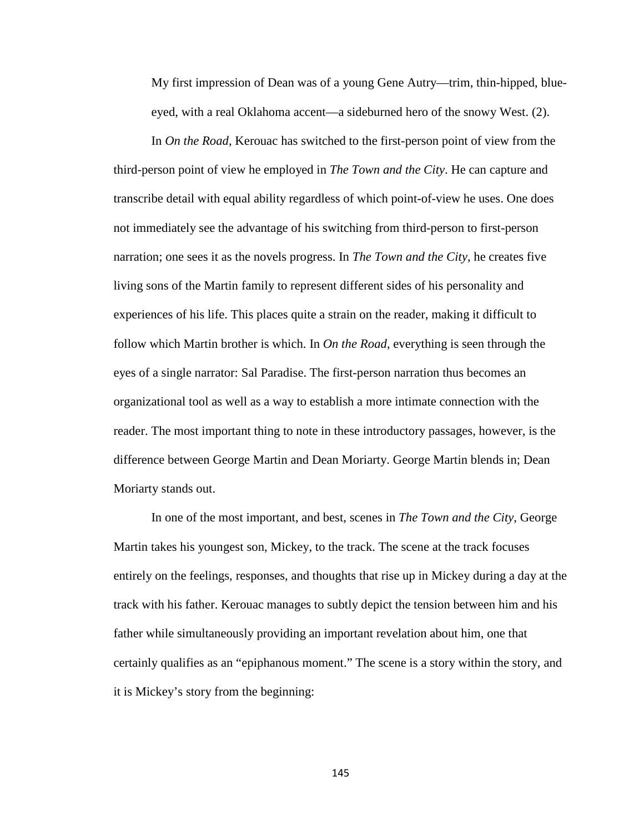My first impression of Dean was of a young Gene Autry—trim, thin-hipped, blueeyed, with a real Oklahoma accent—a sideburned hero of the snowy West. (2).

In *On the Road*, Kerouac has switched to the first-person point of view from the third-person point of view he employed in *The Town and the City*. He can capture and transcribe detail with equal ability regardless of which point-of-view he uses. One does not immediately see the advantage of his switching from third-person to first-person narration; one sees it as the novels progress. In *The Town and the City*, he creates five living sons of the Martin family to represent different sides of his personality and experiences of his life. This places quite a strain on the reader, making it difficult to follow which Martin brother is which. In *On the Road*, everything is seen through the eyes of a single narrator: Sal Paradise. The first-person narration thus becomes an organizational tool as well as a way to establish a more intimate connection with the reader. The most important thing to note in these introductory passages, however, is the difference between George Martin and Dean Moriarty. George Martin blends in; Dean Moriarty stands out.

In one of the most important, and best, scenes in *The Town and the City*, George Martin takes his youngest son, Mickey, to the track. The scene at the track focuses entirely on the feelings, responses, and thoughts that rise up in Mickey during a day at the track with his father. Kerouac manages to subtly depict the tension between him and his father while simultaneously providing an important revelation about him, one that certainly qualifies as an "epiphanous moment." The scene is a story within the story, and it is Mickey's story from the beginning: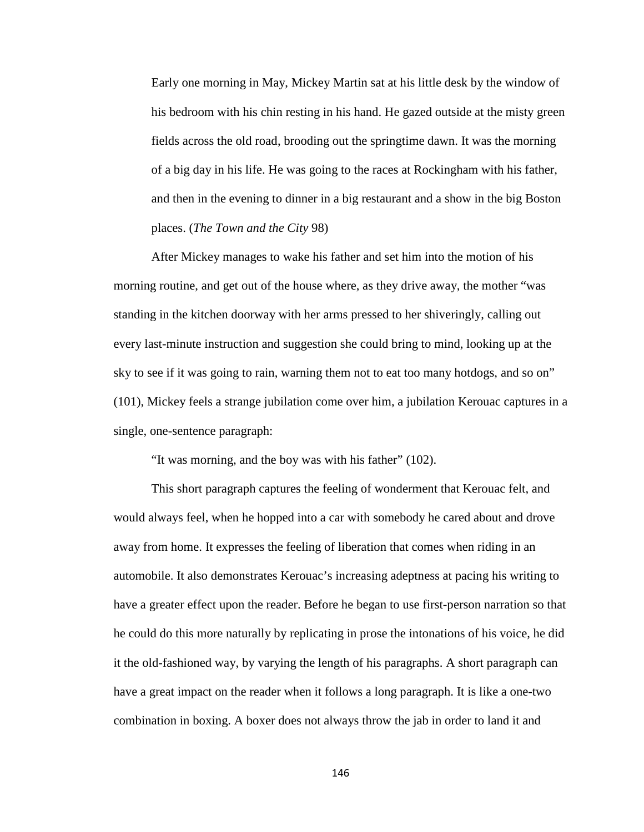Early one morning in May, Mickey Martin sat at his little desk by the window of his bedroom with his chin resting in his hand. He gazed outside at the misty green fields across the old road, brooding out the springtime dawn. It was the morning of a big day in his life. He was going to the races at Rockingham with his father, and then in the evening to dinner in a big restaurant and a show in the big Boston places. (*The Town and the City* 98)

After Mickey manages to wake his father and set him into the motion of his morning routine, and get out of the house where, as they drive away, the mother "was standing in the kitchen doorway with her arms pressed to her shiveringly, calling out every last-minute instruction and suggestion she could bring to mind, looking up at the sky to see if it was going to rain, warning them not to eat too many hotdogs, and so on" (101), Mickey feels a strange jubilation come over him, a jubilation Kerouac captures in a single, one-sentence paragraph:

"It was morning, and the boy was with his father" (102).

This short paragraph captures the feeling of wonderment that Kerouac felt, and would always feel, when he hopped into a car with somebody he cared about and drove away from home. It expresses the feeling of liberation that comes when riding in an automobile. It also demonstrates Kerouac's increasing adeptness at pacing his writing to have a greater effect upon the reader. Before he began to use first-person narration so that he could do this more naturally by replicating in prose the intonations of his voice, he did it the old-fashioned way, by varying the length of his paragraphs. A short paragraph can have a great impact on the reader when it follows a long paragraph. It is like a one-two combination in boxing. A boxer does not always throw the jab in order to land it and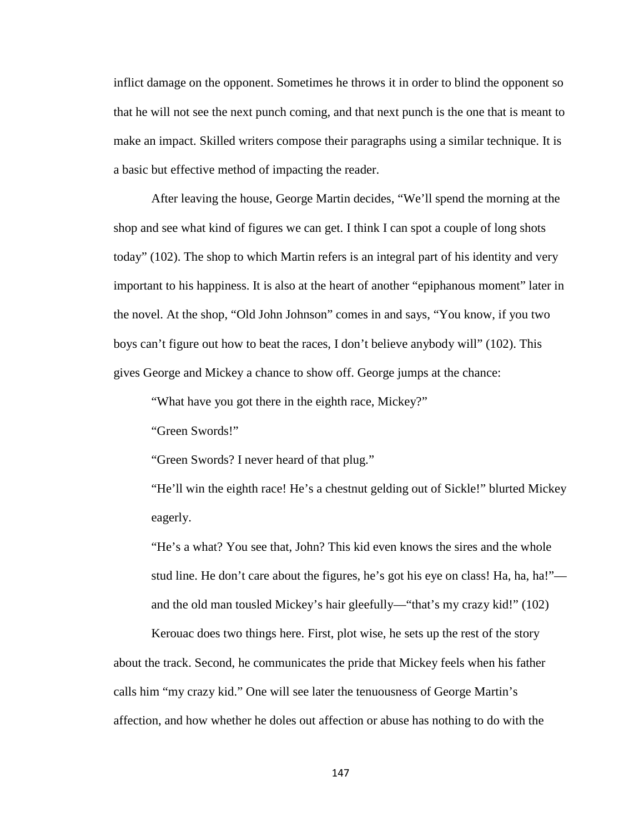inflict damage on the opponent. Sometimes he throws it in order to blind the opponent so that he will not see the next punch coming, and that next punch is the one that is meant to make an impact. Skilled writers compose their paragraphs using a similar technique. It is a basic but effective method of impacting the reader.

After leaving the house, George Martin decides, "We'll spend the morning at the shop and see what kind of figures we can get. I think I can spot a couple of long shots today" (102). The shop to which Martin refers is an integral part of his identity and very important to his happiness. It is also at the heart of another "epiphanous moment" later in the novel. At the shop, "Old John Johnson" comes in and says, "You know, if you two boys can't figure out how to beat the races, I don't believe anybody will" (102). This gives George and Mickey a chance to show off. George jumps at the chance:

"What have you got there in the eighth race, Mickey?"

"Green Swords!"

"Green Swords? I never heard of that plug."

"He'll win the eighth race! He's a chestnut gelding out of Sickle!" blurted Mickey eagerly.

"He's a what? You see that, John? This kid even knows the sires and the whole stud line. He don't care about the figures, he's got his eye on class! Ha, ha, ha!" and the old man tousled Mickey's hair gleefully—"that's my crazy kid!" (102)

Kerouac does two things here. First, plot wise, he sets up the rest of the story about the track. Second, he communicates the pride that Mickey feels when his father calls him "my crazy kid." One will see later the tenuousness of George Martin's affection, and how whether he doles out affection or abuse has nothing to do with the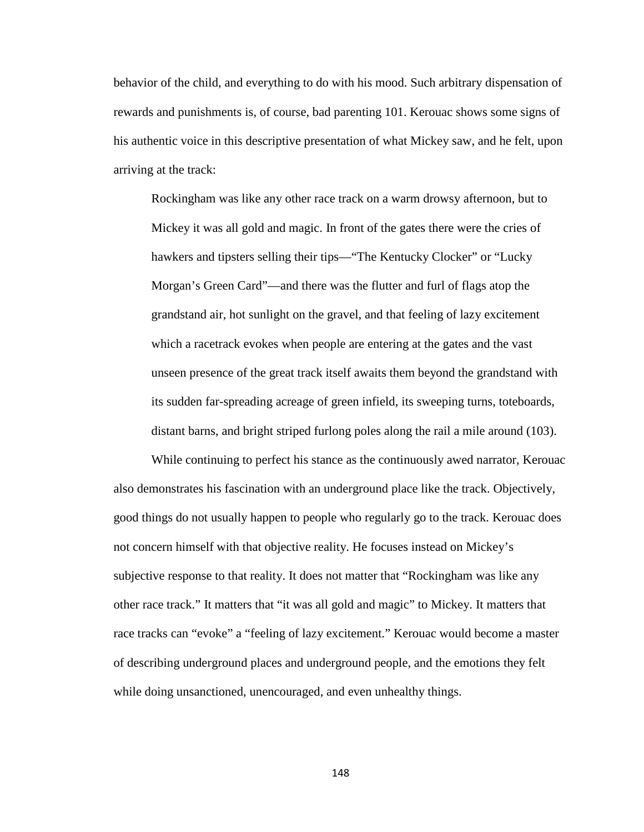behavior of the child, and everything to do with his mood. Such arbitrary dispensation of rewards and punishments is, of course, bad parenting 101. Kerouac shows some signs of his authentic voice in this descriptive presentation of what Mickey saw, and he felt, upon arriving at the track:

Rockingham was like any other race track on a warm drowsy afternoon, but to Mickey it was all gold and magic. In front of the gates there were the cries of hawkers and tipsters selling their tips—"The Kentucky Clocker" or "Lucky Morgan's Green Card"—and there was the flutter and furl of flags atop the grandstand air, hot sunlight on the gravel, and that feeling of lazy excitement which a racetrack evokes when people are entering at the gates and the vast unseen presence of the great track itself awaits them beyond the grandstand with its sudden far-spreading acreage of green infield, its sweeping turns, toteboards, distant barns, and bright striped furlong poles along the rail a mile around (103).

While continuing to perfect his stance as the continuously awed narrator, Kerouac also demonstrates his fascination with an underground place like the track. Objectively, good things do not usually happen to people who regularly go to the track. Kerouac does not concern himself with that objective reality. He focuses instead on Mickey's subjective response to that reality. It does not matter that "Rockingham was like any other race track." It matters that "it was all gold and magic" to Mickey. It matters that race tracks can "evoke" a "feeling of lazy excitement." Kerouac would become a master of describing underground places and underground people, and the emotions they felt while doing unsanctioned, unencouraged, and even unhealthy things.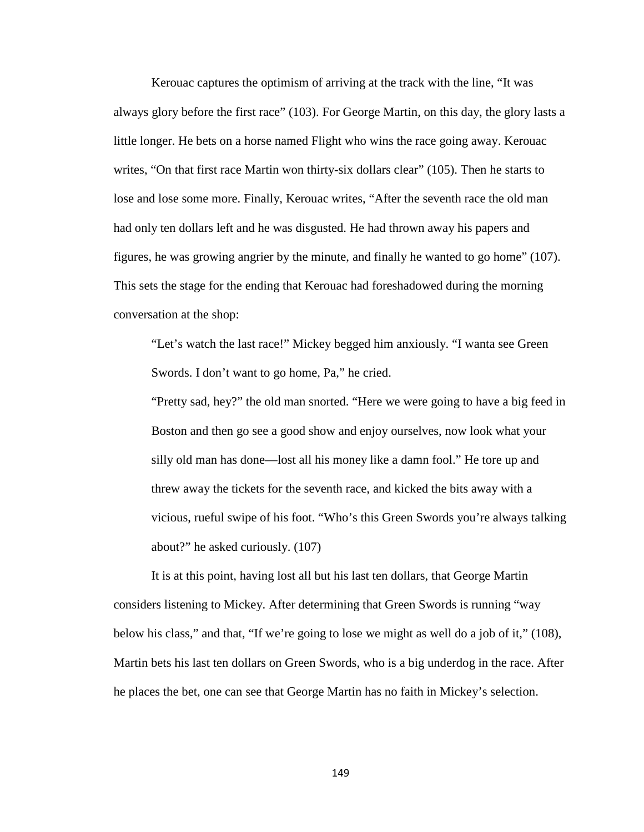Kerouac captures the optimism of arriving at the track with the line, "It was always glory before the first race" (103). For George Martin, on this day, the glory lasts a little longer. He bets on a horse named Flight who wins the race going away. Kerouac writes, "On that first race Martin won thirty-six dollars clear" (105). Then he starts to lose and lose some more. Finally, Kerouac writes, "After the seventh race the old man had only ten dollars left and he was disgusted. He had thrown away his papers and figures, he was growing angrier by the minute, and finally he wanted to go home" (107). This sets the stage for the ending that Kerouac had foreshadowed during the morning conversation at the shop:

"Let's watch the last race!" Mickey begged him anxiously. "I wanta see Green Swords. I don't want to go home, Pa," he cried.

"Pretty sad, hey?" the old man snorted. "Here we were going to have a big feed in Boston and then go see a good show and enjoy ourselves, now look what your silly old man has done—lost all his money like a damn fool." He tore up and threw away the tickets for the seventh race, and kicked the bits away with a vicious, rueful swipe of his foot. "Who's this Green Swords you're always talking about?" he asked curiously. (107)

It is at this point, having lost all but his last ten dollars, that George Martin considers listening to Mickey. After determining that Green Swords is running "way below his class," and that, "If we're going to lose we might as well do a job of it," (108), Martin bets his last ten dollars on Green Swords, who is a big underdog in the race. After he places the bet, one can see that George Martin has no faith in Mickey's selection.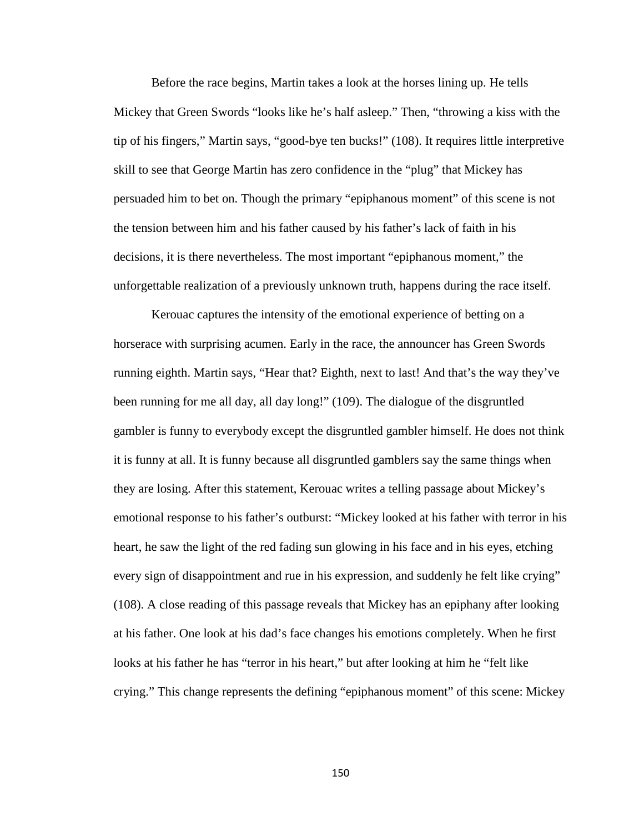Before the race begins, Martin takes a look at the horses lining up. He tells Mickey that Green Swords "looks like he's half asleep." Then, "throwing a kiss with the tip of his fingers," Martin says, "good-bye ten bucks!" (108). It requires little interpretive skill to see that George Martin has zero confidence in the "plug" that Mickey has persuaded him to bet on. Though the primary "epiphanous moment" of this scene is not the tension between him and his father caused by his father's lack of faith in his decisions, it is there nevertheless. The most important "epiphanous moment," the unforgettable realization of a previously unknown truth, happens during the race itself.

Kerouac captures the intensity of the emotional experience of betting on a horserace with surprising acumen. Early in the race, the announcer has Green Swords running eighth. Martin says, "Hear that? Eighth, next to last! And that's the way they've been running for me all day, all day long!" (109). The dialogue of the disgruntled gambler is funny to everybody except the disgruntled gambler himself. He does not think it is funny at all. It is funny because all disgruntled gamblers say the same things when they are losing. After this statement, Kerouac writes a telling passage about Mickey's emotional response to his father's outburst: "Mickey looked at his father with terror in his heart, he saw the light of the red fading sun glowing in his face and in his eyes, etching every sign of disappointment and rue in his expression, and suddenly he felt like crying" (108). A close reading of this passage reveals that Mickey has an epiphany after looking at his father. One look at his dad's face changes his emotions completely. When he first looks at his father he has "terror in his heart," but after looking at him he "felt like crying." This change represents the defining "epiphanous moment" of this scene: Mickey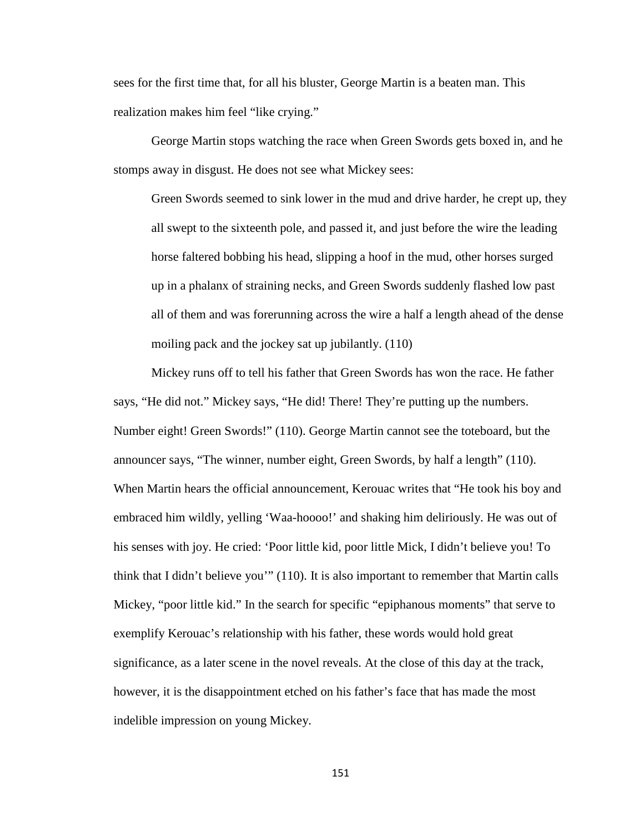sees for the first time that, for all his bluster, George Martin is a beaten man. This realization makes him feel "like crying."

George Martin stops watching the race when Green Swords gets boxed in, and he stomps away in disgust. He does not see what Mickey sees:

Green Swords seemed to sink lower in the mud and drive harder, he crept up, they all swept to the sixteenth pole, and passed it, and just before the wire the leading horse faltered bobbing his head, slipping a hoof in the mud, other horses surged up in a phalanx of straining necks, and Green Swords suddenly flashed low past all of them and was forerunning across the wire a half a length ahead of the dense moiling pack and the jockey sat up jubilantly. (110)

Mickey runs off to tell his father that Green Swords has won the race. He father says, "He did not." Mickey says, "He did! There! They're putting up the numbers. Number eight! Green Swords!" (110). George Martin cannot see the toteboard, but the announcer says, "The winner, number eight, Green Swords, by half a length" (110). When Martin hears the official announcement, Kerouac writes that "He took his boy and embraced him wildly, yelling 'Waa-hoooo!' and shaking him deliriously. He was out of his senses with joy. He cried: 'Poor little kid, poor little Mick, I didn't believe you! To think that I didn't believe you'" (110). It is also important to remember that Martin calls Mickey, "poor little kid." In the search for specific "epiphanous moments" that serve to exemplify Kerouac's relationship with his father, these words would hold great significance, as a later scene in the novel reveals. At the close of this day at the track, however, it is the disappointment etched on his father's face that has made the most indelible impression on young Mickey.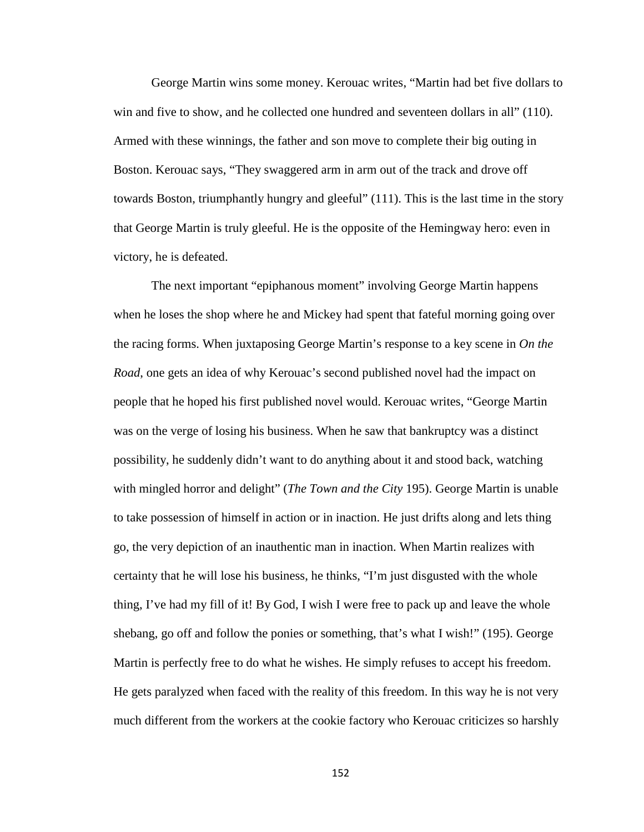George Martin wins some money. Kerouac writes, "Martin had bet five dollars to win and five to show, and he collected one hundred and seventeen dollars in all" (110). Armed with these winnings, the father and son move to complete their big outing in Boston. Kerouac says, "They swaggered arm in arm out of the track and drove off towards Boston, triumphantly hungry and gleeful" (111). This is the last time in the story that George Martin is truly gleeful. He is the opposite of the Hemingway hero: even in victory, he is defeated.

The next important "epiphanous moment" involving George Martin happens when he loses the shop where he and Mickey had spent that fateful morning going over the racing forms. When juxtaposing George Martin's response to a key scene in *On the Road*, one gets an idea of why Kerouac's second published novel had the impact on people that he hoped his first published novel would. Kerouac writes, "George Martin was on the verge of losing his business. When he saw that bankruptcy was a distinct possibility, he suddenly didn't want to do anything about it and stood back, watching with mingled horror and delight" (*The Town and the City* 195). George Martin is unable to take possession of himself in action or in inaction. He just drifts along and lets thing go, the very depiction of an inauthentic man in inaction. When Martin realizes with certainty that he will lose his business, he thinks, "I'm just disgusted with the whole thing, I've had my fill of it! By God, I wish I were free to pack up and leave the whole shebang, go off and follow the ponies or something, that's what I wish!" (195). George Martin is perfectly free to do what he wishes. He simply refuses to accept his freedom. He gets paralyzed when faced with the reality of this freedom. In this way he is not very much different from the workers at the cookie factory who Kerouac criticizes so harshly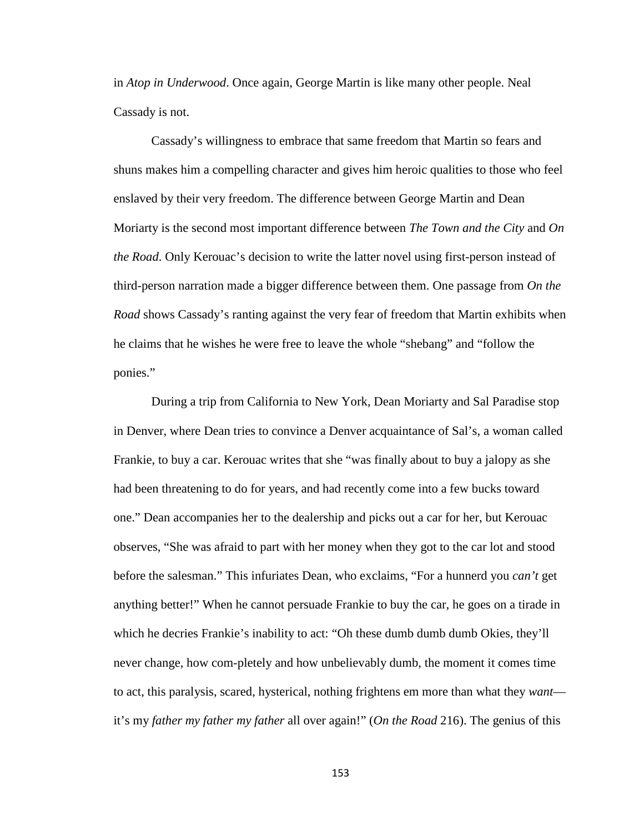in *Atop in Underwood*. Once again, George Martin is like many other people. Neal Cassady is not.

Cassady's willingness to embrace that same freedom that Martin so fears and shuns makes him a compelling character and gives him heroic qualities to those who feel enslaved by their very freedom. The difference between George Martin and Dean Moriarty is the second most important difference between *The Town and the City* and *On the Road*. Only Kerouac's decision to write the latter novel using first-person instead of third-person narration made a bigger difference between them. One passage from *On the Road* shows Cassady's ranting against the very fear of freedom that Martin exhibits when he claims that he wishes he were free to leave the whole "shebang" and "follow the ponies."

During a trip from California to New York, Dean Moriarty and Sal Paradise stop in Denver, where Dean tries to convince a Denver acquaintance of Sal's, a woman called Frankie, to buy a car. Kerouac writes that she "was finally about to buy a jalopy as she had been threatening to do for years, and had recently come into a few bucks toward one." Dean accompanies her to the dealership and picks out a car for her, but Kerouac observes, "She was afraid to part with her money when they got to the car lot and stood before the salesman." This infuriates Dean, who exclaims, "For a hunnerd you *can't* get anything better!" When he cannot persuade Frankie to buy the car, he goes on a tirade in which he decries Frankie's inability to act: "Oh these dumb dumb dumb Okies, they'll never change, how com-pletely and how unbelievably dumb, the moment it comes time to act, this paralysis, scared, hysterical, nothing frightens em more than what they *want* it's my *father my father my father* all over again!" (*On the Road* 216). The genius of this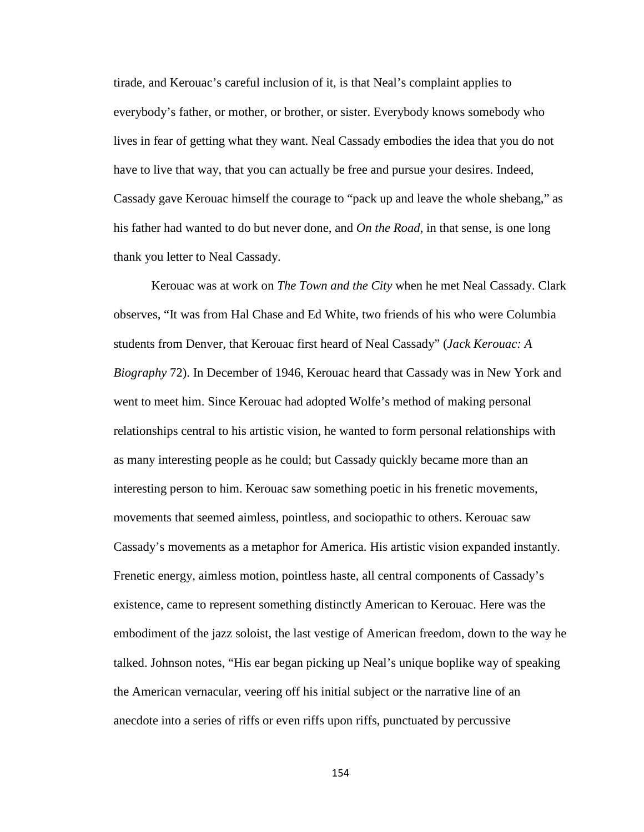tirade, and Kerouac's careful inclusion of it, is that Neal's complaint applies to everybody's father, or mother, or brother, or sister. Everybody knows somebody who lives in fear of getting what they want. Neal Cassady embodies the idea that you do not have to live that way, that you can actually be free and pursue your desires. Indeed, Cassady gave Kerouac himself the courage to "pack up and leave the whole shebang," as his father had wanted to do but never done, and *On the Road*, in that sense, is one long thank you letter to Neal Cassady.

Kerouac was at work on *The Town and the City* when he met Neal Cassady. Clark observes, "It was from Hal Chase and Ed White, two friends of his who were Columbia students from Denver, that Kerouac first heard of Neal Cassady" (*Jack Kerouac: A Biography* 72). In December of 1946, Kerouac heard that Cassady was in New York and went to meet him. Since Kerouac had adopted Wolfe's method of making personal relationships central to his artistic vision, he wanted to form personal relationships with as many interesting people as he could; but Cassady quickly became more than an interesting person to him. Kerouac saw something poetic in his frenetic movements, movements that seemed aimless, pointless, and sociopathic to others. Kerouac saw Cassady's movements as a metaphor for America. His artistic vision expanded instantly. Frenetic energy, aimless motion, pointless haste, all central components of Cassady's existence, came to represent something distinctly American to Kerouac. Here was the embodiment of the jazz soloist, the last vestige of American freedom, down to the way he talked. Johnson notes, "His ear began picking up Neal's unique boplike way of speaking the American vernacular, veering off his initial subject or the narrative line of an anecdote into a series of riffs or even riffs upon riffs, punctuated by percussive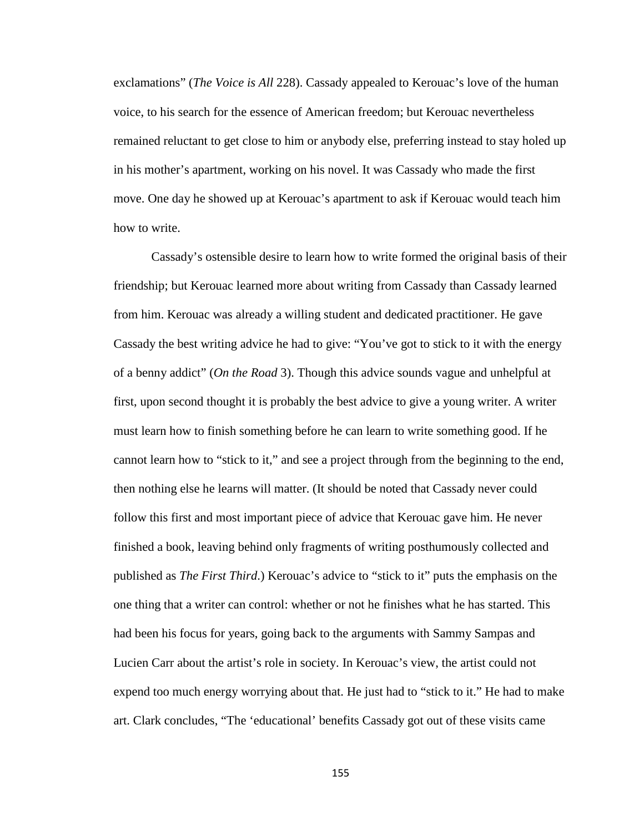exclamations" (*The Voice is All* 228). Cassady appealed to Kerouac's love of the human voice, to his search for the essence of American freedom; but Kerouac nevertheless remained reluctant to get close to him or anybody else, preferring instead to stay holed up in his mother's apartment, working on his novel. It was Cassady who made the first move. One day he showed up at Kerouac's apartment to ask if Kerouac would teach him how to write.

Cassady's ostensible desire to learn how to write formed the original basis of their friendship; but Kerouac learned more about writing from Cassady than Cassady learned from him. Kerouac was already a willing student and dedicated practitioner. He gave Cassady the best writing advice he had to give: "You've got to stick to it with the energy of a benny addict" (*On the Road* 3). Though this advice sounds vague and unhelpful at first, upon second thought it is probably the best advice to give a young writer. A writer must learn how to finish something before he can learn to write something good. If he cannot learn how to "stick to it," and see a project through from the beginning to the end, then nothing else he learns will matter. (It should be noted that Cassady never could follow this first and most important piece of advice that Kerouac gave him. He never finished a book, leaving behind only fragments of writing posthumously collected and published as *The First Third*.) Kerouac's advice to "stick to it" puts the emphasis on the one thing that a writer can control: whether or not he finishes what he has started. This had been his focus for years, going back to the arguments with Sammy Sampas and Lucien Carr about the artist's role in society. In Kerouac's view, the artist could not expend too much energy worrying about that. He just had to "stick to it." He had to make art. Clark concludes, "The 'educational' benefits Cassady got out of these visits came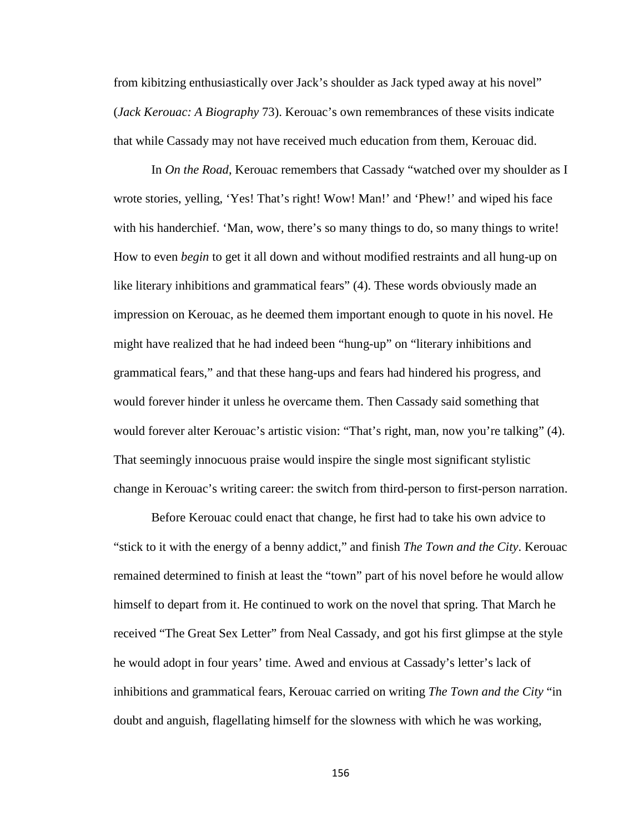from kibitzing enthusiastically over Jack's shoulder as Jack typed away at his novel" (*Jack Kerouac: A Biography* 73). Kerouac's own remembrances of these visits indicate that while Cassady may not have received much education from them, Kerouac did.

In *On the Road*, Kerouac remembers that Cassady "watched over my shoulder as I wrote stories, yelling, 'Yes! That's right! Wow! Man!' and 'Phew!' and wiped his face with his handerchief. 'Man, wow, there's so many things to do, so many things to write! How to even *begin* to get it all down and without modified restraints and all hung-up on like literary inhibitions and grammatical fears" (4). These words obviously made an impression on Kerouac, as he deemed them important enough to quote in his novel. He might have realized that he had indeed been "hung-up" on "literary inhibitions and grammatical fears," and that these hang-ups and fears had hindered his progress, and would forever hinder it unless he overcame them. Then Cassady said something that would forever alter Kerouac's artistic vision: "That's right, man, now you're talking" (4). That seemingly innocuous praise would inspire the single most significant stylistic change in Kerouac's writing career: the switch from third-person to first-person narration.

Before Kerouac could enact that change, he first had to take his own advice to "stick to it with the energy of a benny addict," and finish *The Town and the City*. Kerouac remained determined to finish at least the "town" part of his novel before he would allow himself to depart from it. He continued to work on the novel that spring. That March he received "The Great Sex Letter" from Neal Cassady, and got his first glimpse at the style he would adopt in four years' time. Awed and envious at Cassady's letter's lack of inhibitions and grammatical fears, Kerouac carried on writing *The Town and the City* "in doubt and anguish, flagellating himself for the slowness with which he was working,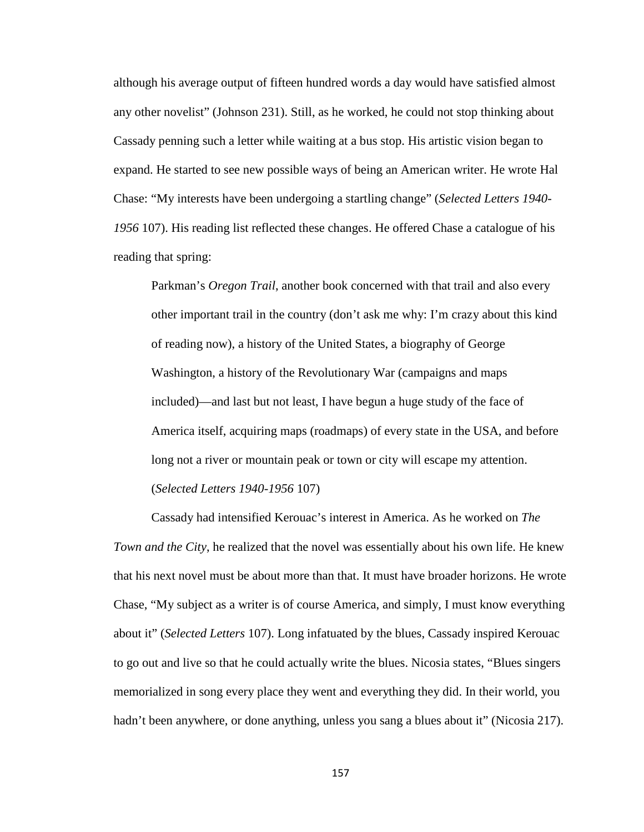although his average output of fifteen hundred words a day would have satisfied almost any other novelist" (Johnson 231). Still, as he worked, he could not stop thinking about Cassady penning such a letter while waiting at a bus stop. His artistic vision began to expand. He started to see new possible ways of being an American writer. He wrote Hal Chase: "My interests have been undergoing a startling change" (*Selected Letters 1940- 1956* 107). His reading list reflected these changes. He offered Chase a catalogue of his reading that spring:

Parkman's *Oregon Trail*, another book concerned with that trail and also every other important trail in the country (don't ask me why: I'm crazy about this kind of reading now), a history of the United States, a biography of George Washington, a history of the Revolutionary War (campaigns and maps included)—and last but not least, I have begun a huge study of the face of America itself, acquiring maps (roadmaps) of every state in the USA, and before long not a river or mountain peak or town or city will escape my attention. (*Selected Letters 1940-1956* 107)

Cassady had intensified Kerouac's interest in America. As he worked on *The Town and the City*, he realized that the novel was essentially about his own life. He knew that his next novel must be about more than that. It must have broader horizons. He wrote Chase, "My subject as a writer is of course America, and simply, I must know everything about it" (*Selected Letters* 107). Long infatuated by the blues, Cassady inspired Kerouac to go out and live so that he could actually write the blues. Nicosia states, "Blues singers memorialized in song every place they went and everything they did. In their world, you hadn't been anywhere, or done anything, unless you sang a blues about it" (Nicosia 217).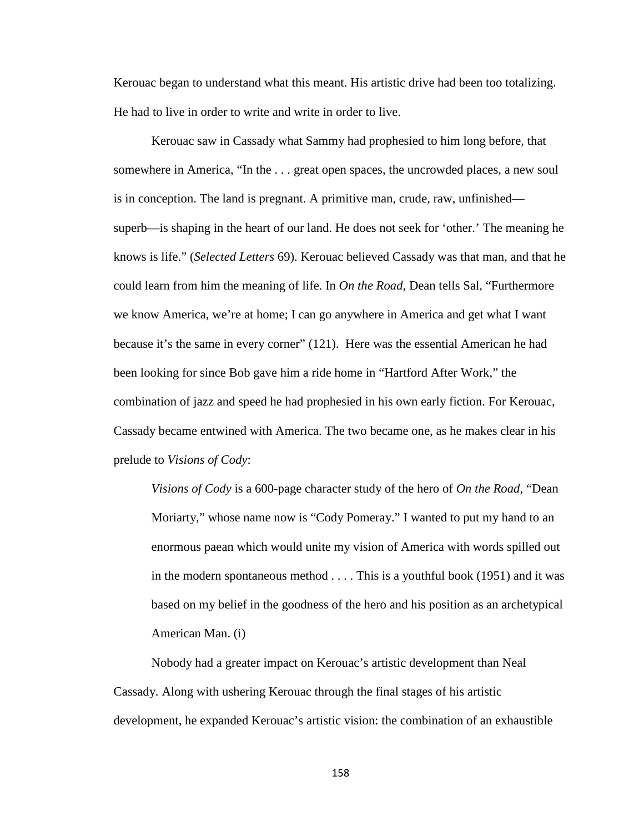Kerouac began to understand what this meant. His artistic drive had been too totalizing. He had to live in order to write and write in order to live.

Kerouac saw in Cassady what Sammy had prophesied to him long before, that somewhere in America, "In the . . . great open spaces, the uncrowded places, a new soul is in conception. The land is pregnant. A primitive man, crude, raw, unfinished superb—is shaping in the heart of our land. He does not seek for 'other.' The meaning he knows is life." (*Selected Letters* 69). Kerouac believed Cassady was that man, and that he could learn from him the meaning of life. In *On the Road*, Dean tells Sal, "Furthermore we know America, we're at home; I can go anywhere in America and get what I want because it's the same in every corner" (121). Here was the essential American he had been looking for since Bob gave him a ride home in "Hartford After Work," the combination of jazz and speed he had prophesied in his own early fiction. For Kerouac, Cassady became entwined with America. The two became one, as he makes clear in his prelude to *Visions of Cody*:

*Visions of Cody* is a 600-page character study of the hero of *On the Road*, "Dean Moriarty," whose name now is "Cody Pomeray." I wanted to put my hand to an enormous paean which would unite my vision of America with words spilled out in the modern spontaneous method . . . . This is a youthful book (1951) and it was based on my belief in the goodness of the hero and his position as an archetypical American Man. (i)

Nobody had a greater impact on Kerouac's artistic development than Neal Cassady. Along with ushering Kerouac through the final stages of his artistic development, he expanded Kerouac's artistic vision: the combination of an exhaustible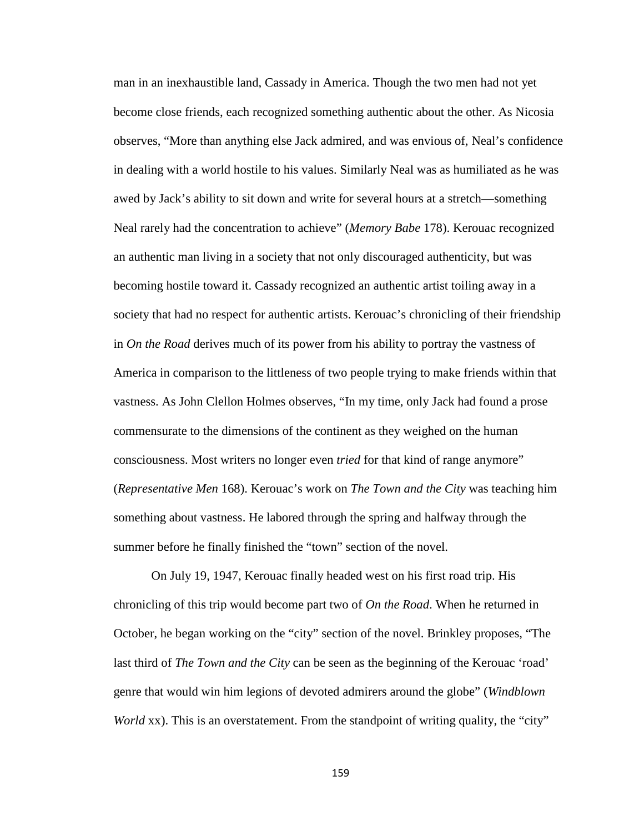man in an inexhaustible land, Cassady in America. Though the two men had not yet become close friends, each recognized something authentic about the other. As Nicosia observes, "More than anything else Jack admired, and was envious of, Neal's confidence in dealing with a world hostile to his values. Similarly Neal was as humiliated as he was awed by Jack's ability to sit down and write for several hours at a stretch—something Neal rarely had the concentration to achieve" (*Memory Babe* 178). Kerouac recognized an authentic man living in a society that not only discouraged authenticity, but was becoming hostile toward it. Cassady recognized an authentic artist toiling away in a society that had no respect for authentic artists. Kerouac's chronicling of their friendship in *On the Road* derives much of its power from his ability to portray the vastness of America in comparison to the littleness of two people trying to make friends within that vastness. As John Clellon Holmes observes, "In my time, only Jack had found a prose commensurate to the dimensions of the continent as they weighed on the human consciousness. Most writers no longer even *tried* for that kind of range anymore" (*Representative Men* 168). Kerouac's work on *The Town and the City* was teaching him something about vastness. He labored through the spring and halfway through the summer before he finally finished the "town" section of the novel.

On July 19, 1947, Kerouac finally headed west on his first road trip. His chronicling of this trip would become part two of *On the Road*. When he returned in October, he began working on the "city" section of the novel. Brinkley proposes, "The last third of *The Town and the City* can be seen as the beginning of the Kerouac 'road' genre that would win him legions of devoted admirers around the globe" (*Windblown World* xx). This is an overstatement. From the standpoint of writing quality, the "city"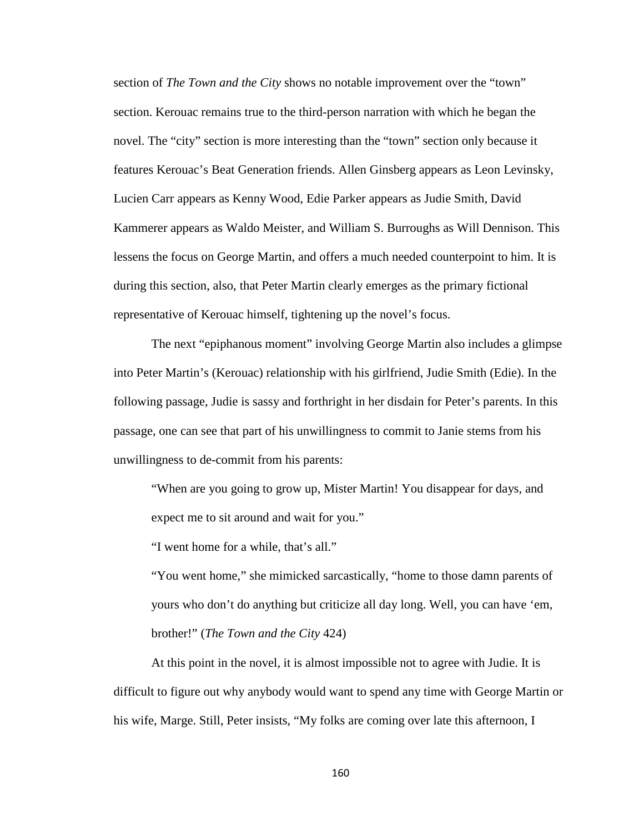section of *The Town and the City* shows no notable improvement over the "town" section. Kerouac remains true to the third-person narration with which he began the novel. The "city" section is more interesting than the "town" section only because it features Kerouac's Beat Generation friends. Allen Ginsberg appears as Leon Levinsky, Lucien Carr appears as Kenny Wood, Edie Parker appears as Judie Smith, David Kammerer appears as Waldo Meister, and William S. Burroughs as Will Dennison. This lessens the focus on George Martin, and offers a much needed counterpoint to him. It is during this section, also, that Peter Martin clearly emerges as the primary fictional representative of Kerouac himself, tightening up the novel's focus.

The next "epiphanous moment" involving George Martin also includes a glimpse into Peter Martin's (Kerouac) relationship with his girlfriend, Judie Smith (Edie). In the following passage, Judie is sassy and forthright in her disdain for Peter's parents. In this passage, one can see that part of his unwillingness to commit to Janie stems from his unwillingness to de-commit from his parents:

"When are you going to grow up, Mister Martin! You disappear for days, and expect me to sit around and wait for you."

"I went home for a while, that's all."

"You went home," she mimicked sarcastically, "home to those damn parents of yours who don't do anything but criticize all day long. Well, you can have 'em, brother!" (*The Town and the City* 424)

At this point in the novel, it is almost impossible not to agree with Judie. It is difficult to figure out why anybody would want to spend any time with George Martin or his wife, Marge. Still, Peter insists, "My folks are coming over late this afternoon, I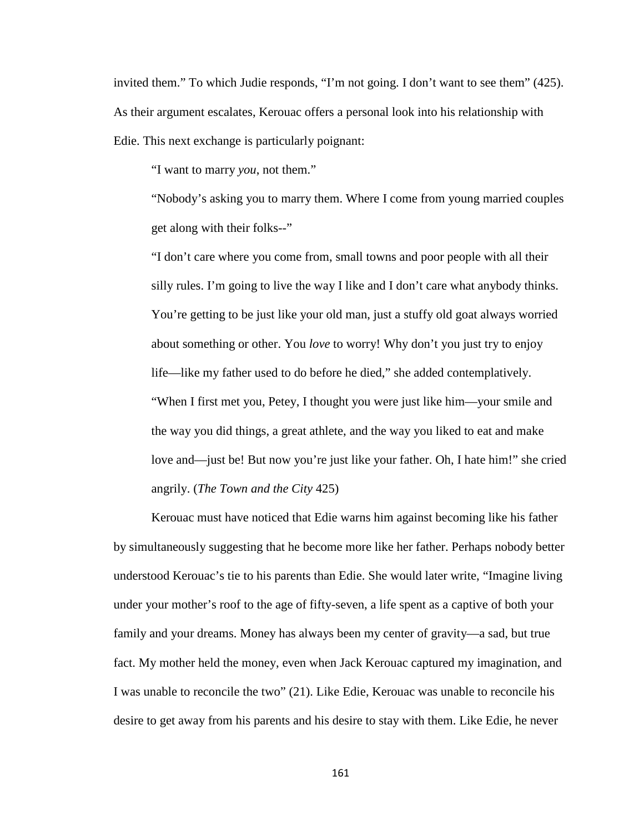invited them." To which Judie responds, "I'm not going. I don't want to see them" (425). As their argument escalates, Kerouac offers a personal look into his relationship with Edie. This next exchange is particularly poignant:

"I want to marry *you*, not them."

"Nobody's asking you to marry them. Where I come from young married couples get along with their folks--"

"I don't care where you come from, small towns and poor people with all their silly rules. I'm going to live the way I like and I don't care what anybody thinks. You're getting to be just like your old man, just a stuffy old goat always worried about something or other. You *love* to worry! Why don't you just try to enjoy life—like my father used to do before he died," she added contemplatively. "When I first met you, Petey, I thought you were just like him—your smile and the way you did things, a great athlete, and the way you liked to eat and make love and—just be! But now you're just like your father. Oh, I hate him!" she cried angrily. (*The Town and the City* 425)

Kerouac must have noticed that Edie warns him against becoming like his father by simultaneously suggesting that he become more like her father. Perhaps nobody better understood Kerouac's tie to his parents than Edie. She would later write, "Imagine living under your mother's roof to the age of fifty-seven, a life spent as a captive of both your family and your dreams. Money has always been my center of gravity—a sad, but true fact. My mother held the money, even when Jack Kerouac captured my imagination, and I was unable to reconcile the two" (21). Like Edie, Kerouac was unable to reconcile his desire to get away from his parents and his desire to stay with them. Like Edie, he never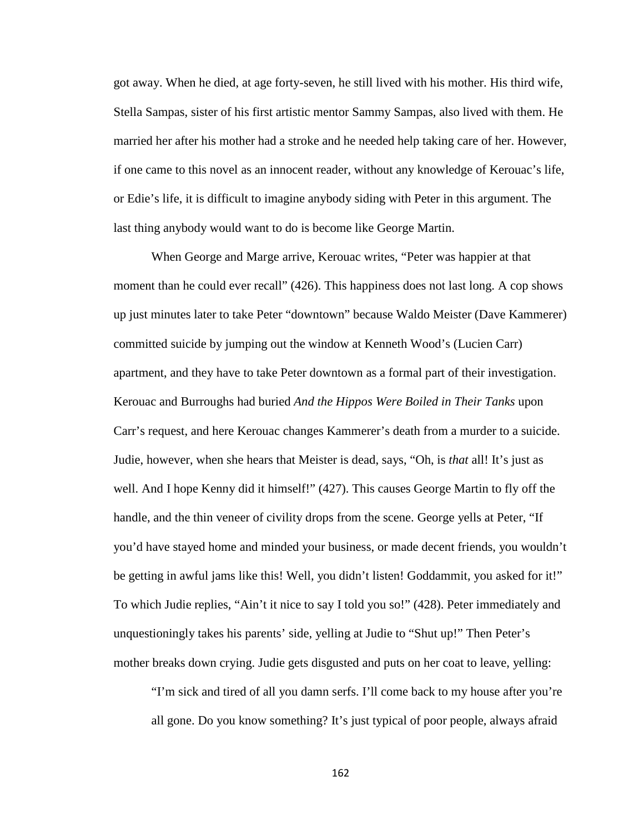got away. When he died, at age forty-seven, he still lived with his mother. His third wife, Stella Sampas, sister of his first artistic mentor Sammy Sampas, also lived with them. He married her after his mother had a stroke and he needed help taking care of her. However, if one came to this novel as an innocent reader, without any knowledge of Kerouac's life, or Edie's life, it is difficult to imagine anybody siding with Peter in this argument. The last thing anybody would want to do is become like George Martin.

When George and Marge arrive, Kerouac writes, "Peter was happier at that moment than he could ever recall" (426). This happiness does not last long. A cop shows up just minutes later to take Peter "downtown" because Waldo Meister (Dave Kammerer) committed suicide by jumping out the window at Kenneth Wood's (Lucien Carr) apartment, and they have to take Peter downtown as a formal part of their investigation. Kerouac and Burroughs had buried *And the Hippos Were Boiled in Their Tanks* upon Carr's request, and here Kerouac changes Kammerer's death from a murder to a suicide. Judie, however, when she hears that Meister is dead, says, "Oh, is *that* all! It's just as well. And I hope Kenny did it himself!" (427). This causes George Martin to fly off the handle, and the thin veneer of civility drops from the scene. George yells at Peter, "If you'd have stayed home and minded your business, or made decent friends, you wouldn't be getting in awful jams like this! Well, you didn't listen! Goddammit, you asked for it!" To which Judie replies, "Ain't it nice to say I told you so!" (428). Peter immediately and unquestioningly takes his parents' side, yelling at Judie to "Shut up!" Then Peter's mother breaks down crying. Judie gets disgusted and puts on her coat to leave, yelling:

"I'm sick and tired of all you damn serfs. I'll come back to my house after you're all gone. Do you know something? It's just typical of poor people, always afraid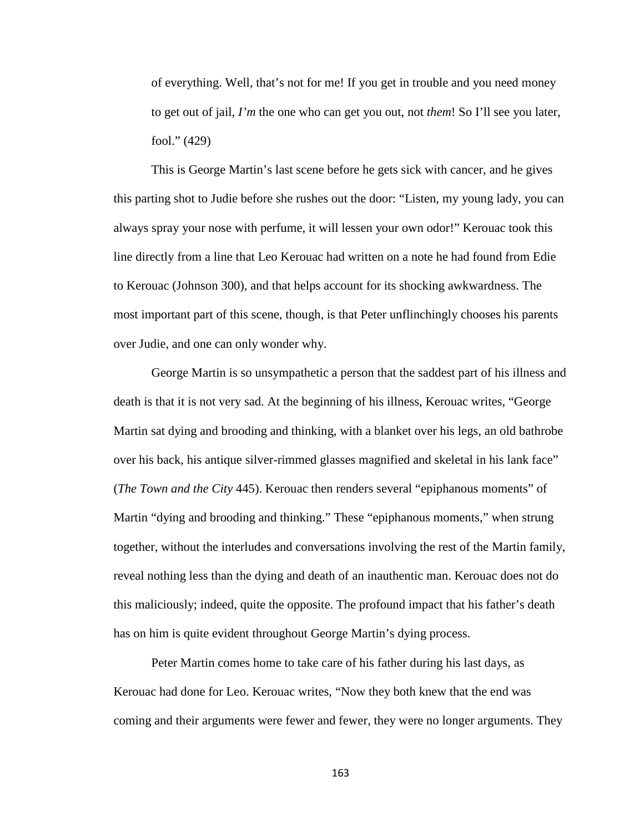of everything. Well, that's not for me! If you get in trouble and you need money to get out of jail, *I'm* the one who can get you out, not *them*! So I'll see you later, fool." (429)

This is George Martin's last scene before he gets sick with cancer, and he gives this parting shot to Judie before she rushes out the door: "Listen, my young lady, you can always spray your nose with perfume, it will lessen your own odor!" Kerouac took this line directly from a line that Leo Kerouac had written on a note he had found from Edie to Kerouac (Johnson 300), and that helps account for its shocking awkwardness. The most important part of this scene, though, is that Peter unflinchingly chooses his parents over Judie, and one can only wonder why.

George Martin is so unsympathetic a person that the saddest part of his illness and death is that it is not very sad. At the beginning of his illness, Kerouac writes, "George Martin sat dying and brooding and thinking, with a blanket over his legs, an old bathrobe over his back, his antique silver-rimmed glasses magnified and skeletal in his lank face" (*The Town and the City* 445). Kerouac then renders several "epiphanous moments" of Martin "dying and brooding and thinking." These "epiphanous moments," when strung together, without the interludes and conversations involving the rest of the Martin family, reveal nothing less than the dying and death of an inauthentic man. Kerouac does not do this maliciously; indeed, quite the opposite. The profound impact that his father's death has on him is quite evident throughout George Martin's dying process.

Peter Martin comes home to take care of his father during his last days, as Kerouac had done for Leo. Kerouac writes, "Now they both knew that the end was coming and their arguments were fewer and fewer, they were no longer arguments. They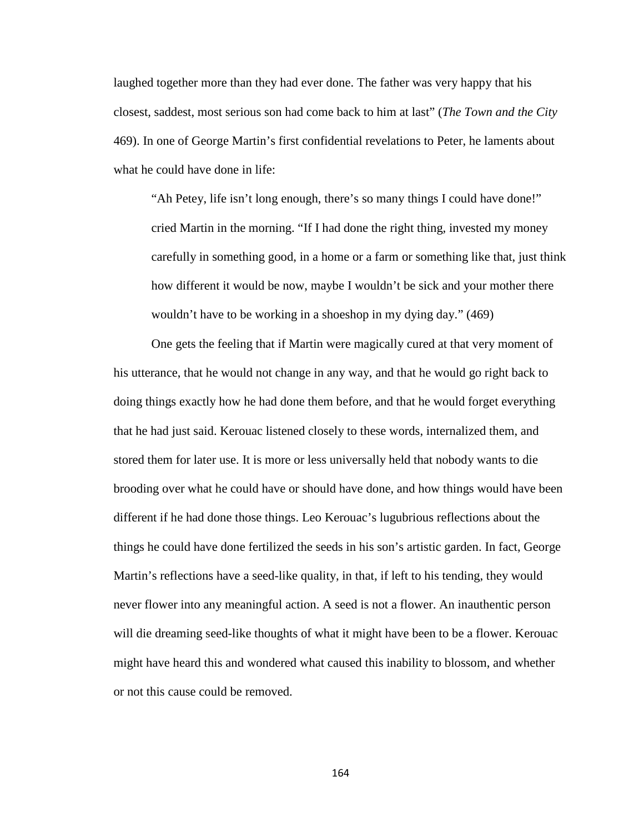laughed together more than they had ever done. The father was very happy that his closest, saddest, most serious son had come back to him at last" (*The Town and the City*  469). In one of George Martin's first confidential revelations to Peter, he laments about what he could have done in life:

"Ah Petey, life isn't long enough, there's so many things I could have done!" cried Martin in the morning. "If I had done the right thing, invested my money carefully in something good, in a home or a farm or something like that, just think how different it would be now, maybe I wouldn't be sick and your mother there wouldn't have to be working in a shoeshop in my dying day." (469)

One gets the feeling that if Martin were magically cured at that very moment of his utterance, that he would not change in any way, and that he would go right back to doing things exactly how he had done them before, and that he would forget everything that he had just said. Kerouac listened closely to these words, internalized them, and stored them for later use. It is more or less universally held that nobody wants to die brooding over what he could have or should have done, and how things would have been different if he had done those things. Leo Kerouac's lugubrious reflections about the things he could have done fertilized the seeds in his son's artistic garden. In fact, George Martin's reflections have a seed-like quality, in that, if left to his tending, they would never flower into any meaningful action. A seed is not a flower. An inauthentic person will die dreaming seed-like thoughts of what it might have been to be a flower. Kerouac might have heard this and wondered what caused this inability to blossom, and whether or not this cause could be removed.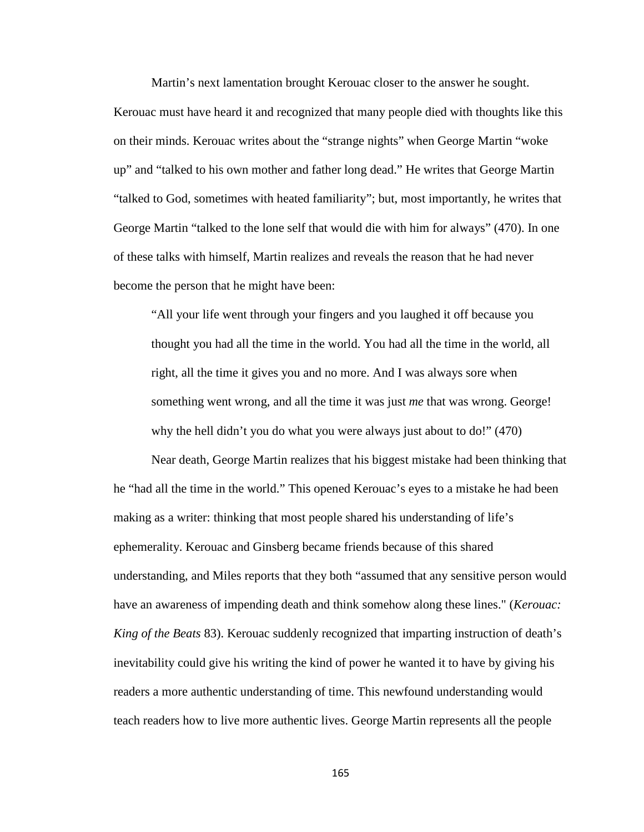Martin's next lamentation brought Kerouac closer to the answer he sought. Kerouac must have heard it and recognized that many people died with thoughts like this on their minds. Kerouac writes about the "strange nights" when George Martin "woke up" and "talked to his own mother and father long dead." He writes that George Martin "talked to God, sometimes with heated familiarity"; but, most importantly, he writes that George Martin "talked to the lone self that would die with him for always" (470). In one of these talks with himself, Martin realizes and reveals the reason that he had never become the person that he might have been:

"All your life went through your fingers and you laughed it off because you thought you had all the time in the world. You had all the time in the world, all right, all the time it gives you and no more. And I was always sore when something went wrong, and all the time it was just *me* that was wrong. George! why the hell didn't you do what you were always just about to do!" (470)

Near death, George Martin realizes that his biggest mistake had been thinking that he "had all the time in the world." This opened Kerouac's eyes to a mistake he had been making as a writer: thinking that most people shared his understanding of life's ephemerality. Kerouac and Ginsberg became friends because of this shared understanding, and Miles reports that they both "assumed that any sensitive person would have an awareness of impending death and think somehow along these lines." (*Kerouac: King of the Beats* 83). Kerouac suddenly recognized that imparting instruction of death's inevitability could give his writing the kind of power he wanted it to have by giving his readers a more authentic understanding of time. This newfound understanding would teach readers how to live more authentic lives. George Martin represents all the people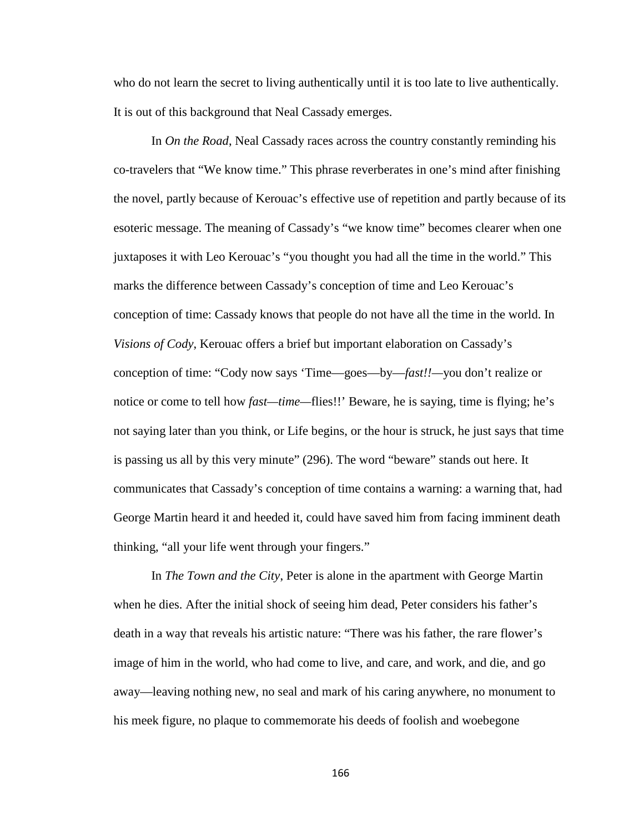who do not learn the secret to living authentically until it is too late to live authentically. It is out of this background that Neal Cassady emerges.

In *On the Road*, Neal Cassady races across the country constantly reminding his co-travelers that "We know time." This phrase reverberates in one's mind after finishing the novel, partly because of Kerouac's effective use of repetition and partly because of its esoteric message. The meaning of Cassady's "we know time" becomes clearer when one juxtaposes it with Leo Kerouac's "you thought you had all the time in the world." This marks the difference between Cassady's conception of time and Leo Kerouac's conception of time: Cassady knows that people do not have all the time in the world. In *Visions of Cody*, Kerouac offers a brief but important elaboration on Cassady's conception of time: "Cody now says 'Time—goes—by—*fast!!—*you don't realize or notice or come to tell how *fast—time—*flies!!' Beware, he is saying, time is flying; he's not saying later than you think, or Life begins, or the hour is struck, he just says that time is passing us all by this very minute" (296). The word "beware" stands out here. It communicates that Cassady's conception of time contains a warning: a warning that, had George Martin heard it and heeded it, could have saved him from facing imminent death thinking, "all your life went through your fingers."

In *The Town and the City*, Peter is alone in the apartment with George Martin when he dies. After the initial shock of seeing him dead, Peter considers his father's death in a way that reveals his artistic nature: "There was his father, the rare flower's image of him in the world, who had come to live, and care, and work, and die, and go away—leaving nothing new, no seal and mark of his caring anywhere, no monument to his meek figure, no plaque to commemorate his deeds of foolish and woebegone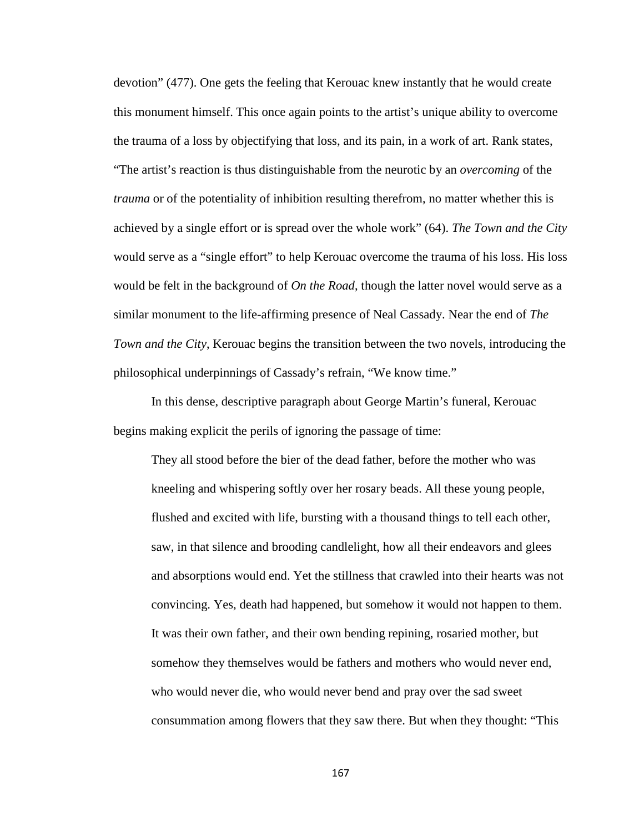devotion" (477). One gets the feeling that Kerouac knew instantly that he would create this monument himself. This once again points to the artist's unique ability to overcome the trauma of a loss by objectifying that loss, and its pain, in a work of art. Rank states, "The artist's reaction is thus distinguishable from the neurotic by an *overcoming* of the *trauma* or of the potentiality of inhibition resulting therefrom, no matter whether this is achieved by a single effort or is spread over the whole work" (64). *The Town and the City*  would serve as a "single effort" to help Kerouac overcome the trauma of his loss. His loss would be felt in the background of *On the Road*, though the latter novel would serve as a similar monument to the life-affirming presence of Neal Cassady. Near the end of *The Town and the City*, Kerouac begins the transition between the two novels, introducing the philosophical underpinnings of Cassady's refrain, "We know time."

In this dense, descriptive paragraph about George Martin's funeral, Kerouac begins making explicit the perils of ignoring the passage of time:

They all stood before the bier of the dead father, before the mother who was kneeling and whispering softly over her rosary beads. All these young people, flushed and excited with life, bursting with a thousand things to tell each other, saw, in that silence and brooding candlelight, how all their endeavors and glees and absorptions would end. Yet the stillness that crawled into their hearts was not convincing. Yes, death had happened, but somehow it would not happen to them. It was their own father, and their own bending repining, rosaried mother, but somehow they themselves would be fathers and mothers who would never end, who would never die, who would never bend and pray over the sad sweet consummation among flowers that they saw there. But when they thought: "This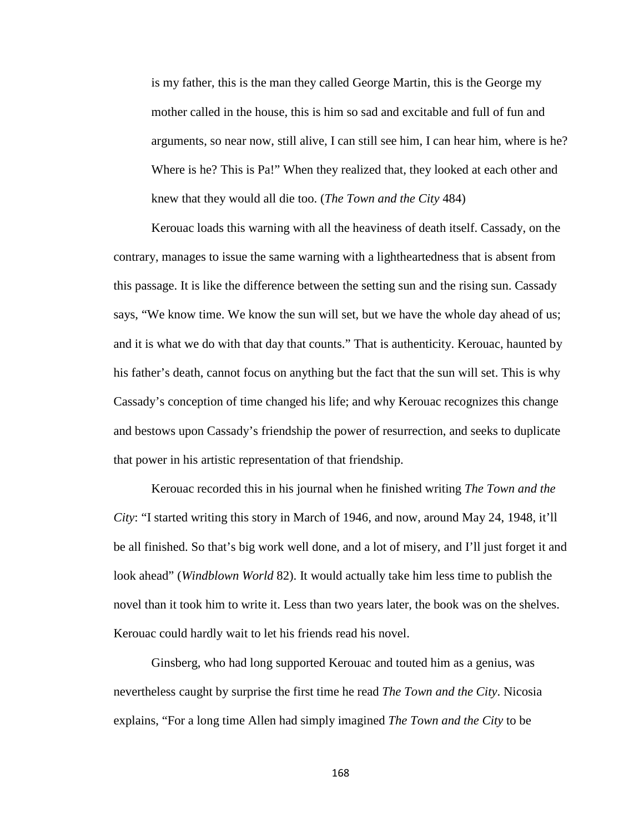is my father, this is the man they called George Martin, this is the George my mother called in the house, this is him so sad and excitable and full of fun and arguments, so near now, still alive, I can still see him, I can hear him, where is he? Where is he? This is Pa!" When they realized that, they looked at each other and knew that they would all die too. (*The Town and the City* 484)

Kerouac loads this warning with all the heaviness of death itself. Cassady, on the contrary, manages to issue the same warning with a lightheartedness that is absent from this passage. It is like the difference between the setting sun and the rising sun. Cassady says, "We know time. We know the sun will set, but we have the whole day ahead of us; and it is what we do with that day that counts." That is authenticity. Kerouac, haunted by his father's death, cannot focus on anything but the fact that the sun will set. This is why Cassady's conception of time changed his life; and why Kerouac recognizes this change and bestows upon Cassady's friendship the power of resurrection, and seeks to duplicate that power in his artistic representation of that friendship.

Kerouac recorded this in his journal when he finished writing *The Town and the City*: "I started writing this story in March of 1946, and now, around May 24, 1948, it'll be all finished. So that's big work well done, and a lot of misery, and I'll just forget it and look ahead" (*Windblown World* 82). It would actually take him less time to publish the novel than it took him to write it. Less than two years later, the book was on the shelves. Kerouac could hardly wait to let his friends read his novel.

Ginsberg, who had long supported Kerouac and touted him as a genius, was nevertheless caught by surprise the first time he read *The Town and the City*. Nicosia explains, "For a long time Allen had simply imagined *The Town and the City* to be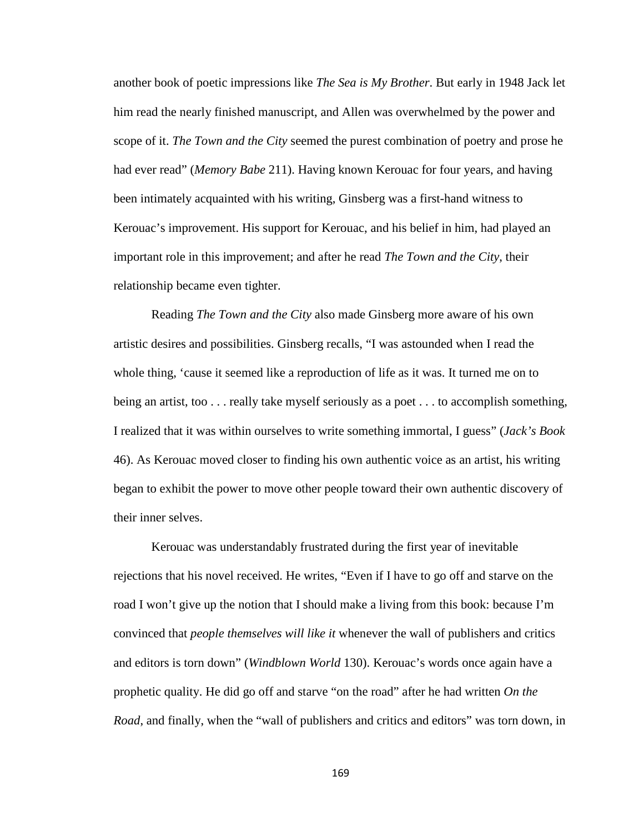another book of poetic impressions like *The Sea is My Brother*. But early in 1948 Jack let him read the nearly finished manuscript, and Allen was overwhelmed by the power and scope of it. *The Town and the City* seemed the purest combination of poetry and prose he had ever read" (*Memory Babe* 211). Having known Kerouac for four years, and having been intimately acquainted with his writing, Ginsberg was a first-hand witness to Kerouac's improvement. His support for Kerouac, and his belief in him, had played an important role in this improvement; and after he read *The Town and the City*, their relationship became even tighter.

Reading *The Town and the City* also made Ginsberg more aware of his own artistic desires and possibilities. Ginsberg recalls, "I was astounded when I read the whole thing, 'cause it seemed like a reproduction of life as it was. It turned me on to being an artist, too . . . really take myself seriously as a poet . . . to accomplish something, I realized that it was within ourselves to write something immortal, I guess" (*Jack's Book*  46). As Kerouac moved closer to finding his own authentic voice as an artist, his writing began to exhibit the power to move other people toward their own authentic discovery of their inner selves.

Kerouac was understandably frustrated during the first year of inevitable rejections that his novel received. He writes, "Even if I have to go off and starve on the road I won't give up the notion that I should make a living from this book: because I'm convinced that *people themselves will like it* whenever the wall of publishers and critics and editors is torn down" (*Windblown World* 130). Kerouac's words once again have a prophetic quality. He did go off and starve "on the road" after he had written *On the Road*, and finally, when the "wall of publishers and critics and editors" was torn down, in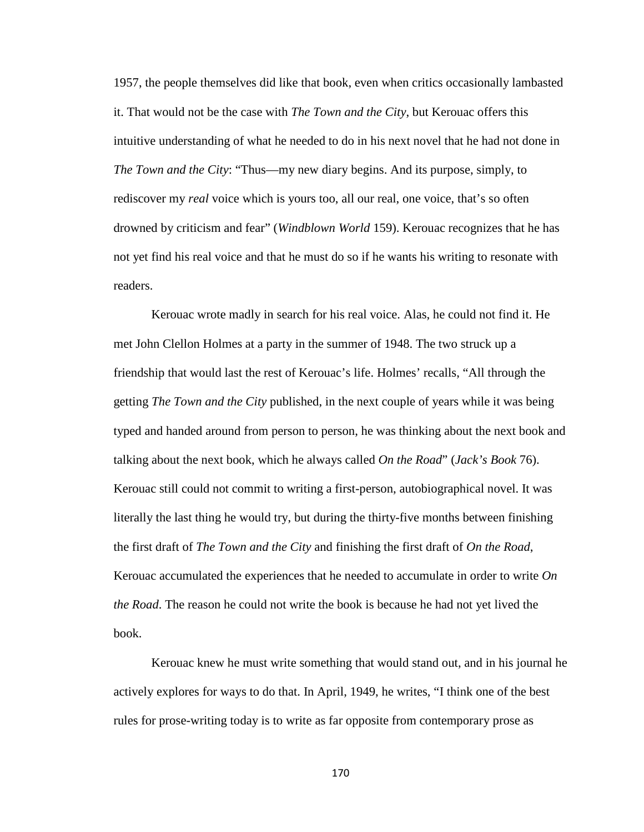1957, the people themselves did like that book, even when critics occasionally lambasted it. That would not be the case with *The Town and the City*, but Kerouac offers this intuitive understanding of what he needed to do in his next novel that he had not done in *The Town and the City*: "Thus—my new diary begins. And its purpose, simply, to rediscover my *real* voice which is yours too, all our real, one voice, that's so often drowned by criticism and fear" (*Windblown World* 159). Kerouac recognizes that he has not yet find his real voice and that he must do so if he wants his writing to resonate with readers.

Kerouac wrote madly in search for his real voice. Alas, he could not find it. He met John Clellon Holmes at a party in the summer of 1948. The two struck up a friendship that would last the rest of Kerouac's life. Holmes' recalls, "All through the getting *The Town and the City* published, in the next couple of years while it was being typed and handed around from person to person, he was thinking about the next book and talking about the next book, which he always called *On the Road*" (*Jack's Book* 76). Kerouac still could not commit to writing a first-person, autobiographical novel. It was literally the last thing he would try, but during the thirty-five months between finishing the first draft of *The Town and the City* and finishing the first draft of *On the Road*, Kerouac accumulated the experiences that he needed to accumulate in order to write *On the Road*. The reason he could not write the book is because he had not yet lived the book.

Kerouac knew he must write something that would stand out, and in his journal he actively explores for ways to do that. In April, 1949, he writes, "I think one of the best rules for prose-writing today is to write as far opposite from contemporary prose as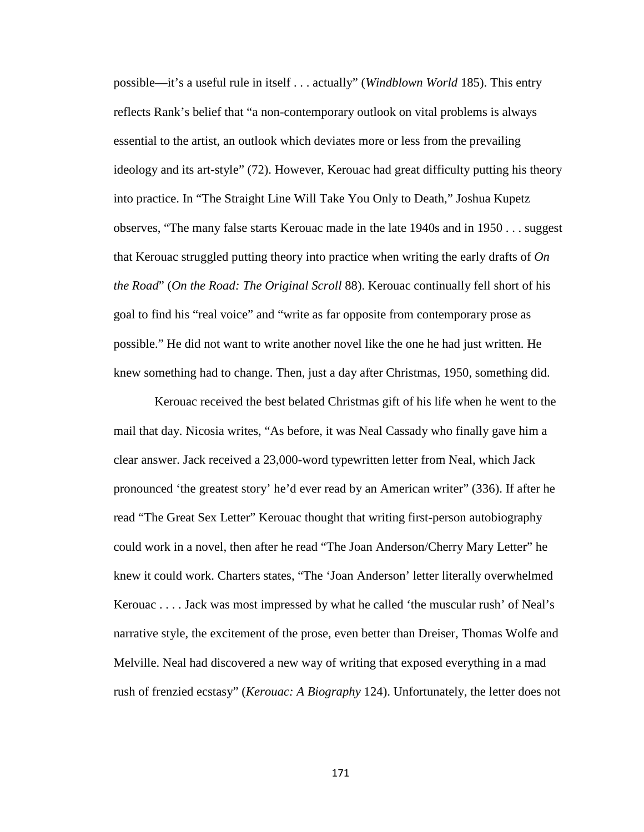possible—it's a useful rule in itself . . . actually" (*Windblown World* 185). This entry reflects Rank's belief that "a non-contemporary outlook on vital problems is always essential to the artist, an outlook which deviates more or less from the prevailing ideology and its art-style" (72). However, Kerouac had great difficulty putting his theory into practice. In "The Straight Line Will Take You Only to Death," Joshua Kupetz observes, "The many false starts Kerouac made in the late 1940s and in 1950 . . . suggest that Kerouac struggled putting theory into practice when writing the early drafts of *On the Road*" (*On the Road: The Original Scroll* 88). Kerouac continually fell short of his goal to find his "real voice" and "write as far opposite from contemporary prose as possible." He did not want to write another novel like the one he had just written. He knew something had to change. Then, just a day after Christmas, 1950, something did.

Kerouac received the best belated Christmas gift of his life when he went to the mail that day. Nicosia writes, "As before, it was Neal Cassady who finally gave him a clear answer. Jack received a 23,000-word typewritten letter from Neal, which Jack pronounced 'the greatest story' he'd ever read by an American writer" (336). If after he read "The Great Sex Letter" Kerouac thought that writing first-person autobiography could work in a novel, then after he read "The Joan Anderson/Cherry Mary Letter" he knew it could work. Charters states, "The 'Joan Anderson' letter literally overwhelmed Kerouac . . . . Jack was most impressed by what he called 'the muscular rush' of Neal's narrative style, the excitement of the prose, even better than Dreiser, Thomas Wolfe and Melville. Neal had discovered a new way of writing that exposed everything in a mad rush of frenzied ecstasy" (*Kerouac: A Biography* 124). Unfortunately, the letter does not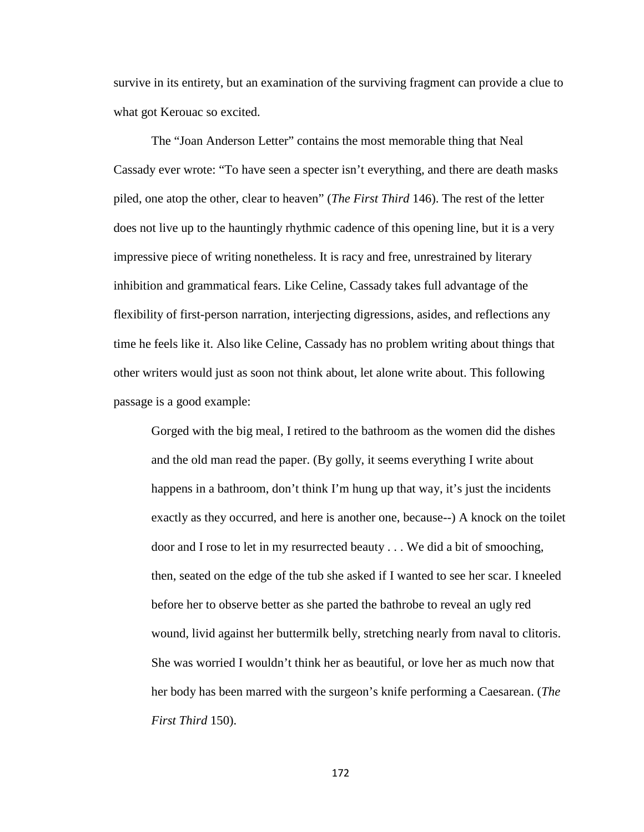survive in its entirety, but an examination of the surviving fragment can provide a clue to what got Kerouac so excited.

The "Joan Anderson Letter" contains the most memorable thing that Neal Cassady ever wrote: "To have seen a specter isn't everything, and there are death masks piled, one atop the other, clear to heaven" (*The First Third* 146). The rest of the letter does not live up to the hauntingly rhythmic cadence of this opening line, but it is a very impressive piece of writing nonetheless. It is racy and free, unrestrained by literary inhibition and grammatical fears. Like Celine, Cassady takes full advantage of the flexibility of first-person narration, interjecting digressions, asides, and reflections any time he feels like it. Also like Celine, Cassady has no problem writing about things that other writers would just as soon not think about, let alone write about. This following passage is a good example:

Gorged with the big meal, I retired to the bathroom as the women did the dishes and the old man read the paper. (By golly, it seems everything I write about happens in a bathroom, don't think I'm hung up that way, it's just the incidents exactly as they occurred, and here is another one, because--) A knock on the toilet door and I rose to let in my resurrected beauty . . . We did a bit of smooching, then, seated on the edge of the tub she asked if I wanted to see her scar. I kneeled before her to observe better as she parted the bathrobe to reveal an ugly red wound, livid against her buttermilk belly, stretching nearly from naval to clitoris. She was worried I wouldn't think her as beautiful, or love her as much now that her body has been marred with the surgeon's knife performing a Caesarean. (*The First Third* 150).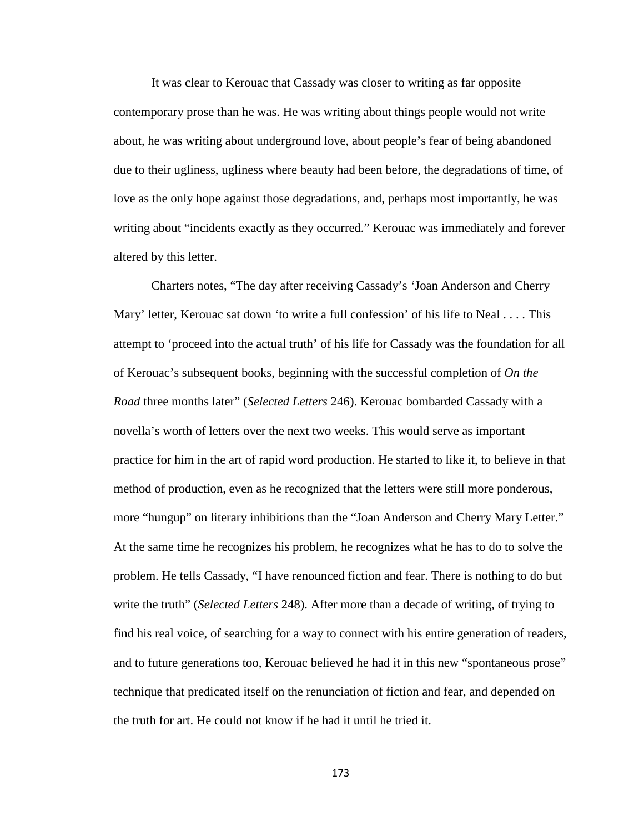It was clear to Kerouac that Cassady was closer to writing as far opposite contemporary prose than he was. He was writing about things people would not write about, he was writing about underground love, about people's fear of being abandoned due to their ugliness, ugliness where beauty had been before, the degradations of time, of love as the only hope against those degradations, and, perhaps most importantly, he was writing about "incidents exactly as they occurred." Kerouac was immediately and forever altered by this letter.

Charters notes, "The day after receiving Cassady's 'Joan Anderson and Cherry Mary' letter, Kerouac sat down 'to write a full confession' of his life to Neal . . . . This attempt to 'proceed into the actual truth' of his life for Cassady was the foundation for all of Kerouac's subsequent books, beginning with the successful completion of *On the Road* three months later" (*Selected Letters* 246). Kerouac bombarded Cassady with a novella's worth of letters over the next two weeks. This would serve as important practice for him in the art of rapid word production. He started to like it, to believe in that method of production, even as he recognized that the letters were still more ponderous, more "hungup" on literary inhibitions than the "Joan Anderson and Cherry Mary Letter." At the same time he recognizes his problem, he recognizes what he has to do to solve the problem. He tells Cassady, "I have renounced fiction and fear. There is nothing to do but write the truth" (*Selected Letters* 248). After more than a decade of writing, of trying to find his real voice, of searching for a way to connect with his entire generation of readers, and to future generations too, Kerouac believed he had it in this new "spontaneous prose" technique that predicated itself on the renunciation of fiction and fear, and depended on the truth for art. He could not know if he had it until he tried it.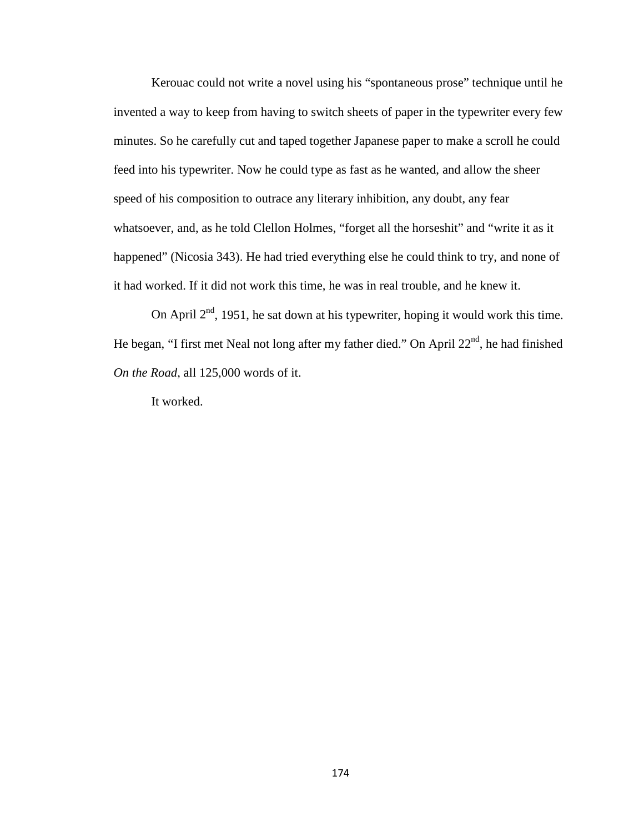Kerouac could not write a novel using his "spontaneous prose" technique until he invented a way to keep from having to switch sheets of paper in the typewriter every few minutes. So he carefully cut and taped together Japanese paper to make a scroll he could feed into his typewriter. Now he could type as fast as he wanted, and allow the sheer speed of his composition to outrace any literary inhibition, any doubt, any fear whatsoever, and, as he told Clellon Holmes, "forget all the horseshit" and "write it as it happened" (Nicosia 343). He had tried everything else he could think to try, and none of it had worked. If it did not work this time, he was in real trouble, and he knew it.

On April  $2<sup>nd</sup>$ , 1951, he sat down at his typewriter, hoping it would work this time. He began, "I first met Neal not long after my father died." On April  $22<sup>nd</sup>$ , he had finished *On the Road*, all 125,000 words of it.

It worked.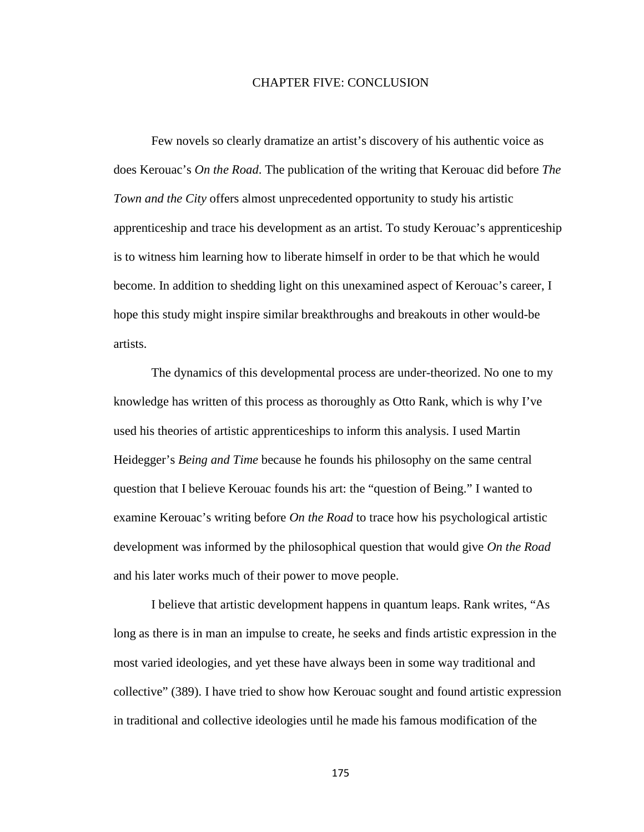### CHAPTER FIVE: CONCLUSION

Few novels so clearly dramatize an artist's discovery of his authentic voice as does Kerouac's *On the Road*. The publication of the writing that Kerouac did before *The Town and the City* offers almost unprecedented opportunity to study his artistic apprenticeship and trace his development as an artist. To study Kerouac's apprenticeship is to witness him learning how to liberate himself in order to be that which he would become. In addition to shedding light on this unexamined aspect of Kerouac's career, I hope this study might inspire similar breakthroughs and breakouts in other would-be artists.

The dynamics of this developmental process are under-theorized. No one to my knowledge has written of this process as thoroughly as Otto Rank, which is why I've used his theories of artistic apprenticeships to inform this analysis. I used Martin Heidegger's *Being and Time* because he founds his philosophy on the same central question that I believe Kerouac founds his art: the "question of Being." I wanted to examine Kerouac's writing before *On the Road* to trace how his psychological artistic development was informed by the philosophical question that would give *On the Road*  and his later works much of their power to move people.

I believe that artistic development happens in quantum leaps. Rank writes, "As long as there is in man an impulse to create, he seeks and finds artistic expression in the most varied ideologies, and yet these have always been in some way traditional and collective" (389). I have tried to show how Kerouac sought and found artistic expression in traditional and collective ideologies until he made his famous modification of the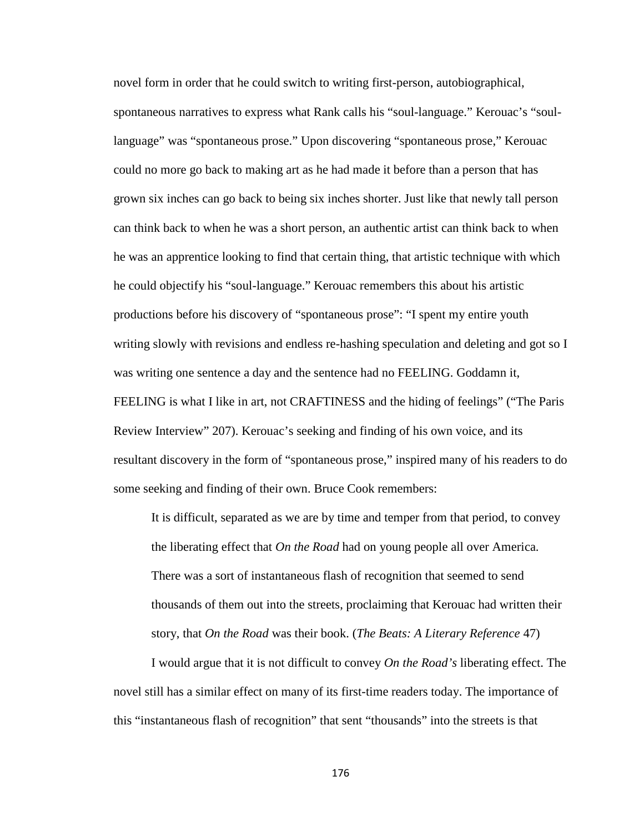novel form in order that he could switch to writing first-person, autobiographical, spontaneous narratives to express what Rank calls his "soul-language." Kerouac's "soullanguage" was "spontaneous prose." Upon discovering "spontaneous prose," Kerouac could no more go back to making art as he had made it before than a person that has grown six inches can go back to being six inches shorter. Just like that newly tall person can think back to when he was a short person, an authentic artist can think back to when he was an apprentice looking to find that certain thing, that artistic technique with which he could objectify his "soul-language." Kerouac remembers this about his artistic productions before his discovery of "spontaneous prose": "I spent my entire youth writing slowly with revisions and endless re-hashing speculation and deleting and got so I was writing one sentence a day and the sentence had no FEELING. Goddamn it, FEELING is what I like in art, not CRAFTINESS and the hiding of feelings" ("The Paris Review Interview" 207). Kerouac's seeking and finding of his own voice, and its resultant discovery in the form of "spontaneous prose," inspired many of his readers to do some seeking and finding of their own. Bruce Cook remembers:

It is difficult, separated as we are by time and temper from that period, to convey the liberating effect that *On the Road* had on young people all over America. There was a sort of instantaneous flash of recognition that seemed to send thousands of them out into the streets, proclaiming that Kerouac had written their story, that *On the Road* was their book. (*The Beats: A Literary Reference* 47)

I would argue that it is not difficult to convey *On the Road's* liberating effect. The novel still has a similar effect on many of its first-time readers today. The importance of this "instantaneous flash of recognition" that sent "thousands" into the streets is that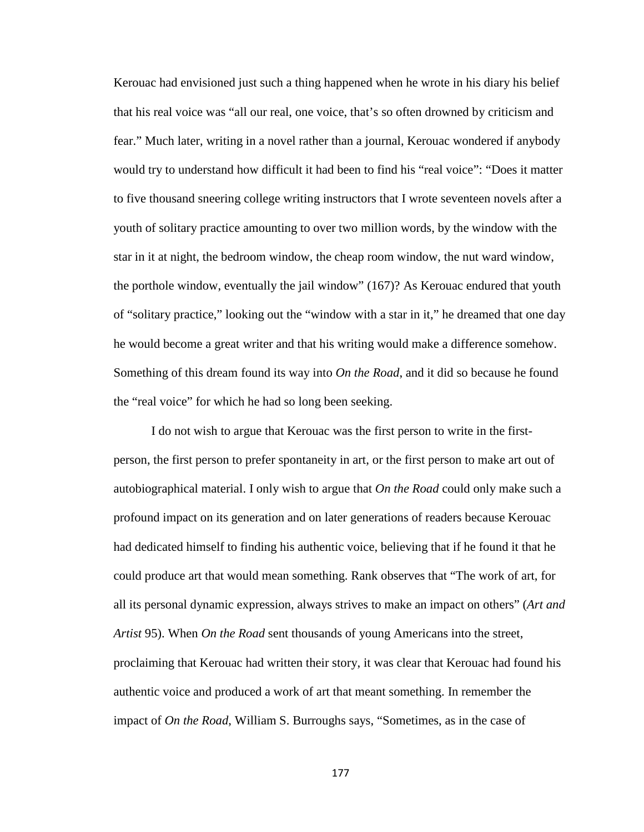Kerouac had envisioned just such a thing happened when he wrote in his diary his belief that his real voice was "all our real, one voice, that's so often drowned by criticism and fear." Much later, writing in a novel rather than a journal, Kerouac wondered if anybody would try to understand how difficult it had been to find his "real voice": "Does it matter to five thousand sneering college writing instructors that I wrote seventeen novels after a youth of solitary practice amounting to over two million words, by the window with the star in it at night, the bedroom window, the cheap room window, the nut ward window, the porthole window, eventually the jail window" (167)? As Kerouac endured that youth of "solitary practice," looking out the "window with a star in it," he dreamed that one day he would become a great writer and that his writing would make a difference somehow. Something of this dream found its way into *On the Road*, and it did so because he found the "real voice" for which he had so long been seeking.

I do not wish to argue that Kerouac was the first person to write in the firstperson, the first person to prefer spontaneity in art, or the first person to make art out of autobiographical material. I only wish to argue that *On the Road* could only make such a profound impact on its generation and on later generations of readers because Kerouac had dedicated himself to finding his authentic voice, believing that if he found it that he could produce art that would mean something. Rank observes that "The work of art, for all its personal dynamic expression, always strives to make an impact on others" (*Art and Artist* 95). When *On the Road* sent thousands of young Americans into the street, proclaiming that Kerouac had written their story, it was clear that Kerouac had found his authentic voice and produced a work of art that meant something. In remember the impact of *On the Road*, William S. Burroughs says, "Sometimes, as in the case of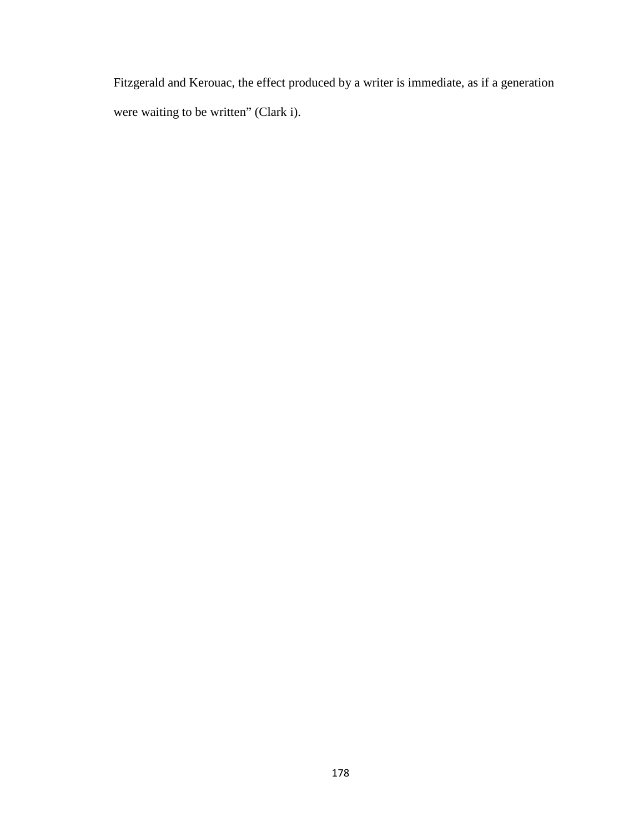Fitzgerald and Kerouac, the effect produced by a writer is immediate, as if a generation were waiting to be written" (Clark i).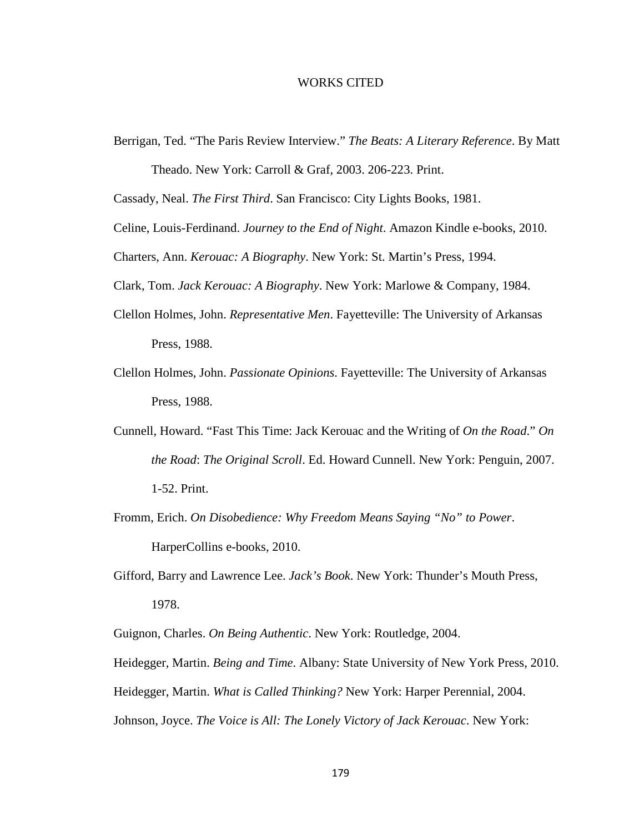### WORKS CITED

Berrigan, Ted. "The Paris Review Interview." *The Beats: A Literary Reference*. By Matt

Theado. New York: Carroll & Graf, 2003. 206-223. Print.

Cassady, Neal. *The First Third*. San Francisco: City Lights Books, 1981.

- Celine, Louis-Ferdinand. *Journey to the End of Night*. Amazon Kindle e-books, 2010.
- Charters, Ann. *Kerouac: A Biography*. New York: St. Martin's Press, 1994.

Clark, Tom. *Jack Kerouac: A Biography*. New York: Marlowe & Company, 1984.

- Clellon Holmes, John. *Representative Men*. Fayetteville: The University of Arkansas Press, 1988.
- Clellon Holmes, John. *Passionate Opinions*. Fayetteville: The University of Arkansas Press, 1988.
- Cunnell, Howard. "Fast This Time: Jack Kerouac and the Writing of *On the Road*." *On the Road*: *The Original Scroll*. Ed. Howard Cunnell. New York: Penguin, 2007. 1-52. Print.
- Fromm, Erich. *On Disobedience: Why Freedom Means Saying "No" to Power*. HarperCollins e-books, 2010.
- Gifford, Barry and Lawrence Lee. *Jack's Book*. New York: Thunder's Mouth Press, 1978.

Guignon, Charles. *On Being Authentic*. New York: Routledge, 2004.

Heidegger, Martin. *Being and Time*. Albany: State University of New York Press, 2010.

Heidegger, Martin. *What is Called Thinking?* New York: Harper Perennial, 2004.

Johnson, Joyce. *The Voice is All: The Lonely Victory of Jack Kerouac*. New York: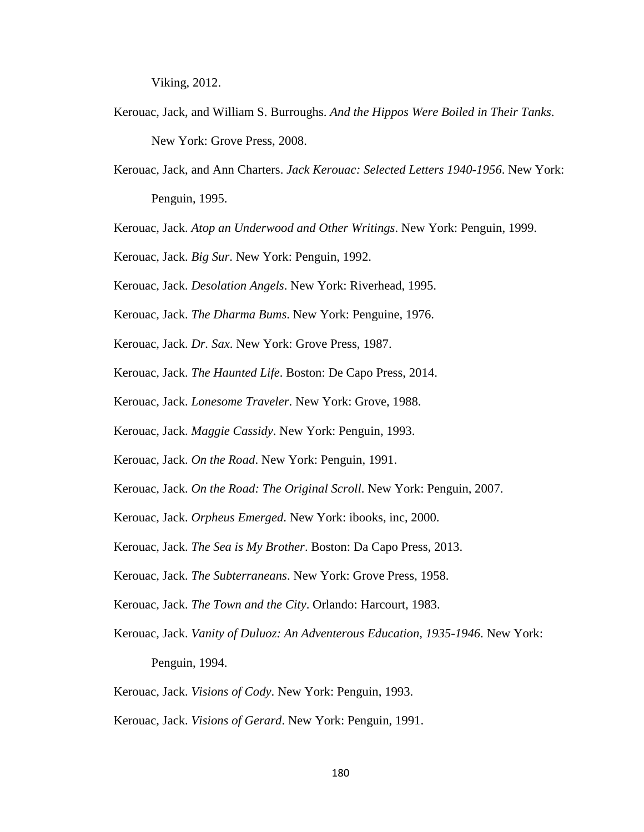Viking, 2012.

- Kerouac, Jack, and William S. Burroughs. *And the Hippos Were Boiled in Their Tanks*. New York: Grove Press, 2008.
- Kerouac, Jack, and Ann Charters. *Jack Kerouac: Selected Letters 1940-1956*. New York: Penguin, 1995.
- Kerouac, Jack. *Atop an Underwood and Other Writings*. New York: Penguin, 1999.
- Kerouac, Jack. *Big Sur*. New York: Penguin, 1992.
- Kerouac, Jack. *Desolation Angels*. New York: Riverhead, 1995.
- Kerouac, Jack. *The Dharma Bums*. New York: Penguine, 1976.
- Kerouac, Jack. *Dr. Sax*. New York: Grove Press, 1987.
- Kerouac, Jack. *The Haunted Life*. Boston: De Capo Press, 2014.
- Kerouac, Jack. *Lonesome Traveler*. New York: Grove, 1988.
- Kerouac, Jack. *Maggie Cassidy*. New York: Penguin, 1993.
- Kerouac, Jack. *On the Road*. New York: Penguin, 1991.
- Kerouac, Jack. *On the Road: The Original Scroll*. New York: Penguin, 2007.
- Kerouac, Jack. *Orpheus Emerged*. New York: ibooks, inc, 2000.
- Kerouac, Jack. *The Sea is My Brother*. Boston: Da Capo Press, 2013.
- Kerouac, Jack. *The Subterraneans*. New York: Grove Press, 1958.
- Kerouac, Jack. *The Town and the City*. Orlando: Harcourt, 1983.
- Kerouac, Jack. *Vanity of Duluoz: An Adventerous Education, 1935-1946*. New York: Penguin, 1994.
- Kerouac, Jack. *Visions of Cody*. New York: Penguin, 1993.
- Kerouac, Jack. *Visions of Gerard*. New York: Penguin, 1991.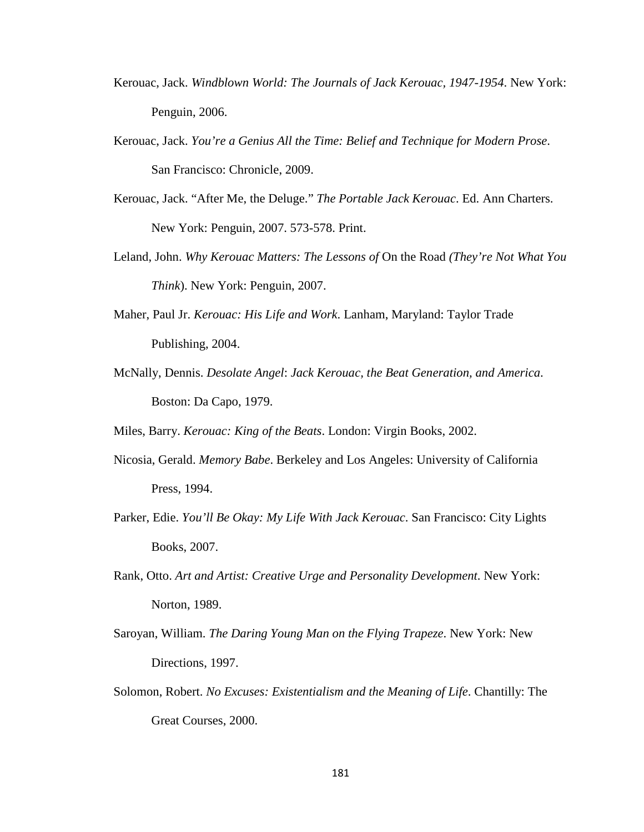- Kerouac, Jack. *Windblown World: The Journals of Jack Kerouac, 1947-1954*. New York: Penguin, 2006.
- Kerouac, Jack. *You're a Genius All the Time: Belief and Technique for Modern Prose*. San Francisco: Chronicle, 2009.
- Kerouac, Jack. "After Me, the Deluge." *The Portable Jack Kerouac*. Ed. Ann Charters. New York: Penguin, 2007. 573-578. Print.
- Leland, John. *Why Kerouac Matters: The Lessons of* On the Road *(They're Not What You Think*). New York: Penguin, 2007.
- Maher, Paul Jr. *Kerouac: His Life and Work*. Lanham, Maryland: Taylor Trade Publishing, 2004.
- McNally, Dennis. *Desolate Angel*: *Jack Kerouac, the Beat Generation, and America*. Boston: Da Capo, 1979.

Miles, Barry. *Kerouac: King of the Beats*. London: Virgin Books, 2002.

- Nicosia, Gerald. *Memory Babe*. Berkeley and Los Angeles: University of California Press, 1994.
- Parker, Edie. *You'll Be Okay: My Life With Jack Kerouac*. San Francisco: City Lights Books, 2007.
- Rank, Otto. *Art and Artist: Creative Urge and Personality Development*. New York: Norton, 1989.
- Saroyan, William. *The Daring Young Man on the Flying Trapeze*. New York: New Directions, 1997.
- Solomon, Robert. *No Excuses: Existentialism and the Meaning of Life*. Chantilly: The Great Courses, 2000.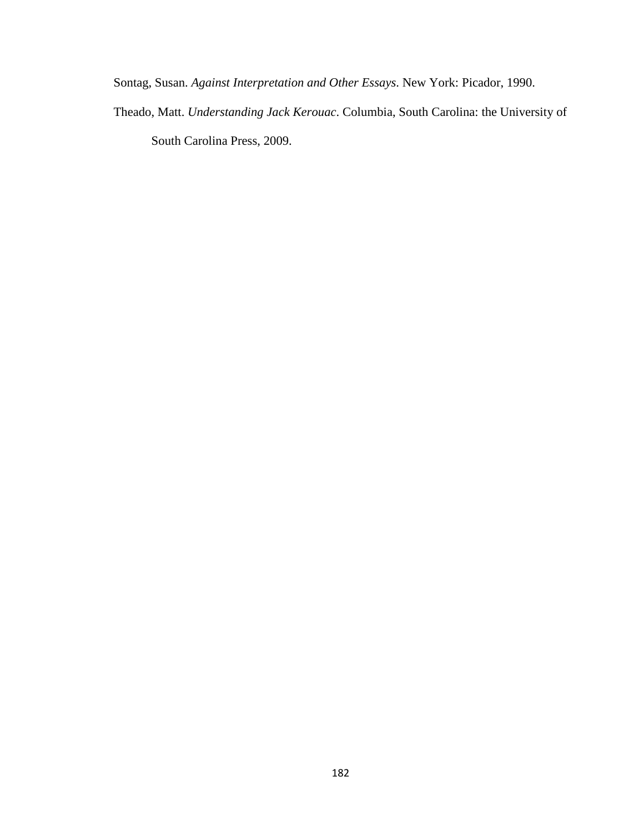Sontag, Susan. *Against Interpretation and Other Essays*. New York: Picador, 1990.

Theado, Matt. *Understanding Jack Kerouac*. Columbia, South Carolina: the University of South Carolina Press, 2009.